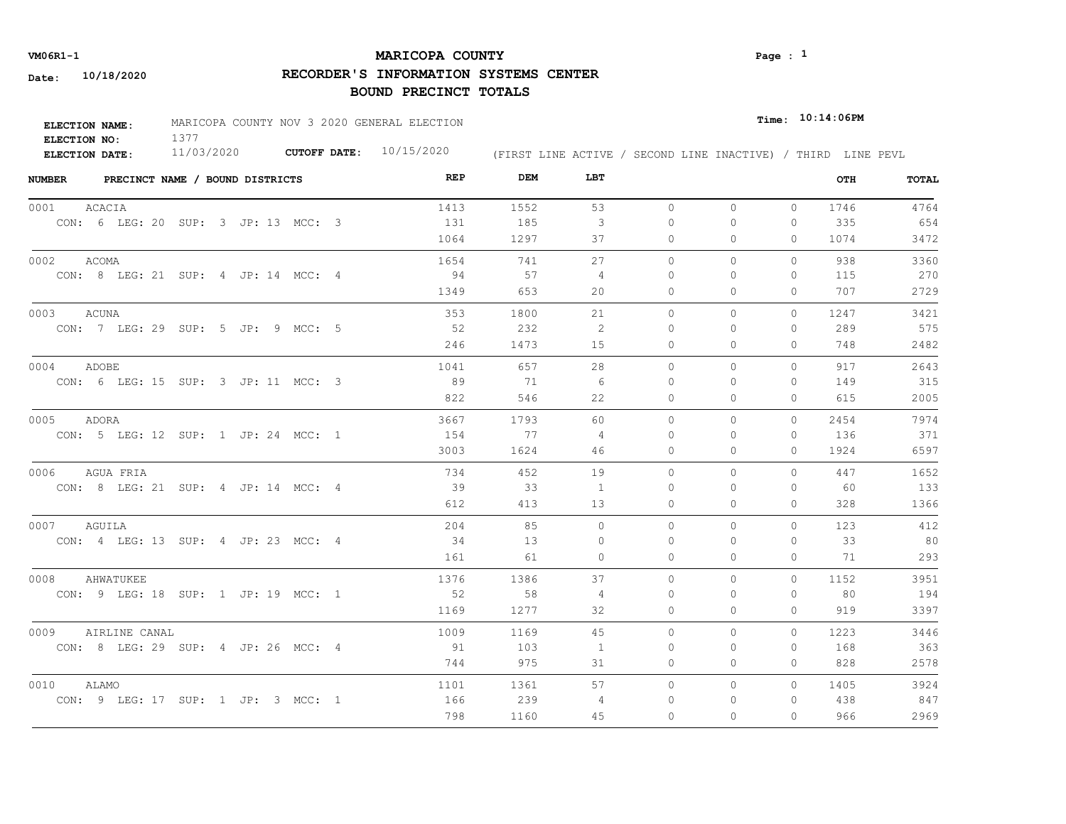## **MARICOPA COUNTY VM06R1-1 Page : 1**

# **RECORDER'S INFORMATION SYSTEMS CENTER**

| ELECTION NAME:      | MARICOPA COUNTY NOV 3 2020 GENERAL ELECTION |                     |            |                                                              | $_{\texttt{Time:}}$ 10:14:06PM |  |
|---------------------|---------------------------------------------|---------------------|------------|--------------------------------------------------------------|--------------------------------|--|
| <b>ELECTION NO:</b> | 377                                         |                     | 10/15/2020 |                                                              |                                |  |
| ELECTION DATE:      | 11/03/2020                                  | <b>CUTOFF DATE:</b> |            | (FIRST LINE ACTIVE / SECOND LINE INACTIVE) / THIRD LINE PEVL |                                |  |

| <b>NUMBER</b>         | PRECINCT NAME / BOUND DISTRICTS |                                     | REP  | DEM  | LBT            |          |          |              | OTH  | TOTAL |
|-----------------------|---------------------------------|-------------------------------------|------|------|----------------|----------|----------|--------------|------|-------|
| <b>ACACIA</b><br>0001 |                                 |                                     | 1413 | 1552 | 53             | $\circ$  | $\circ$  | $\Omega$     | 1746 | 4764  |
|                       |                                 | CON: 6 LEG: 20 SUP: 3 JP: 13 MCC: 3 | 131  | 185  | 3              | 0        | $\circ$  | $\circ$      | 335  | 654   |
|                       |                                 |                                     | 1064 | 1297 | 37             | 0        | $\circ$  | 0            | 1074 | 3472  |
| 0002<br>ACOMA         |                                 |                                     | 1654 | 741  | 27             | $\Omega$ | $\Omega$ | $\Omega$     | 938  | 3360  |
|                       |                                 | CON: 8 LEG: 21 SUP: 4 JP: 14 MCC: 4 | 94   | 57   | $\overline{4}$ | 0        | $\circ$  | 0            | 115  | 270   |
|                       |                                 |                                     | 1349 | 653  | 20             | 0        | $\circ$  | $\mathbf{0}$ | 707  | 2729  |
| 0003<br>ACUNA         |                                 |                                     | 353  | 1800 | 21             | 0        | $\circ$  | 0            | 1247 | 3421  |
|                       |                                 | CON: 7 LEG: 29 SUP: 5 JP: 9 MCC: 5  | 52   | 232  | 2              | 0        | 0        | 0            | 289  | 575   |
|                       |                                 |                                     | 246  | 1473 | 15             | 0        | $\circ$  | 0            | 748  | 2482  |
| 0004<br>ADOBE         |                                 |                                     | 1041 | 657  | 28             | $\Omega$ | $\Omega$ | $\Omega$     | 917  | 2643  |
|                       |                                 | CON: 6 LEG: 15 SUP: 3 JP: 11 MCC: 3 | 89   | 71   | - 6            | $\Omega$ | $\Omega$ | $\Omega$     | 149  | 315   |
|                       |                                 |                                     | 822  | 546  | 22             | $\circ$  | $\circ$  | 0            | 615  | 2005  |
| 0005<br>ADORA         |                                 |                                     | 3667 | 1793 | 60             | $\circ$  | $\circ$  | $\Omega$     | 2454 | 7974  |
|                       |                                 | CON: 5 LEG: 12 SUP: 1 JP: 24 MCC: 1 | 154  | 77   | $\overline{4}$ | $\Omega$ | $\Omega$ | $\Omega$     | 136  | 371   |
|                       |                                 |                                     | 3003 | 1624 | 46             | 0        | $\circ$  | 0            | 1924 | 6597  |
| 0006<br>AGUA FRIA     |                                 |                                     | 734  | 452  | 19             | $\Omega$ | $\Omega$ | $\Omega$     | 447  | 1652  |
|                       |                                 | CON: 8 LEG: 21 SUP: 4 JP: 14 MCC: 4 | 39   | 33   | $\overline{1}$ | $\Omega$ | $\Omega$ | $\Omega$     | 60   | 133   |
|                       |                                 |                                     | 612  | 413  | 13             | $\Omega$ | $\Omega$ | $\Omega$     | 328  | 1366  |
| 0007<br>AGUILA        |                                 |                                     | 204  | 85   | $\Omega$       | $\Omega$ | $\Omega$ | $\Omega$     | 123  | 412   |
|                       |                                 | CON: 4 LEG: 13 SUP: 4 JP: 23 MCC: 4 | 34   | 13   | $\mathbf 0$    | $\Omega$ | $\Omega$ | $\Omega$     | 33   | 80    |
|                       |                                 |                                     | 161  | 61   | $\circ$        | 0        | $\circ$  | $\Omega$     | 71   | 293   |
| 0008<br>AHWATUKEE     |                                 |                                     | 1376 | 1386 | 37             | $\Omega$ | $\Omega$ | $\Omega$     | 1152 | 3951  |
|                       |                                 | CON: 9 LEG: 18 SUP: 1 JP: 19 MCC: 1 | 52   | 58   | 4              | 0        | $\circ$  | $\circ$      | 80   | 194   |
|                       |                                 |                                     | 1169 | 1277 | 32             | 0        | $\Omega$ | $\mathbf{0}$ | 919  | 3397  |
| 0009                  | AIRLINE CANAL                   |                                     | 1009 | 1169 | 45             | $\Omega$ | $\circ$  | $\Omega$     | 1223 | 3446  |
|                       |                                 | CON: 8 LEG: 29 SUP: 4 JP: 26 MCC: 4 | 91   | 103  | 1              | 0        | 0        | $\mathbf{0}$ | 168  | 363   |
|                       |                                 |                                     | 744  | 975  | 31             | 0        | $\circ$  | $\mathbf{0}$ | 828  | 2578  |
| 0010<br>ALAMO         |                                 |                                     | 1101 | 1361 | 57             | 0        | $\circ$  | $\Omega$     | 1405 | 3924  |
|                       |                                 | CON: 9 LEG: 17 SUP: 1 JP: 3 MCC: 1  | 166  | 239  | 4              | 0        | 0        | 0            | 438  | 847   |
|                       |                                 |                                     | 798  | 1160 | 45             | 0        | $\Omega$ | $\Omega$     | 966  | 2969  |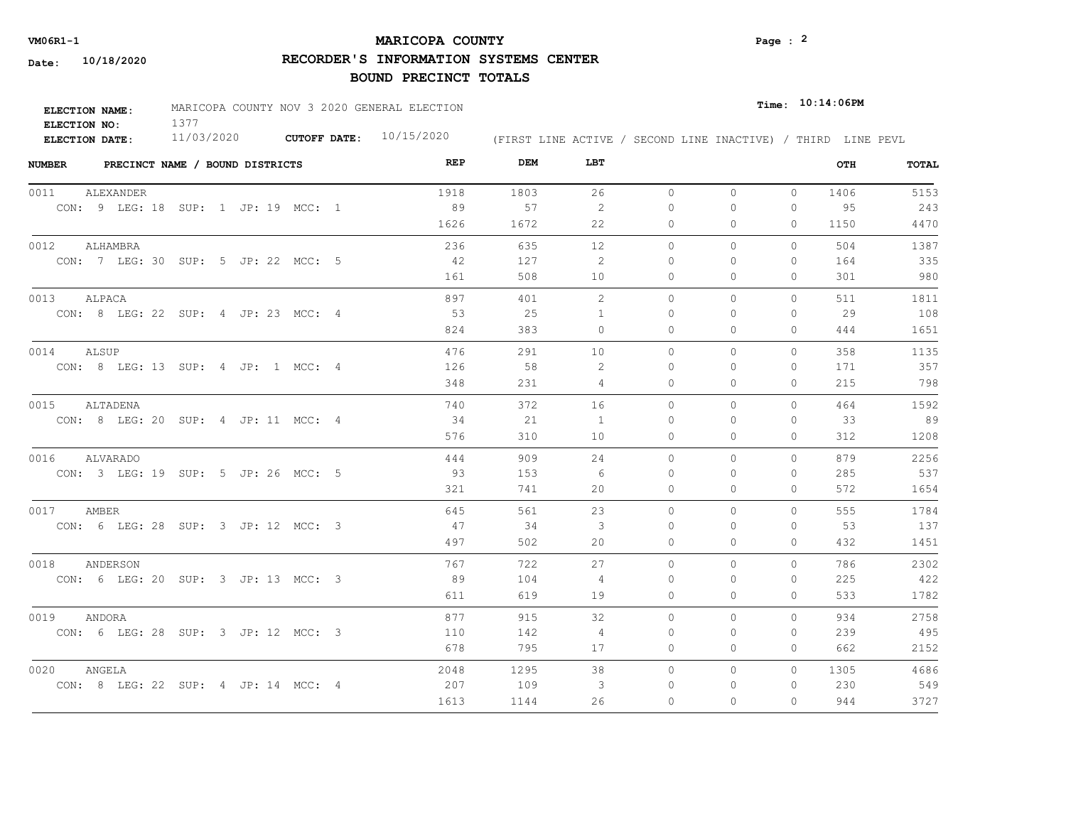## **MARICOPA COUNTY** Page : <sup>2</sup>

**RECORDER'S INFORMATION SYSTEMS CENTER**

| ELECTION NAME: | MARICOPA COUNTY NOV 3 2020 GENERAL ELECTION |                           |                                                              | $Time:$ 10:14:06PM |  |  |
|----------------|---------------------------------------------|---------------------------|--------------------------------------------------------------|--------------------|--|--|
| ELECTION NO:   |                                             |                           |                                                              |                    |  |  |
| ELECTION DATE: | 11/03/2020                                  | CUTOFF DATE: $10/15/2020$ | (FIRST LINE ACTIVE / SECOND LINE INACTIVE) / THIRD LINE PEVL |                    |  |  |

| <b>NUMBER</b> | PRECINCT NAME / BOUND DISTRICTS     |  |  |  | REP  | DEM  | LBT            |           |          |              | OTH  | TOTAL |
|---------------|-------------------------------------|--|--|--|------|------|----------------|-----------|----------|--------------|------|-------|
| 0011          | ALEXANDER                           |  |  |  | 1918 | 1803 | 26             | $\circ$   | $\circ$  | $\circ$      | 1406 | 5153  |
|               | CON: 9 LEG: 18 SUP: 1 JP: 19 MCC: 1 |  |  |  | 89   | 57   | 2              | $\Omega$  | 0        | 0            | 95   | 243   |
|               |                                     |  |  |  | 1626 | 1672 | 22             | 0         | 0        | $\Omega$     | 1150 | 4470  |
| 0012          | ALHAMBRA                            |  |  |  | 236  | 635  | 12             | $\circ$   | $\circ$  | 0            | 504  | 1387  |
|               | CON: 7 LEG: 30 SUP: 5 JP: 22 MCC: 5 |  |  |  | - 42 | 127  | -2             | $\Omega$  | $\Omega$ | $\mathbf{0}$ | 164  | 335   |
|               |                                     |  |  |  | 161  | 508  | 10             | 0         | 0        | $\mathbf{0}$ | 301  | 980   |
| 0013          | ALPACA                              |  |  |  | 897  | 401  | 2              | $\circ$   | 0        | $\mathbf{0}$ | 511  | 1811  |
|               | CON: 8 LEG: 22 SUP: 4 JP: 23 MCC: 4 |  |  |  | 53   | 25   | -1             | $\Omega$  | 0        | 0            | 29   | 108   |
|               |                                     |  |  |  | 824  | 383  | $\Omega$       | $\Omega$  | $\Omega$ | $\Omega$     | 444  | 1651  |
| 0014          | ALSUP                               |  |  |  | 476  | 291  | 10             | $\Omega$  | $\Omega$ | $\Omega$     | 358  | 1135  |
|               | CON: 8 LEG: 13 SUP: 4 JP: 1 MCC: 4  |  |  |  | 126  | 58   | 2              | $\Omega$  | $\Omega$ | $\mathbf{0}$ | 171  | 357   |
|               |                                     |  |  |  | 348  | 231  | 4              | $\circ$   | 0        | $\mathbf{0}$ | 215  | 798   |
| 0015          | ALTADENA                            |  |  |  | 740  | 372  | 16             | $\Omega$  | $\Omega$ | $\Omega$     | 464  | 1592  |
|               | CON: 8 LEG: 20 SUP: 4 JP: 11 MCC: 4 |  |  |  | 34   | 21   | $\overline{1}$ | $\Omega$  | $\Omega$ | 0            | 33   | 89    |
|               |                                     |  |  |  | 576  | 310  | 10             | $\Omega$  | $\Omega$ | $\Omega$     | 312  | 1208  |
| 0016          | ALVARADO                            |  |  |  | 444  | 909  | 24             | $\circ$   | 0        | $\circ$      | 879  | 2256  |
|               | CON: 3 LEG: 19 SUP: 5 JP: 26 MCC: 5 |  |  |  | 93   | 153  | - 6            | $\Omega$  | $\Omega$ | 0            | 285  | 537   |
|               |                                     |  |  |  | 321  | 741  | 20             | $\Omega$  | $\Omega$ | $\Omega$     | 572  | 1654  |
| 0017 AMBER    |                                     |  |  |  | 645  | 561  | 23             | $\Omega$  | $\Omega$ | $\Omega$     | 555  | 1784  |
|               | CON: 6 LEG: 28 SUP: 3 JP: 12 MCC: 3 |  |  |  | 47   | 34   | 3              | $\bigcap$ | $\Omega$ | $\Omega$     | 53   | 137   |
|               |                                     |  |  |  | 497  | 502  | 20             | $\Omega$  | $\Omega$ | $\Omega$     | 432  | 1451  |
| 0018          | ANDERSON                            |  |  |  | 767  | 722  | 27             | $\Omega$  | $\Omega$ | $\Omega$     | 786  | 2302  |
|               | CON: 6 LEG: 20 SUP: 3 JP: 13 MCC: 3 |  |  |  | 89   | 104  | 4              | $\Omega$  | $\Omega$ | $\Omega$     | 225  | 422   |
|               |                                     |  |  |  | 611  | 619  | 19             | 0         | 0        | $\mathbf{0}$ | 533  | 1782  |
| 0019          | ANDORA                              |  |  |  | 877  | 915  | 32             | $\Omega$  | $\Omega$ | $\circ$      | 934  | 2758  |
|               | CON: 6 LEG: 28 SUP: 3 JP: 12 MCC: 3 |  |  |  | 110  | 142  | $\overline{4}$ | 0         | 0        | $\mathbf{0}$ | 239  | 495   |
|               |                                     |  |  |  | 678  | 795  | 17             | 0         | 0        | $\mathbf{0}$ | 662  | 2152  |
| 0020          | ANGELA                              |  |  |  | 2048 | 1295 | 38             | $\circ$   | 0        | $\circ$      | 1305 | 4686  |
|               | CON: 8 LEG: 22 SUP: 4 JP: 14 MCC: 4 |  |  |  | 207  | 109  | 3              | 0         | 0        | 0            | 230  | 549   |
|               |                                     |  |  |  | 1613 | 1144 | 26             | $\Omega$  | $\Omega$ | $\Omega$     | 944  | 3727  |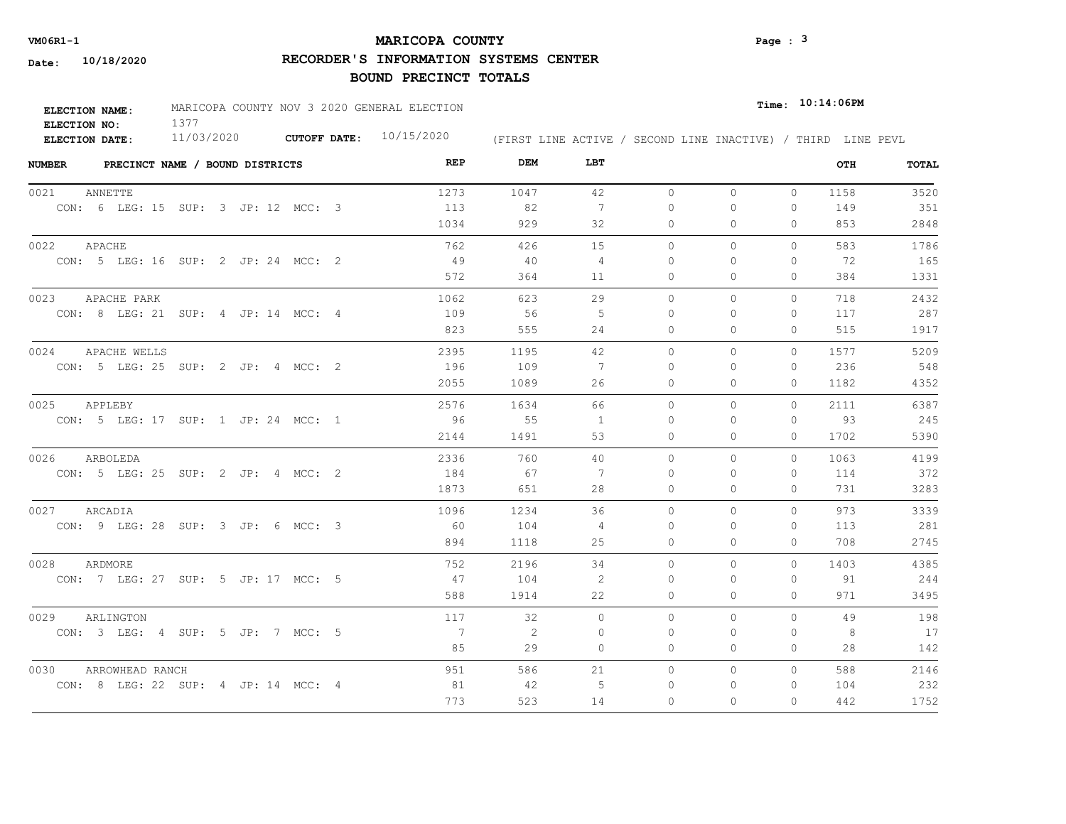## **MARICOPA COUNTY** Page : <sup>3</sup>

**RECORDER'S INFORMATION SYSTEMS CENTER**

| ELECTION NAME: | MARICOPA COUNTY NOV 3 2020 GENERAL ELECTION |                           |                                                              | $_{Time:}$ 10:14:06PM |  |  |
|----------------|---------------------------------------------|---------------------------|--------------------------------------------------------------|-----------------------|--|--|
| ELECTION NO:   |                                             |                           |                                                              |                       |  |  |
| ELECTION DATE: | 11/03/2020                                  | CUTOFF DATE: $10/15/2020$ | (FIRST LINE ACTIVE / SECOND LINE INACTIVE) / THIRD LINE PEVL |                       |  |  |

| <b>NUMBER</b> | PRECINCT NAME / BOUND DISTRICTS     | REP            | DEM  | LBT            |          |              |              | OTH  | TOTAL |
|---------------|-------------------------------------|----------------|------|----------------|----------|--------------|--------------|------|-------|
| 0021          | ANNETTE                             | 1273           | 1047 | 42             | $\circ$  | $\circ$      | $\circ$      | 1158 | 3520  |
|               | CON: 6 LEG: 15 SUP: 3 JP: 12 MCC: 3 | 113            | 82   | 7              | $\Omega$ | $\circ$      | $\circ$      | 149  | 351   |
|               |                                     | 1034           | 929  | 32             | 0        | $\Omega$     | $\Omega$     | 853  | 2848  |
| 0022          | APACHE                              | 762            | 426  | 15             | $\circ$  | 0            | $\mathbf{0}$ | 583  | 1786  |
|               | CON: 5 LEG: 16 SUP: 2 JP: 24 MCC: 2 | 49             | 40   | $\overline{4}$ | $\Omega$ | $\Omega$     | $\mathbf{0}$ | 72   | 165   |
|               |                                     | 572            | 364  | 11             | 0        | $\Omega$     | $\Omega$     | 384  | 1331  |
| 0023          | APACHE PARK                         | 1062           | 623  | 29             | $\circ$  | 0            | $\mathbf{0}$ | 718  | 2432  |
|               | CON: 8 LEG: 21 SUP: 4 JP: 14 MCC: 4 | 109            | 56   | -5             | $\Omega$ | $\Omega$     | 0            | 117  | 287   |
|               |                                     | 823            | 555  | 24             | $\Omega$ | $\Omega$     | $\Omega$     | 515  | 1917  |
| 0024          | APACHE WELLS                        | 2395           | 1195 | 42             | $\Omega$ | $\Omega$     | $\Omega$     | 1577 | 5209  |
|               | CON: 5 LEG: 25 SUP: 2 JP: 4 MCC: 2  | 196            | 109  | 7              | $\Omega$ | $\Omega$     | $\Omega$     | 236  | 548   |
|               |                                     | 2055           | 1089 | 26             | $\circ$  | 0            | $\mathbf{0}$ | 1182 | 4352  |
| 0025          | APPLEBY                             | 2576           | 1634 | 66             | $\circ$  | 0            | $\Omega$     | 2111 | 6387  |
|               | CON: 5 LEG: 17 SUP: 1 JP: 24 MCC: 1 | 96             | 55   | $\overline{1}$ | $\Omega$ | $\Omega$     | $\Omega$     | 93   | 245   |
|               |                                     | 2144           | 1491 | 53             | 0        | $\Omega$     | $\Omega$     | 1702 | 5390  |
| 0026          | ARBOLEDA                            | 2336           | 760  | 40             | $\Omega$ | $\Omega$     | $\Omega$     | 1063 | 4199  |
|               | CON: 5 LEG: 25 SUP: 2 JP: 4 MCC: 2  | 184            | 67   | 7              | $\Omega$ | $\Omega$     | $\Omega$     | 114  | 372   |
|               |                                     | 1873           | 651  | 28             | 0        | $\mathbf{0}$ | $\mathbf{0}$ | 731  | 3283  |
|               | 0027 ARCADIA                        | 1096           | 1234 | 36             | $\Omega$ | $\Omega$     | $\Omega$     | 973  | 3339  |
|               | CON: 9 LEG: 28 SUP: 3 JP: 6 MCC: 3  | - 60           | 104  | 4              | $\Omega$ | $\Omega$     | $\Omega$     | 113  | 281   |
|               |                                     | 894            | 1118 | 25             | 0        | $\circ$      | $\mathbf{0}$ | 708  | 2745  |
| 0028          | ARDMORE                             | 752            | 2196 | 34             | $\circ$  | $\Omega$     | $\circ$      | 1403 | 4385  |
|               | CON: 7 LEG: 27 SUP: 5 JP: 17 MCC: 5 | 47             | 104  | 2              | $\Omega$ | $\circ$      | $\mathbf{0}$ | 91   | 244   |
|               |                                     | 588            | 1914 | 22             | 0        | 0            | $\mathbf{0}$ | 971  | 3495  |
| 0029          | ARLINGTON                           | 117            | 32   | $\Omega$       | $\circ$  | $\Omega$     | $\Omega$     | 49   | 198   |
|               | CON: 3 LEG: 4 SUP: 5 JP: 7 MCC: 5   | $\overline{7}$ | 2    | 0              | 0        | 0            | $\mathbf{0}$ | 8    | 17    |
|               |                                     | 85             | 29   | $\circ$        | 0        | 0            | $\mathbf{0}$ | 28   | 142   |
| 0030          | ARROWHEAD RANCH                     | 951            | 586  | 21             | $\circ$  | 0            | $\Omega$     | 588  | 2146  |
|               | CON: 8 LEG: 22 SUP: 4 JP: 14 MCC: 4 | 81             | 42   | 5              | 0        | 0            | 0            | 104  | 232   |
|               |                                     | 773            | 523  | 14             | $\Omega$ | $\Omega$     | $\Omega$     | 442  | 1752  |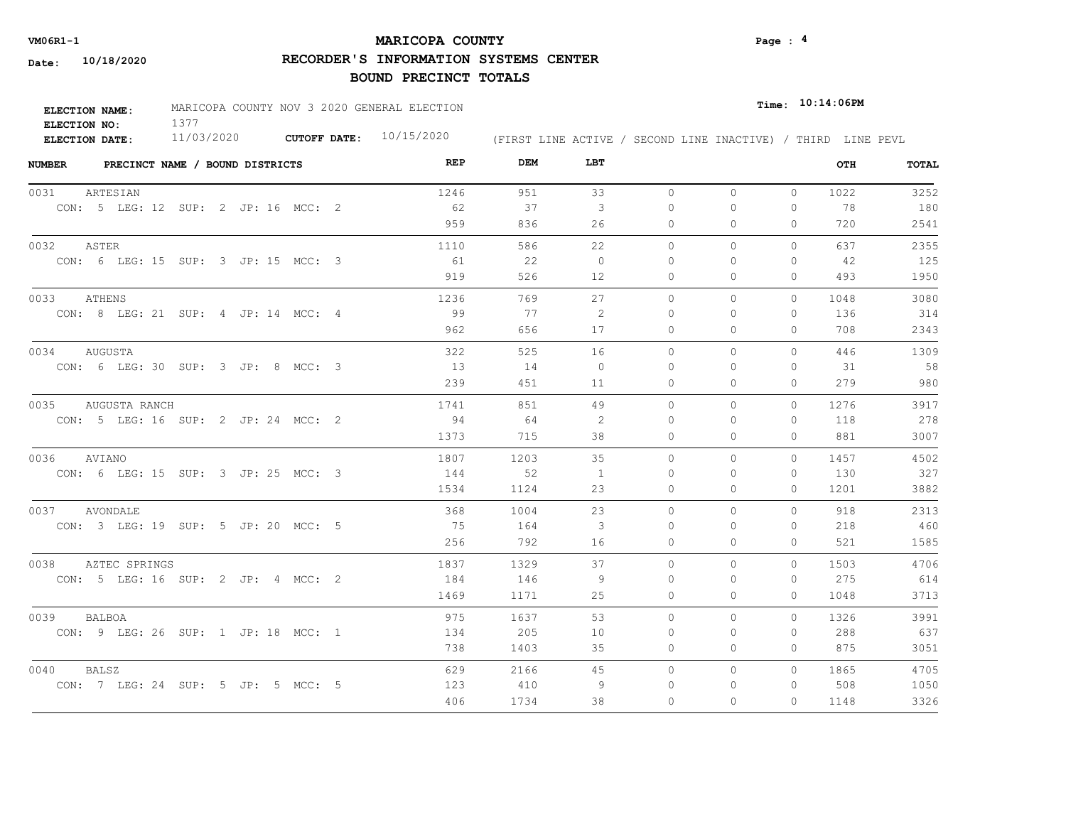## **MARICOPA COUNTY** Page : <sup>4</sup>

**RECORDER'S INFORMATION SYSTEMS CENTER**

| <b>ELECTION NAME:</b> | MARICOPA COUNTY NOV 3 2020 GENERAL ELECTION |                           |                                                              | $Time:$ $10:14:06$ PM |
|-----------------------|---------------------------------------------|---------------------------|--------------------------------------------------------------|-----------------------|
| ELECTION NO:          |                                             |                           |                                                              |                       |
| ELECTION DATE:        | 11/03/2020                                  | CUTOFF DATE: $10/15/2020$ | (FIRST LINE ACTIVE / SECOND LINE INACTIVE) / THIRD LINE PEVL |                       |

| <b>NUMBER</b><br>PRECINCT NAME / BOUND DISTRICTS | REP  | DEM  | LBT            |          |              |              | OTH  | <b>TOTAL</b> |
|--------------------------------------------------|------|------|----------------|----------|--------------|--------------|------|--------------|
| 0031<br>ARTESIAN                                 | 1246 | 951  | 33             | $\circ$  | $\circ$      | $\circ$      | 1022 | 3252         |
| CON: 5 LEG: 12 SUP: 2 JP: 16 MCC: 2              | 62   | 37   | 3              | 0        | $\circ$      | 0            | 78   | 180          |
|                                                  | 959  | 836  | 26             | 0        | $\Omega$     | 0            | 720  | 2541         |
| 0032<br>ASTER                                    | 1110 | 586  | 22             | $\circ$  | $\circ$      | $\mathbf{0}$ | 637  | 2355         |
| CON: 6 LEG: 15 SUP: 3 JP: 15 MCC: 3              | - 61 | 22   | $\Omega$       | $\Omega$ | $\Omega$     | $\Omega$     | 42   | 125          |
|                                                  | 919  | 526  | 12             | 0        | $\Omega$     | $\Omega$     | 493  | 1950         |
| 0033<br>ATHENS                                   | 1236 | 769  | 27             | 0        | $\circ$      | 0            | 1048 | 3080         |
| CON: 8 LEG: 21 SUP: 4 JP: 14 MCC: 4              | 99   | 77   | -2             | 0        | $\Omega$     | $\Omega$     | 136  | 314          |
|                                                  | 962  | 656  | 17             | $\Omega$ | $\Omega$     | 0            | 708  | 2343         |
| 0034<br>AUGUSTA                                  | 322  | 525  | 16             | $\Omega$ | $\Omega$     | $\Omega$     | 446  | 1309         |
| CON: 6 LEG: 30 SUP: 3 JP: 8 MCC: 3               | 13   | 14   | $\Omega$       | $\Omega$ | $\Omega$     | $\Omega$     | 31   | 58           |
|                                                  | 239  | 451  | 11             | $\circ$  | $\mathbf{0}$ | 0            | 279  | 980          |
| 0035<br>AUGUSTA RANCH                            | 1741 | 851  | 49             | 0        | $\circ$      | $\mathbf{0}$ | 1276 | 3917         |
| CON: 5 LEG: 16 SUP: 2 JP: 24 MCC: 2              | 94   | - 64 | -2             | $\Omega$ | $\Omega$     | $\Omega$     | 118  | 278          |
|                                                  | 1373 | 715  | 38             | $\circ$  | $\mathbf{0}$ | 0            | 881  | 3007         |
| 0036<br>AVIANO                                   | 1807 | 1203 | 35             | $\Omega$ | $\Omega$     | $\Omega$     | 1457 | 4502         |
| CON: 6 LEG: 15 SUP: 3 JP: 25 MCC: 3              | 144  | 52   | $\overline{1}$ | $\Omega$ | $\Omega$     | $\Omega$     | 130  | 327          |
|                                                  | 1534 | 1124 | 23             | $\circ$  | $\mathbf{0}$ | 0            | 1201 | 3882         |
| 0037 AVONDALE                                    | 368  | 1004 | 23             | $\Omega$ | $\Omega$     | $\Omega$     | 918  | 2313         |
| CON: 3 LEG: 19 SUP: 5 JP: 20 MCC: 5              | 75   | 164  | 3              | $\Omega$ | $\Omega$     | $\Omega$     | 218  | 460          |
|                                                  | 256  | 792  | 16             | 0        | $\circ$      | 0            | 521  | 1585         |
| 0038<br>AZTEC SPRINGS                            | 1837 | 1329 | 37             | $\Omega$ | $\Omega$     | $\Omega$     | 1503 | 4706         |
| CON: 5 LEG: 16 SUP: 2 JP: 4 MCC: 2               | 184  | 146  | -9             | $\Omega$ | 0            | 0            | 275  | 614          |
|                                                  | 1469 | 1171 | 25             | $\circ$  | $\circ$      | 0            | 1048 | 3713         |
| 0039<br><b>BALBOA</b>                            | 975  | 1637 | 53             | 0        | $\circ$      | $\Omega$     | 1326 | 3991         |
| CON: 9 LEG: 26 SUP: 1 JP: 18 MCC: 1              | 134  | 205  | 10             | 0        | 0            | 0            | 288  | 637          |
|                                                  | 738  | 1403 | 35             | 0        | $\mathbf{0}$ | 0            | 875  | 3051         |
| 0040<br><b>BALSZ</b>                             | 629  | 2166 | 45             | 0        | $\circ$      | $\Omega$     | 1865 | 4705         |
| CON: 7 LEG: 24 SUP: 5 JP: 5 MCC: 5               | 123  | 410  | 9              | 0        | 0            | 0            | 508  | 1050         |
|                                                  | 406  | 1734 | 38             | $\Omega$ | $\Omega$     | $\Omega$     | 1148 | 3326         |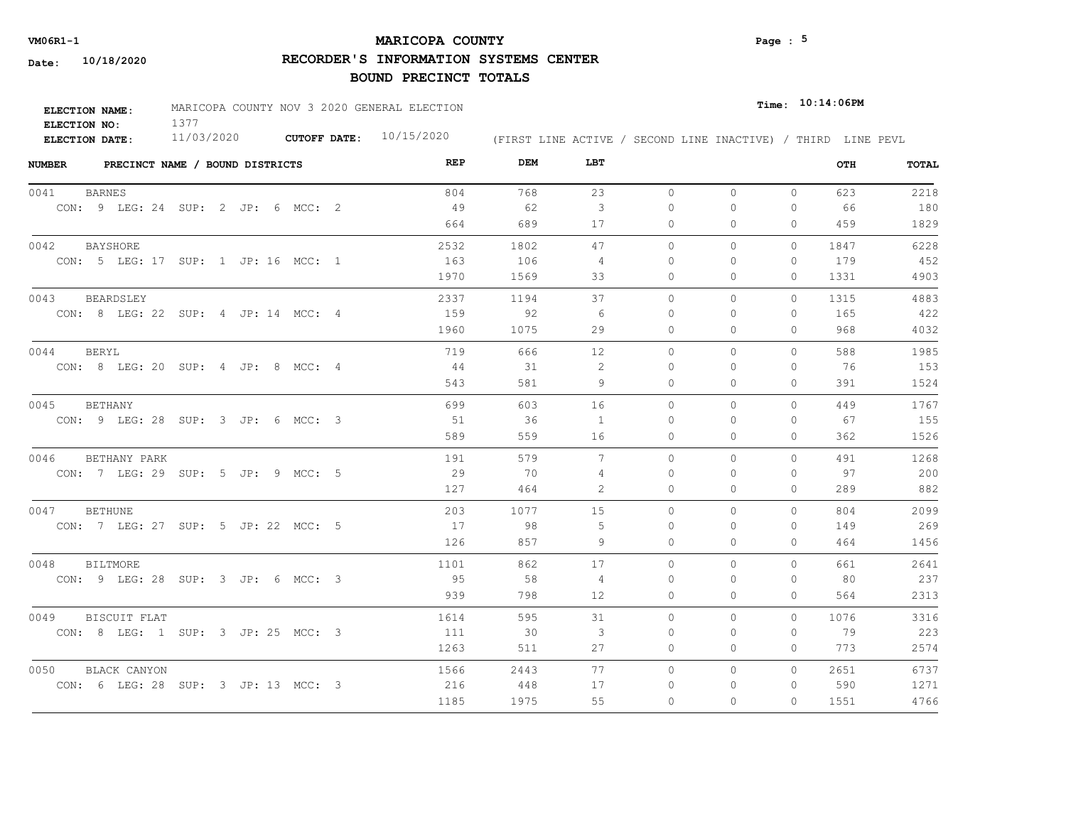## **MARICOPA COUNTY** Page : <sup>5</sup>

**RECORDER'S INFORMATION SYSTEMS CENTER**

| ELECTION NAME: | MARICOPA COUNTY NOV 3 2020 GENERAL ELECTION |                           |  | $_{Time:}$ 10:14:06PM                                        |
|----------------|---------------------------------------------|---------------------------|--|--------------------------------------------------------------|
| ELECTION NO:   |                                             |                           |  |                                                              |
| ELECTION DATE: | 11/03/2020                                  | CUTOFF DATE: $10/15/2020$ |  | (FIRST LINE ACTIVE / SECOND LINE INACTIVE) / THIRD LINE PEVL |

| <b>NUMBER</b> | PRECINCT NAME / BOUND DISTRICTS     |  |  |  | REP  | DEM  | LBT               |              |              |              | OTH  | <b>TOTAL</b> |
|---------------|-------------------------------------|--|--|--|------|------|-------------------|--------------|--------------|--------------|------|--------------|
| 0041          | <b>BARNES</b>                       |  |  |  | 804  | 768  | 23                | $\circ$      | $\circ$      | $\circ$      | 623  | 2218         |
|               | CON: 9 LEG: 24 SUP: 2 JP: 6 MCC: 2  |  |  |  | 49   | 62   | $\mathbf{3}$      | 0            | $\mathbf{0}$ | 0            | 66   | 180          |
|               |                                     |  |  |  | 664  | 689  | 17                | 0            | $\Omega$     | 0            | 459  | 1829         |
| 0042          | <b>BAYSHORE</b>                     |  |  |  | 2532 | 1802 | 47                | $\circ$      | $\circ$      | $\Omega$     | 1847 | 6228         |
|               | CON: 5 LEG: 17 SUP: 1 JP: 16 MCC: 1 |  |  |  | 163  | 106  | 4                 | $\Omega$     | $\Omega$     | 0            | 179  | 452          |
|               |                                     |  |  |  | 1970 | 1569 | 33                | $\mathbf{0}$ | $\mathbf{0}$ | 0            | 1331 | 4903         |
| 0043          | BEARDSLEY                           |  |  |  | 2337 | 1194 | 37                | $\circ$      | $\circ$      | $\mathbf{0}$ | 1315 | 4883         |
|               | CON: 8 LEG: 22 SUP: 4 JP: 14 MCC: 4 |  |  |  | 159  | 92   | -6                | 0            | O            | 0            | 165  | 422          |
|               |                                     |  |  |  | 1960 | 1075 | 29                | $\Omega$     | $\Omega$     | 0            | 968  | 4032         |
| 0044          | <b>BERYL</b>                        |  |  |  | 719  | 666  | $12 \overline{ }$ | $\Omega$     | $\Omega$     | $\Omega$     | 588  | 1985         |
|               | CON: 8 LEG: 20 SUP: 4 JP: 8 MCC: 4  |  |  |  | 44   | - 31 | 2                 | $\Omega$     | $\Omega$     | 0            | 76   | 153          |
|               |                                     |  |  |  | 543  | 581  | 9                 | $\circ$      | $\circ$      | 0            | 391  | 1524         |
| 0045          | <b>BETHANY</b>                      |  |  |  | 699  | 603  | 16                | $\Omega$     | $\Omega$     | $\Omega$     | 449  | 1767         |
|               | CON: 9 LEG: 28 SUP: 3 JP: 6 MCC: 3  |  |  |  | 51   | 36   | -1                | $\Omega$     | $\Omega$     | $\Omega$     | 67   | 155          |
|               |                                     |  |  |  | 589  | 559  | 16                | $\Omega$     | $\Omega$     | 0            | 362  | 1526         |
| 0046          | BETHANY PARK                        |  |  |  | 191  | 579  | $7\phantom{.0}$   | $\circ$      | $\circ$      | $\Omega$     | 491  | 1268         |
|               | CON: 7 LEG: 29 SUP: 5 JP: 9 MCC: 5  |  |  |  | 29   | 70   | 4                 | $\Omega$     | $\Omega$     | $\Omega$     | 97   | 200          |
|               |                                     |  |  |  | 127  | 464  | 2                 | $\Omega$     | $\Omega$     | $\Omega$     | 289  | 882          |
| 0047          | <b>BETHUNE</b>                      |  |  |  | 203  | 1077 | 15                | $\circ$      | $\Omega$     | $\Omega$     | 804  | 2099         |
|               | CON: 7 LEG: 27 SUP: 5 JP: 22 MCC: 5 |  |  |  | 17   | 98   | 5                 | $\Omega$     | $\Omega$     | 0            | 149  | 269          |
|               |                                     |  |  |  | 126  | 857  | 9                 | $\Omega$     | $\Omega$     | $\Omega$     | 464  | 1456         |
| 0048          | <b>BILTMORE</b>                     |  |  |  | 1101 | 862  | 17                | $\circ$      | $\circ$      | $\Omega$     | 661  | 2641         |
|               | CON: 9 LEG: 28 SUP: 3 JP: 6 MCC: 3  |  |  |  | 95   | 58   | 4                 | $\Omega$     | $\Omega$     | $\Omega$     | 80   | 237          |
|               |                                     |  |  |  | 939  | 798  | 12                | 0            | $\circ$      | 0            | 564  | 2313         |
| 0049          | BISCUIT FLAT                        |  |  |  | 1614 | 595  | 31                | $\circ$      | $\circ$      | $\Omega$     | 1076 | 3316         |
|               | CON: 8 LEG: 1 SUP: 3 JP: 25 MCC: 3  |  |  |  | 111  | 30   | 3                 | 0            | $\Omega$     | 0            | 79   | 223          |
|               |                                     |  |  |  | 1263 | 511  | 27                | $\mathbf{0}$ | $\mathbf{0}$ | 0            | 773  | 2574         |
| 0050          | BLACK CANYON                        |  |  |  | 1566 | 2443 | 77                | $\Omega$     | $\circ$      | $\Omega$     | 2651 | 6737         |
|               | CON: 6 LEG: 28 SUP: 3 JP: 13 MCC: 3 |  |  |  | 216  | 448  | 17                | 0            | $\Omega$     | 0            | 590  | 1271         |
|               |                                     |  |  |  | 1185 | 1975 | 55                | $\Omega$     | $\Omega$     | $\Omega$     | 1551 | 4766         |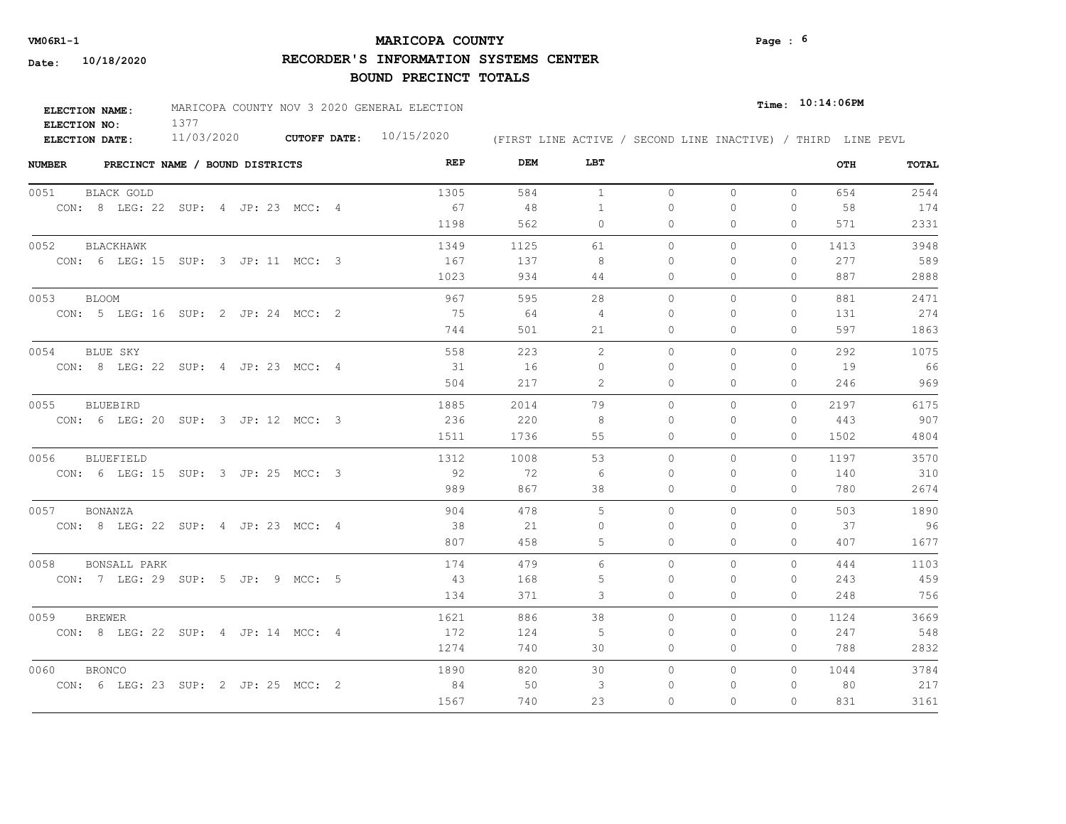## **MARICOPA COUNTY VM06R1-1 Page : 6**

**RECORDER'S INFORMATION SYSTEMS CENTER**

| ELECTION NAME: | MARICOPA COUNTY NOV 3 2020 GENERAL ELECTION |                           |                                                              | $Time:$ 10:14:06PM |  |  |
|----------------|---------------------------------------------|---------------------------|--------------------------------------------------------------|--------------------|--|--|
| ELECTION NO:   |                                             |                           |                                                              |                    |  |  |
| ELECTION DATE: | 11/03/2020                                  | CUTOFF DATE: $10/15/2020$ | (FIRST LINE ACTIVE / SECOND LINE INACTIVE) / THIRD LINE PEVL |                    |  |  |

| <b>NUMBER</b><br>PRECINCT NAME / BOUND DISTRICTS | REP  | DEM  | LBT            |          |              |              | OTH  | TOTAL |
|--------------------------------------------------|------|------|----------------|----------|--------------|--------------|------|-------|
| 0051<br>BLACK GOLD                               | 1305 | 584  | <sup>1</sup>   | $\circ$  | $\circ$      | $\circ$      | 654  | 2544  |
| CON: 8 LEG: 22 SUP: 4 JP: 23 MCC: 4              | 67   | 48   | $\mathbf{1}$   | $\circ$  | $\Omega$     | 0            | 58   | 174   |
|                                                  | 1198 | 562  | 0              | 0        | 0            | 0            | 571  | 2331  |
| 0052<br><b>BLACKHAWK</b>                         | 1349 | 1125 | 61             | $\circ$  | 0            | $\circ$      | 1413 | 3948  |
| CON: 6 LEG: 15 SUP: 3 JP: 11 MCC: 3              | 167  | 137  | 8              | 0        | $\Omega$     | $\mathbf{0}$ | 277  | 589   |
|                                                  | 1023 | 934  | 44             | 0        | 0            | $\mathbf{0}$ | 887  | 2888  |
| 0053<br><b>BLOOM</b>                             | 967  | 595  | 28             | $\circ$  | $\mathbf{0}$ | 0            | 881  | 2471  |
| CON: 5 LEG: 16 SUP: 2 JP: 24 MCC: 2              | 75   | 64   | 4              | $\Omega$ | $\Omega$     | $\mathbf{0}$ | 131  | 274   |
|                                                  | 744  | 501  | 21             | $\Omega$ | $\Omega$     | $\Omega$     | 597  | 1863  |
| 0054<br>BLUE SKY                                 | 558  | 223  | 2              | $\Omega$ | $\Omega$     | $\Omega$     | 292  | 1075  |
| CON: 8 LEG: 22 SUP: 4 JP: 23 MCC: 4              | 31   | 16   | $\Omega$       | $\Omega$ | $\Omega$     | $\Omega$     | 19   | 66    |
|                                                  | 504  | 217  | 2              | 0        | $\Omega$     | $\mathbf{0}$ | 246  | 969   |
| 0055<br>BLUEBIRD                                 | 1885 | 2014 | 79             | $\Omega$ | $\Omega$     | $\Omega$     | 2197 | 6175  |
| CON: 6 LEG: 20 SUP: 3 JP: 12 MCC: 3              | 236  | 220  | -8             | $\Omega$ | $\Omega$     | $\Omega$     | 443  | 907   |
|                                                  | 1511 | 1736 | 55             | 0        | 0            | $\Omega$     | 1502 | 4804  |
| 0056<br>BLUEFIELD                                | 1312 | 1008 | 53             | $\Omega$ | $\Omega$     | $\Omega$     | 1197 | 3570  |
| CON: 6 LEG: 15 SUP: 3 JP: 25 MCC: 3              | 92   | 72   | 6              | $\Omega$ | $\Omega$     | $\mathbf{0}$ | 140  | 310   |
|                                                  | 989  | 867  | 38             | 0        | $\mathbf{0}$ | $\circ$      | 780  | 2674  |
| 0057 BONANZA                                     | 904  | 478  | $\overline{5}$ | $\Omega$ | $\Omega$     | $\Omega$     | 503  | 1890  |
| CON: 8 LEG: 22 SUP: 4 JP: 23 MCC: 4              | 38   | 21   | $\Omega$       | $\Omega$ | $\Omega$     | 0            | 37   | 96    |
|                                                  | 807  | 458  | 5              | $\Omega$ | $\Omega$     | $\Omega$     | 407  | 1677  |
| 0058<br><b>BONSALL PARK</b>                      | 174  | 479  | 6              | $\circ$  | 0            | 0            | 444  | 1103  |
| CON: 7 LEG: 29 SUP: 5 JP: 9 MCC: 5               | 43   | 168  | 5              | $\Omega$ | $\Omega$     | 0            | 243  | 459   |
|                                                  | 134  | 371  | 3              | $\circ$  | 0            | $\mathbf{0}$ | 248  | 756   |
| 0059<br><b>BREWER</b>                            | 1621 | 886  | 38             | $\Omega$ | $\Omega$     | $\Omega$     | 1124 | 3669  |
| CON: 8 LEG: 22 SUP: 4 JP: 14 MCC: 4              | 172  | 124  | 5              | $\Omega$ | $\Omega$     | $\Omega$     | 247  | 548   |
|                                                  | 1274 | 740  | 30             | 0        | 0            | 0            | 788  | 2832  |
| 0060<br><b>BRONCO</b>                            | 1890 | 820  | 30             | $\circ$  | 0            | $\circ$      | 1044 | 3784  |
| CON: 6 LEG: 23 SUP: 2 JP: 25 MCC: 2              | 84   | 50   | 3              | 0        | 0            | $\mathbf{0}$ | 80   | 217   |
|                                                  | 1567 | 740  | 23             | $\Omega$ | $\Omega$     | 0            | 831  | 3161  |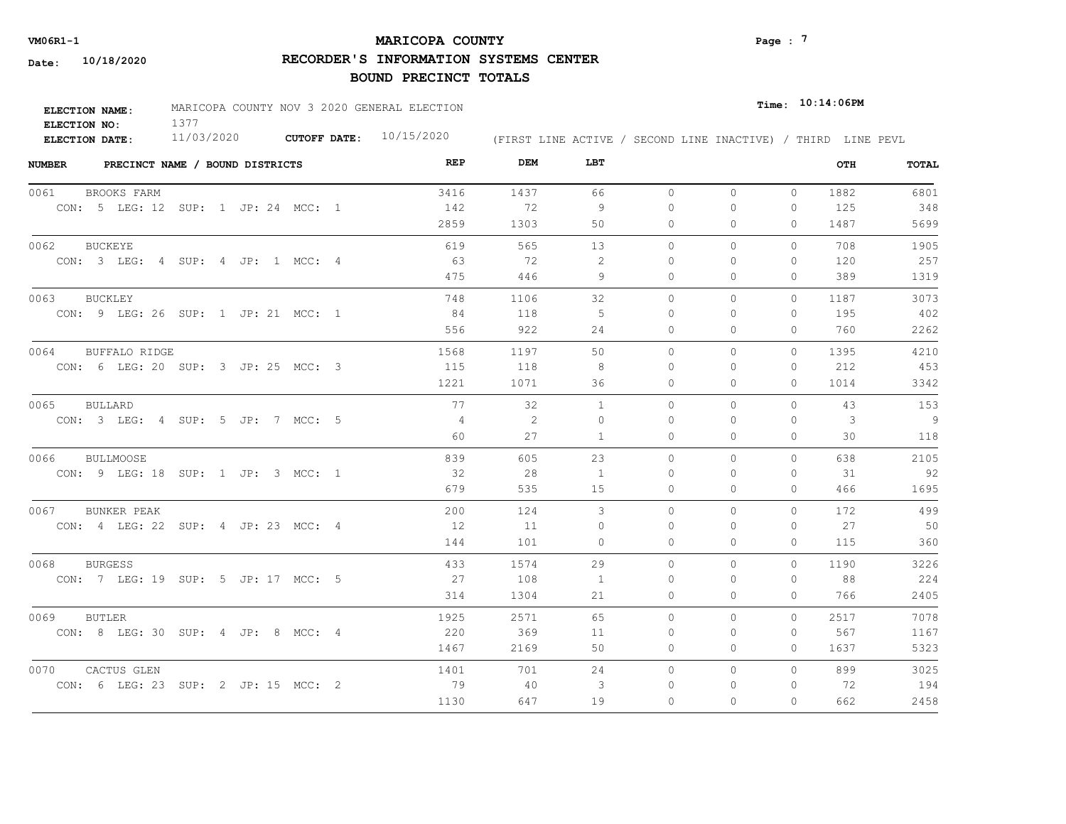## **MARICOPA COUNTY** Page : <sup>7</sup>

**RECORDER'S INFORMATION SYSTEMS CENTER**

| ELECTION NAME: | MARICOPA COUNTY NOV 3 2020 GENERAL ELECTION |                           |                                                              | $Time:$ 10:14:06PM |
|----------------|---------------------------------------------|---------------------------|--------------------------------------------------------------|--------------------|
| ELECTION NO:   |                                             |                           |                                                              |                    |
| ELECTION DATE: | 11/03/2020                                  | CUTOFF DATE: $10/15/2020$ | (FIRST LINE ACTIVE / SECOND LINE INACTIVE) / THIRD LINE PEVL |                    |

| <b>NUMBER</b> |                                     | PRECINCT NAME / BOUND DISTRICTS |  |  | REP            | DEM  | LBT      |           |          |              | OTH  | TOTAL |
|---------------|-------------------------------------|---------------------------------|--|--|----------------|------|----------|-----------|----------|--------------|------|-------|
| 0061          | BROOKS FARM                         |                                 |  |  | 3416           | 1437 | 66       | $\circ$   | $\circ$  | $\mathbf{0}$ | 1882 | 6801  |
|               | CON: 5 LEG: 12 SUP: 1 JP: 24 MCC: 1 |                                 |  |  | 142            | 72   | -9       | $\Omega$  | $\Omega$ | $\mathbf{0}$ | 125  | 348   |
|               |                                     |                                 |  |  | 2859           | 1303 | 50       | 0         | 0        | 0            | 1487 | 5699  |
| 0062          | <b>BUCKEYE</b>                      |                                 |  |  | 619            | 565  | 13       | $\circ$   | 0        | $\Omega$     | 708  | 1905  |
|               | CON: 3 LEG: 4 SUP: 4 JP: 1 MCC: 4   |                                 |  |  | - 63           | 72   | -2       | 0         | 0        | $\mathbf{0}$ | 120  | 257   |
|               |                                     |                                 |  |  | 475            | 446  | 9        | 0         | 0        | $\mathbf{0}$ | 389  | 1319  |
| 0063          | <b>BUCKLEY</b>                      |                                 |  |  | 748            | 1106 | 32       | $\circ$   | 0        | $\circ$      | 1187 | 3073  |
|               | CON: 9 LEG: 26 SUP: 1 JP: 21 MCC: 1 |                                 |  |  | -84            | 118  | -5       | $\Omega$  | 0        | $\mathbf{0}$ | 195  | 402   |
|               |                                     |                                 |  |  | 556            | 922  | 24       | $\Omega$  | $\Omega$ | $\Omega$     | 760  | 2262  |
| 0064          | <b>BUFFALO RIDGE</b>                |                                 |  |  | 1568           | 1197 | 50       | $\Omega$  | 0        | $\circ$      | 1395 | 4210  |
|               | CON: 6 LEG: 20 SUP: 3 JP: 25 MCC: 3 |                                 |  |  | 115            | 118  | 8        | $\Omega$  | $\Omega$ | $\mathbf{0}$ | 212  | 453   |
|               |                                     |                                 |  |  | 1221           | 1071 | 36       | 0         | $\Omega$ | $\mathbf{0}$ | 1014 | 3342  |
| 0065          | BULLARD                             |                                 |  |  | 77             | 32   | 1        | $\Omega$  | $\Omega$ | $\Omega$     | 43   | 153   |
|               | CON: 3 LEG: 4 SUP: 5 JP: 7 MCC: 5   |                                 |  |  | $\overline{4}$ | 2    | $\Omega$ | $\bigcap$ | $\Omega$ | $\Omega$     | 3    | 9     |
|               |                                     |                                 |  |  | 60             | 27   | 1        | 0         | 0        | $\mathbf{0}$ | 30   | 118   |
| 0066          | <b>BULLMOOSE</b>                    |                                 |  |  | 839            | 605  | 23       | $\Omega$  | $\Omega$ | $\Omega$     | 638  | 2105  |
|               | CON: 9 LEG: 18 SUP: 1 JP: 3 MCC: 1  |                                 |  |  | 32             | 28   | 1        | $\Omega$  | $\Omega$ | $\mathbf{0}$ | 31   | 92    |
|               |                                     |                                 |  |  | 679            | 535  | 15       | $\circ$   | $\Omega$ | $\circ$      | 466  | 1695  |
| 0067          | BUNKER PEAK                         |                                 |  |  | 200            | 124  | 3        | $\Omega$  | $\Omega$ | $\Omega$     | 172  | 499   |
|               | CON: 4 LEG: 22 SUP: 4 JP: 23 MCC: 4 |                                 |  |  | 12             | 11   | $\Omega$ | $\Omega$  | $\Omega$ | $\Omega$     | 27   | 50    |
|               |                                     |                                 |  |  | 144            | 101  | $\Omega$ | $\Omega$  | $\Omega$ | $\Omega$     | 115  | 360   |
| 0068          | <b>BURGESS</b>                      |                                 |  |  | 433            | 1574 | 29       | $\circ$   | 0        | $\circ$      | 1190 | 3226  |
|               | CON: 7 LEG: 19 SUP: 5 JP: 17 MCC: 5 |                                 |  |  | 27             | 108  | 1        | $\Omega$  | $\Omega$ | 0            | 88   | 224   |
|               |                                     |                                 |  |  | 314            | 1304 | 21       | 0         | 0        | $\mathbf{0}$ | 766  | 2405  |
| 0069          | <b>BUTLER</b>                       |                                 |  |  | 1925           | 2571 | 65       | $\Omega$  | $\Omega$ | $\Omega$     | 2517 | 7078  |
|               | CON: 8 LEG: 30 SUP: 4 JP: 8 MCC: 4  |                                 |  |  | 220            | 369  | 11       | $\Omega$  | $\Omega$ | $\mathbf{0}$ | 567  | 1167  |
|               |                                     |                                 |  |  | 1467           | 2169 | 50       | 0         | 0        | 0            | 1637 | 5323  |
| 0070          | CACTUS GLEN                         |                                 |  |  | 1401           | 701  | 24       | $\circ$   | 0        | $\circ$      | 899  | 3025  |
|               | CON: 6 LEG: 23 SUP: 2 JP: 15 MCC: 2 |                                 |  |  | 79             | 40   | 3        | 0         | 0        | $\mathbf{0}$ | 72   | 194   |
|               |                                     |                                 |  |  | 1130           | 647  | 19       | $\Omega$  | $\Omega$ | $\Omega$     | 662  | 2458  |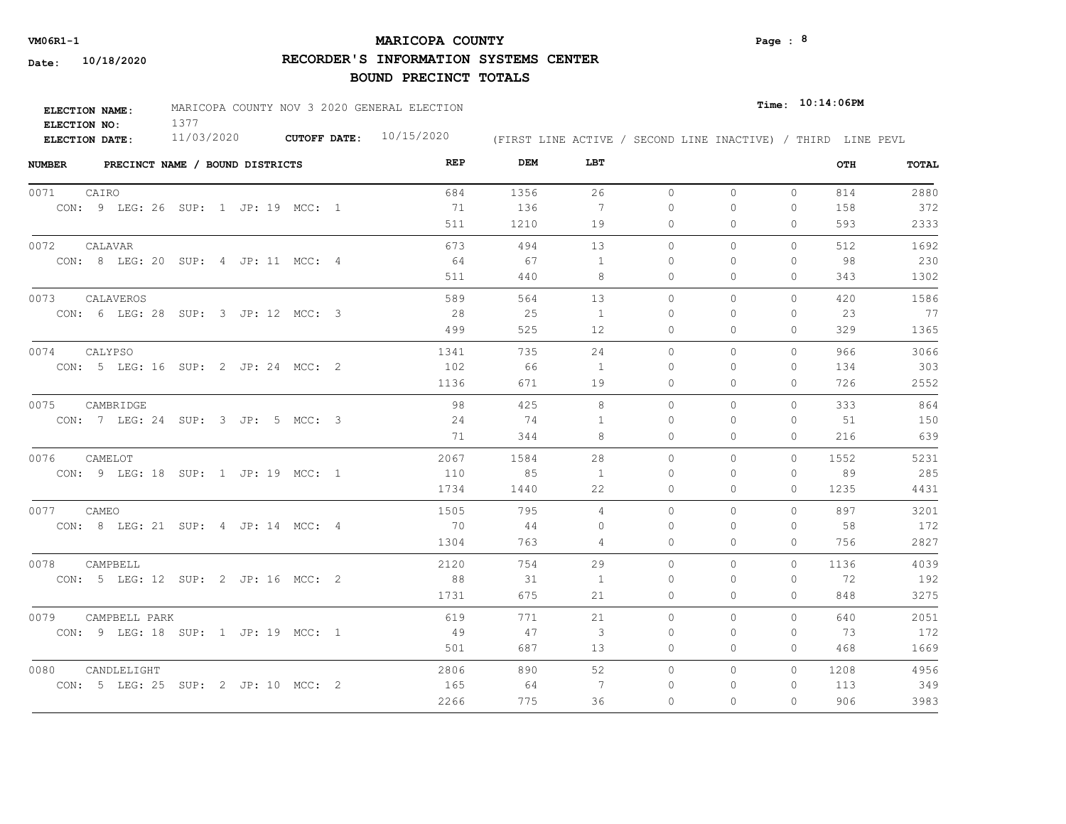## **MARICOPA COUNTY** Page : <sup>8</sup>

**RECORDER'S INFORMATION SYSTEMS CENTER**

| <b>ELECTION NAME:</b> | MARICOPA COUNTY NOV 3 2020 GENERAL ELECTION |                           |                                                              | $_{\texttt{Time:}}$ 10:14:06PM |
|-----------------------|---------------------------------------------|---------------------------|--------------------------------------------------------------|--------------------------------|
| ELECTION NO:          |                                             |                           |                                                              |                                |
| <b>ELECTION DATE:</b> | 11/03/2020                                  | CUTOFF DATE: $10/15/2020$ | (FIRST LINE ACTIVE / SECOND LINE INACTIVE) / THIRD LINE PEVL |                                |

| <b>NUMBER</b> |                                     | PRECINCT NAME / BOUND DISTRICTS |  |  | REP  | DEM  | LBT            |          |          |              | OTH  | <b>TOTAL</b> |
|---------------|-------------------------------------|---------------------------------|--|--|------|------|----------------|----------|----------|--------------|------|--------------|
| 0071          | CAIRO                               |                                 |  |  | 684  | 1356 | 26             | $\circ$  | $\circ$  | $\circ$      | 814  | 2880         |
|               | CON: 9 LEG: 26 SUP: 1 JP: 19 MCC: 1 |                                 |  |  | 71   | 136  | 7              | $\Omega$ | $\Omega$ | 0            | 158  | 372          |
|               |                                     |                                 |  |  | 511  | 1210 | 19             | 0        | 0        | $\Omega$     | 593  | 2333         |
| 0072          | CALAVAR                             |                                 |  |  | 673  | 494  | 13             | $\circ$  | 0        | 0            | 512  | 1692         |
|               | CON: 8 LEG: 20 SUP: 4 JP: 11 MCC: 4 |                                 |  |  | 64   | 67   | $\overline{1}$ | $\Omega$ | $\Omega$ | $\Omega$     | 98   | 230          |
|               |                                     |                                 |  |  | 511  | 440  | 8              | 0        | 0        | $\mathbf{0}$ | 343  | 1302         |
| 0073          | CALAVEROS                           |                                 |  |  | 589  | 564  | 13             | $\circ$  | 0        | 0            | 420  | 1586         |
|               | CON: 6 LEG: 28 SUP: 3 JP: 12 MCC: 3 |                                 |  |  | 28   | 25   | 1              | $\Omega$ | 0        | 0            | 23   | 77           |
|               |                                     |                                 |  |  | 499  | 525  | 12             | $\Omega$ | $\Omega$ | $\Omega$     | 329  | 1365         |
| 0074          | CALYPSO                             |                                 |  |  | 1341 | 735  | 24             | $\Omega$ | $\Omega$ | $\Omega$     | 966  | 3066         |
|               | CON: 5 LEG: 16 SUP: 2 JP: 24 MCC: 2 |                                 |  |  | 102  | 66   | 1              | $\Omega$ | $\Omega$ | $\mathbf{0}$ | 134  | 303          |
|               |                                     |                                 |  |  | 1136 | 671  | 19             | 0        | 0        | $\mathbf{0}$ | 726  | 2552         |
| 0075          | CAMBRIDGE                           |                                 |  |  | 98   | 425  | 8              | $\Omega$ | $\Omega$ | $\Omega$     | 333  | 864          |
|               | CON: 7 LEG: 24 SUP: 3 JP: 5 MCC: 3  |                                 |  |  | 24   | 74   | -1             | $\Omega$ | $\Omega$ | 0            | 51   | 150          |
|               |                                     |                                 |  |  | 71   | 344  | 8              | $\Omega$ | $\Omega$ | $\Omega$     | 216  | 639          |
| 0076          | CAMELOT                             |                                 |  |  | 2067 | 1584 | 28             | $\Omega$ | 0        | $\circ$      | 1552 | 5231         |
|               | CON: 9 LEG: 18 SUP: 1 JP: 19 MCC: 1 |                                 |  |  | 110  | 85   | $\overline{1}$ | $\Omega$ | $\Omega$ | $\Omega$     | 89   | 285          |
|               |                                     |                                 |  |  | 1734 | 1440 | 22             | $\Omega$ | $\Omega$ | $\Omega$     | 1235 | 4431         |
| 0077 CAMEO    |                                     |                                 |  |  | 1505 | 795  | $\overline{4}$ | $\Omega$ | $\Omega$ | $\Omega$     | 897  | 3201         |
|               | CON: 8 LEG: 21 SUP: 4 JP: 14 MCC: 4 |                                 |  |  | 70   | 44   | $\Omega$       | $\Omega$ | $\Omega$ | $\Omega$     | 58   | 172          |
|               |                                     |                                 |  |  | 1304 | 763  | 4              | $\Omega$ | $\Omega$ | $\Omega$     | 756  | 2827         |
| 0078          | CAMPBELL                            |                                 |  |  | 2120 | 754  | 29             | $\Omega$ | $\Omega$ | $\Omega$     | 1136 | 4039         |
|               | CON: 5 LEG: 12 SUP: 2 JP: 16 MCC: 2 |                                 |  |  | 88   | 31   | 1              | $\Omega$ | $\Omega$ | $\Omega$     | 72   | 192          |
|               |                                     |                                 |  |  | 1731 | 675  | 21             | 0        | 0        | $\mathbf{0}$ | 848  | 3275         |
| 0079          | CAMPBELL PARK                       |                                 |  |  | 619  | 771  | 21             | $\circ$  | $\Omega$ | $\Omega$     | 640  | 2051         |
|               | CON: 9 LEG: 18 SUP: 1 JP: 19 MCC: 1 |                                 |  |  | - 49 | 47   | 3              | 0        | 0        | $\mathbf{0}$ | 73   | 172          |
|               |                                     |                                 |  |  | 501  | 687  | 13             | 0        | 0        | $\Omega$     | 468  | 1669         |
| 0080          | CANDLELIGHT                         |                                 |  |  | 2806 | 890  | 52             | $\circ$  | 0        | $\Omega$     | 1208 | 4956         |
|               | CON: 5 LEG: 25 SUP: 2 JP: 10 MCC: 2 |                                 |  |  | 165  | 64   | -7             | $\Omega$ | $\Omega$ | 0            | 113  | 349          |
|               |                                     |                                 |  |  | 2266 | 775  | 36             | $\Omega$ | $\Omega$ | $\Omega$     | 906  | 3983         |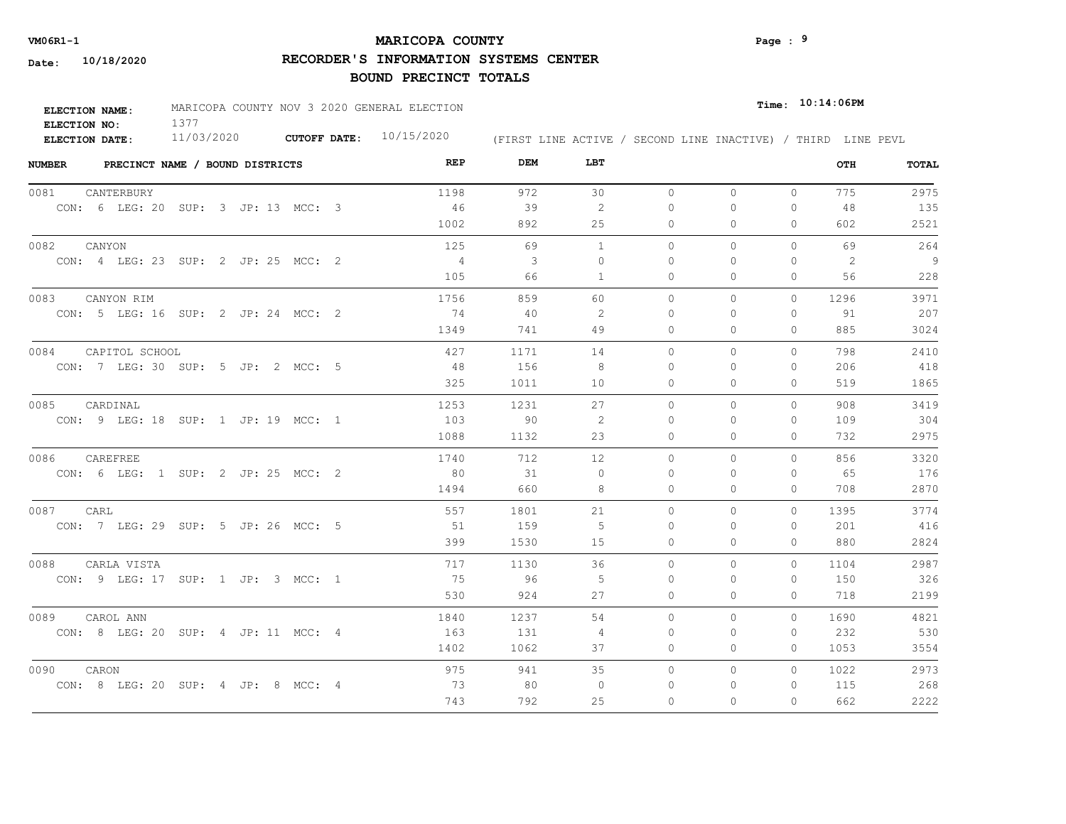## **MARICOPA COUNTY** Page : <sup>9</sup>

**RECORDER'S INFORMATION SYSTEMS CENTER**

| ELECTION NAME: | MARICOPA COUNTY NOV 3 2020 GENERAL ELECTION |                           |  | $_{Time:}$ 10:14:06PM                                        |
|----------------|---------------------------------------------|---------------------------|--|--------------------------------------------------------------|
| ELECTION NO:   |                                             |                           |  |                                                              |
| ELECTION DATE: | 11/03/2020                                  | CUTOFF DATE: $10/15/2020$ |  | (FIRST LINE ACTIVE / SECOND LINE INACTIVE) / THIRD LINE PEVL |

| <b>NUMBER</b> | PRECINCT NAME / BOUND DISTRICTS     |  |  | REP  | DEM          | LBT          |          |              |              | OTH  | TOTAL          |
|---------------|-------------------------------------|--|--|------|--------------|--------------|----------|--------------|--------------|------|----------------|
| 0081          | CANTERBURY                          |  |  | 1198 | 972          | 30           | $\circ$  | $\mathbf{0}$ | $\circ$      | 775  | 2975           |
|               | CON: 6 LEG: 20 SUP: 3 JP: 13 MCC: 3 |  |  | 46   | 39           | 2            | $\Omega$ | $\Omega$     | $\Omega$     | 48   | 135            |
|               |                                     |  |  | 1002 | 892          | 25           | $\Omega$ | $\Omega$     | $\circ$      | 602  | 2521           |
| 0082          | CANYON                              |  |  | 125  | 69           | 1            | $\Omega$ | $\Omega$     | $\Omega$     | 69   | 264            |
|               | CON: 4 LEG: 23 SUP: 2 JP: 25 MCC: 2 |  |  | 4    | $\mathbf{3}$ | $\Omega$     | $\Omega$ | $\Omega$     | $\Omega$     | 2    | $\overline{9}$ |
|               |                                     |  |  | 105  | 66           | $\mathbf{1}$ | $\circ$  | 0            | $\mathbf{0}$ | 56   | 228            |
| 0083          | CANYON RIM                          |  |  | 1756 | 859          | 60           | $\circ$  | 0            | $\circ$      | 1296 | 3971           |
|               | CON: 5 LEG: 16 SUP: 2 JP: 24 MCC: 2 |  |  | 74   | 40           | 2            | $\Omega$ | $\Omega$     | $\Omega$     | 91   | 207            |
|               |                                     |  |  | 1349 | 741          | 49           | 0        | 0            | $\mathbf{0}$ | 885  | 3024           |
| 0084          | CAPITOL SCHOOL                      |  |  | 427  | 1171         | 14           | $\Omega$ | $\Omega$     | $\Omega$     | 798  | 2410           |
|               | CON: 7 LEG: 30 SUP: 5 JP: 2 MCC: 5  |  |  | 48   | 156          | -8           | 0        | 0            | $\mathbf{0}$ | 206  | 418            |
|               |                                     |  |  | 325  | 1011         | 10           | 0        | 0            | $\mathbf{0}$ | 519  | 1865           |
| 0085          | CARDINAL                            |  |  | 1253 | 1231         | 27           | $\circ$  | 0            | 0            | 908  | 3419           |
|               | CON: 9 LEG: 18 SUP: 1 JP: 19 MCC: 1 |  |  | 103  | 90           | -2           | $\Omega$ | $\Omega$     | $\Omega$     | 109  | 304            |
|               |                                     |  |  | 1088 | 1132         | 23           | $\Omega$ | $\Omega$     | $\Omega$     | 732  | 2975           |
| 0086          | CAREFREE                            |  |  | 1740 | 712          | 12           | $\Omega$ | $\Omega$     | $\Omega$     | 856  | 3320           |
|               | CON: 6 LEG: 1 SUP: 2 JP: 25 MCC: 2  |  |  | 80   | 31           | $\Omega$     | $\Omega$ | $\Omega$     | $\mathbf{0}$ | 65   | 176            |
|               |                                     |  |  | 1494 | 660          | 8            | 0        | 0            | $\mathbf{0}$ | 708  | 2870           |
| 0087          | CARL                                |  |  | 557  | 1801         | 21           | $\Omega$ | $\Omega$     | $\Omega$     | 1395 | 3774           |
|               | CON: 7 LEG: 29 SUP: 5 JP: 26 MCC: 5 |  |  | 51   | 159          | -5           | $\Omega$ | $\Omega$     | $\Omega$     | 201  | 416            |
|               |                                     |  |  | 399  | 1530         | 15           | $\Omega$ | $\Omega$     | $\Omega$     | 880  | 2824           |
| 0088          | CARLA VISTA                         |  |  | 717  | 1130         | 36           | $\Omega$ | $\Omega$     | $\Omega$     | 1104 | 2987           |
|               | CON: 9 LEG: 17 SUP: 1 JP: 3 MCC: 1  |  |  | 75   | 96           | 5            | $\Omega$ | $\Omega$     | 0            | 150  | 326            |
|               |                                     |  |  | 530  | 924          | 27           | $\circ$  | $\Omega$     | 0            | 718  | 2199           |
| 0089          | CAROL ANN                           |  |  | 1840 | 1237         | 54           | $\Omega$ | $\Omega$     | $\Omega$     | 1690 | 4821           |
|               | CON: 8 LEG: 20 SUP: 4 JP: 11 MCC: 4 |  |  | 163  | 131          | 4            | $\Omega$ | $\Omega$     | $\Omega$     | 232  | 530            |
|               |                                     |  |  | 1402 | 1062         | 37           | 0        | 0            | 0            | 1053 | 3554           |
| 0090          | CARON                               |  |  | 975  | 941          | 35           | $\circ$  | 0            | $\circ$      | 1022 | 2973           |
|               | CON: 8 LEG: 20 SUP: 4 JP: 8 MCC: 4  |  |  | 73   | 80           | $\Omega$     | 0        | 0            | $\mathbf{0}$ | 115  | 268            |
|               |                                     |  |  | 743  | 792          | 25           | $\Omega$ | $\Omega$     | $\Omega$     | 662  | 2222           |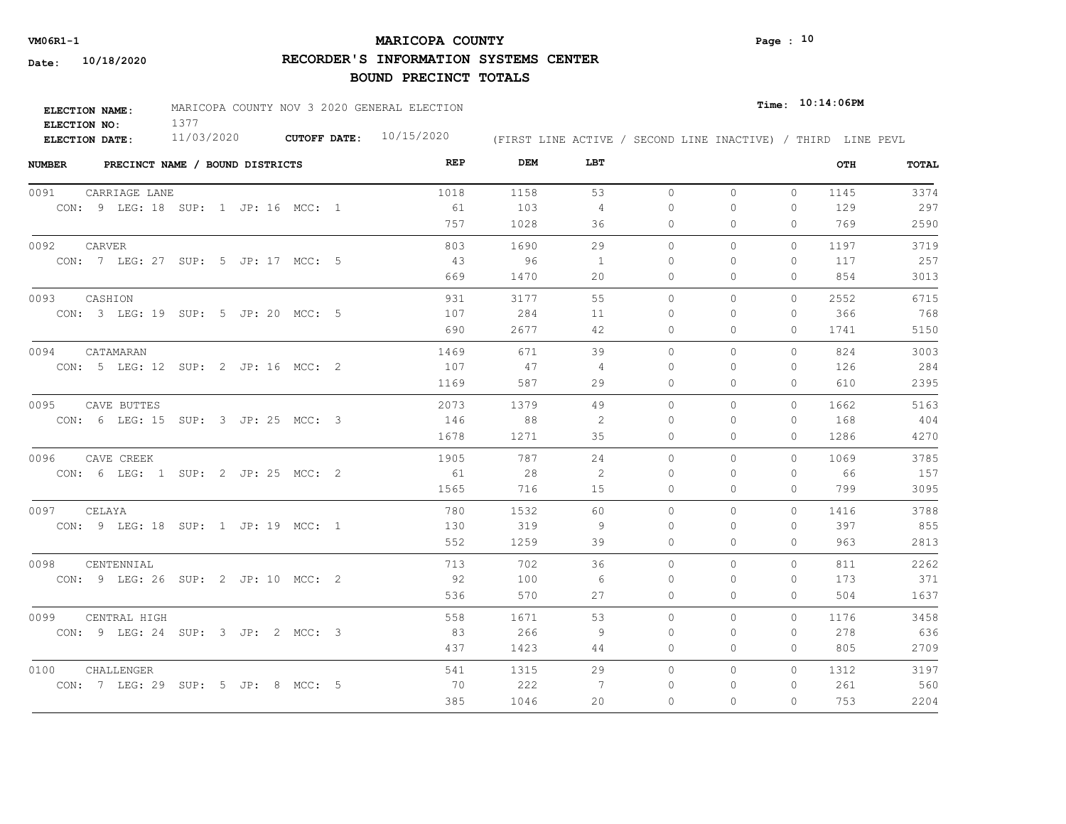## **MARICOPA COUNTY VM06R1-1 Page : 10**

**RECORDER'S INFORMATION SYSTEMS CENTER**

| ELECTION NAME: | MARICOPA COUNTY NOV 3 2020 GENERAL ELECTION |                           |  |  | $_{\texttt{Time:}}$ 10:14:06PM |                                                              |
|----------------|---------------------------------------------|---------------------------|--|--|--------------------------------|--------------------------------------------------------------|
| ELECTION NO:   |                                             |                           |  |  |                                |                                                              |
| ELECTION DATE: | 11/03/2020                                  | CUTOFF DATE: $10/15/2020$ |  |  |                                | (FIRST LINE ACTIVE / SECOND LINE INACTIVE) / THIRD LINE PEVL |

| <b>NUMBER</b><br>PRECINCT NAME / BOUND DISTRICTS | REP  | DEM  | LBT            |          |              |              | OTH  | <b>TOTAL</b> |
|--------------------------------------------------|------|------|----------------|----------|--------------|--------------|------|--------------|
| 0091<br>CARRIAGE LANE                            | 1018 | 1158 | 53             | $\circ$  | $\Omega$     | $\circ$      | 1145 | 3374         |
| CON: 9 LEG: 18 SUP: 1 JP: 16 MCC: 1              | 61   | 103  | $\overline{4}$ | $\Omega$ | $\circ$      | $\mathbf{0}$ | 129  | 297          |
|                                                  | 757  | 1028 | 36             | 0        | $\mathbf{0}$ | 0            | 769  | 2590         |
| 0092<br>CARVER                                   | 803  | 1690 | 29             | $\Omega$ | $\Omega$     | $\Omega$     | 1197 | 3719         |
| CON: 7 LEG: 27 SUP: 5 JP: 17 MCC: 5              | 43   | 96   | 1              | 0        | 0            | 0            | 117  | 257          |
|                                                  | 669  | 1470 | 20             | 0        | $\Omega$     | $\Omega$     | 854  | 3013         |
| 0093<br>CASHION                                  | 931  | 3177 | 55             | $\circ$  | $\circ$      | 0            | 2552 | 6715         |
| CON: 3 LEG: 19 SUP: 5 JP: 20 MCC: 5              | 107  | 284  | 11             | 0        | $\Omega$     | $\Omega$     | 366  | 768          |
|                                                  | 690  | 2677 | 42             | 0        | $\mathbf{0}$ | 0            | 1741 | 5150         |
| 0094<br>CATAMARAN                                | 1469 | 671  | 39             | $\Omega$ | $\Omega$     | $\Omega$     | 824  | 3003         |
| CON: 5 LEG: 12 SUP: 2 JP: 16 MCC: 2              | 107  | 47   | 4              | 0        | 0            | 0            | 126  | 284          |
|                                                  | 1169 | 587  | 29             | 0        | $\Omega$     | 0            | 610  | 2395         |
| 0095<br>CAVE BUTTES                              | 2073 | 1379 | 49             | $\Omega$ | $\Omega$     | $\Omega$     | 1662 | 5163         |
| CON: 6 LEG: 15 SUP: 3 JP: 25 MCC: 3              | 146  | 88   | -2             | $\Omega$ | $\Box$       | $\Omega$     | 168  | 404          |
|                                                  | 1678 | 1271 | 35             | $\Omega$ | $\Omega$     | 0            | 1286 | 4270         |
| 0096<br>CAVE CREEK                               | 1905 | 787  | 24             | 0        | $\circ$      | $\Omega$     | 1069 | 3785         |
| CON: 6 LEG: 1 SUP: 2 JP: 25 MCC: 2               | 61   | 28   | 2              | $\Omega$ | $\Omega$     | $\Omega$     | 66   | 157          |
|                                                  | 1565 | 716  | 15             | $\circ$  | $\mathbf{0}$ | 0            | 799  | 3095         |
| 0097<br>CELAYA                                   | 780  | 1532 | 60             | $\Omega$ | $\Omega$     | $\Omega$     | 1416 | 3788         |
| CON: 9 LEG: 18 SUP: 1 JP: 19 MCC: 1              | 130  | 319  | -9             | $\Omega$ | $\Omega$     | $\Omega$     | 397  | 855          |
|                                                  | 552  | 1259 | 39             | $\Omega$ | $\Omega$     | $\Omega$     | 963  | 2813         |
| 0098<br>CENTENNIAL                               | 713  | 702  | 36             | $\Omega$ | $\Omega$     | $\Omega$     | 811  | 2262         |
| CON: 9 LEG: 26 SUP: 2 JP: 10 MCC: 2              | 92   | 100  | -6             | $\Omega$ | $\Omega$     | 0            | 173  | 371          |
|                                                  | 536  | 570  | 27             | $\Omega$ | $\Omega$     | $\Omega$     | 504  | 1637         |
| 0099<br>CENTRAL HIGH                             | 558  | 1671 | 53             | $\Omega$ | $\Omega$     | $\Omega$     | 1176 | 3458         |
| CON: 9 LEG: 24 SUP: 3 JP: 2 MCC: 3               | 83   | 266  | 9              | $\Omega$ | $\Omega$     | $\Omega$     | 278  | 636          |
|                                                  | 437  | 1423 | 44             | $\circ$  | $\circ$      | 0            | 805  | 2709         |
| 0100<br>CHALLENGER                               | 541  | 1315 | 29             | $\circ$  | $\circ$      | $\mathbf{0}$ | 1312 | 3197         |
| CON: 7 LEG: 29 SUP: 5 JP: 8 MCC: 5               | 70   | 222  | 7              | 0        | 0            | 0            | 261  | 560          |
|                                                  | 385  | 1046 | 20             | $\Omega$ | $\Omega$     | 0            | 753  | 2204         |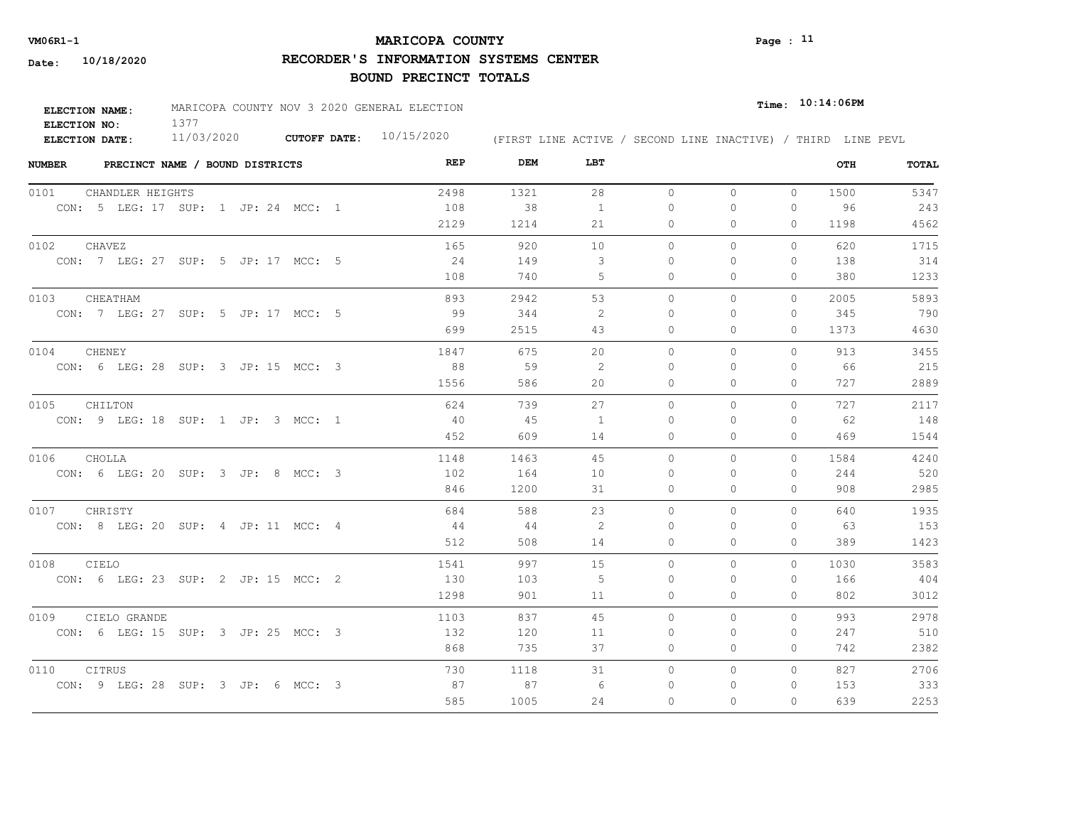## **MARICOPA COUNTY VM06R1-1 Page : 11**

**RECORDER'S INFORMATION SYSTEMS CENTER**

| <b>ELECTION NAME:</b> | MARICOPA COUNTY NOV 3 2020 GENERAL ELECTION |                           |                                                              | $Time:$ $10:14:06$ PM |
|-----------------------|---------------------------------------------|---------------------------|--------------------------------------------------------------|-----------------------|
| ELECTION NO:          |                                             |                           |                                                              |                       |
| ELECTION DATE:        | 11/03/2020                                  | CUTOFF DATE: $10/15/2020$ | (FIRST LINE ACTIVE / SECOND LINE INACTIVE) / THIRD LINE PEVL |                       |

| <b>NUMBER</b><br>PRECINCT NAME / BOUND DISTRICTS | REP  | DEM  | LBT            |          |          |              | OTH  | TOTAL |
|--------------------------------------------------|------|------|----------------|----------|----------|--------------|------|-------|
| 0101<br>CHANDLER HEIGHTS                         | 2498 | 1321 | 28             | $\circ$  | $\circ$  | $\circ$      | 1500 | 5347  |
| CON: 5 LEG: 17 SUP: 1 JP: 24 MCC: 1              | 108  | 38   | 1              | $\Omega$ | 0        | 0            | 96   | 243   |
|                                                  | 2129 | 1214 | 21             | 0        | 0        | $\Omega$     | 1198 | 4562  |
| 0102<br>CHAVEZ                                   | 165  | 920  | 10             | $\circ$  | $\circ$  | 0            | 620  | 1715  |
| CON: 7 LEG: 27 SUP: 5 JP: 17 MCC: 5              | 24   | 149  | 3              | $\Omega$ | $\Omega$ | $\mathbf{0}$ | 138  | 314   |
|                                                  | 108  | 740  | 5              | 0        | 0        | $\mathbf{0}$ | 380  | 1233  |
| CHEATHAM<br>0103                                 | 893  | 2942 | 53             | $\circ$  | 0        | $\mathbf{0}$ | 2005 | 5893  |
| CON: 7 LEG: 27 SUP: 5 JP: 17 MCC: 5              | 99   | 344  | -2             | $\Omega$ | 0        | 0            | 345  | 790   |
|                                                  | 699  | 2515 | 43             | 0        | $\Omega$ | $\Omega$     | 1373 | 4630  |
| 0104<br>CHENEY                                   | 1847 | 675  | 20             | $\Omega$ | $\Omega$ | $\Omega$     | 913  | 3455  |
| CON: 6 LEG: 28 SUP: 3 JP: 15 MCC: 3              | 88   | 59   | 2              | $\Omega$ | $\Omega$ | $\mathbf{0}$ | 66   | 215   |
|                                                  | 1556 | 586  | 20             | 0        | 0        | $\mathbf{0}$ | 727  | 2889  |
| 0105<br>CHILTON                                  | 624  | 739  | 27             | $\Omega$ | $\Omega$ | $\Omega$     | 727  | 2117  |
| CON: 9 LEG: 18 SUP: 1 JP: 3 MCC: 1               | - 40 | 45   | $\overline{1}$ | $\Omega$ | $\Omega$ | 0            | 62   | 148   |
|                                                  | 452  | 609  | 14             | $\Omega$ | $\Omega$ | $\Omega$     | 469  | 1544  |
| 0106<br>CHOLLA                                   | 1148 | 1463 | 45             | $\circ$  | 0        | $\circ$      | 1584 | 4240  |
| CON: 6 LEG: 20 SUP: 3 JP: 8 MCC: 3               | 102  | 164  | 10             | $\Omega$ | $\Omega$ | $\Omega$     | 244  | 520   |
|                                                  | 846  | 1200 | 31             | $\Omega$ | $\Omega$ | $\Omega$     | 908  | 2985  |
| 0107<br>CHRISTY                                  | 684  | 588  | 23             | $\Omega$ | $\Omega$ | $\Omega$     | 640  | 1935  |
| CON: 8 LEG: 20 SUP: 4 JP: 11 MCC: 4              | -44  | -44  | 2              | $\Omega$ | $\Omega$ | $\Omega$     | 63   | 153   |
|                                                  | 512  | 508  | 14             | $\Omega$ | $\Omega$ | $\Omega$     | 389  | 1423  |
| 0108<br>CIELO                                    | 1541 | 997  | 15             | $\Omega$ | $\Omega$ | $\Omega$     | 1030 | 3583  |
| CON: 6 LEG: 23 SUP: 2 JP: 15 MCC: 2              | 130  | 103  | -5             | $\Omega$ | $\Omega$ | $\Omega$     | 166  | 404   |
|                                                  | 1298 | 901  | 11             | 0        | 0        | $\mathbf{0}$ | 802  | 3012  |
| 0109<br>CIELO GRANDE                             | 1103 | 837  | 45             | $\Omega$ | $\Omega$ | $\circ$      | 993  | 2978  |
| CON: 6 LEG: 15 SUP: 3 JP: 25 MCC: 3              | 132  | 120  | 11             | 0        | 0        | $\mathbf{0}$ | 247  | 510   |
|                                                  | 868  | 735  | 37             | 0        | 0        | $\mathbf{0}$ | 742  | 2382  |
| 0110<br>CITRUS                                   | 730  | 1118 | 31             | $\circ$  | 0        | $\circ$      | 827  | 2706  |
| CON: 9 LEG: 28 SUP: 3 JP: 6 MCC: 3               | 87   | 87   | 6              | $\Omega$ | 0        | 0            | 153  | 333   |
|                                                  | 585  | 1005 | 24             | $\Omega$ | $\Omega$ | $\Omega$     | 639  | 2253  |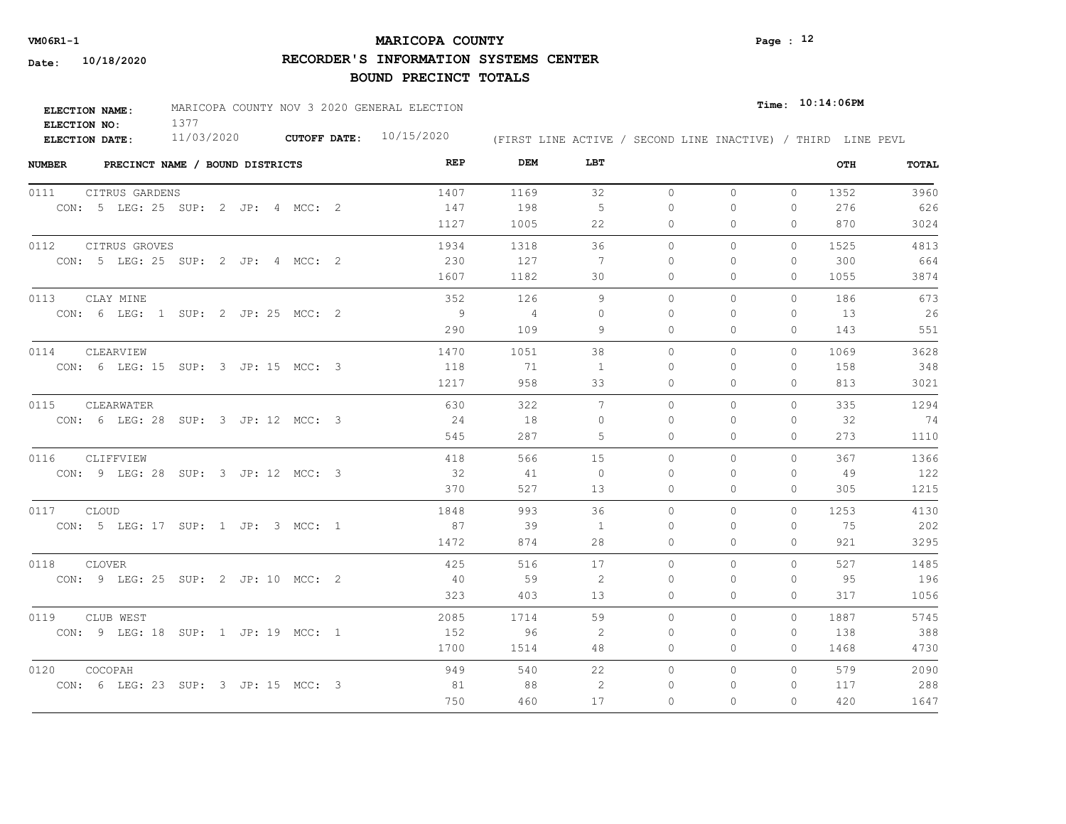## **MARICOPA COUNTY VM06R1-1 Page : 12**

**RECORDER'S INFORMATION SYSTEMS CENTER**

| ELECTION NAME: | MARICOPA COUNTY NOV 3 2020 GENERAL ELECTION |                           |                                                              | $_{Time:}$ 10:14:06PM |
|----------------|---------------------------------------------|---------------------------|--------------------------------------------------------------|-----------------------|
| ELECTION NO:   |                                             |                           |                                                              |                       |
| ELECTION DATE: | 11/03/2020                                  | CUTOFF DATE: $10/15/2020$ | (FIRST LINE ACTIVE / SECOND LINE INACTIVE) / THIRD LINE PEVL |                       |

| <b>NUMBER</b><br>PRECINCT NAME / BOUND DISTRICTS | REP  | DEM            | LBT            |              |              |          | OTH  | TOTAL |
|--------------------------------------------------|------|----------------|----------------|--------------|--------------|----------|------|-------|
| 0111<br>CITRUS GARDENS                           | 1407 | 1169           | 32             | $\circ$      | $\circ$      | $\circ$  | 1352 | 3960  |
| CON: 5 LEG: 25 SUP: 2 JP: 4 MCC: 2               | 147  | 198            | - 5            | 0            | $\Omega$     | 0        | 276  | 626   |
|                                                  | 1127 | 1005           | 22             | 0            | $\mathbf{0}$ | 0        | 870  | 3024  |
| 0112<br>CITRUS GROVES                            | 1934 | 1318           | 36             | $\circ$      | $\circ$      | $\Omega$ | 1525 | 4813  |
| CON: 5 LEG: 25 SUP: 2 JP: 4 MCC: 2               | 230  | 127            | -7             | $\mathbf{0}$ | 0            | 0        | 300  | 664   |
|                                                  | 1607 | 1182           | 30             | $\mathbf{0}$ | $\mathbf{0}$ | 0        | 1055 | 3874  |
| 0113<br>CLAY MINE                                | 352  | 126            | 9              | $\circ$      | $\circ$      | $\Omega$ | 186  | 673   |
| CON: 6 LEG: 1 SUP: 2 JP: 25 MCC: 2               | - 9  | $\overline{4}$ | $\Omega$       | 0            | ∩            | 0        | 13   | 26    |
|                                                  | 290  | 109            | 9              | $\Omega$     | $\Omega$     | $\Omega$ | 143  | 551   |
| 0114<br>CLEARVIEW                                | 1470 | 1051           | 38             | $\Omega$     | $\Omega$     | $\Omega$ | 1069 | 3628  |
| CON: 6 LEG: 15 SUP: 3 JP: 15 MCC: 3              | 118  | 71             | $\overline{1}$ | $\Omega$     | $\Omega$     | 0        | 158  | 348   |
|                                                  | 1217 | 958            | 33             | $\circ$      | $\Omega$     | 0        | 813  | 3021  |
| 0115<br>CLEARWATER                               | 630  | 322            | 7              | $\circ$      | $\Omega$     | $\Omega$ | 335  | 1294  |
| CON: 6 LEG: 28 SUP: 3 JP: 12 MCC: 3              | 24   | 18             | $\Omega$       | $\Omega$     | ∩            | $\Omega$ | 32   | 74    |
|                                                  | 545  | 287            | 5              | $\circ$      | $\circ$      | 0        | 273  | 1110  |
| 0116<br>CLIFFVIEW                                | 418  | 566            | 15             | $\Omega$     | $\Omega$     | $\Omega$ | 367  | 1366  |
| CON: 9 LEG: 28 SUP: 3 JP: 12 MCC: 3              | 32   | 41             | $\overline{0}$ | $\Omega$     | $\Omega$     | 0        | -49  | 122   |
|                                                  | 370  | 527            | 13             | $\circ$      | $\circ$      | 0        | 305  | 1215  |
| 0117 CLOUD                                       | 1848 | 993            | 36             | $\Omega$     | $\Omega$     | $\Omega$ | 1253 | 4130  |
| CON: 5 LEG: 17 SUP: 1 JP: 3 MCC: 1               | 87   | 39             | $\overline{1}$ | $\Omega$     | $\Omega$     | 0        | 75   | 202   |
|                                                  | 1472 | 874            | 28             | $\Omega$     | $\Omega$     | $\Omega$ | 921  | 3295  |
| 0118<br><b>CLOVER</b>                            | 425  | 516            | 17             | $\circ$      | $\circ$      | $\Omega$ | 527  | 1485  |
| CON: 9 LEG: 25 SUP: 2 JP: 10 MCC: 2              | 40   | 59             | 2              | $\Omega$     | $\Omega$     | $\Omega$ | 95   | 196   |
|                                                  | 323  | 403            | 13             | $\mathbf{0}$ | $\circ$      | 0        | 317  | 1056  |
| 0119<br>CLUB WEST                                | 2085 | 1714           | 59             | $\Omega$     | $\Omega$     | $\Omega$ | 1887 | 5745  |
| CON: 9 LEG: 18 SUP: 1 JP: 19 MCC: 1              | 152  | 96             | -2             | $\Omega$     | $\Omega$     | 0        | 138  | 388   |
|                                                  | 1700 | 1514           | 48             | $\circ$      | $\mathbf{0}$ | 0        | 1468 | 4730  |
| 0120<br>COCOPAH                                  | 949  | 540            | 22             | $\circ$      | $\circ$      | 0        | 579  | 2090  |
| CON: 6 LEG: 23 SUP: 3 JP: 15 MCC: 3              | 81   | 88             | 2              | 0            | 0            | 0        | 117  | 288   |
|                                                  | 750  | 460            | 17             | $\Omega$     | $\Omega$     | $\Omega$ | 420  | 1647  |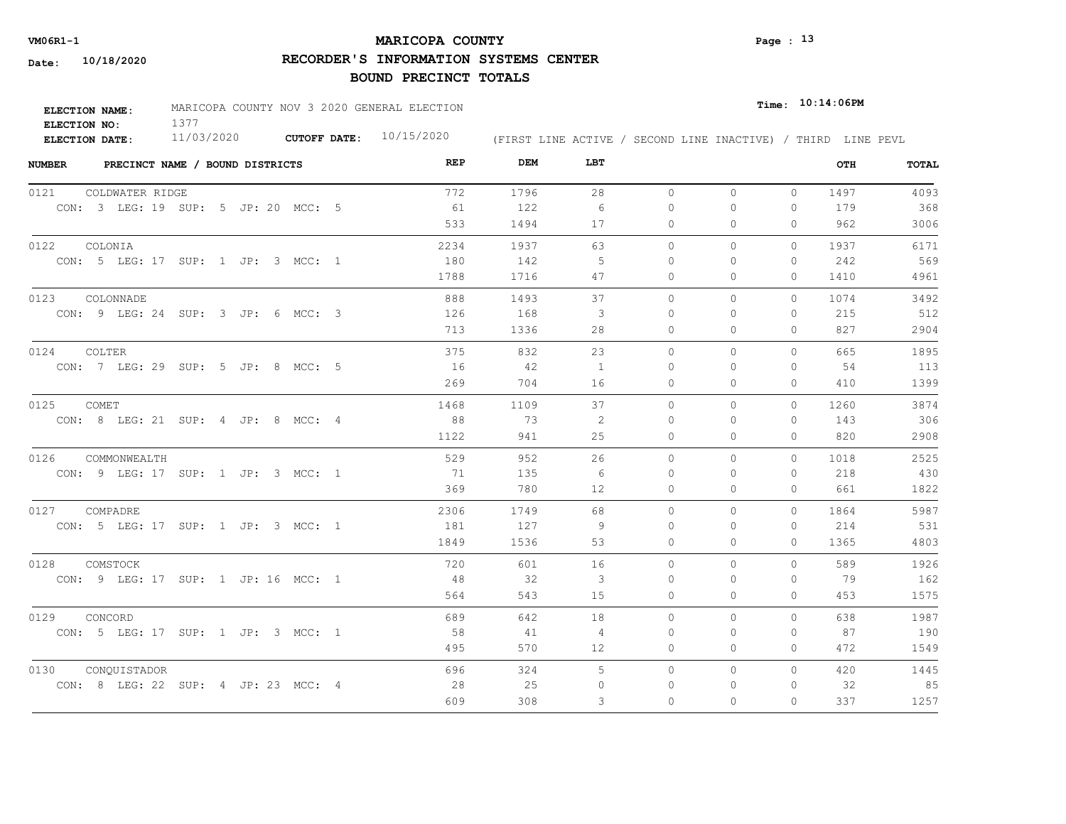## **MARICOPA COUNTY VM06R1-1 Page : 13**

**RECORDER'S INFORMATION SYSTEMS CENTER**

| <b>ELECTION NAME:</b> | MARICOPA COUNTY NOV 3 2020 GENERAL ELECTION |                     |            |  |  |  | $_{Time:}$ 10:14:06PM |                                                              |
|-----------------------|---------------------------------------------|---------------------|------------|--|--|--|-----------------------|--------------------------------------------------------------|
| ELECTION NO:          |                                             |                     |            |  |  |  |                       |                                                              |
| ELECTION DATE:        | 11/03/2020                                  | <b>CUTOFF DATE:</b> | 10/15/2020 |  |  |  |                       | (FIRST LINE ACTIVE / SECOND LINE INACTIVE) / THIRD LINE PEVL |

| <b>NUMBER</b> | PRECINCT NAME / BOUND DISTRICTS     |  |  |  | REP  | DEM  | LBT            |           |              |              | OTH  | TOTAL |
|---------------|-------------------------------------|--|--|--|------|------|----------------|-----------|--------------|--------------|------|-------|
| 0121          | COLDWATER RIDGE                     |  |  |  | 772  | 1796 | 28             | $\circ$   | $\circ$      | $\circ$      | 1497 | 4093  |
|               | CON: 3 LEG: 19 SUP: 5 JP: 20 MCC: 5 |  |  |  | 61   | 122  | 6              | 0         | 0            | 0            | 179  | 368   |
|               |                                     |  |  |  | 533  | 1494 | 17             | 0         | 0            | $\Omega$     | 962  | 3006  |
| 0122          | COLONIA                             |  |  |  | 2234 | 1937 | 63             | $\circ$   | 0            | $\mathbf{0}$ | 1937 | 6171  |
|               | CON: 5 LEG: 17 SUP: 1 JP: 3 MCC: 1  |  |  |  | 180  | 142  | -5             | $\Omega$  | $\Omega$     | $\mathbf{0}$ | 242  | 569   |
|               |                                     |  |  |  | 1788 | 1716 | 47             | 0         | 0            | $\Omega$     | 1410 | 4961  |
| 0123          | COLONNADE                           |  |  |  | 888  | 1493 | 37             | $\circ$   | $\mathbf{0}$ | $\mathbf{0}$ | 1074 | 3492  |
|               | CON: 9 LEG: 24 SUP: 3 JP: 6 MCC: 3  |  |  |  | 126  | 168  | 3              | $\Omega$  | $\Omega$     | $\Omega$     | 215  | 512   |
|               |                                     |  |  |  | 713  | 1336 | 28             | $\Omega$  | $\Omega$     | $\Omega$     | 827  | 2904  |
| 0124          | COLTER                              |  |  |  | 375  | 832  | 23             | $\Omega$  | $\Omega$     | $\Omega$     | 665  | 1895  |
|               | CON: 7 LEG: 29 SUP: 5 JP: 8 MCC: 5  |  |  |  | 16   | 42   | $\overline{1}$ | $\Omega$  | $\Omega$     | $\Omega$     | 54   | 113   |
|               |                                     |  |  |  | 269  | 704  | 16             | 0         | 0            | $\mathbf{0}$ | 410  | 1399  |
| 0125          | COMET                               |  |  |  | 1468 | 1109 | 37             | $\circ$   | $\Omega$     | 0            | 1260 | 3874  |
|               | CON: 8 LEG: 21 SUP: 4 JP: 8 MCC: 4  |  |  |  | 88   | 73   | -2             | $\bigcap$ | $\Omega$     | $\Omega$     | 143  | 306   |
|               |                                     |  |  |  | 1122 | 941  | 25             | 0         | 0            | $\mathbf{0}$ | 820  | 2908  |
| 0126          | COMMONWEALTH                        |  |  |  | 529  | 952  | 26             | $\Omega$  | $\Omega$     | $\Omega$     | 1018 | 2525  |
|               | CON: 9 LEG: 17 SUP: 1 JP: 3 MCC: 1  |  |  |  | 71   | 135  | - 6            | $\Omega$  | $\Omega$     | $\Omega$     | 218  | 430   |
|               |                                     |  |  |  | 369  | 780  | 12             | $\circ$   | $\Omega$     | $\circ$      | 661  | 1822  |
| 0127          | COMPADRE                            |  |  |  | 2306 | 1749 | 68             | $\Omega$  | $\Omega$     | $\Omega$     | 1864 | 5987  |
|               | CON: 5 LEG: 17 SUP: 1 JP: 3 MCC: 1  |  |  |  | 181  | 127  | -9             | $\Omega$  | $\Omega$     | $\Omega$     | 214  | 531   |
|               |                                     |  |  |  | 1849 | 1536 | 53             | $\circ$   | 0            | $\mathbf{0}$ | 1365 | 4803  |
| 0128          | COMSTOCK                            |  |  |  | 720  | 601  | 16             | $\circ$   | $\Omega$     | $\Omega$     | 589  | 1926  |
|               | CON: 9 LEG: 17 SUP: 1 JP: 16 MCC: 1 |  |  |  | 48   | 32   | 3              | 0         | 0            | $\mathbf{0}$ | 79   | 162   |
|               |                                     |  |  |  | 564  | 543  | 15             | 0         | 0            | $\mathbf{0}$ | 453  | 1575  |
| 0129          | CONCORD                             |  |  |  | 689  | 642  | 18             | $\circ$   | $\circ$      | 0            | 638  | 1987  |
|               | CON: 5 LEG: 17 SUP: 1 JP: 3 MCC: 1  |  |  |  | 58   | 41   | 4              | 0         | 0            | 0            | 87   | 190   |
|               |                                     |  |  |  | 495  | 570  | 12             | 0         | 0            | $\mathbf{0}$ | 472  | 1549  |
| 0130          | CONQUISTADOR                        |  |  |  | 696  | 324  | 5              | $\circ$   | 0            | $\Omega$     | 420  | 1445  |
|               | CON: 8 LEG: 22 SUP: 4 JP: 23 MCC: 4 |  |  |  | 28   | 25   | $\Omega$       | 0         | 0            | 0            | 32   | 85    |
|               |                                     |  |  |  | 609  | 308  | 3              | $\Omega$  | $\Omega$     | $\Omega$     | 337  | 1257  |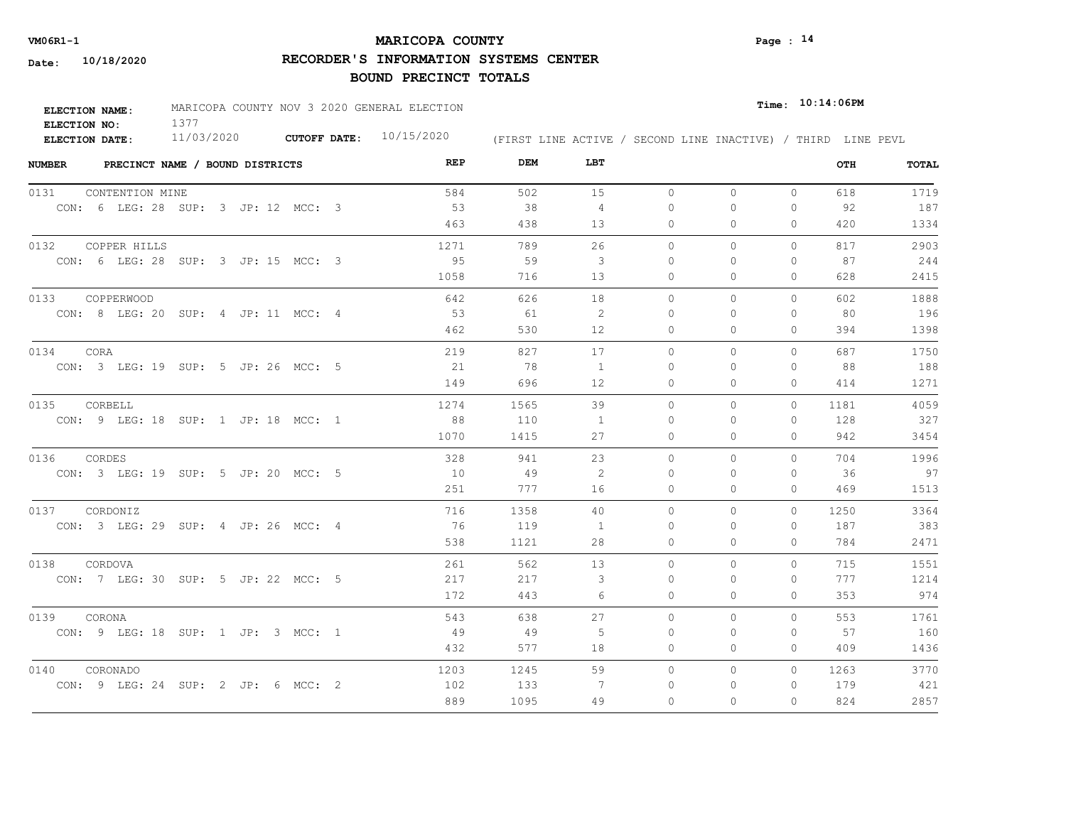## **MARICOPA COUNTY VM06R1-1 Page : 14**

**RECORDER'S INFORMATION SYSTEMS CENTER**

| <b>ELECTION NAME:</b> | MARICOPA COUNTY NOV 3 2020 GENERAL ELECTION |                     |            |                                                              | $_{Time:}$ 10:14:06PM |
|-----------------------|---------------------------------------------|---------------------|------------|--------------------------------------------------------------|-----------------------|
| ELECTION NO:          |                                             |                     |            |                                                              |                       |
| <b>ELECTION DATE:</b> | 11/03/2020                                  | <b>CUTOFF DATE:</b> | 10/15/2020 | (FIRST LINE ACTIVE / SECOND LINE INACTIVE) / THIRD LINE PEVL |                       |

| <b>NUMBER</b> | PRECINCT NAME / BOUND DISTRICTS     |  |  |  | REP  | DEM  | LBT            |           |          |              | OTH  | <b>TOTAL</b> |
|---------------|-------------------------------------|--|--|--|------|------|----------------|-----------|----------|--------------|------|--------------|
| 0131          | CONTENTION MINE                     |  |  |  | 584  | 502  | 15             | $\circ$   | $\circ$  | $\mathbf{0}$ | 618  | 1719         |
|               | CON: 6 LEG: 28 SUP: 3 JP: 12 MCC: 3 |  |  |  | 53   | 38   | $\overline{4}$ | $\Omega$  | $\Omega$ | 0            | 92   | 187          |
|               |                                     |  |  |  | 463  | 438  | 13             | 0         | 0        | $\Omega$     | 420  | 1334         |
| 0132          | COPPER HILLS                        |  |  |  | 1271 | 789  | 26             | $\circ$   | 0        | 0            | 817  | 2903         |
|               | CON: 6 LEG: 28 SUP: 3 JP: 15 MCC: 3 |  |  |  | 95   | 59   | 3              | $\Omega$  | $\Omega$ | $\Omega$     | 87   | 244          |
|               |                                     |  |  |  | 1058 | 716  | 13             | 0         | 0        | $\mathbf{0}$ | 628  | 2415         |
| 0133          | COPPERWOOD                          |  |  |  | 642  | 626  | 18             | $\circ$   | 0        | 0            | 602  | 1888         |
|               | CON: 8 LEG: 20 SUP: 4 JP: 11 MCC: 4 |  |  |  | 53   | 61   | -2             | $\Omega$  | 0        | 0            | 80   | 196          |
|               |                                     |  |  |  | 462  | 530  | 12             | 0         | $\Omega$ | $\Omega$     | 394  | 1398         |
| 0134          | CORA                                |  |  |  | 219  | 827  | 17             | $\Omega$  | $\Omega$ | $\Omega$     | 687  | 1750         |
|               | CON: 3 LEG: 19 SUP: 5 JP: 26 MCC: 5 |  |  |  | 21   | 78   | 1              | $\Omega$  | $\Omega$ | $\mathbf{0}$ | 88   | 188          |
|               |                                     |  |  |  | 149  | 696  | 12             | 0         | 0        | $\mathbf{0}$ | 414  | 1271         |
| 0135          | CORBELL                             |  |  |  | 1274 | 1565 | 39             | $\Omega$  | $\Omega$ | $\Omega$     | 1181 | 4059         |
|               | CON: 9 LEG: 18 SUP: 1 JP: 18 MCC: 1 |  |  |  | 88   | 110  | $\overline{1}$ | $\Omega$  | $\Omega$ | $\mathbf{0}$ | 128  | 327          |
|               |                                     |  |  |  | 1070 | 1415 | 27             | 0         | $\Omega$ | $\Omega$     | 942  | 3454         |
| 0136          | CORDES                              |  |  |  | 328  | 941  | 23             | $\circ$   | 0        | $\mathbf{0}$ | 704  | 1996         |
|               | CON: 3 LEG: 19 SUP: 5 JP: 20 MCC: 5 |  |  |  | 10   | 49   | 2              | $\bigcap$ | $\Omega$ | $\Omega$     | - 36 | 97           |
|               |                                     |  |  |  | 251  | 777  | 16             | $\Omega$  | $\Omega$ | $\Omega$     | 469  | 1513         |
|               | 0137 CORDONIZ                       |  |  |  | 716  | 1358 | 40             | $\Omega$  | $\Omega$ | $\Omega$     | 1250 | 3364         |
|               | CON: 3 LEG: 29 SUP: 4 JP: 26 MCC: 4 |  |  |  | 76   | 119  | $\overline{1}$ | $\Omega$  | $\Omega$ | $\Omega$     | 187  | 383          |
|               |                                     |  |  |  | 538  | 1121 | 28             | $\Omega$  | $\Omega$ | $\Omega$     | 784  | 2471         |
| 0138          | CORDOVA                             |  |  |  | 261  | 562  | 13             | $\Omega$  | $\Omega$ | $\Omega$     | 715  | 1551         |
|               | CON: 7 LEG: 30 SUP: 5 JP: 22 MCC: 5 |  |  |  | 217  | 217  | 3              | $\bigcap$ | $\Omega$ | $\Omega$     | 777  | 1214         |
|               |                                     |  |  |  | 172  | 443  | 6              | 0         | 0        | $\mathbf{0}$ | 353  | 974          |
| 0139          | CORONA                              |  |  |  | 543  | 638  | 27             | $\Omega$  | $\Omega$ | $\Omega$     | 553  | 1761         |
|               | CON: 9 LEG: 18 SUP: 1 JP: 3 MCC: 1  |  |  |  | - 49 | - 49 | -5             | $\Omega$  | 0        | $\mathbf{0}$ | 57   | 160          |
|               |                                     |  |  |  | 432  | 577  | 18             | 0         | 0        | $\mathbf{0}$ | 409  | 1436         |
| 0140          | CORONADO                            |  |  |  | 1203 | 1245 | 59             | $\circ$   | 0        | $\circ$      | 1263 | 3770         |
|               | CON: 9 LEG: 24 SUP: 2 JP: 6 MCC: 2  |  |  |  | 102  | 133  | -7             | $\Omega$  | $\Omega$ | 0            | 179  | 421          |
|               |                                     |  |  |  | 889  | 1095 | 49             | $\Omega$  | $\Omega$ | $\Omega$     | 824  | 2857         |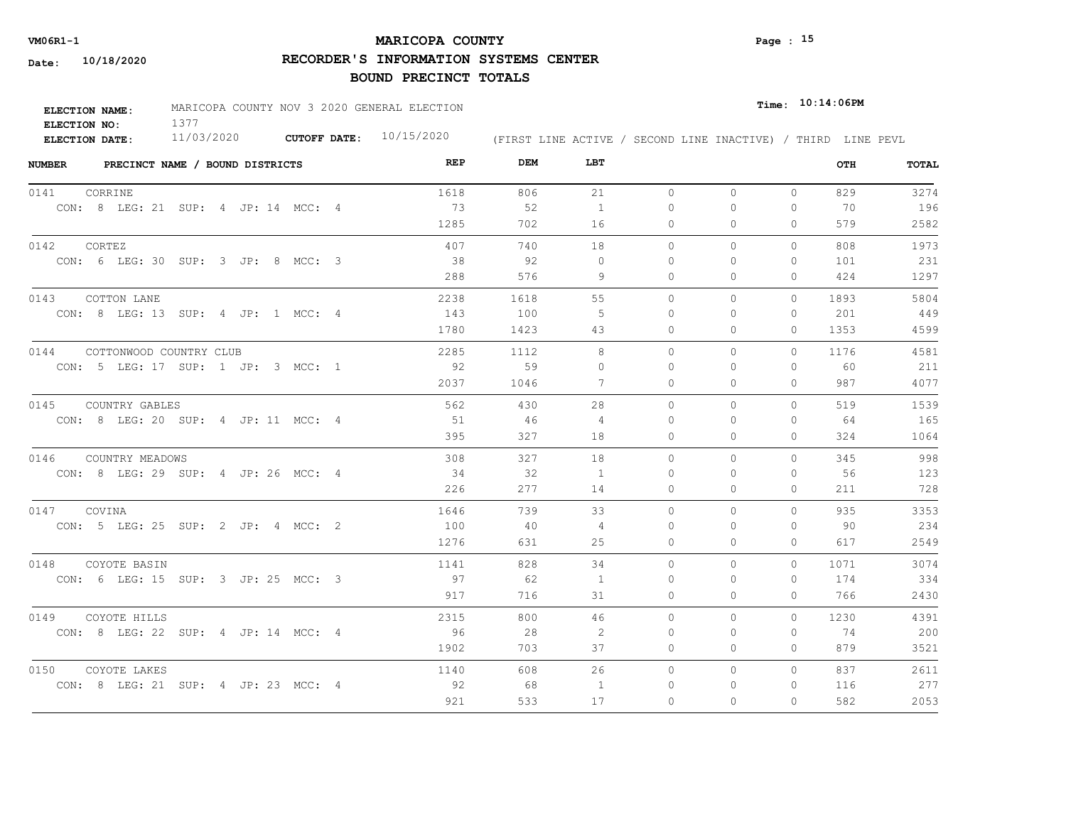## **MARICOPA COUNTY VM06R1-1 Page : 15**

**RECORDER'S INFORMATION SYSTEMS CENTER**

| ELECTION NAME: | MARICOPA COUNTY NOV 3 2020 GENERAL ELECTION |                           |  |  |                                                              | Time: 10:14:06PM |  |
|----------------|---------------------------------------------|---------------------------|--|--|--------------------------------------------------------------|------------------|--|
| ELECTION NO:   |                                             |                           |  |  |                                                              |                  |  |
| ELECTION DATE: | 11/03/2020                                  | CUTOFF DATE: $10/15/2020$ |  |  | (FIRST LINE ACTIVE / SECOND LINE INACTIVE) / THIRD LINE PEVL |                  |  |

| <b>NUMBER</b><br>PRECINCT NAME / BOUND DISTRICTS | <b>REP</b> | <b>DEM</b> | LBT            |          |          |              | OTH  | TOTAL |
|--------------------------------------------------|------------|------------|----------------|----------|----------|--------------|------|-------|
| 0141<br>CORRINE                                  | 1618       | 806        | 21             | $\circ$  | 0        | $\circ$      | 829  | 3274  |
| CON: 8 LEG: 21 SUP: 4 JP: 14 MCC: 4              | 73         | 52         | $\mathbf{1}$   | $\Omega$ | $\Omega$ | $\Omega$     | 70   | 196   |
|                                                  | 1285       | 702        | 16             | $\circ$  | 0        | 0            | 579  | 2582  |
| 0142<br>CORTEZ                                   | 407        | 740        | 18             | $\Omega$ | $\Omega$ | $\Omega$     | 808  | 1973  |
| CON: 6 LEG: 30 SUP: 3 JP: 8 MCC: 3               | 38         | 92         | $\Omega$       | $\Omega$ | $\Omega$ | $\mathbf{0}$ | 101  | 231   |
|                                                  | 288        | 576        | 9              | $\Omega$ | 0        | $\Omega$     | 424  | 1297  |
| 0143<br>COTTON LANE                              | 2238       | 1618       | 55             | $\circ$  | $\Omega$ | $\Omega$     | 1893 | 5804  |
| CON: 8 LEG: 13 SUP: 4 JP: 1 MCC: 4               | 143        | 100        | 5              | $\Omega$ | 0        | $\mathbf{0}$ | 201  | 449   |
|                                                  | 1780       | 1423       | 43             | $\Omega$ | $\Omega$ | $\Omega$     | 1353 | 4599  |
| 0144 COTTONWOOD COUNTRY CLUB                     | 2285       | 1112       | 8              | $\Omega$ | $\Omega$ | $\Omega$     | 1176 | 4581  |
| CON: 5 LEG: 17 SUP: 1 JP: 3 MCC: 1               | 92         | 59         | $\Omega$       | $\Omega$ | $\Omega$ | $\Omega$     | 60   | 211   |
|                                                  | 2037       | 1046       | 7              | $\circ$  | 0        | $\circ$      | 987  | 4077  |
| 0145<br>COUNTRY GABLES                           | 562        | 430        | 28             | $\Omega$ | $\Omega$ | $\Omega$     | 519  | 1539  |
| CON: 8 LEG: 20 SUP: 4 JP: 11 MCC: 4              | 51         | 46         | 4              | $\Omega$ | $\Omega$ | $\Omega$     | 64   | 165   |
|                                                  | 395        | 327        | 18             | $\Omega$ | $\Omega$ | $\Omega$     | 324  | 1064  |
| 0146 COUNTRY MEADOWS                             | 308        | 327        | 18             | $\circ$  | $\Omega$ | $\Omega$     | 345  | 998   |
| CON: 8 LEG: 29 SUP: 4 JP: 26 MCC: 4              | 34         | 32         | 1              | 0        | 0        | 0            | 56   | 123   |
|                                                  | 226        | 277        | 14             | 0        | 0        | $\mathbf{0}$ | 211  | 728   |
| 0147 COVINA                                      | 1646       | 739        | 33             | $\circ$  | $\Omega$ | $\Omega$     | 935  | 3353  |
| CON: 5 LEG: 25 SUP: 2 JP: 4 MCC: 2               | 100        | 40         | $\overline{4}$ | $\Omega$ | $\Omega$ | $\Omega$     | 90   | 234   |
|                                                  | 1276       | 631        | 25             | 0        | 0        | $\mathbf{0}$ | 617  | 2549  |
| 0148<br>COYOTE BASIN                             | 1141       | 828        | 34             | $\circ$  | $\Omega$ | $\circ$      | 1071 | 3074  |
| CON: 6 LEG: 15 SUP: 3 JP: 25 MCC: 3              | 97         | 62         | 1              | 0        | $\Omega$ | $\mathbf{0}$ | 174  | 334   |
|                                                  | 917        | 716        | 31             | 0        | 0        | $\Omega$     | 766  | 2430  |
| 0149 COYOTE HILLS                                | 2315       | 800        | 46             | $\circ$  | 0        | $\mathbf{0}$ | 1230 | 4391  |
| CON: 8 LEG: 22 SUP: 4 JP: 14 MCC: 4              | 96         | 28         | -2             | 0        | 0        | $\mathbf{0}$ | 74   | 200   |
|                                                  | 1902       | 703        | 37             | $\circ$  | 0        | $\mathbf{0}$ | 879  | 3521  |
| 0150<br>COYOTE LAKES                             | 1140       | 608        | 26             | $\circ$  | 0        | $\circ$      | 837  | 2611  |
| CON: 8 LEG: 21 SUP: 4 JP: 23 MCC: 4              | 92         | 68         | -1             | 0        | $\Omega$ | $\Omega$     | 116  | 277   |
|                                                  | 921        | 533        | 17             | $\circ$  | $\Omega$ | $\Omega$     | 582  | 2053  |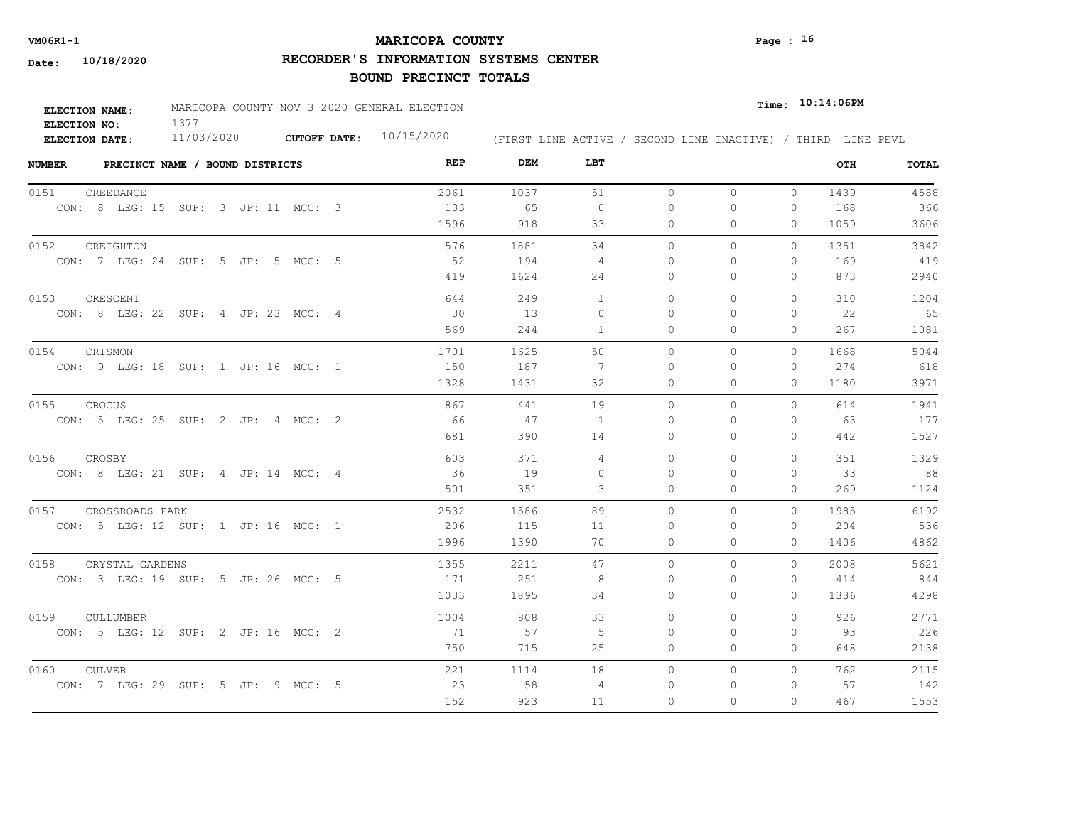## **MARICOPA COUNTY VM06R1-1 Page : 16**

**RECORDER'S INFORMATION SYSTEMS CENTER**

| <b>ELECTION NAME:</b> | MARICOPA COUNTY NOV 3 2020 GENERAL ELECTION |                           |                                                              |  | $_{Time:}$ 10:14:06PM |  |
|-----------------------|---------------------------------------------|---------------------------|--------------------------------------------------------------|--|-----------------------|--|
| ELECTION NO:          |                                             |                           |                                                              |  |                       |  |
| ELECTION DATE:        | 11/03/2020                                  | CUTOFF DATE: $10/15/2020$ | (FIRST LINE ACTIVE / SECOND LINE INACTIVE) / THIRD LINE PEVL |  |                       |  |

| <b>NUMBER</b>        |           | PRECINCT NAME / BOUND DISTRICTS     |  |  |  | REP  | DEM  | LBT            |           |              |              | OTH  | TOTAL |
|----------------------|-----------|-------------------------------------|--|--|--|------|------|----------------|-----------|--------------|--------------|------|-------|
| 0151                 | CREEDANCE |                                     |  |  |  | 2061 | 1037 | 51             | $\circ$   | $\mathbf{0}$ | $\circ$      | 1439 | 4588  |
|                      |           | CON: 8 LEG: 15 SUP: 3 JP: 11 MCC: 3 |  |  |  | 133  | 65   | $\Omega$       | $\bigcap$ | $\Omega$     | $\Omega$     | 168  | 366   |
|                      |           |                                     |  |  |  | 1596 | 918  | 33             | $\circ$   | $\Omega$     | $\circ$      | 1059 | 3606  |
| 0152 CREIGHTON       |           |                                     |  |  |  | 576  | 1881 | 34             | $\Omega$  | $\Omega$     | $\Omega$     | 1351 | 3842  |
|                      |           | CON: 7 LEG: 24 SUP: 5 JP: 5 MCC: 5  |  |  |  | - 52 | 194  | 4              | $\Omega$  | $\Omega$     | $\mathbf{0}$ | 169  | 419   |
|                      |           |                                     |  |  |  | 419  | 1624 | 24             | $\circ$   | 0            | $\mathbf{0}$ | 873  | 2940  |
| 0153                 | CRESCENT  |                                     |  |  |  | 644  | 249  | $\mathbf{1}$   | $\circ$   | 0            | 0            | 310  | 1204  |
|                      |           | CON: 8 LEG: 22 SUP: 4 JP: 23 MCC: 4 |  |  |  | 30   | 13   | $\Omega$       | $\bigcap$ | $\Omega$     | $\Omega$     | 22   | 65    |
|                      |           |                                     |  |  |  | 569  | 244  | 1              | 0         | 0            | $\mathbf{0}$ | 267  | 1081  |
| 0154                 | CRISMON   |                                     |  |  |  | 1701 | 1625 | 50             | $\Omega$  | $\Omega$     | $\Omega$     | 1668 | 5044  |
|                      |           | CON: 9 LEG: 18 SUP: 1 JP: 16 MCC: 1 |  |  |  | 150  | 187  | -7             | 0         | $\Omega$     | $\mathbf{0}$ | 274  | 618   |
|                      |           |                                     |  |  |  | 1328 | 1431 | 32             | 0         | 0            | $\mathbf{0}$ | 1180 | 3971  |
| 0155                 | CROCUS    |                                     |  |  |  | 867  | 441  | 19             | $\circ$   | 0            | $\Omega$     | 614  | 1941  |
|                      |           | CON: 5 LEG: 25 SUP: 2 JP: 4 MCC: 2  |  |  |  | 66   | 47   | $\overline{1}$ | $\Omega$  | $\Omega$     | $\Omega$     | 63   | 177   |
|                      |           |                                     |  |  |  | 681  | 390  | 14             | $\Omega$  | $\Omega$     | $\Omega$     | 442  | 1527  |
| 0156                 | CROSBY    |                                     |  |  |  | 603  | 371  | $\overline{4}$ | $\Omega$  | $\Omega$     | $\Omega$     | 351  | 1329  |
|                      |           | CON: 8 LEG: 21 SUP: 4 JP: 14 MCC: 4 |  |  |  | 36   | 19   | $\Omega$       | $\Omega$  | $\Omega$     | $\Omega$     | 33   | 88    |
|                      |           |                                     |  |  |  | 501  | 351  | 3              | $\circ$   | $\Omega$     | $\mathbf{0}$ | 269  | 1124  |
| 0157 CROSSROADS PARK |           |                                     |  |  |  | 2532 | 1586 | 89             | $\Omega$  | $\Omega$     | $\Omega$     | 1985 | 6192  |
|                      |           | CON: 5 LEG: 12 SUP: 1 JP: 16 MCC: 1 |  |  |  | 206  | 115  | 11             | $\Omega$  | $\Omega$     | $\Omega$     | 204  | 536   |
|                      |           |                                     |  |  |  | 1996 | 1390 | 70             | $\Omega$  | $\Omega$     | $\Omega$     | 1406 | 4862  |
| 0158                 |           | CRYSTAL GARDENS                     |  |  |  | 1355 | 2211 | 47             | $\Omega$  | $\Omega$     | $\Omega$     | 2008 | 5621  |
|                      |           | CON: 3 LEG: 19 SUP: 5 JP: 26 MCC: 5 |  |  |  | 171  | 251  | 8              | $\Omega$  | $\Omega$     | 0            | 414  | 844   |
|                      |           |                                     |  |  |  | 1033 | 1895 | 34             | $\circ$   | $\Omega$     | $\Omega$     | 1336 | 4298  |
| 0159                 | CULLUMBER |                                     |  |  |  | 1004 | 808  | 33             | $\Omega$  | $\Omega$     | $\Omega$     | 926  | 2771  |
|                      |           | CON: 5 LEG: 12 SUP: 2 JP: 16 MCC: 2 |  |  |  | 71   | 57   | -5             | $\Omega$  | $\Omega$     | $\Omega$     | 93   | 226   |
|                      |           |                                     |  |  |  | 750  | 715  | 25             | 0         | 0            | $\mathbf{0}$ | 648  | 2138  |
| 0160                 | CULVER    |                                     |  |  |  | 221  | 1114 | 18             | $\circ$   | 0            | $\circ$      | 762  | 2115  |
|                      |           | CON: 7 LEG: 29 SUP: 5 JP: 9 MCC: 5  |  |  |  | 23   | 58   | 4              | 0         | $\Omega$     | $\mathbf{0}$ | 57   | 142   |
|                      |           |                                     |  |  |  | 152  | 923  | 11             | $\Omega$  | $\Omega$     | $\Omega$     | 467  | 1553  |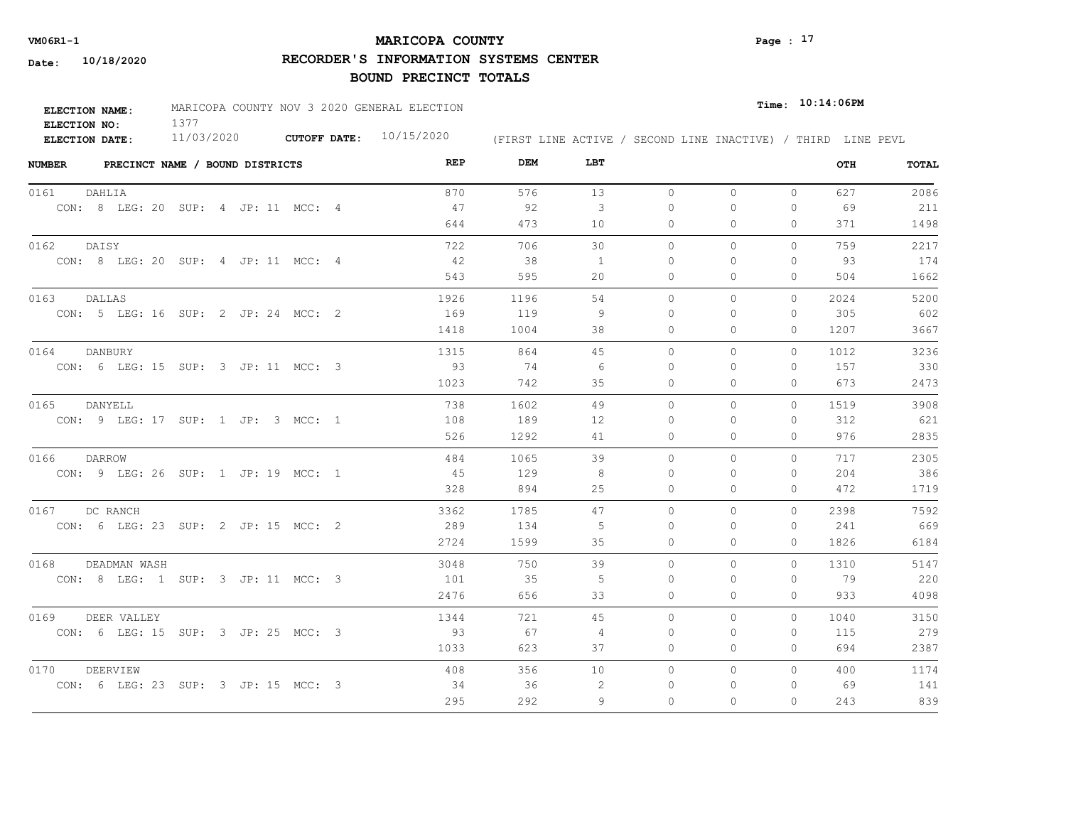## **MARICOPA COUNTY VM06R1-1 Page : 17**

**RECORDER'S INFORMATION SYSTEMS CENTER**

| <b>ELECTION NAME:</b> | MARICOPA COUNTY NOV 3 2020 GENERAL ELECTION |                           |  |  | $_{\texttt{Time:}}$ 10:14:06PM |                                                              |
|-----------------------|---------------------------------------------|---------------------------|--|--|--------------------------------|--------------------------------------------------------------|
| ELECTION NO:          |                                             |                           |  |  |                                |                                                              |
| <b>ELECTION DATE:</b> | 11/03/2020                                  | CUTOFF DATE: $10/15/2020$ |  |  |                                | (FIRST LINE ACTIVE / SECOND LINE INACTIVE) / THIRD LINE PEVL |

| <b>NUMBER</b>                       | PRECINCT NAME / BOUND DISTRICTS |  |  | REP  | DEM  | LBT |          |              |              | OTH  | TOTAL |
|-------------------------------------|---------------------------------|--|--|------|------|-----|----------|--------------|--------------|------|-------|
| DAHLIA<br>0161                      |                                 |  |  | 870  | 576  | 13  | $\circ$  | $\circ$      | $\circ$      | 627  | 2086  |
| CON: 8 LEG: 20 SUP: 4 JP: 11 MCC: 4 |                                 |  |  | 47   | 92   | 3   | 0        | $\circ$      | $\circ$      | 69   | 211   |
|                                     |                                 |  |  | 644  | 473  | 10  | 0        | $\Omega$     | 0            | 371  | 1498  |
| DAISY<br>0162                       |                                 |  |  | 722  | 706  | 30  | $\circ$  | $\circ$      | $\Omega$     | 759  | 2217  |
| CON: 8 LEG: 20 SUP: 4 JP: 11 MCC: 4 |                                 |  |  | 42   | 38   | 1   | $\Omega$ | $\Omega$     | $\Omega$     | 93   | 174   |
|                                     |                                 |  |  | 543  | 595  | 20  | $\Omega$ | $\Omega$     | $\Omega$     | 504  | 1662  |
| 0163<br>DALLAS                      |                                 |  |  | 1926 | 1196 | 54  | $\circ$  | $\mathbf{0}$ | $\circ$      | 2024 | 5200  |
| CON: 5 LEG: 16 SUP: 2 JP: 24 MCC: 2 |                                 |  |  | 169  | 119  | -9  | 0        | $\Omega$     | $\Omega$     | 305  | 602   |
|                                     |                                 |  |  | 1418 | 1004 | 38  | $\Omega$ | $\Omega$     | $\Omega$     | 1207 | 3667  |
| 0164<br>DANBURY                     |                                 |  |  | 1315 | 864  | 45  | $\Omega$ | $\Omega$     | $\Omega$     | 1012 | 3236  |
| CON: 6 LEG: 15 SUP: 3 JP: 11 MCC: 3 |                                 |  |  | 93   | 74   | -6  | 0        | $\Omega$     | $\Omega$     | 157  | 330   |
|                                     |                                 |  |  | 1023 | 742  | 35  | $\circ$  | $\mathbf{0}$ | 0            | 673  | 2473  |
| 0165<br>DANYELL                     |                                 |  |  | 738  | 1602 | 49  | $\circ$  | $\mathbf{0}$ | $\circ$      | 1519 | 3908  |
| CON: 9 LEG: 17 SUP: 1 JP: 3 MCC: 1  |                                 |  |  | 108  | 189  | 12  | $\Omega$ | $\Omega$     | $\Omega$     | 312  | 621   |
|                                     |                                 |  |  | 526  | 1292 | 41  | $\circ$  | $\mathbf{0}$ | $\mathbf{0}$ | 976  | 2835  |
| 0166<br>DARROW                      |                                 |  |  | 484  | 1065 | 39  | $\Omega$ | $\Omega$     | $\Omega$     | 717  | 2305  |
| CON: 9 LEG: 26 SUP: 1 JP: 19 MCC: 1 |                                 |  |  | 45   | 129  | -8  | 0        | $\Omega$     | $\Omega$     | 204  | 386   |
|                                     |                                 |  |  | 328  | 894  | 25  | $\circ$  | $\mathbf{0}$ | $\circ$      | 472  | 1719  |
| 0167<br>DC RANCH                    |                                 |  |  | 3362 | 1785 | 47  | $\Omega$ | $\Omega$     | $\Omega$     | 2398 | 7592  |
| CON: 6 LEG: 23 SUP: 2 JP: 15 MCC: 2 |                                 |  |  | 289  | 134  | -5  | $\Omega$ | $\Omega$     | $\Omega$     | 241  | 669   |
|                                     |                                 |  |  | 2724 | 1599 | 35  | $\circ$  | $\circ$      | $\Omega$     | 1826 | 6184  |
| 0168                                | DEADMAN WASH                    |  |  | 3048 | 750  | 39  | $\Omega$ | $\Omega$     | $\Omega$     | 1310 | 5147  |
| CON: 8 LEG: 1 SUP: 3 JP: 11 MCC: 3  |                                 |  |  | 101  | 35   | -5  | 0        | 0            | $\circ$      | 79   | 220   |
|                                     |                                 |  |  | 2476 | 656  | 33  | 0        | $\circ$      | 0            | 933  | 4098  |
| 0169 DEER VALLEY                    |                                 |  |  | 1344 | 721  | 45  | $\circ$  | $\circ$      | $\Omega$     | 1040 | 3150  |
| CON: 6 LEG: 15 SUP: 3 JP: 25 MCC: 3 |                                 |  |  | 93   | 67   | 4   | 0        | 0            | 0            | 115  | 279   |
|                                     |                                 |  |  | 1033 | 623  | 37  | 0        | $\mathbf{0}$ | $\circ$      | 694  | 2387  |
| 0170<br>DEERVIEW                    |                                 |  |  | 408  | 356  | 10  | 0        | $\mathbf{0}$ | $\Omega$     | 400  | 1174  |
| CON: 6 LEG: 23 SUP: 3 JP: 15 MCC: 3 |                                 |  |  | - 34 | 36   | -2  | 0        | 0            | 0            | 69   | 141   |
|                                     |                                 |  |  | 295  | 292  | 9   | $\Omega$ | $\Omega$     | $\Omega$     | 243  | 839   |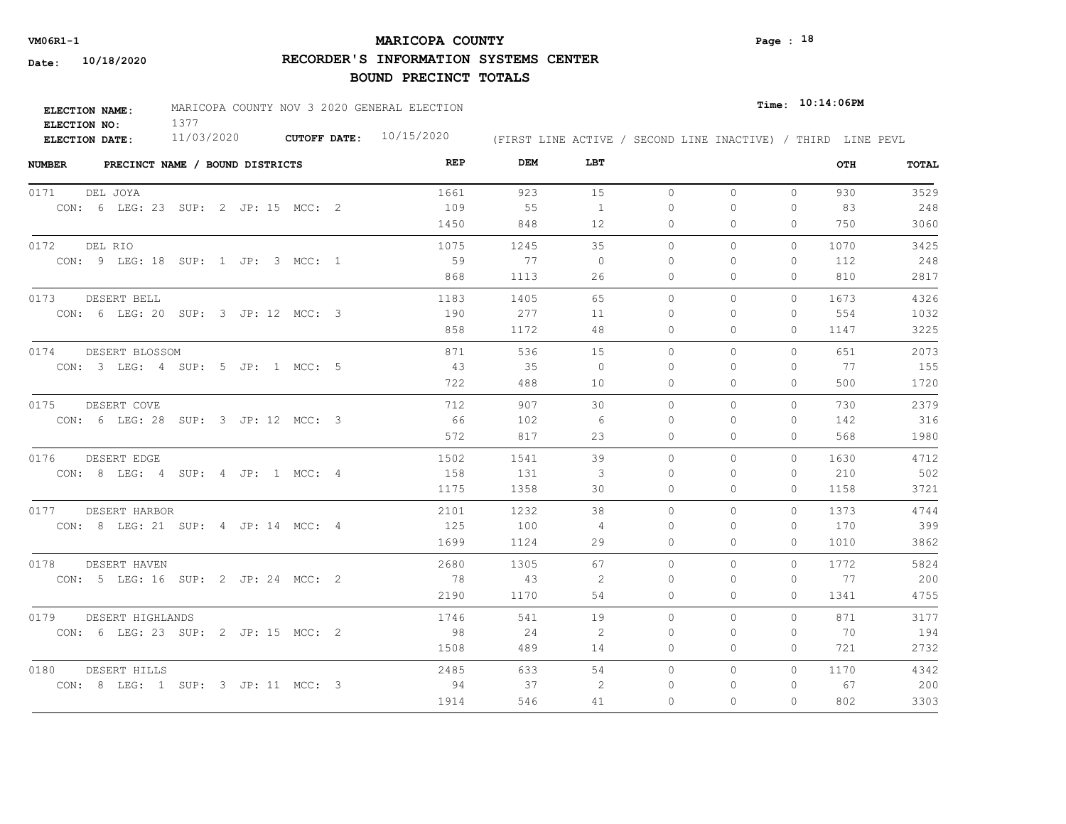## **MARICOPA COUNTY VM06R1-1 Page : 18**

**RECORDER'S INFORMATION SYSTEMS CENTER**

| ELECTION NAME: | MARICOPA COUNTY NOV 3 2020 GENERAL ELECTION |                           |                                                              | $_{Time:}$ 10:14:06PM |
|----------------|---------------------------------------------|---------------------------|--------------------------------------------------------------|-----------------------|
| ELECTION NO:   |                                             |                           |                                                              |                       |
| ELECTION DATE: | 11/03/2020                                  | CUTOFF DATE: $10/15/2020$ | (FIRST LINE ACTIVE / SECOND LINE INACTIVE) / THIRD LINE PEVL |                       |

| <b>NUMBER</b><br>PRECINCT NAME / BOUND DISTRICTS | REP  | DEM  | LBT            |              |              |          | OTH  | <b>TOTAL</b> |
|--------------------------------------------------|------|------|----------------|--------------|--------------|----------|------|--------------|
| 0171<br>DEL JOYA                                 | 1661 | 923  | 15             | $\circ$      | $\Omega$     | $\circ$  | 930  | 3529         |
| CON: 6 LEG: 23 SUP: 2 JP: 15 MCC: 2              | 109  | 55   | $\mathbf{1}$   | $\Omega$     | $\Omega$     | $\Omega$ | 83   | 248          |
|                                                  | 1450 | 848  | 12             | 0            | $\mathbf{0}$ | 0        | 750  | 3060         |
| 0172<br>DEL RIO                                  | 1075 | 1245 | 35             | $\Omega$     | $\circ$      | $\Omega$ | 1070 | 3425         |
| CON: 9 LEG: 18 SUP: 1 JP: 3 MCC: 1               | 59   | 77   | $\overline{0}$ | $\mathbf{0}$ | 0            | 0        | 112  | 248          |
|                                                  | 868  | 1113 | 26             | $\mathbf{0}$ | $\Omega$     | $\Omega$ | 810  | 2817         |
| DESERT BELL<br>0173                              | 1183 | 1405 | 65             | $\circ$      | $\circ$      | 0        | 1673 | 4326         |
| CON: 6 LEG: 20 SUP: 3 JP: 12 MCC: 3              | 190  | 277  | 11             | 0            | ∩            | $\Omega$ | 554  | 1032         |
|                                                  | 858  | 1172 | 48             | $\mathbf{0}$ | $\mathbf{0}$ | 0        | 1147 | 3225         |
| 0174<br>DESERT BLOSSOM                           | 871  | 536  | 15             | $\Omega$     | $\Omega$     | $\Omega$ | 651  | 2073         |
| CON: 3 LEG: 4 SUP: 5 JP: 1 MCC: 5                | 43   | 35   | $\overline{0}$ | 0            | $\Omega$     | 0        | 77   | 155          |
|                                                  | 722  | 488  | 10             | $\mathbf{0}$ | $\Omega$     | 0        | 500  | 1720         |
| 0175<br>DESERT COVE                              | 712  | 907  | 30             | $\Omega$     | $\Omega$     | $\Omega$ | 730  | 2379         |
| CON: 6 LEG: 28 SUP: 3 JP: 12 MCC: 3              | 66   | 102  | - 6            | $\Omega$     | $\Omega$     | $\Omega$ | 142  | 316          |
|                                                  | 572  | 817  | 23             | $\Omega$     | $\Omega$     | $\Omega$ | 568  | 1980         |
| 0176<br>DESERT EDGE                              | 1502 | 1541 | 39             | $\circ$      | $\circ$      | $\Omega$ | 1630 | 4712         |
| CON: 8 LEG: 4 SUP: 4 JP: 1 MCC: 4                | 158  | 131  | 3              | $\Omega$     | $\Omega$     | $\Omega$ | 210  | 502          |
|                                                  | 1175 | 1358 | 30             | $\circ$      | $\mathbf{0}$ | 0        | 1158 | 3721         |
| 0177<br>DESERT HARBOR                            | 2101 | 1232 | 38             | $\Omega$     | $\Omega$     | $\Omega$ | 1373 | 4744         |
| CON: 8 LEG: 21 SUP: 4 JP: 14 MCC: 4              | 125  | 100  | -4             | $\Omega$     | $\Omega$     | $\Omega$ | 170  | 399          |
|                                                  | 1699 | 1124 | 29             | $\Omega$     | $\Omega$     | $\Omega$ | 1010 | 3862         |
| 0178<br>DESERT HAVEN                             | 2680 | 1305 | 67             | $\Omega$     | $\Omega$     | $\Omega$ | 1772 | 5824         |
| CON: 5 LEG: 16 SUP: 2 JP: 24 MCC: 2              | 78   | 43   | 2              | $\Omega$     | $\Omega$     | 0        | 77   | 200          |
|                                                  | 2190 | 1170 | 54             | $\Omega$     | $\Omega$     | $\Omega$ | 1341 | 4755         |
| 0179<br>DESERT HIGHLANDS                         | 1746 | 541  | 19             | $\Omega$     | $\Omega$     | $\Omega$ | 871  | 3177         |
| CON: 6 LEG: 23 SUP: 2 JP: 15 MCC: 2              | 98   | 24   | -2             | $\Omega$     | $\Omega$     | $\Omega$ | 70   | 194          |
|                                                  | 1508 | 489  | 14             | $\circ$      | $\circ$      | 0        | 721  | 2732         |
| 0180<br>DESERT HILLS                             | 2485 | 633  | 54             | $\circ$      | $\circ$      | $\circ$  | 1170 | 4342         |
| CON: 8 LEG: 1 SUP: 3 JP: 11 MCC: 3               | 94   | 37   | 2              | 0            | 0            | 0        | 67   | 200          |
|                                                  | 1914 | 546  | 41             | $\Omega$     | $\Omega$     | $\Omega$ | 802  | 3303         |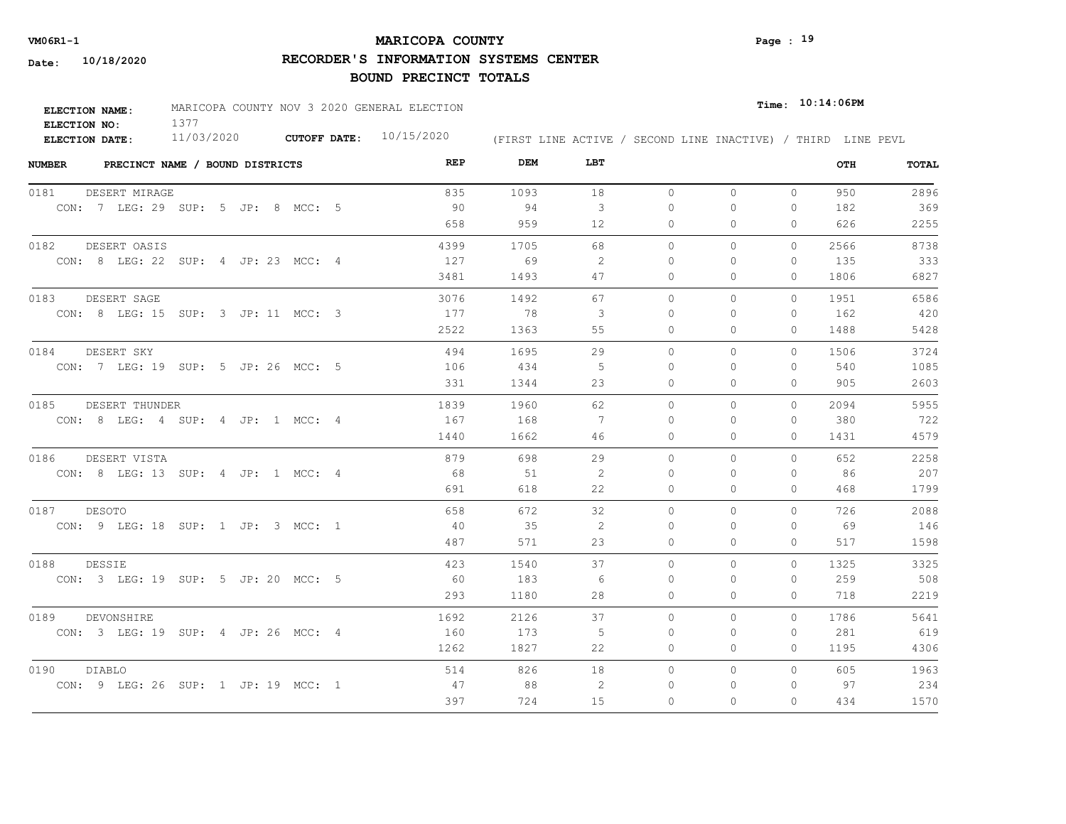## **MARICOPA COUNTY VM06R1-1 Page : 19**

**RECORDER'S INFORMATION SYSTEMS CENTER**

| <b>ELECTION NAME:</b> | MARICOPA COUNTY NOV 3 2020 GENERAL ELECTION |                     |            |                                                              | $Time:$ 10:14:06PM |
|-----------------------|---------------------------------------------|---------------------|------------|--------------------------------------------------------------|--------------------|
| ELECTION NO:          |                                             |                     |            |                                                              |                    |
| <b>ELECTION DATE:</b> | 11/03/2020                                  | <b>CUTOFF DATE:</b> | 10/15/2020 | (FIRST LINE ACTIVE / SECOND LINE INACTIVE) / THIRD LINE PEVL |                    |

| <b>NUMBER</b><br>PRECINCT NAME / BOUND DISTRICTS | REP  | DEM  | LBT |           |          |              | OTH  | TOTAL |
|--------------------------------------------------|------|------|-----|-----------|----------|--------------|------|-------|
| 0181<br>DESERT MIRAGE                            | 835  | 1093 | 18  | $\circ$   | $\circ$  | $\mathbf{0}$ | 950  | 2896  |
| CON: 7 LEG: 29 SUP: 5 JP: 8 MCC: 5               | 90   | 94   | 3   | $\Omega$  | $\Omega$ | $\mathbf{0}$ | 182  | 369   |
|                                                  | 658  | 959  | 12  | 0         | 0        | 0            | 626  | 2255  |
| 0182<br>DESERT OASIS                             | 4399 | 1705 | 68  | $\circ$   | $\Omega$ | 0            | 2566 | 8738  |
| CON: 8 LEG: 22 SUP: 4 JP: 23 MCC: 4              | 127  | 69   | -2  | 0         | 0        | $\mathbf{0}$ | 135  | 333   |
|                                                  | 3481 | 1493 | 47  | 0         | 0        | 0            | 1806 | 6827  |
| 0183<br>DESERT SAGE                              | 3076 | 1492 | 67  | $\circ$   | 0        | $\Omega$     | 1951 | 6586  |
| CON: 8 LEG: 15 SUP: 3 JP: 11 MCC: 3              | 177  | -78  | -3  | $\Omega$  | $\Omega$ | 0            | 162  | 420   |
|                                                  | 2522 | 1363 | 55  | $\Omega$  | $\Omega$ | $\Omega$     | 1488 | 5428  |
| 0184<br>DESERT SKY                               | 494  | 1695 | 29  | $\Omega$  | $\Omega$ | $\Omega$     | 1506 | 3724  |
| CON: 7 LEG: 19 SUP: 5 JP: 26 MCC: 5              | 106  | 434  | -5  | $\Omega$  | $\Omega$ | $\Omega$     | 540  | 1085  |
|                                                  | 331  | 1344 | 23  | 0         | $\Omega$ | $\Omega$     | 905  | 2603  |
| 0185<br>DESERT THUNDER                           | 1839 | 1960 | 62  | $\Omega$  | $\Omega$ | $\Omega$     | 2094 | 5955  |
| CON: 8 LEG: 4 SUP: 4 JP: 1 MCC: 4                | 167  | 168  | 7   | $\bigcap$ | $\Omega$ | $\Omega$     | 380  | 722   |
|                                                  | 1440 | 1662 | 46  | 0         | 0        | $\mathbf{0}$ | 1431 | 4579  |
| 0186<br>DESERT VISTA                             | 879  | 698  | 29  | $\Omega$  | $\Omega$ | $\Omega$     | 652  | 2258  |
| CON: 8 LEG: 13 SUP: 4 JP: 1 MCC: 4               | 68   | 51   | 2   | $\Omega$  | $\Omega$ | $\mathbf{0}$ | 86   | 207   |
|                                                  | 691  | 618  | 22  | 0         | $\Omega$ | $\mathbf{0}$ | 468  | 1799  |
| 0187<br><b>DESOTO</b>                            | 658  | 672  | 32  | $\Omega$  | $\Omega$ | $\Omega$     | 726  | 2088  |
| CON: 9 LEG: 18 SUP: 1 JP: 3 MCC: 1               | 40   | 35   | 2   | $\Omega$  | $\Omega$ | $\Omega$     | 69   | 146   |
|                                                  | 487  | 571  | 23  | $\Omega$  | $\Omega$ | $\Omega$     | 517  | 1598  |
| 0188<br><b>DESSIE</b>                            | 423  | 1540 | 37  | $\circ$   | 0        | $\circ$      | 1325 | 3325  |
| CON: 3 LEG: 19 SUP: 5 JP: 20 MCC: 5              | 60   | 183  | 6   | $\Omega$  | $\Omega$ | 0            | 259  | 508   |
|                                                  | 293  | 1180 | 28  | 0         | 0        | $\mathbf{0}$ | 718  | 2219  |
| 0189<br>DEVONSHIRE                               | 1692 | 2126 | 37  | $\Omega$  | $\Omega$ | $\Omega$     | 1786 | 5641  |
| CON: 3 LEG: 19 SUP: 4 JP: 26 MCC: 4              | 160  | 173  | - 5 | $\Omega$  | $\Omega$ | $\mathbf{0}$ | 281  | 619   |
|                                                  | 1262 | 1827 | 22  | 0         | 0        | 0            | 1195 | 4306  |
| 0190<br>DIABLO                                   | 514  | 826  | 18  | $\circ$   | 0        | $\circ$      | 605  | 1963  |
| CON: 9 LEG: 26 SUP: 1 JP: 19 MCC: 1              | 47   | 88   | 2   | 0         | 0        | $\mathbf{0}$ | 97   | 234   |
|                                                  | 397  | 724  | 15  | $\Omega$  | $\Omega$ | $\Omega$     | 434  | 1570  |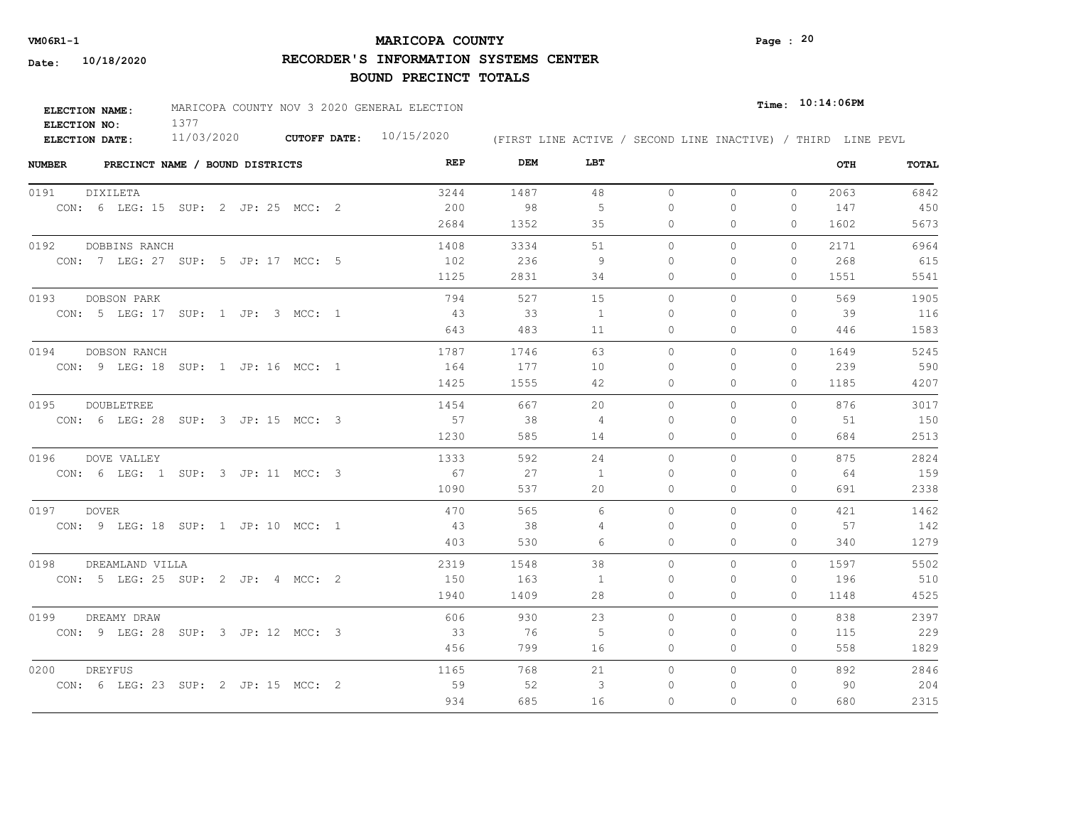## **MARICOPA COUNTY VM06R1-1 Page : 20**

**RECORDER'S INFORMATION SYSTEMS CENTER**

| <b>ELECTION NAME:</b> | MARICOPA COUNTY NOV 3 2020 GENERAL ELECTION |                           |                                                              | $_{\texttt{Time:}}$ 10:14:06PM |  |
|-----------------------|---------------------------------------------|---------------------------|--------------------------------------------------------------|--------------------------------|--|
| ELECTION NO:          |                                             |                           |                                                              |                                |  |
| ELECTION DATE:        | 11/03/2020                                  | CUTOFF DATE: $10/15/2020$ | (FIRST LINE ACTIVE / SECOND LINE INACTIVE) / THIRD LINE PEVL |                                |  |

| <b>NUMBER</b><br>PRECINCT NAME / BOUND DISTRICTS | REP  | DEM  | LBT            |          |              |          | OTH  | TOTAL |
|--------------------------------------------------|------|------|----------------|----------|--------------|----------|------|-------|
| 0191<br>DIXILETA                                 | 3244 | 1487 | 48             | $\circ$  | $\Omega$     | $\Omega$ | 2063 | 6842  |
| CON: 6 LEG: 15 SUP: 2 JP: 25 MCC: 2              | 200  | 98   | -5             | $\Omega$ | $\circ$      | 0        | 147  | 450   |
|                                                  | 2684 | 1352 | 35             | 0        | $\mathbf{0}$ | 0        | 1602 | 5673  |
| 0192<br>DOBBINS RANCH                            | 1408 | 3334 | 51             | $\Omega$ | $\Omega$     | $\Omega$ | 2171 | 6964  |
| CON: 7 LEG: 27 SUP: 5 JP: 17 MCC: 5              | 102  | 236  | 9              | 0        | 0            | 0        | 268  | 615   |
|                                                  | 1125 | 2831 | 34             | 0        | $\Omega$     | 0        | 1551 | 5541  |
| 0193<br>DOBSON PARK                              | 794  | 527  | 15             | 0        | $\circ$      | 0        | 569  | 1905  |
| CON: 5 LEG: 17 SUP: 1 JP: 3 MCC: 1               | 43   | 33   | $\overline{1}$ | 0        | $\Omega$     | $\Omega$ | 39   | 116   |
|                                                  | 643  | 483  | 11             | $\circ$  | $\mathbf{0}$ | 0        | 446  | 1583  |
| 0194<br>DOBSON RANCH                             | 1787 | 1746 | 63             | $\Omega$ | $\Omega$     | $\Omega$ | 1649 | 5245  |
| CON: 9 LEG: 18 SUP: 1 JP: 16 MCC: 1              | 164  | 177  | 10             | 0        | 0            | 0        | 239  | 590   |
|                                                  | 1425 | 1555 | 42             | 0        | $\Omega$     | 0        | 1185 | 4207  |
| 0195<br>DOUBLETREE                               | 1454 | 667  | 20             | $\Omega$ | $\Omega$     | $\Omega$ | 876  | 3017  |
| CON: 6 LEG: 28 SUP: 3 JP: 15 MCC: 3              | 57   | 38   | $\overline{4}$ | $\Omega$ | $\Omega$     | $\Omega$ | 51   | 150   |
|                                                  | 1230 | 585  | 14             | $\Omega$ | $\Omega$     | $\Omega$ | 684  | 2513  |
| 0196<br>DOVE VALLEY                              | 1333 | 592  | 24             | 0        | $\circ$      | $\Omega$ | 875  | 2824  |
| CON: 6 LEG: 1 SUP: 3 JP: 11 MCC: 3               | 67   | 27   | $\overline{1}$ | $\Omega$ | $\Omega$     | $\Omega$ | 64   | 159   |
|                                                  | 1090 | 537  | 20             | $\circ$  | $\mathbf{0}$ | 0        | 691  | 2338  |
| 0197 DOVER                                       | 470  | 565  | 6              | $\Omega$ | $\Omega$     | $\Omega$ | 421  | 1462  |
| CON: 9 LEG: 18 SUP: 1 JP: 10 MCC: 1              | 43   | 38   | 4              | $\Omega$ | $\Omega$     | 0        | 57   | 142   |
|                                                  | 403  | 530  | 6              | $\Omega$ | $\Omega$     | $\Omega$ | 340  | 1279  |
| 0198<br>DREAMLAND VILLA                          | 2319 | 1548 | 38             | $\Omega$ | $\Omega$     | $\Omega$ | 1597 | 5502  |
| CON: 5 LEG: 25 SUP: 2 JP: 4 MCC: 2               | 150  | 163  | 1              | $\Omega$ | $\Omega$     | 0        | 196  | 510   |
|                                                  | 1940 | 1409 | 28             | $\Omega$ | $\Omega$     | $\Omega$ | 1148 | 4525  |
| 0199<br>DREAMY DRAW                              | 606  | 930  | 23             | $\Omega$ | $\Omega$     | $\Omega$ | 838  | 2397  |
| CON: 9 LEG: 28 SUP: 3 JP: 12 MCC: 3              | 33   | 76   | -5             | $\Omega$ | $\Omega$     | 0        | 115  | 229   |
|                                                  | 456  | 799  | 16             | 0        | $\circ$      | 0        | 558  | 1829  |
| 0200<br>DREYFUS                                  | 1165 | 768  | 21             | $\circ$  | $\circ$      | $\circ$  | 892  | 2846  |
| CON: 6 LEG: 23 SUP: 2 JP: 15 MCC: 2              | 59   | 52   | 3              | 0        | 0            | 0        | 90   | 204   |
|                                                  | 934  | 685  | 16             | $\Omega$ | $\Omega$     | $\Omega$ | 680  | 2315  |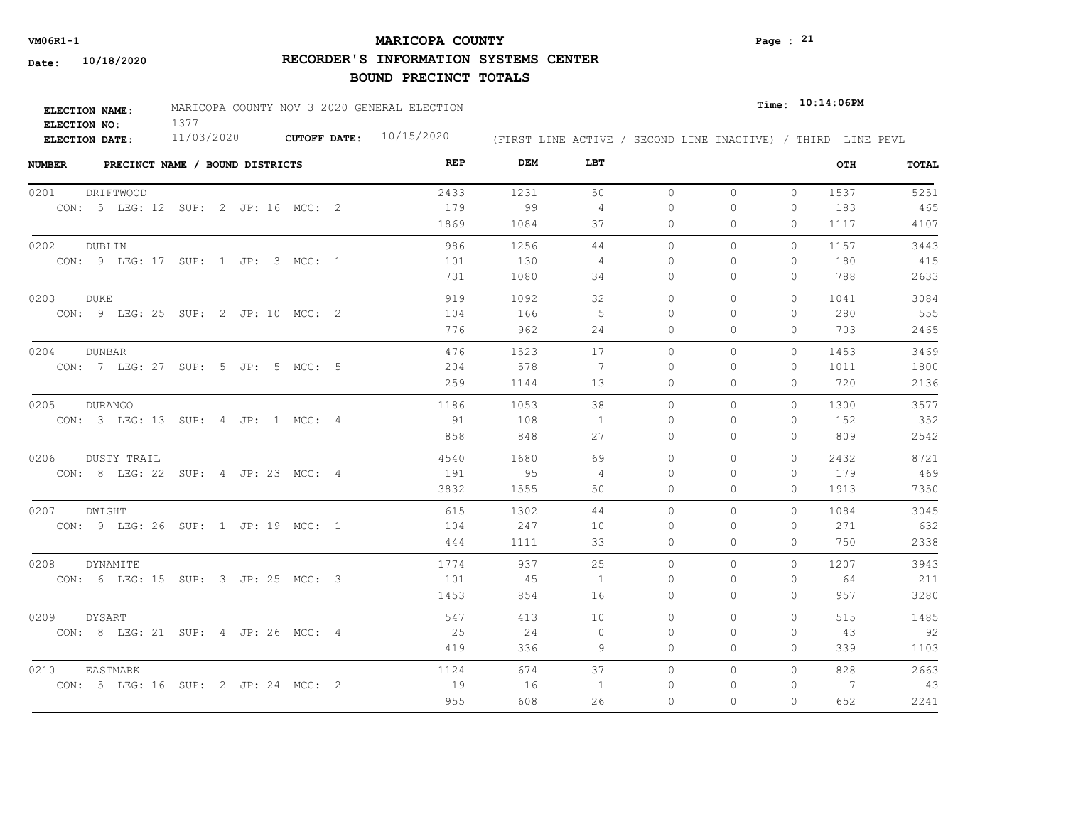## **MARICOPA COUNTY VM06R1-1 Page : 21**

**RECORDER'S INFORMATION SYSTEMS CENTER**

| <b>ELECTION NAME:</b> | MARICOPA COUNTY NOV 3 2020 GENERAL ELECTION |                           |                                                              | $Time:$ $10:14:06$ PM |
|-----------------------|---------------------------------------------|---------------------------|--------------------------------------------------------------|-----------------------|
| ELECTION NO:          |                                             |                           |                                                              |                       |
| ELECTION DATE:        | 11/03/2020                                  | CUTOFF DATE: $10/15/2020$ | (FIRST LINE ACTIVE / SECOND LINE INACTIVE) / THIRD LINE PEVL |                       |

| <b>NUMBER</b><br>PRECINCT NAME / BOUND DISTRICTS | REP  | DEM  | LBT            |          |              |              | OTH  | TOTAL |
|--------------------------------------------------|------|------|----------------|----------|--------------|--------------|------|-------|
| 0201<br>DRIFTWOOD                                | 2433 | 1231 | 50             | $\circ$  | $\circ$      | $\circ$      | 1537 | 5251  |
| CON: 5 LEG: 12 SUP: 2 JP: 16 MCC: 2              | 179  | 99   | $\overline{4}$ | 0        | 0            | $\mathbf{0}$ | 183  | 465   |
|                                                  | 1869 | 1084 | 37             | 0        | 0            | 0            | 1117 | 4107  |
| 0202<br>DUBLIN                                   | 986  | 1256 | 44             | $\circ$  | $\Omega$     | 0            | 1157 | 3443  |
| CON: 9 LEG: 17 SUP: 1 JP: 3 MCC: 1               | 101  | 130  | 4              | 0        | 0            | $\mathbf{0}$ | 180  | 415   |
|                                                  | 731  | 1080 | 34             | 0        | 0            | $\mathbf{0}$ | 788  | 2633  |
| 0203<br><b>DUKE</b>                              | 919  | 1092 | 32             | $\circ$  | $\mathbf{0}$ | $\circ$      | 1041 | 3084  |
| CON: 9 LEG: 25 SUP: 2 JP: 10 MCC: 2              | 104  | 166  | -5             | $\Omega$ | 0            | $\mathbf{0}$ | 280  | 555   |
|                                                  | 776  | 962  | 24             | $\Omega$ | $\Omega$     | $\Omega$     | 703  | 2465  |
| 0204<br><b>DUNBAR</b>                            | 476  | 1523 | 17             | $\Omega$ | $\Omega$     | $\circ$      | 1453 | 3469  |
| CON: 7 LEG: 27 SUP: 5 JP: 5 MCC: 5               | 204  | 578  | 7              | $\Omega$ | $\Omega$     | $\mathbf{0}$ | 1011 | 1800  |
|                                                  | 259  | 1144 | 13             | 0        | $\Omega$     | 0            | 720  | 2136  |
| 0205<br><b>DURANGO</b>                           | 1186 | 1053 | 38             | $\circ$  | $\Omega$     | 0            | 1300 | 3577  |
| CON: 3 LEG: 13 SUP: 4 JP: 1 MCC: 4               | 91   | 108  | $\overline{1}$ | $\Omega$ | $\Omega$     | $\Omega$     | 152  | 352   |
|                                                  | 858  | 848  | 27             | 0        | $\Omega$     | $\Omega$     | 809  | 2542  |
| 0206<br><b>DUSTY TRAIL</b>                       | 4540 | 1680 | 69             | $\Omega$ | $\Omega$     | $\Omega$     | 2432 | 8721  |
| CON: 8 LEG: 22 SUP: 4 JP: 23 MCC: 4              | 191  | 95   | 4              | $\Omega$ | $\Omega$     | $\mathbf{0}$ | 179  | 469   |
|                                                  | 3832 | 1555 | 50             | 0        | $\mathbf{0}$ | $\circ$      | 1913 | 7350  |
| 0207 DWIGHT                                      | 615  | 1302 | 44             | $\Omega$ | $\Omega$     | $\Omega$     | 1084 | 3045  |
| CON: 9 LEG: 26 SUP: 1 JP: 19 MCC: 1              | 104  | 247  | 10             | $\Omega$ | $\Omega$     | $\Omega$     | 271  | 632   |
|                                                  | 444  | 1111 | 33             | $\Omega$ | $\Omega$     | $\Omega$     | 750  | 2338  |
| 0208<br><b>DYNAMITE</b>                          | 1774 | 937  | 25             | $\circ$  | 0            | $\Omega$     | 1207 | 3943  |
| CON: 6 LEG: 15 SUP: 3 JP: 25 MCC: 3              | 101  | 45   | 1              | $\Omega$ | $\Omega$     | 0            | 64   | 211   |
|                                                  | 1453 | 854  | 16             | 0        | 0            | $\mathbf{0}$ | 957  | 3280  |
| 0209<br><b>DYSART</b>                            | 547  | 413  | 10             | $\Omega$ | $\Omega$     | $\Omega$     | 515  | 1485  |
| CON: 8 LEG: 21 SUP: 4 JP: 26 MCC: 4              | 25   | 24   | $\circ$        | $\Omega$ | $\Omega$     | 0            | 43   | 92    |
|                                                  | 419  | 336  | 9              | 0        | 0            | $\mathbf{0}$ | 339  | 1103  |
| 0210<br>EASTMARK                                 | 1124 | 674  | 37             | $\circ$  | 0            | $\circ$      | 828  | 2663  |
| CON: 5 LEG: 16 SUP: 2 JP: 24 MCC: 2              | 19   | 16   | 1              | 0        | 0            | $\mathbf{0}$ | -7   | 43    |
|                                                  | 955  | 608  | 26             | 0        | $\Omega$     | $\Omega$     | 652  | 2241  |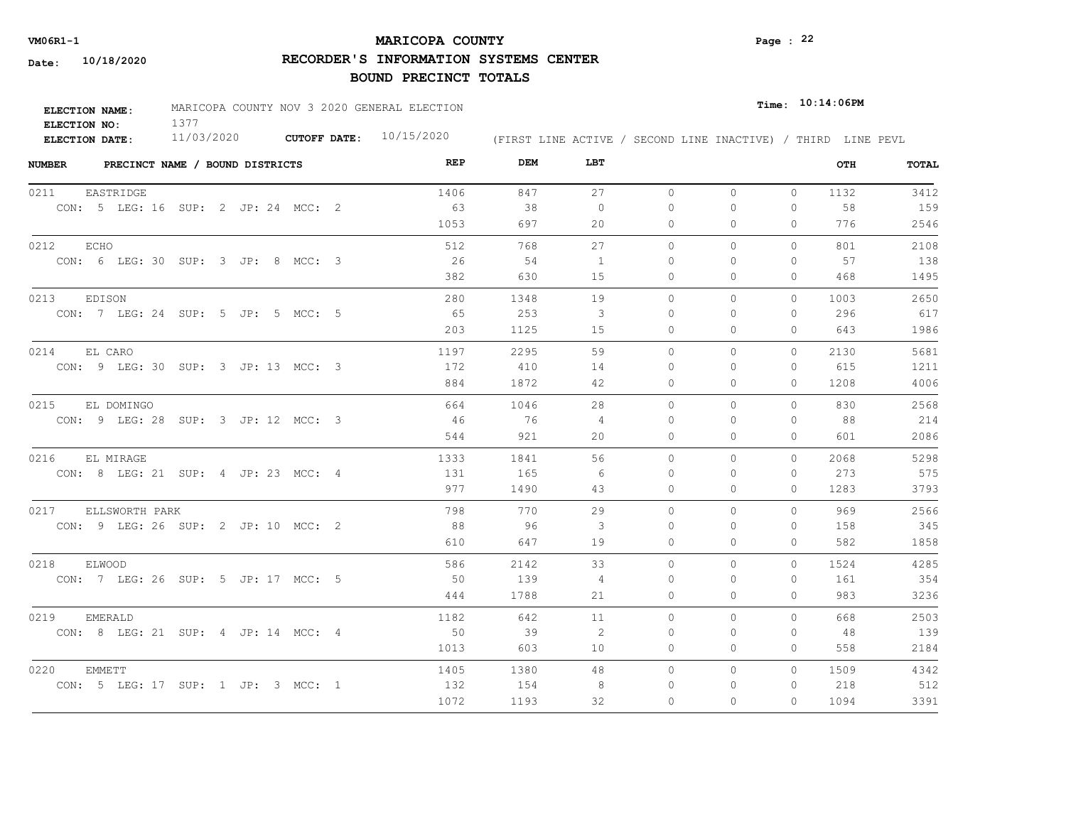## **MARICOPA COUNTY VM06R1-1 Page : 22**

**RECORDER'S INFORMATION SYSTEMS CENTER**

| <b>ELECTION NAME:</b> | MARICOPA COUNTY NOV 3 2020 GENERAL ELECTION |                           |                                                              |  | $_{Time:}$ 10:14:06PM |  |
|-----------------------|---------------------------------------------|---------------------------|--------------------------------------------------------------|--|-----------------------|--|
| ELECTION NO:          |                                             |                           |                                                              |  |                       |  |
| ELECTION DATE:        | 11/03/2020                                  | CUTOFF DATE: $10/15/2020$ | (FIRST LINE ACTIVE / SECOND LINE INACTIVE) / THIRD LINE PEVL |  |                       |  |

| <b>NUMBER</b> |                                     | PRECINCT NAME / BOUND DISTRICTS |  |  | REP  | DEM  | LBT            |          |              |              | OTH  | TOTAL |
|---------------|-------------------------------------|---------------------------------|--|--|------|------|----------------|----------|--------------|--------------|------|-------|
| 0211          | EASTRIDGE                           |                                 |  |  | 1406 | 847  | 27             | $\circ$  | $\mathbf{0}$ | $\Omega$     | 1132 | 3412  |
|               | CON: 5 LEG: 16 SUP: 2 JP: 24 MCC: 2 |                                 |  |  | 63   | 38   | $\overline{0}$ | $\Omega$ | $\circ$      | 0            | 58   | 159   |
|               |                                     |                                 |  |  | 1053 | 697  | 20             | 0        | $\Omega$     | $\Omega$     | 776  | 2546  |
| 0212          | ECHO                                |                                 |  |  | 512  | 768  | 27             | $\circ$  | $\circ$      | $\Omega$     | 801  | 2108  |
|               | CON: 6 LEG: 30 SUP: 3 JP: 8 MCC: 3  |                                 |  |  | 26   | 54   | $\overline{1}$ | $\Omega$ | $\Omega$     | $\Omega$     | 57   | 138   |
|               |                                     |                                 |  |  | 382  | 630  | 15             | 0        | $\mathbf{0}$ | 0            | 468  | 1495  |
| 0213          | EDISON                              |                                 |  |  | 280  | 1348 | 19             | $\circ$  | $\mathbf{0}$ | $\Omega$     | 1003 | 2650  |
|               | CON: 7 LEG: 24 SUP: 5 JP: 5 MCC: 5  |                                 |  |  | 65   | 253  | -3             | $\Omega$ | $\Omega$     | 0            | 296  | 617   |
|               |                                     |                                 |  |  | 203  | 1125 | 15             | $\Omega$ | $\Omega$     | $\Omega$     | 643  | 1986  |
| 0214          | EL CARO                             |                                 |  |  | 1197 | 2295 | 59             | $\Omega$ | $\Omega$     | $\Omega$     | 2130 | 5681  |
|               | CON: 9 LEG: 30 SUP: 3 JP: 13 MCC: 3 |                                 |  |  | 172  | 410  | 14             | 0        | $\Omega$     | 0            | 615  | 1211  |
|               |                                     |                                 |  |  | 884  | 1872 | 42             | $\circ$  | $\circ$      | $\circ$      | 1208 | 4006  |
|               | 0215 EL DOMINGO                     |                                 |  |  | 664  | 1046 | 28             | $\Omega$ | $\Omega$     | $\Omega$     | 830  | 2568  |
|               | CON: 9 LEG: 28 SUP: 3 JP: 12 MCC: 3 |                                 |  |  | - 46 | 76   | $\overline{4}$ | $\Omega$ | $\Omega$     | $\Omega$     | 88   | 214   |
|               |                                     |                                 |  |  | 544  | 921  | 20             | $\Omega$ | $\Omega$     | $\Omega$     | 601  | 2086  |
| 0216          | EL MIRAGE                           |                                 |  |  | 1333 | 1841 | 56             | $\circ$  | 0            | $\circ$      | 2068 | 5298  |
|               | CON: 8 LEG: 21 SUP: 4 JP: 23 MCC: 4 |                                 |  |  | 131  | 165  | -6             | $\Omega$ | $\Omega$     | $\Omega$     | 273  | 575   |
|               |                                     |                                 |  |  | 977  | 1490 | 43             | $\Omega$ | $\Omega$     | $\Omega$     | 1283 | 3793  |
| 0217          | ELLSWORTH PARK                      |                                 |  |  | 798  | 770  | 29             | $\Omega$ | $\Omega$     | $\Omega$     | 969  | 2566  |
|               | CON: 9 LEG: 26 SUP: 2 JP: 10 MCC: 2 |                                 |  |  | 88   | 96   | 3              | 0        | $\Omega$     | $\Omega$     | 158  | 345   |
|               |                                     |                                 |  |  | 610  | 647  | 19             | $\Omega$ | $\Omega$     | $\Omega$     | 582  | 1858  |
| 0218          | ELWOOD                              |                                 |  |  | 586  | 2142 | 33             | $\circ$  | $\mathbf{0}$ | $\circ$      | 1524 | 4285  |
|               | CON: 7 LEG: 26 SUP: 5 JP: 17 MCC: 5 |                                 |  |  | 50   | 139  | 4              | 0        | $\Omega$     | $\Omega$     | 161  | 354   |
|               |                                     |                                 |  |  | 444  | 1788 | 21             | 0        | $\circ$      | 0            | 983  | 3236  |
| 0219          | EMERALD                             |                                 |  |  | 1182 | 642  | 11             | $\circ$  | $\circ$      | $\Omega$     | 668  | 2503  |
|               | CON: 8 LEG: 21 SUP: 4 JP: 14 MCC: 4 |                                 |  |  | 50   | 39   | -2             | 0        | 0            | $\mathbf{0}$ | -48  | 139   |
|               |                                     |                                 |  |  | 1013 | 603  | 10             | 0        | $\circ$      | 0            | 558  | 2184  |
| 0220          | <b>EMMETT</b>                       |                                 |  |  | 1405 | 1380 | 48             | $\circ$  | $\mathbf{0}$ | $\Omega$     | 1509 | 4342  |
|               | CON: 5 LEG: 17 SUP: 1 JP: 3 MCC: 1  |                                 |  |  | 132  | 154  | -8             | $\Omega$ | $\mathbf{0}$ | $\circ$      | 218  | 512   |
|               |                                     |                                 |  |  | 1072 | 1193 | 32             | $\Omega$ | $\Omega$     | $\Omega$     | 1094 | 3391  |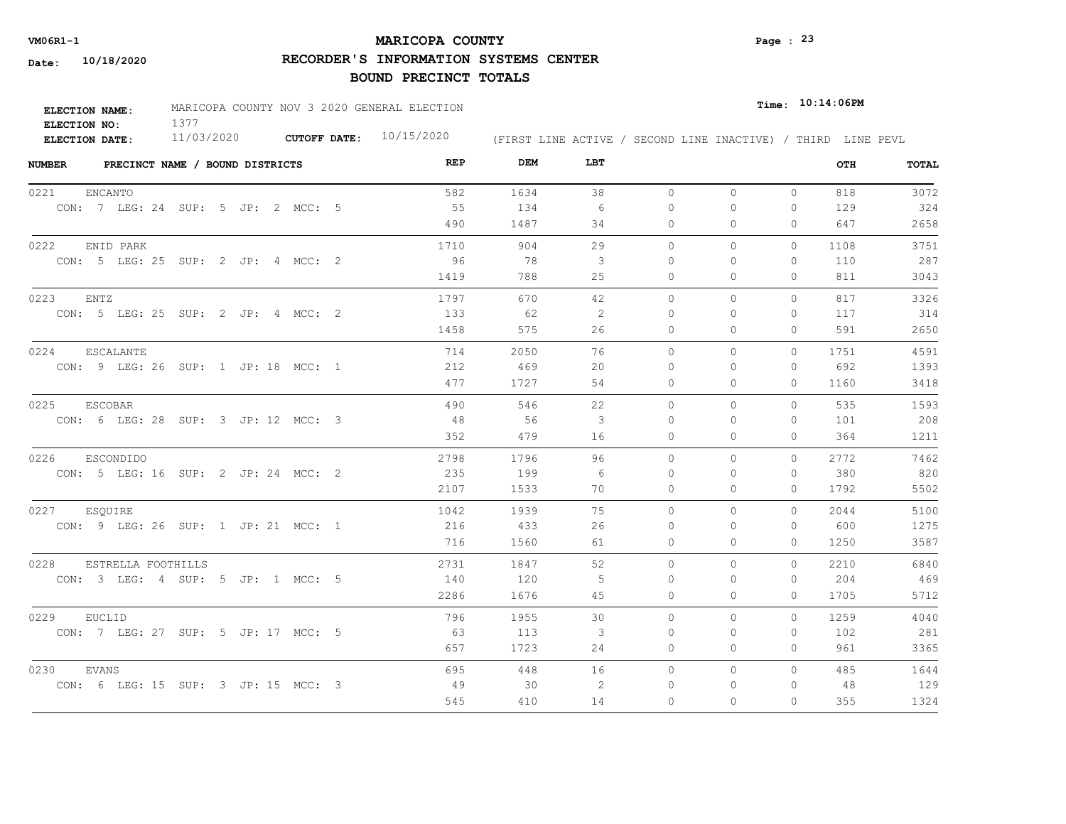## **MARICOPA COUNTY VM06R1-1 Page : 23**

**RECORDER'S INFORMATION SYSTEMS CENTER**

| <b>ELECTION NAME:</b> | MARICOPA COUNTY NOV 3 2020 GENERAL ELECTION |                     |            |  |  | $_{Time:}$ 10:14:06PM |  |                                                              |
|-----------------------|---------------------------------------------|---------------------|------------|--|--|-----------------------|--|--------------------------------------------------------------|
| ELECTION NO:          |                                             |                     |            |  |  |                       |  |                                                              |
| ELECTION DATE:        | 11/03/2020                                  | <b>CUTOFF DATE:</b> | 10/15/2020 |  |  |                       |  | (FIRST LINE ACTIVE / SECOND LINE INACTIVE) / THIRD LINE PEVL |

| <b>NUMBER</b><br>PRECINCT NAME / BOUND DISTRICTS | REP  | DEM  | LBT |           |              |              | OTH  | TOTAL |
|--------------------------------------------------|------|------|-----|-----------|--------------|--------------|------|-------|
| 0221<br><b>ENCANTO</b>                           | 582  | 1634 | 38  | $\circ$   | $\circ$      | $\mathbf{0}$ | 818  | 3072  |
| CON: 7 LEG: 24 SUP: 5 JP: 2 MCC: 5               | 55   | 134  | 6   | $\Omega$  | 0            | 0            | 129  | 324   |
|                                                  | 490  | 1487 | 34  | 0         | 0            | $\mathbf{0}$ | 647  | 2658  |
| 0222<br>ENID PARK                                | 1710 | 904  | 29  | $\circ$   | 0            | 0            | 1108 | 3751  |
| CON: 5 LEG: 25 SUP: 2 JP: 4 MCC: 2               | 96   | - 78 | 3   | $\Omega$  | $\Omega$     | $\mathbf{0}$ | 110  | 287   |
|                                                  | 1419 | 788  | 25  | 0         | 0            | $\Omega$     | 811  | 3043  |
| 0223<br>ENTZ                                     | 1797 | 670  | 42  | $\circ$   | $\mathbf{0}$ | $\mathbf{0}$ | 817  | 3326  |
| CON: 5 LEG: 25 SUP: 2 JP: 4 MCC: 2               | 133  | 62   | 2   | $\Omega$  | $\Omega$     | $\mathbf{0}$ | 117  | 314   |
|                                                  | 1458 | 575  | 26  | $\Omega$  | $\Omega$     | $\Omega$     | 591  | 2650  |
| 0224<br><b>ESCALANTE</b>                         | 714  | 2050 | 76  | $\Omega$  | $\Omega$     | $\Omega$     | 1751 | 4591  |
| CON: 9 LEG: 26 SUP: 1 JP: 18 MCC: 1              | 212  | 469  | 20  | $\bigcap$ | $\Omega$     | $\Omega$     | 692  | 1393  |
|                                                  | 477  | 1727 | 54  | 0         | 0            | $\mathbf{0}$ | 1160 | 3418  |
| 0225<br><b>ESCOBAR</b>                           | 490  | 546  | 22  | $\circ$   | $\Omega$     | $\Omega$     | 535  | 1593  |
| CON: 6 LEG: 28 SUP: 3 JP: 12 MCC: 3              | 48   | 56   | -3  | $\bigcap$ | $\Omega$     | $\Omega$     | 101  | 208   |
|                                                  | 352  | 479  | 16  | 0         | 0            | $\mathbf{0}$ | 364  | 1211  |
| 0226<br><b>ESCONDIDO</b>                         | 2798 | 1796 | 96  | $\Omega$  | $\Omega$     | $\Omega$     | 2772 | 7462  |
| CON: 5 LEG: 16 SUP: 2 JP: 24 MCC: 2              | 235  | 199  | - 6 | $\Omega$  | $\Omega$     | $\Omega$     | 380  | 820   |
|                                                  | 2107 | 1533 | 70  | $\circ$   | $\Omega$     | 0            | 1792 | 5502  |
| 0227<br>ESQUIRE                                  | 1042 | 1939 | 75  | $\Omega$  | $\Omega$     | $\Omega$     | 2044 | 5100  |
| CON: 9 LEG: 26 SUP: 1 JP: 21 MCC: 1              | 216  | 433  | 26  | $\Omega$  | $\Omega$     | $\Omega$     | 600  | 1275  |
|                                                  | 716  | 1560 | 61  | $\circ$   | 0            | $\Omega$     | 1250 | 3587  |
| 0228<br>ESTRELLA FOOTHILLS                       | 2731 | 1847 | 52  | $\circ$   | $\Omega$     | $\Omega$     | 2210 | 6840  |
| CON: 3 LEG: 4 SUP: 5 JP: 1 MCC: 5                | 140  | 120  | -5  | 0         | 0            | $\mathbf{0}$ | 204  | 469   |
|                                                  | 2286 | 1676 | 45  | 0         | 0            | $\mathbf{0}$ | 1705 | 5712  |
| 0229<br>EUCLID                                   | 796  | 1955 | 30  | $\circ$   | $\circ$      | $\circ$      | 1259 | 4040  |
| CON: 7 LEG: 27 SUP: 5 JP: 17 MCC: 5              | - 63 | 113  | 3   | 0         | 0            | 0            | 102  | 281   |
|                                                  | 657  | 1723 | 24  | 0         | 0            | $\mathbf{0}$ | 961  | 3365  |
| 0230<br>EVANS                                    | 695  | 448  | 16  | $\circ$   | $\circ$      | $\Omega$     | 485  | 1644  |
| CON: 6 LEG: 15 SUP: 3 JP: 15 MCC: 3              | 49   | 30   | 2   | 0         | 0            | 0            | 48   | 129   |
|                                                  | 545  | 410  | 14  | $\Omega$  | $\Omega$     | $\Omega$     | 355  | 1324  |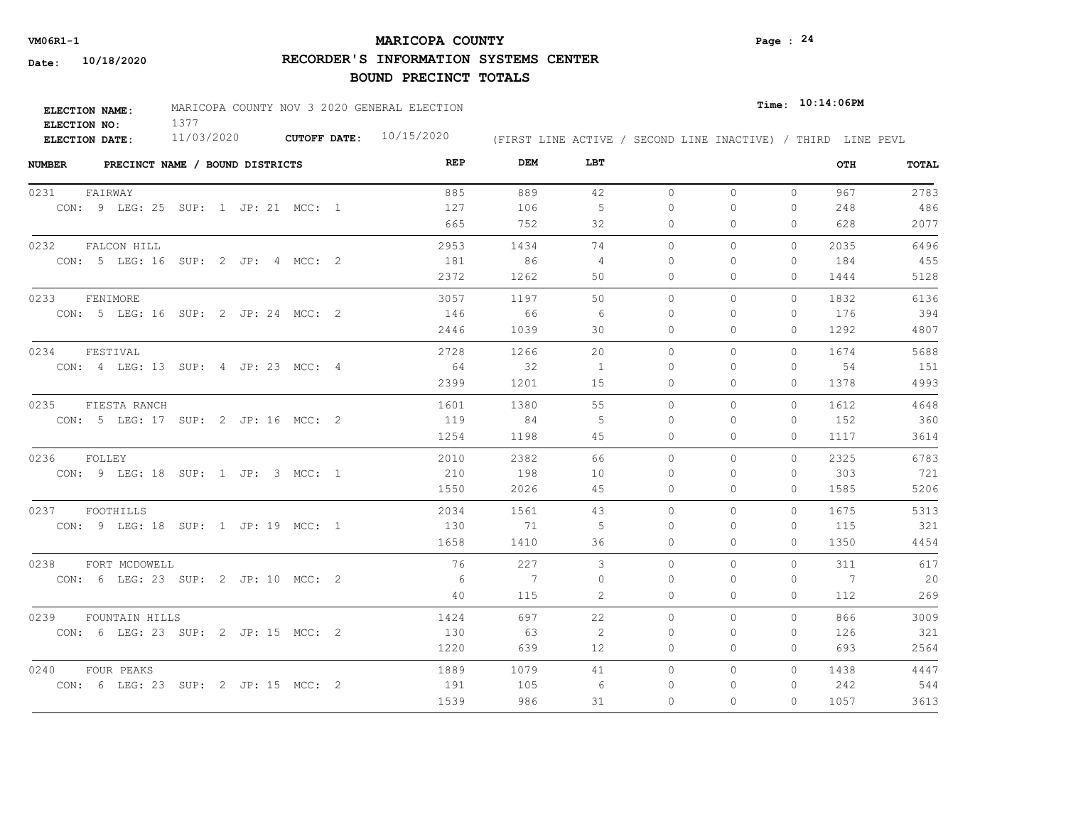## **MARICOPA COUNTY VM06R1-1 Page : 24**

**RECORDER'S INFORMATION SYSTEMS CENTER**

| <b>ELECTION NAME:</b> | MARICOPA COUNTY NOV 3 2020 GENERAL ELECTION |                     |            |                                                              | $Time:$ 10:14:06PM |
|-----------------------|---------------------------------------------|---------------------|------------|--------------------------------------------------------------|--------------------|
| ELECTION NO:          |                                             |                     |            |                                                              |                    |
| <b>ELECTION DATE:</b> | 11/03/2020                                  | <b>CUTOFF DATE:</b> | 10/15/2020 | (FIRST LINE ACTIVE / SECOND LINE INACTIVE) / THIRD LINE PEVL |                    |

| <b>NUMBER</b><br>PRECINCT NAME / BOUND DISTRICTS | REP  | DEM            | LBT               |           |          |              | OTH            | <b>TOTAL</b> |
|--------------------------------------------------|------|----------------|-------------------|-----------|----------|--------------|----------------|--------------|
| 0231<br>FAIRWAY                                  | 885  | 889            | 42                | $\circ$   | $\circ$  | $\circ$      | 967            | 2783         |
| CON: 9 LEG: 25 SUP: 1 JP: 21 MCC: 1              | 127  | 106            | 5                 | $\circ$   | $\Omega$ | 0            | 248            | 486          |
|                                                  | 665  | 752            | 32                | 0         | $\Omega$ | $\Omega$     | 628            | 2077         |
| 0232<br>FALCON HILL                              | 2953 | 1434           | 74                | $\circ$   | 0        | 0            | 2035           | 6496         |
| CON: 5 LEG: 16 SUP: 2 JP: 4 MCC: 2               | 181  | 86             | 4                 | $\Omega$  | $\Omega$ | $\Omega$     | 184            | 455          |
|                                                  | 2372 | 1262           | 50                | 0         | 0        | 0            | 1444           | 5128         |
| 0233<br>FENIMORE                                 | 3057 | 1197           | 50                | $\circ$   | 0        | $\Omega$     | 1832           | 6136         |
| CON: 5 LEG: 16 SUP: 2 JP: 24 MCC: 2              | 146  | 66             | -6                | $\Omega$  | 0        | 0            | 176            | 394          |
|                                                  | 2446 | 1039           | 30                | $\Omega$  | $\Omega$ | $\Omega$     | 1292           | 4807         |
| 0234<br>FESTIVAL                                 | 2728 | 1266           | 20                | $\bigcap$ | $\Omega$ | $\Omega$     | 1674           | 5688         |
| CON: 4 LEG: 13 SUP: 4 JP: 23 MCC: 4              | 64   | 32             | 1                 | $\Omega$  | $\Omega$ | $\mathbf{0}$ | 54             | 151          |
|                                                  | 2399 | 1201           | 15                | 0         | 0        | $\mathbf{0}$ | 1378           | 4993         |
| 0235<br>FIESTA RANCH                             | 1601 | 1380           | 55                | $\Omega$  | $\Omega$ | $\Omega$     | 1612           | 4648         |
| CON: 5 LEG: 17 SUP: 2 JP: 16 MCC: 2              | 119  | 84             | 5                 | $\Omega$  | $\Omega$ | $\Omega$     | 152            | 360          |
|                                                  | 1254 | 1198           | 45                | $\Omega$  | $\Omega$ | $\Omega$     | 1117           | 3614         |
| 0236<br>FOLLEY                                   | 2010 | 2382           | 66                | $\circ$   | $\Omega$ | $\circ$      | 2325           | 6783         |
| CON: 9 LEG: 18 SUP: 1 JP: 3 MCC: 1               | 210  | 198            | 10                | $\Omega$  | $\Omega$ | $\Omega$     | 303            | 721          |
|                                                  | 1550 | 2026           | 45                | $\Omega$  | $\Omega$ | $\Omega$     | 1585           | 5206         |
| FOOTHILLS<br>0237                                | 2034 | 1561           | 43                | $\Omega$  | $\Omega$ | $\Omega$     | 1675           | 5313         |
| CON: 9 LEG: 18 SUP: 1 JP: 19 MCC: 1              | 130  | 71             | 5                 | $\Omega$  | $\Omega$ | $\Omega$     | 115            | 321          |
|                                                  | 1658 | 1410           | 36                | $\Omega$  | $\Omega$ | $\Omega$     | 1350           | 4454         |
| 0238<br>FORT MCDOWELL                            | 76   | 227            | 3                 | $\circ$   | $\Omega$ | $\Omega$     | 311            | 617          |
| CON: 6 LEG: 23 SUP: 2 JP: 10 MCC: 2              | - 6  | $\overline{7}$ | $\Omega$          | $\Omega$  | $\Omega$ | $\Omega$     | $\overline{7}$ | 20           |
|                                                  | 40   | 115            | 2                 | 0         | 0        | $\mathbf{0}$ | 112            | 269          |
| 0239<br>FOUNTAIN HILLS                           | 1424 | 697            | 22                | $\circ$   | $\Omega$ | $\Omega$     | 866            | 3009         |
| CON: 6 LEG: 23 SUP: 2 JP: 15 MCC: 2              | 130  | - 63           | 2                 | 0         | $\Omega$ | $\mathbf{0}$ | 126            | 321          |
|                                                  | 1220 | 639            | $12 \overline{ }$ | 0         | $\Omega$ | $\Omega$     | 693            | 2564         |
| 0240<br>FOUR PEAKS                               | 1889 | 1079           | 41                | $\circ$   | 0        | $\Omega$     | 1438           | 4447         |
| CON: 6 LEG: 23 SUP: 2 JP: 15 MCC: 2              | 191  | 105            | 6                 | $\Omega$  | $\Omega$ | 0            | 242            | 544          |
|                                                  | 1539 | 986            | 31                | $\Omega$  | $\Omega$ | $\Omega$     | 1057           | 3613         |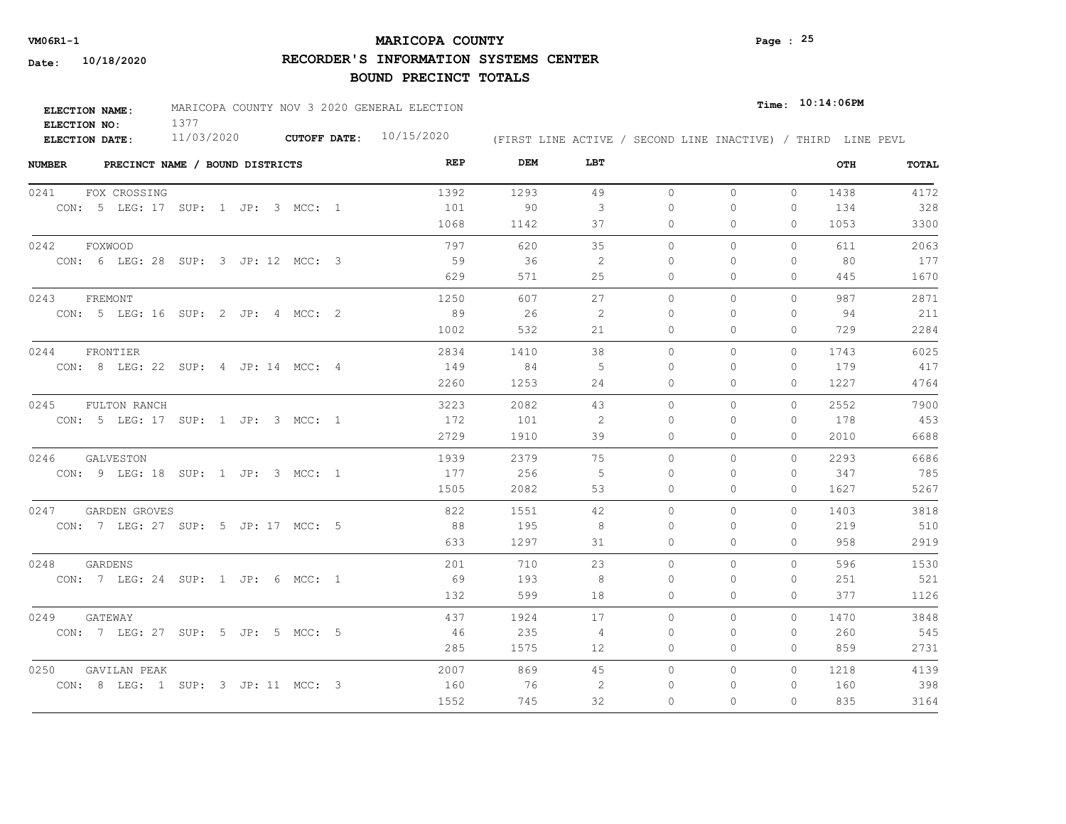## **MARICOPA COUNTY VM06R1-1 Page : 25**

**RECORDER'S INFORMATION SYSTEMS CENTER**

| ELECTION NAME:        | MARICOPA COUNTY NOV 3 2020 GENERAL ELECTION |                     |            |  |  |                                                              | $_{Time:}$ 10:14:06PM |  |
|-----------------------|---------------------------------------------|---------------------|------------|--|--|--------------------------------------------------------------|-----------------------|--|
| ELECTION NO:          |                                             |                     |            |  |  |                                                              |                       |  |
| <b>ELECTION DATE:</b> | 11/03/2020                                  | <b>CUTOFF DATE:</b> | 10/15/2020 |  |  | (FIRST LINE ACTIVE / SECOND LINE INACTIVE) / THIRD LINE PEVL |                       |  |

| <b>NUMBER</b> | PRECINCT NAME / BOUND DISTRICTS     | REP  | DEM  | LBT |           |          |              | OTH  | TOTAL |
|---------------|-------------------------------------|------|------|-----|-----------|----------|--------------|------|-------|
| 0241          | FOX CROSSING                        | 1392 | 1293 | 49  | $\circ$   | $\circ$  | $\circ$      | 1438 | 4172  |
|               | CON: 5 LEG: 17 SUP: 1 JP: 3 MCC: 1  | 101  | 90   | 3   | $\circ$   | 0        | $\mathbf{0}$ | 134  | 328   |
|               |                                     | 1068 | 1142 | 37  | 0         | 0        | $\Omega$     | 1053 | 3300  |
| 0242          | FOXWOOD                             | 797  | 620  | 35  | $\circ$   | 0        | $\mathbf{0}$ | 611  | 2063  |
|               | CON: 6 LEG: 28 SUP: 3 JP: 12 MCC: 3 | 59   | 36   | 2   | $\Omega$  | $\Omega$ | $\mathbf{0}$ | 80   | 177   |
|               |                                     | 629  | 571  | 25  | $\Omega$  | 0        | $\Omega$     | 445  | 1670  |
| 0243          | FREMONT                             | 1250 | 607  | 27  | $\circ$   | 0        | $\mathbf{0}$ | 987  | 2871  |
|               | CON: 5 LEG: 16 SUP: 2 JP: 4 MCC: 2  | 89   | 26   | 2   | $\Omega$  | $\Omega$ | $\Omega$     | 94   | 211   |
|               |                                     | 1002 | 532  | 21  | $\Omega$  | $\Omega$ | $\Omega$     | 729  | 2284  |
| 0244          | FRONTIER                            | 2834 | 1410 | 38  | $\Omega$  | $\Omega$ | $\Omega$     | 1743 | 6025  |
|               | CON: 8 LEG: 22 SUP: 4 JP: 14 MCC: 4 | 149  | 84   | -5  | $\Omega$  | $\Omega$ | $\Omega$     | 179  | 417   |
|               |                                     | 2260 | 1253 | 24  | 0         | 0        | $\mathbf{0}$ | 1227 | 4764  |
| 0245          | FULTON RANCH                        | 3223 | 2082 | 43  | $\circ$   | $\Omega$ | $\Omega$     | 2552 | 7900  |
|               | CON: 5 LEG: 17 SUP: 1 JP: 3 MCC: 1  | 172  | 101  | -2  | $\bigcap$ | $\Omega$ | $\Omega$     | 178  | 453   |
|               |                                     | 2729 | 1910 | 39  | 0         | 0        | $\Omega$     | 2010 | 6688  |
| 0246          | GALVESTON                           | 1939 | 2379 | 75  | $\Omega$  | $\Omega$ | $\Omega$     | 2293 | 6686  |
|               | CON: 9 LEG: 18 SUP: 1 JP: 3 MCC: 1  | 177  | 256  | -5  | $\Omega$  | $\Omega$ | $\Omega$     | 347  | 785   |
|               |                                     | 1505 | 2082 | 53  | $\circ$   | $\Omega$ | $\mathbf{0}$ | 1627 | 5267  |
| 0247          | GARDEN GROVES                       | 822  | 1551 | 42  | $\Omega$  | $\Omega$ | $\Omega$     | 1403 | 3818  |
|               | CON: 7 LEG: 27 SUP: 5 JP: 17 MCC: 5 | 88   | 195  | 8   | $\Omega$  | $\Omega$ | $\Omega$     | 219  | 510   |
|               |                                     | 633  | 1297 | 31  | $\circ$   | 0        | $\Omega$     | 958  | 2919  |
| 0248          | GARDENS                             | 201  | 710  | 23  | $\circ$   | $\Omega$ | 0            | 596  | 1530  |
|               | CON: 7 LEG: 24 SUP: 1 JP: 6 MCC: 1  | 69   | 193  | -8  | 0         | 0        | $\mathbf{0}$ | 251  | 521   |
|               |                                     | 132  | 599  | 18  | 0         | 0        | $\mathbf{0}$ | 377  | 1126  |
| 0249          | GATEWAY                             | 437  | 1924 | 17  | $\circ$   | 0        | $\circ$      | 1470 | 3848  |
|               | CON: 7 LEG: 27 SUP: 5 JP: 5 MCC: 5  | - 46 | 235  | 4   | 0         | 0        | 0            | 260  | 545   |
|               |                                     | 285  | 1575 | 12  | 0         | 0        | $\mathbf{0}$ | 859  | 2731  |
| 0250          | GAVILAN PEAK                        | 2007 | 869  | 45  | $\circ$   | 0        | $\Omega$     | 1218 | 4139  |
|               | CON: 8 LEG: 1 SUP: 3 JP: 11 MCC: 3  | 160  | 76   | 2   | 0         | 0        | 0            | 160  | 398   |
|               |                                     | 1552 | 745  | 32  | $\Omega$  | $\Omega$ | $\Omega$     | 835  | 3164  |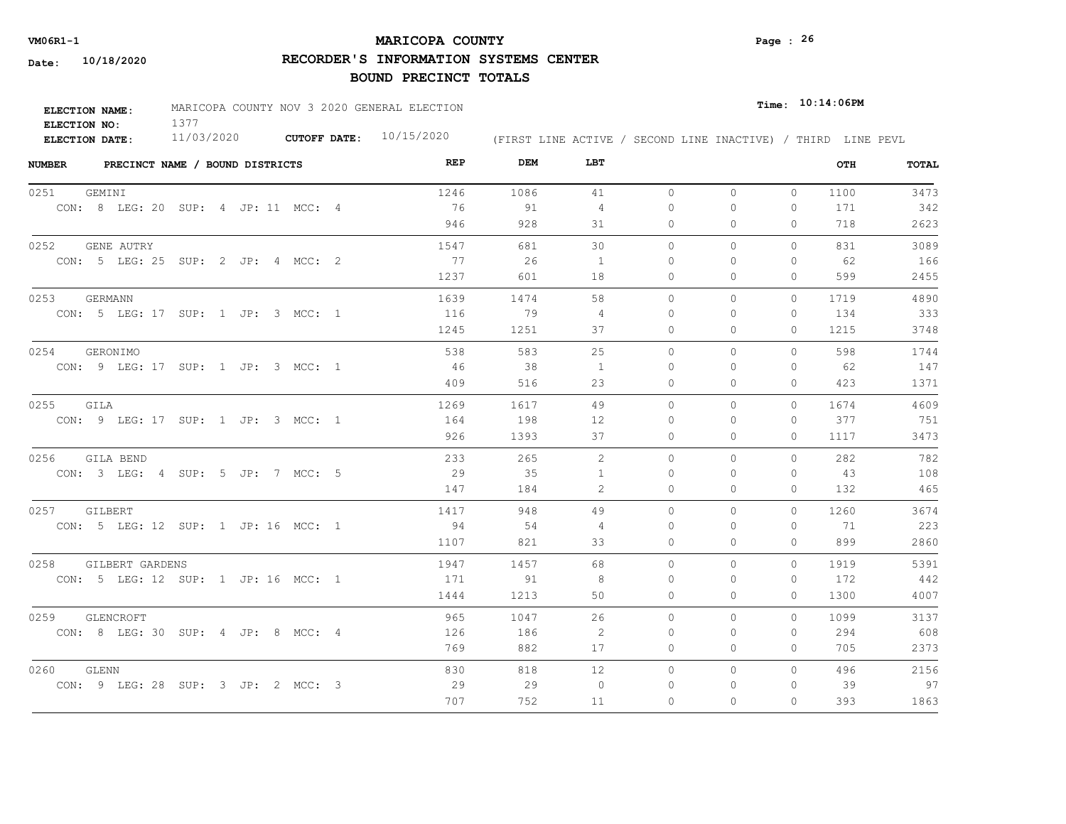## **MARICOPA COUNTY VM06R1-1 Page : 26**

**RECORDER'S INFORMATION SYSTEMS CENTER**

| <b>ELECTION NAME:</b> | MARICOPA COUNTY NOV 3 2020 GENERAL ELECTION |                           |                                                              | $_{\texttt{Time:}}$ 10:14:06PM |
|-----------------------|---------------------------------------------|---------------------------|--------------------------------------------------------------|--------------------------------|
| ELECTION NO:          |                                             |                           |                                                              |                                |
| <b>ELECTION DATE:</b> | 11/03/2020                                  | CUTOFF DATE: $10/15/2020$ | (FIRST LINE ACTIVE / SECOND LINE INACTIVE) / THIRD LINE PEVL |                                |

| <b>NUMBER</b><br>PRECINCT NAME / BOUND DISTRICTS | REP  | DEM  | LBT            |          |              |              | OTH  | TOTAL |
|--------------------------------------------------|------|------|----------------|----------|--------------|--------------|------|-------|
| 0251<br>GEMINI                                   | 1246 | 1086 | 41             | $\circ$  | $\mathbf{0}$ | $\mathbf{0}$ | 1100 | 3473  |
| CON: 8 LEG: 20 SUP: 4 JP: 11 MCC: 4              | 76   | 91   | 4              | 0        | $\circ$      | 0            | 171  | 342   |
|                                                  | 946  | 928  | 31             | 0        | $\Omega$     | $\Omega$     | 718  | 2623  |
| 0252<br><b>GENE AUTRY</b>                        | 1547 | 681  | 30             | $\circ$  | $\circ$      | $\Omega$     | 831  | 3089  |
| CON: 5 LEG: 25 SUP: 2 JP: 4 MCC: 2               | 77   | 26   | <sup>1</sup>   | $\Omega$ | $\Omega$     | $\Omega$     | - 62 | 166   |
|                                                  | 1237 | 601  | 18             | $\Omega$ | $\Omega$     | $\Omega$     | 599  | 2455  |
| 0253<br>GERMANN                                  | 1639 | 1474 | 58             | $\circ$  | $\mathbf{0}$ | $\circ$      | 1719 | 4890  |
| CON: 5 LEG: 17 SUP: 1 JP: 3 MCC: 1               | 116  | 79   | $\overline{4}$ | 0        | $\Omega$     | $\Omega$     | 134  | 333   |
|                                                  | 1245 | 1251 | 37             | $\Omega$ | $\Omega$     | $\Omega$     | 1215 | 3748  |
| 0254<br>GERONIMO                                 | 538  | 583  | 25             | $\Omega$ | $\Omega$     | $\Omega$     | 598  | 1744  |
| CON: 9 LEG: 17 SUP: 1 JP: 3 MCC: 1               | 46   | 38   | 1              | 0        | $\Omega$     | $\Omega$     | 62   | 147   |
|                                                  | 409  | 516  | 23             | $\circ$  | $\mathbf{0}$ | 0            | 423  | 1371  |
| 0255 GILA                                        | 1269 | 1617 | 49             | $\circ$  | $\mathbf{0}$ | $\Omega$     | 1674 | 4609  |
| CON: 9 LEG: 17 SUP: 1 JP: 3 MCC: 1               | 164  | 198  | 12             | $\Omega$ | $\Omega$     | $\Omega$     | 377  | 751   |
|                                                  | 926  | 1393 | 37             | $\circ$  | 0            | $\mathbf{0}$ | 1117 | 3473  |
| 0256<br>GILA BEND                                | 233  | 265  | 2              | $\Omega$ | $\Omega$     | $\Omega$     | 282  | 782   |
| CON: 3 LEG: 4 SUP: 5 JP: 7 MCC: 5                | 29   | 35   | $\mathbf{1}$   | $\Omega$ | $\Omega$     | $\Omega$     | 43   | 108   |
|                                                  | 147  | 184  | 2              | 0        | $\mathbf{0}$ | $\circ$      | 132  | 465   |
| 0257 GILBERT                                     | 1417 | 948  | 49             | $\Omega$ | $\Omega$     | $\Omega$     | 1260 | 3674  |
| CON: 5 LEG: 12 SUP: 1 JP: 16 MCC: 1              | 94   | 54   | 4              | $\Omega$ | $\Omega$     | $\Omega$     | 71   | 223   |
|                                                  | 1107 | 821  | 33             | $\Omega$ | $\circ$      | 0            | 899  | 2860  |
| 0258<br>GILBERT GARDENS                          | 1947 | 1457 | 68             | $\Omega$ | $\Omega$     | $\Omega$     | 1919 | 5391  |
| CON: 5 LEG: 12 SUP: 1 JP: 16 MCC: 1              | 171  | 91   | 8              | 0        | 0            | 0            | 172  | 442   |
|                                                  | 1444 | 1213 | 50             | 0        | $\mathbf{0}$ | 0            | 1300 | 4007  |
| 0259<br>GLENCROFT                                | 965  | 1047 | 26             | $\circ$  | $\circ$      | $\Omega$     | 1099 | 3137  |
| CON: 8 LEG: 30 SUP: 4 JP: 8 MCC: 4               | 126  | 186  | -2             | 0        | 0            | 0            | 294  | 608   |
|                                                  | 769  | 882  | 17             | 0        | $\mathbf{0}$ | $\circ$      | 705  | 2373  |
| 0260<br>GLENN                                    | 830  | 818  | 12             | 0        | $\mathbf{0}$ | $\Omega$     | 496  | 2156  |
| CON: 9 LEG: 28 SUP: 3 JP: 2 MCC: 3               | 29   | 29   | $\circ$        | 0        | 0            | 0            | 39   | 97    |
|                                                  | 707  | 752  | 11             | $\Omega$ | $\Omega$     | $\Omega$     | 393  | 1863  |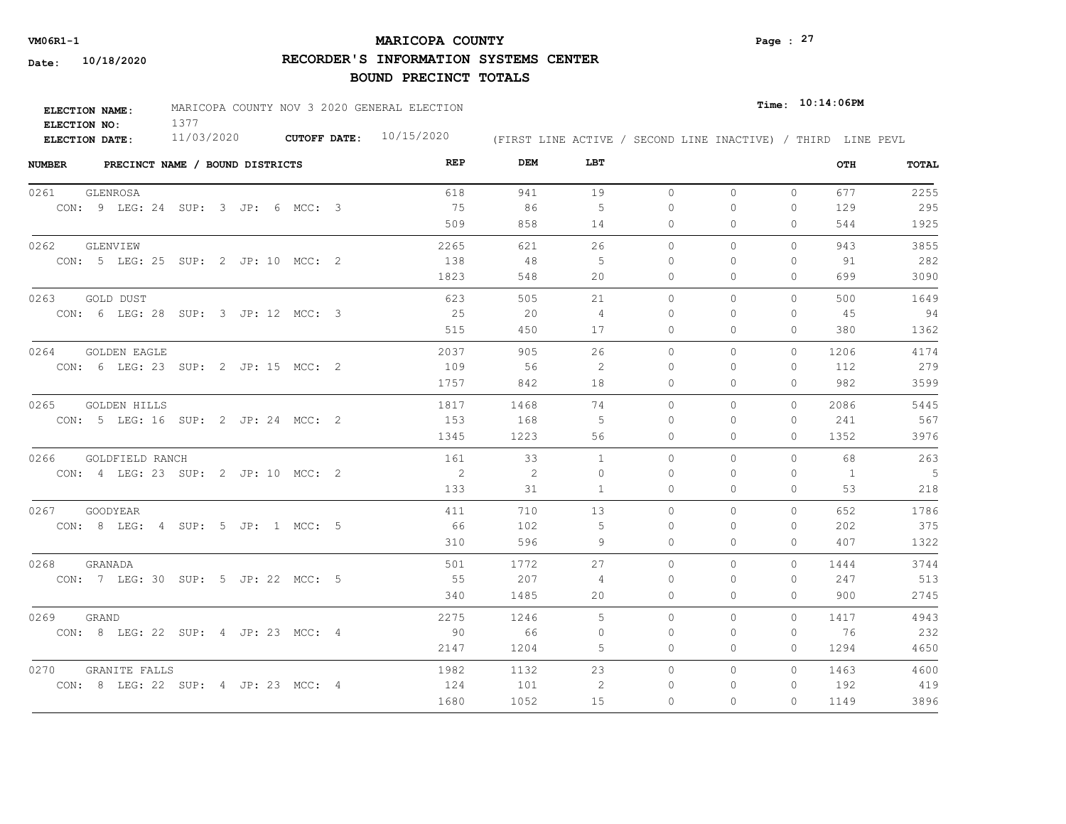## **MARICOPA COUNTY VM06R1-1 Page : 27**

**RECORDER'S INFORMATION SYSTEMS CENTER**

| <b>ELECTION NAME:</b> | MARICOPA COUNTY NOV 3 2020 GENERAL ELECTION |                     |            |  |  |  | $_{Time:}$ 10:14:06PM |                                                              |
|-----------------------|---------------------------------------------|---------------------|------------|--|--|--|-----------------------|--------------------------------------------------------------|
| ELECTION NO:          |                                             |                     |            |  |  |  |                       |                                                              |
| ELECTION DATE:        | 11/03/2020                                  | <b>CUTOFF DATE:</b> | 10/15/2020 |  |  |  |                       | (FIRST LINE ACTIVE / SECOND LINE INACTIVE) / THIRD LINE PEVL |

| <b>NUMBER</b> | PRECINCT NAME / BOUND DISTRICTS     | REP  | DEM  | LBT          |          |          |              | OTH            | <b>TOTAL</b> |
|---------------|-------------------------------------|------|------|--------------|----------|----------|--------------|----------------|--------------|
| 0261          | GLENROSA                            | 618  | 941  | 19           | $\circ$  | $\circ$  | $\mathbf{0}$ | 677            | 2255         |
|               | CON: 9 LEG: 24 SUP: 3 JP: 6 MCC: 3  | 75   | 86   | - 5          | $\Omega$ | $\Omega$ | 0            | 129            | 295          |
|               |                                     | 509  | 858  | 14           | 0        | 0        | $\Omega$     | 544            | 1925         |
| 0262          | GLENVIEW                            | 2265 | 621  | 26           | $\circ$  | 0        | $\Omega$     | 943            | 3855         |
|               | CON: 5 LEG: 25 SUP: 2 JP: 10 MCC: 2 | 138  | -48  | -5           | $\Omega$ | $\Omega$ | $\Omega$     | 91             | 282          |
|               |                                     | 1823 | 548  | 20           | 0        | 0        | $\mathbf{0}$ | 699            | 3090         |
| 0263          | GOLD DUST                           | 623  | 505  | 21           | $\circ$  | 0        | 0            | 500            | 1649         |
|               | CON: 6 LEG: 28 SUP: 3 JP: 12 MCC: 3 | 25   | 20   | -4           | $\Omega$ | 0        | 0            | 45             | 94           |
|               |                                     | 515  | 450  | 17           | $\Omega$ | $\Omega$ | $\Omega$     | 380            | 1362         |
| 0264          | <b>GOLDEN EAGLE</b>                 | 2037 | 905  | 26           | $\Omega$ | $\Omega$ | $\Omega$     | 1206           | 4174         |
|               | CON: 6 LEG: 23 SUP: 2 JP: 15 MCC: 2 | 109  | 56   | 2            | $\Omega$ | $\Omega$ | $\mathbf{0}$ | 112            | 279          |
|               |                                     | 1757 | 842  | 18           | $\circ$  | 0        | $\mathbf{0}$ | 982            | 3599         |
| 0265          | GOLDEN HILLS                        | 1817 | 1468 | 74           | $\Omega$ | $\Omega$ | $\Omega$     | 2086           | 5445         |
|               | CON: 5 LEG: 16 SUP: 2 JP: 24 MCC: 2 | 153  | 168  | - 5          | $\Omega$ | $\Omega$ | $\mathbf{0}$ | 241            | 567          |
|               |                                     | 1345 | 1223 | 56           | 0        | $\Omega$ | $\Omega$     | 1352           | 3976         |
| 0266          | <b>GOLDFIELD RANCH</b>              | 161  | 33   | $\mathbf{1}$ | $\circ$  | $\Omega$ | $\Omega$     | 68             | 263          |
|               | CON: 4 LEG: 23 SUP: 2 JP: 10 MCC: 2 | 2    | 2    | $\Omega$     | $\Omega$ | $\Omega$ | $\Omega$     | $\overline{1}$ | $5^{\circ}$  |
|               |                                     | 133  | 31   | 1            | $\Omega$ | $\Omega$ | $\Omega$     | 53             | 218          |
| 0267          | GOODYEAR                            | 411  | 710  | 13           | $\Omega$ | $\Omega$ | $\Omega$     | 652            | 1786         |
|               | CON: 8 LEG: 4 SUP: 5 JP: 1 MCC: 5   | 66   | 102  | 5            | $\Omega$ | $\Omega$ | $\Omega$     | 202            | 375          |
|               |                                     | 310  | 596  | 9            | $\Omega$ | $\Omega$ | $\Omega$     | 407            | 1322         |
| 0268          | GRANADA                             | 501  | 1772 | 27           | $\Omega$ | $\Omega$ | $\Omega$     | 1444           | 3744         |
|               | CON: 7 LEG: 30 SUP: 5 JP: 22 MCC: 5 | 55   | 207  | 4            | $\Omega$ | $\Omega$ | $\Omega$     | 247            | 513          |
|               |                                     | 340  | 1485 | 20           | 0        | 0        | $\mathbf{0}$ | 900            | 2745         |
| 0269          | GRAND                               | 2275 | 1246 | 5            | $\Omega$ | $\Omega$ | $\Omega$     | 1417           | 4943         |
|               | CON: 8 LEG: 22 SUP: 4 JP: 23 MCC: 4 | 90   | 66   | 0            | 0        | 0        | $\mathbf{0}$ | 76             | 232          |
|               |                                     | 2147 | 1204 | 5            | 0        | 0        | $\Omega$     | 1294           | 4650         |
| 0270          | <b>GRANITE FALLS</b>                | 1982 | 1132 | 23           | $\circ$  | 0        | $\Omega$     | 1463           | 4600         |
|               | CON: 8 LEG: 22 SUP: 4 JP: 23 MCC: 4 | 124  | 101  | 2            | $\Omega$ | 0        | $\mathbf{0}$ | 192            | 419          |
|               |                                     | 1680 | 1052 | 15           | $\Omega$ | $\Omega$ | $\Omega$     | 1149           | 3896         |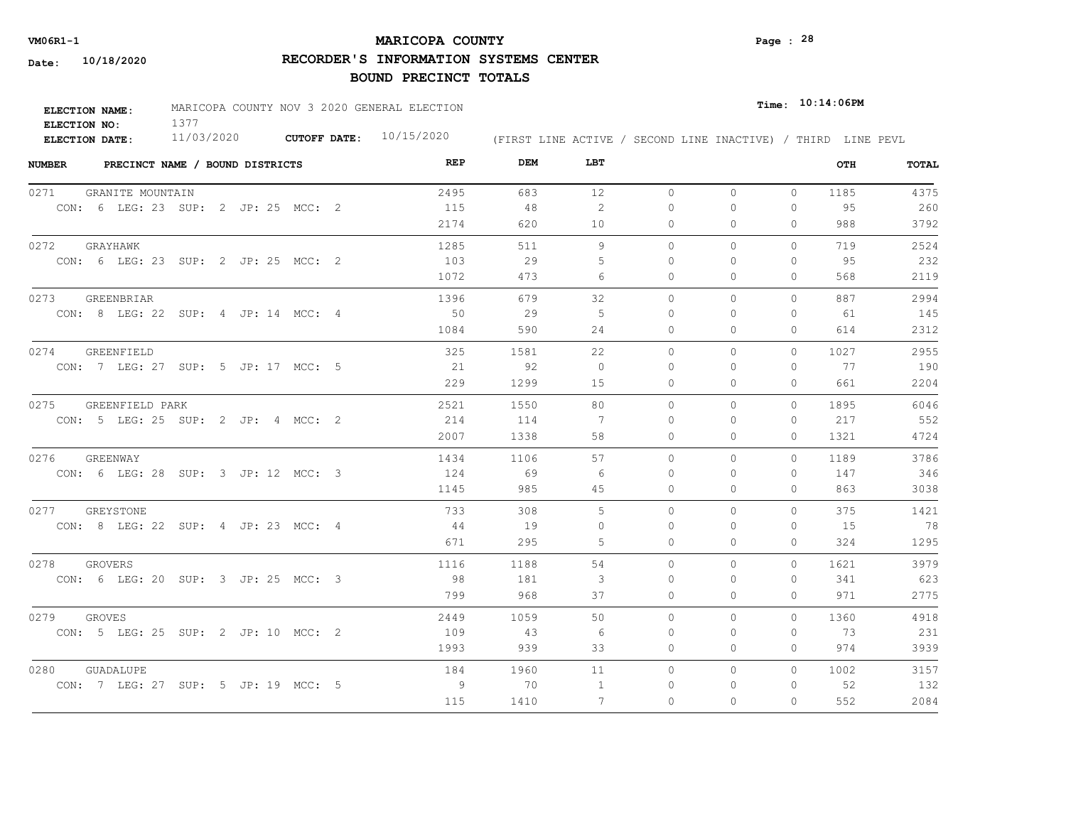## **MARICOPA COUNTY VM06R1-1 Page : 28**

**RECORDER'S INFORMATION SYSTEMS CENTER**

| <b>ELECTION NAME:</b> | MARICOPA COUNTY NOV 3 2020 GENERAL ELECTION |                     |            |  |  |  | Time: 10:14:06PM |                                                              |
|-----------------------|---------------------------------------------|---------------------|------------|--|--|--|------------------|--------------------------------------------------------------|
| ELECTION NO:          |                                             |                     |            |  |  |  |                  |                                                              |
| <b>ELECTION DATE:</b> | 11/03/2020                                  | <b>CUTOFF DATE:</b> | 10/15/2020 |  |  |  |                  | (FIRST LINE ACTIVE / SECOND LINE INACTIVE) / THIRD LINE PEVL |

| <b>NUMBER</b> | PRECINCT NAME / BOUND DISTRICTS     | REP  | DEM  | LBT      |           |          |              | OTH  | TOTAL |
|---------------|-------------------------------------|------|------|----------|-----------|----------|--------------|------|-------|
| 0271          | GRANITE MOUNTAIN                    | 2495 | 683  | 12       | $\circ$   | $\circ$  | $\mathbf{0}$ | 1185 | 4375  |
|               | CON: 6 LEG: 23 SUP: 2 JP: 25 MCC: 2 | 115  | 48   | 2        | $\Omega$  | 0        | 0            | 95   | 260   |
|               |                                     | 2174 | 620  | 10       | 0         | 0        | $\Omega$     | 988  | 3792  |
| 0272          | GRAYHAWK                            | 1285 | 511  | 9        | $\circ$   | 0        | $\mathbf{0}$ | 719  | 2524  |
|               | CON: 6 LEG: 23 SUP: 2 JP: 25 MCC: 2 | 103  | 29   | 5        | $\Omega$  | $\Omega$ | $\Omega$     | 95   | 232   |
|               |                                     | 1072 | 473  | 6        | $\Omega$  | 0        | $\Omega$     | 568  | 2119  |
| 0273          | GREENBRIAR                          | 1396 | 679  | 32       | $\circ$   | 0        | $\mathbf{0}$ | 887  | 2994  |
|               | CON: 8 LEG: 22 SUP: 4 JP: 14 MCC: 4 | 50   | 29   | 5        | $\Omega$  | $\Omega$ | $\Omega$     | 61   | 145   |
|               |                                     | 1084 | 590  | 24       | $\Omega$  | $\Omega$ | $\Omega$     | 614  | 2312  |
| 0274          | GREENFIELD                          | 325  | 1581 | 22       | $\Omega$  | $\Omega$ | $\Omega$     | 1027 | 2955  |
|               | CON: 7 LEG: 27 SUP: 5 JP: 17 MCC: 5 | 21   | 92   | $\Omega$ | $\Omega$  | $\Omega$ | $\Omega$     | 77   | 190   |
|               |                                     | 229  | 1299 | 15       | 0         | 0        | $\mathbf{0}$ | 661  | 2204  |
| 0275          | GREENFIELD PARK                     | 2521 | 1550 | 80       | $\Omega$  | $\Omega$ | $\Omega$     | 1895 | 6046  |
|               | CON: 5 LEG: 25 SUP: 2 JP: 4 MCC: 2  | 214  | 114  | 7        | $\bigcap$ | $\Omega$ | $\Omega$     | 217  | 552   |
|               |                                     | 2007 | 1338 | 58       | 0         | 0        | $\Omega$     | 1321 | 4724  |
| 0276          | GREENWAY                            | 1434 | 1106 | 57       | $\Omega$  | $\Omega$ | $\Omega$     | 1189 | 3786  |
|               | CON: 6 LEG: 28 SUP: 3 JP: 12 MCC: 3 | 124  | 69   | -6       | $\bigcap$ | $\Omega$ | $\Omega$     | 147  | 346   |
|               |                                     | 1145 | 985  | 45       | $\Omega$  | $\Omega$ | $\circ$      | 863  | 3038  |
| 0277          | GREYSTONE                           | 733  | 308  | 5        | $\Omega$  | $\Omega$ | $\Omega$     | 375  | 1421  |
|               | CON: 8 LEG: 22 SUP: 4 JP: 23 MCC: 4 | -44  | 19   | $\Omega$ | $\Omega$  | $\Omega$ | $\Omega$     | 15   | 78    |
|               |                                     | 671  | 295  | 5        | $\Omega$  | 0        | $\Omega$     | 324  | 1295  |
| 0278          | GROVERS                             | 1116 | 1188 | 54       | $\circ$   | $\Omega$ | $\Omega$     | 1621 | 3979  |
|               | CON: 6 LEG: 20 SUP: 3 JP: 25 MCC: 3 | -98  | 181  | 3        | $\Omega$  | 0        | $\mathbf{0}$ | 341  | 623   |
|               |                                     | 799  | 968  | 37       | 0         | 0        | $\mathbf{0}$ | 971  | 2775  |
| 0279          | <b>GROVES</b>                       | 2449 | 1059 | 50       | $\circ$   | $\Omega$ | $\circ$      | 1360 | 4918  |
|               | CON: 5 LEG: 25 SUP: 2 JP: 10 MCC: 2 | 109  | 43   | 6        | 0         | 0        | $\mathbf{0}$ | - 73 | 231   |
|               |                                     | 1993 | 939  | 33       | 0         | 0        | $\mathbf{0}$ | 974  | 3939  |
| 0280          | GUADALUPE                           | 184  | 1960 | 11       | $\circ$   | $\Omega$ | $\Omega$     | 1002 | 3157  |
|               | CON: 7 LEG: 27 SUP: 5 JP: 19 MCC: 5 | 9    | 70   | -1       | 0         | 0        | 0            | 52   | 132   |
|               |                                     | 115  | 1410 | 7        | $\Omega$  | $\Omega$ | $\Omega$     | 552  | 2084  |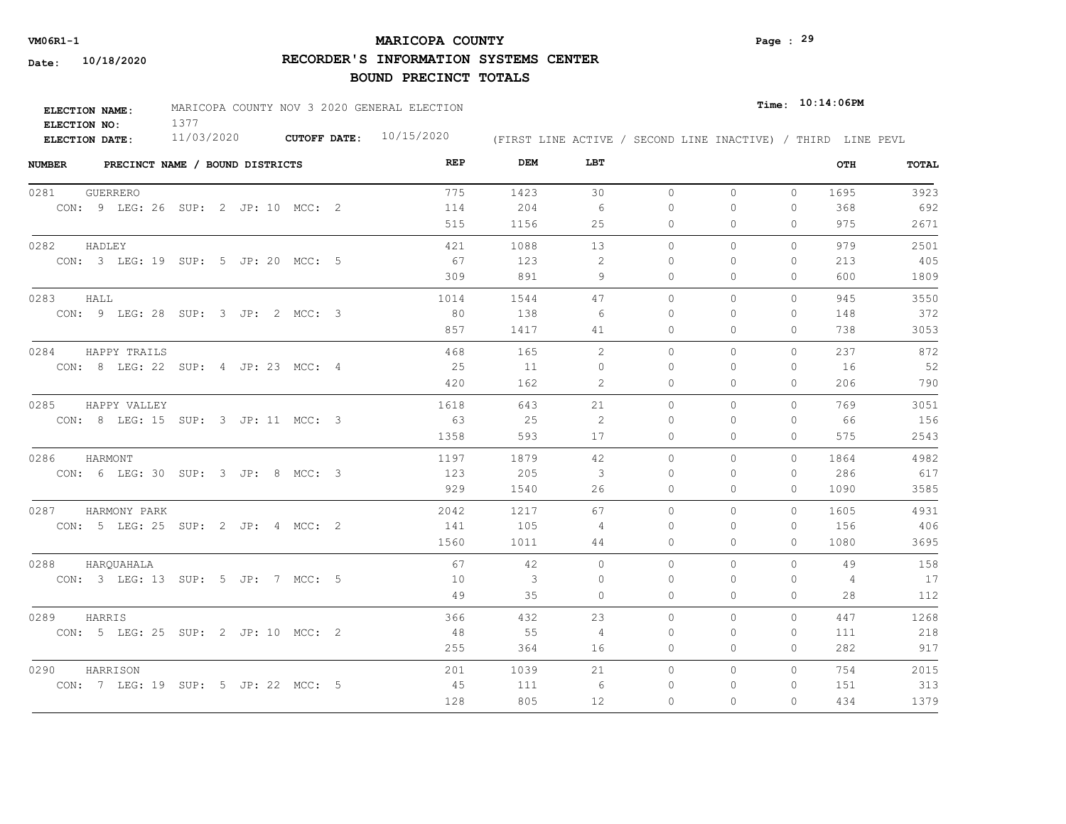## **MARICOPA COUNTY VM06R1-1 Page : 29**

**RECORDER'S INFORMATION SYSTEMS CENTER**

| <b>ELECTION NAME:</b> | MARICOPA COUNTY NOV 3 2020 GENERAL ELECTION |                     |            |  |  |  | $_{Time:}$ 10:14:06PM |                                                              |
|-----------------------|---------------------------------------------|---------------------|------------|--|--|--|-----------------------|--------------------------------------------------------------|
| ELECTION NO:          |                                             |                     |            |  |  |  |                       |                                                              |
| ELECTION DATE:        | 11/03/2020                                  | <b>CUTOFF DATE:</b> | 10/15/2020 |  |  |  |                       | (FIRST LINE ACTIVE / SECOND LINE INACTIVE) / THIRD LINE PEVL |

| <b>NUMBER</b> |                 | PRECINCT NAME / BOUND DISTRICTS     | REP  | DEM          | LBT      |           |          |              | OTH  | TOTAL |
|---------------|-----------------|-------------------------------------|------|--------------|----------|-----------|----------|--------------|------|-------|
| 0281          | <b>GUERRERO</b> |                                     | 775  | 1423         | 30       | $\circ$   | $\circ$  | $\Omega$     | 1695 | 3923  |
|               |                 | CON: 9 LEG: 26 SUP: 2 JP: 10 MCC: 2 | 114  | 204          | -6       | 0         | 0        | 0            | 368  | 692   |
|               |                 |                                     | 515  | 1156         | 25       | 0         | 0        | $\mathbf{0}$ | 975  | 2671  |
| 0282          | HADLEY          |                                     | 421  | 1088         | 13       | $\Omega$  | $\Omega$ | $\Omega$     | 979  | 2501  |
|               |                 | CON: 3 LEG: 19 SUP: 5 JP: 20 MCC: 5 | 67   | 123          | 2        | 0         | $\Omega$ | $\mathbf{0}$ | 213  | 405   |
|               |                 |                                     | 309  | 891          | 9        | $\circ$   | 0        | $\mathbf{0}$ | 600  | 1809  |
| 0283          | HALL            |                                     | 1014 | 1544         | 47       | $\Omega$  | $\Omega$ | $\Omega$     | 945  | 3550  |
|               |                 | CON: 9 LEG: 28 SUP: 3 JP: 2 MCC: 3  | 80   | 138          | -6       | $\Omega$  | $\Omega$ | $\mathbf{0}$ | 148  | 372   |
|               |                 |                                     | 857  | 1417         | 41       | 0         | $\Omega$ | $\Omega$     | 738  | 3053  |
| 0284          | HAPPY TRAILS    |                                     | 468  | 165          | 2        | $\bigcap$ | $\Omega$ | $\Omega$     | 237  | 872   |
|               |                 | CON: 8 LEG: 22 SUP: 4 JP: 23 MCC: 4 | 25   | 11           | $\Omega$ | 0         | $\Omega$ | $\Omega$     | 16   | 52    |
|               |                 |                                     | 420  | 162          | 2        | 0         | 0        | $\circ$      | 206  | 790   |
| 0285          | HAPPY VALLEY    |                                     | 1618 | 643          | 21       | $\Omega$  | $\Omega$ | $\Omega$     | 769  | 3051  |
|               |                 | CON: 8 LEG: 15 SUP: 3 JP: 11 MCC: 3 | 63   | 25           | 2        | $\bigcap$ | $\Omega$ | $\Omega$     | 66   | 156   |
|               |                 |                                     | 1358 | 593          | 17       | $\Omega$  | $\Omega$ | $\Omega$     | 575  | 2543  |
| 0286          | HARMONT         |                                     | 1197 | 1879         | 42       | $\circ$   | $\Omega$ | $\Omega$     | 1864 | 4982  |
|               |                 | CON: 6 LEG: 30 SUP: 3 JP: 8 MCC: 3  | 123  | 205          | 3        | $\Omega$  | $\Omega$ | 0            | 286  | 617   |
|               |                 |                                     | 929  | 1540         | 26       | $\Omega$  | $\Omega$ | $\Omega$     | 1090 | 3585  |
| 0287          | HARMONY PARK    |                                     | 2042 | 1217         | 67       | $\circ$   | $\Omega$ | 0            | 1605 | 4931  |
|               |                 | CON: 5 LEG: 25 SUP: 2 JP: 4 MCC: 2  | 141  | 105          | 4        | $\Omega$  | $\Omega$ | $\mathbf{0}$ | 156  | 406   |
|               |                 |                                     | 1560 | 1011         | 44       | $\circ$   | 0        | $\Omega$     | 1080 | 3695  |
| 0288          | HARQUAHALA      |                                     | 67   | 42           | $\circ$  | $\circ$   | 0        | $\Omega$     | 49   | 158   |
|               |                 | CON: 3 LEG: 13 SUP: 5 JP: 7 MCC: 5  | 10   | $\mathbf{3}$ | 0        | 0         | $\Omega$ | 0            | 4    | 17    |
|               |                 |                                     | 49   | 35           | $\Omega$ | 0         | $\Omega$ | $\mathbf{0}$ | 28   | 112   |
| 0289          | HARRIS          |                                     | 366  | 432          | 23       | $\Omega$  | $\Omega$ | $\Omega$     | 447  | 1268  |
|               |                 | CON: 5 LEG: 25 SUP: 2 JP: 10 MCC: 2 | 48   | 55           | 4        | 0         | 0        | 0            | 111  | 218   |
|               |                 |                                     | 255  | 364          | 16       | 0         | 0        | $\mathbf{0}$ | 282  | 917   |
| 0290          | HARRISON        |                                     | 201  | 1039         | 21       | $\Omega$  | $\Omega$ | $\Omega$     | 754  | 2015  |
|               |                 | CON: 7 LEG: 19 SUP: 5 JP: 22 MCC: 5 | 45   | 111          | 6        | 0         | 0        | 0            | 151  | 313   |
|               |                 |                                     | 128  | 805          | 12       | $\circ$   | 0        | 0            | 434  | 1379  |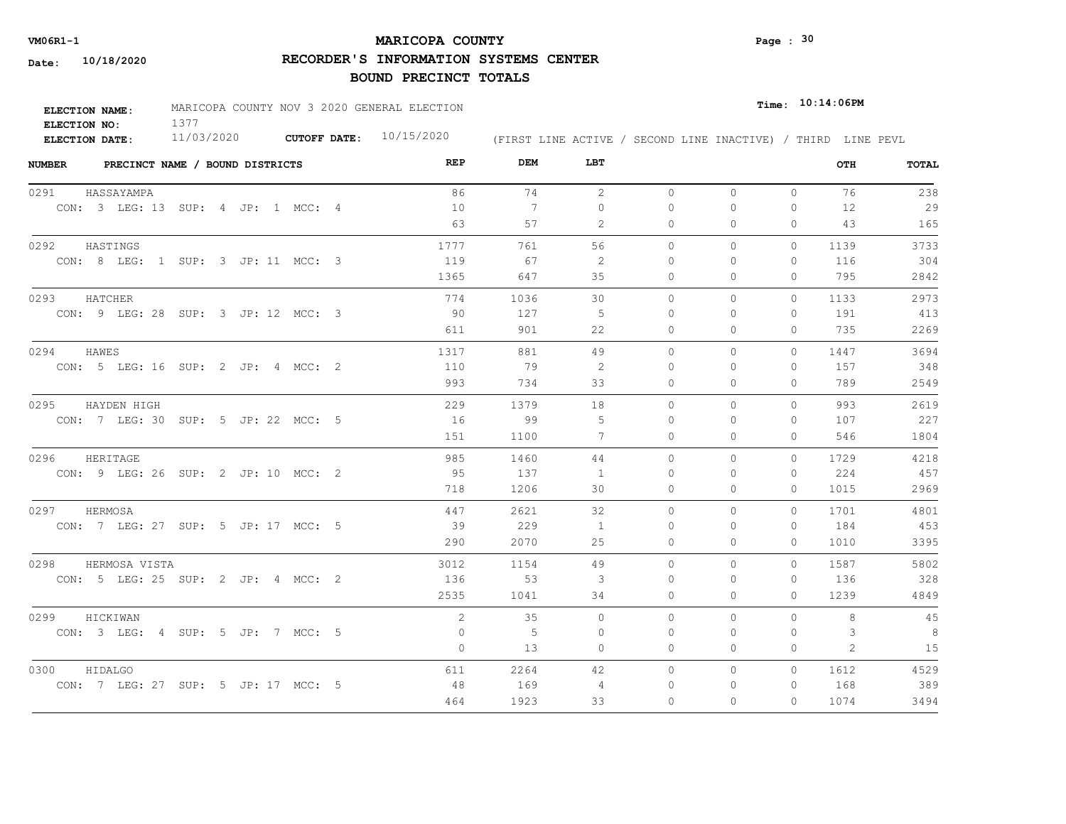## **MARICOPA COUNTY** Page : <sup>30</sup>

**RECORDER'S INFORMATION SYSTEMS CENTER**

| ELECTION NAME:        | MARICOPA COUNTY NOV 3 2020 GENERAL ELECTION |                     |            |  |                                                              | $_{Time:}$ 10:14:06PM |  |
|-----------------------|---------------------------------------------|---------------------|------------|--|--------------------------------------------------------------|-----------------------|--|
| ELECTION NO:          |                                             |                     |            |  |                                                              |                       |  |
| <b>ELECTION DATE:</b> | 11/03/2020                                  | <b>CUTOFF DATE:</b> | 10/15/2020 |  | (FIRST LINE ACTIVE / SECOND LINE INACTIVE) / THIRD LINE PEVL |                       |  |

| <b>NUMBER</b> |                                     | PRECINCT NAME / BOUND DISTRICTS |  |  | REP     | DEM  | LBT         |              |          |              | OTH  | TOTAL |
|---------------|-------------------------------------|---------------------------------|--|--|---------|------|-------------|--------------|----------|--------------|------|-------|
| 0291          | HASSAYAMPA                          |                                 |  |  | 86      | 74   | 2           | $\circ$      | $\circ$  | $\circ$      | 76   | 238   |
|               | CON: 3 LEG: 13 SUP: 4 JP: 1 MCC: 4  |                                 |  |  | 10      | 7    | $\mathbf 0$ | $\mathbf{0}$ | 0        | $\mathbf{0}$ | 12   | 29    |
|               |                                     |                                 |  |  | 63      | 57   | 2           | 0            | $\Omega$ | $\Omega$     | 43   | 165   |
| 0292          | HASTINGS                            |                                 |  |  | 1777    | 761  | 56          | $\circ$      | 0        | $\circ$      | 1139 | 3733  |
|               | CON: 8 LEG: 1 SUP: 3 JP: 11 MCC: 3  |                                 |  |  | 119     | 67   | 2           | 0            | $\Omega$ | $\mathbf{0}$ | 116  | 304   |
|               |                                     |                                 |  |  | 1365    | 647  | 35          | 0            | $\Omega$ | $\Omega$     | 795  | 2842  |
| 0293          | HATCHER                             |                                 |  |  | 774     | 1036 | 30          | $\circ$      | 0        | $\circ$      | 1133 | 2973  |
|               | CON: 9 LEG: 28 SUP: 3 JP: 12 MCC: 3 |                                 |  |  | -90     | 127  | 5           | 0            | 0        | $\Omega$     | 191  | 413   |
|               |                                     |                                 |  |  | 611     | 901  | 22          | $\Omega$     | $\Omega$ | $\Omega$     | 735  | 2269  |
| 0294          | HAWES                               |                                 |  |  | 1317    | 881  | 49          | $\Omega$     | $\Omega$ | $\Omega$     | 1447 | 3694  |
|               | CON: 5 LEG: 16 SUP: 2 JP: 4 MCC: 2  |                                 |  |  | 110     | 79   | 2           | $\Omega$     | 0        | $\Omega$     | 157  | 348   |
|               |                                     |                                 |  |  | 993     | 734  | 33          | $\circ$      | 0        | $\mathbf{0}$ | 789  | 2549  |
| 0295          | HAYDEN HIGH                         |                                 |  |  | 229     | 1379 | 18          | $\circ$      | $\Omega$ | $\circ$      | 993  | 2619  |
|               | CON: 7 LEG: 30 SUP: 5 JP: 22 MCC: 5 |                                 |  |  | 16      | 99   | .5          | $\Omega$     | 0        | $\Omega$     | 107  | 227   |
|               |                                     |                                 |  |  | 151     | 1100 | 7           | $\circ$      | 0        | $\mathbf{0}$ | 546  | 1804  |
| 0296          | HERITAGE                            |                                 |  |  | 985     | 1460 | 44          | $\Omega$     | $\Omega$ | $\Omega$     | 1729 | 4218  |
|               | CON: 9 LEG: 26 SUP: 2 JP: 10 MCC: 2 |                                 |  |  | - 95    | 137  | 1           | $\Omega$     | 0        | $\Omega$     | 224  | 457   |
|               |                                     |                                 |  |  | 718     | 1206 | 30          | 0            | 0        | $\circ$      | 1015 | 2969  |
| 0297          | HERMOSA                             |                                 |  |  | 447     | 2621 | 32          | $\Omega$     | $\Omega$ | $\Omega$     | 1701 | 4801  |
|               | CON: 7 LEG: 27 SUP: 5 JP: 17 MCC: 5 |                                 |  |  | -39     | 229  | -1          | $\Omega$     | $\Omega$ | $\Omega$     | 184  | 453   |
|               |                                     |                                 |  |  | 290     | 2070 | 25          | $\circ$      | 0        | $\Omega$     | 1010 | 3395  |
| 0298          | HERMOSA VISTA                       |                                 |  |  | 3012    | 1154 | 49          | $\Omega$     | $\Omega$ | $\Omega$     | 1587 | 5802  |
|               | CON: 5 LEG: 25 SUP: 2 JP: 4 MCC: 2  |                                 |  |  | 136     | 53   | 3           | 0            | $\Omega$ | $\mathbf{0}$ | 136  | 328   |
|               |                                     |                                 |  |  | 2535    | 1041 | 34          | 0            | 0        | $\mathbf{0}$ | 1239 | 4849  |
| 0299          | HICKIWAN                            |                                 |  |  | 2       | 35   | $\circ$     | $\circ$      | $\Omega$ | $\Omega$     | 8    | 45    |
|               | CON: 3 LEG: 4 SUP: 5 JP: 7 MCC: 5   |                                 |  |  | 0       | $-5$ | 0           | 0            | $\Omega$ | 0            | 3    | 8     |
|               |                                     |                                 |  |  | $\circ$ | 13   | $\circ$     | 0            | 0        | $\mathbf{0}$ | 2    | 15    |
| 0300          | HIDALGO                             |                                 |  |  | 611     | 2264 | 42          | $\circ$      | 0        | $\Omega$     | 1612 | 4529  |
|               | CON: 7 LEG: 27 SUP: 5 JP: 17 MCC: 5 |                                 |  |  | 48      | 169  | 4           | 0            | 0        | 0            | 168  | 389   |
|               |                                     |                                 |  |  | 464     | 1923 | 33          | $\Omega$     | $\Omega$ | $\Omega$     | 1074 | 3494  |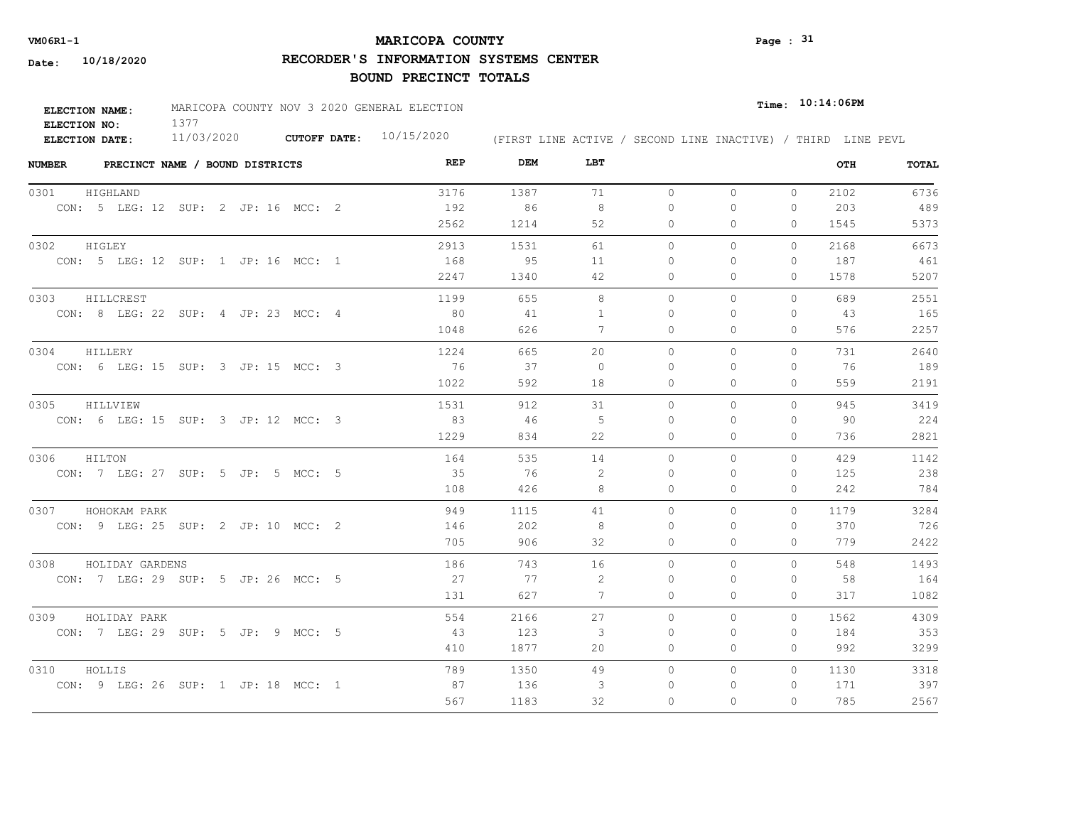## **MARICOPA COUNTY VM06R1-1 Page : 31**

**RECORDER'S INFORMATION SYSTEMS CENTER**

| <b>ELECTION NAME:</b> | MARICOPA COUNTY NOV 3 2020 GENERAL ELECTION |                     |            |                                                              | $Time:$ 10:14:06PM |
|-----------------------|---------------------------------------------|---------------------|------------|--------------------------------------------------------------|--------------------|
| ELECTION NO:          |                                             |                     |            |                                                              |                    |
| <b>ELECTION DATE:</b> | 11/03/2020                                  | <b>CUTOFF DATE:</b> | 10/15/2020 | (FIRST LINE ACTIVE / SECOND LINE INACTIVE) / THIRD LINE PEVL |                    |

| <b>NUMBER</b><br>PRECINCT NAME / BOUND DISTRICTS | REP  | DEM  | LBT      |          |              |              | OTH  | <b>TOTAL</b> |
|--------------------------------------------------|------|------|----------|----------|--------------|--------------|------|--------------|
| 0301<br>HIGHLAND                                 | 3176 | 1387 | 71       | $\circ$  | $\circ$      | $\circ$      | 2102 | 6736         |
| CON: 5 LEG: 12 SUP: 2 JP: 16 MCC: 2              | 192  | 86   | 8        | $\Omega$ | $\circ$      | 0            | 203  | 489          |
|                                                  | 2562 | 1214 | 52       | 0        | $\Omega$     | 0            | 1545 | 5373         |
| 0302<br>HIGLEY                                   | 2913 | 1531 | 61       | $\circ$  | $\circ$      | $\Omega$     | 2168 | 6673         |
| CON: 5 LEG: 12 SUP: 1 JP: 16 MCC: 1              | 168  | - 95 | 11       | $\Omega$ | $\Omega$     | $\Omega$     | 187  | 461          |
|                                                  | 2247 | 1340 | 42       | 0        | $\mathbf{0}$ | 0            | 1578 | 5207         |
| 0303<br>HILLCREST                                | 1199 | 655  | 8        | $\circ$  | $\circ$      | $\Omega$     | 689  | 2551         |
| CON: 8 LEG: 22 SUP: 4 JP: 23 MCC: 4              | 80   | 41   | -1       | 0        | $\Omega$     | 0            | 43   | 165          |
|                                                  | 1048 | 626  | 7        | $\Omega$ | $\Omega$     | $\Omega$     | 576  | 2257         |
| 0304<br>HILLERY                                  | 1224 | 665  | 20       | $\Omega$ | $\Omega$     | $\Omega$     | 731  | 2640         |
| CON: 6 LEG: 15 SUP: 3 JP: 15 MCC: 3              | 76   | 37   | $\Omega$ | $\Omega$ | $\Omega$     | 0            | 76   | 189          |
|                                                  | 1022 | 592  | 18       | 0        | $\circ$      | 0            | 559  | 2191         |
| 0305<br>HILLVIEW                                 | 1531 | 912  | 31       | $\Omega$ | $\Omega$     | $\Omega$     | 945  | 3419         |
| CON: 6 LEG: 15 SUP: 3 JP: 12 MCC: 3              | 83   | -46  | 5        | $\Omega$ | $\Omega$     | $\Omega$     | 90   | 224          |
|                                                  | 1229 | 834  | 22       | $\Omega$ | $\Omega$     | $\Omega$     | 736  | 2821         |
| 0306<br>HILTON                                   | 164  | 535  | 14       | 0        | 0            | $\mathbf{0}$ | 429  | 1142         |
| CON: 7 LEG: 27 SUP: 5 JP: 5 MCC: 5               | 35   | 76   | 2        | $\Omega$ | $\Omega$     | $\Omega$     | 125  | 238          |
|                                                  | 108  | 426  | 8        | $\Omega$ | $\Omega$     | $\Omega$     | 242  | 784          |
| 0307 HOHOKAM PARK                                | 949  | 1115 | 41       | $\Omega$ | $\Omega$     | $\Omega$     | 1179 | 3284         |
| CON: 9 LEG: 25 SUP: 2 JP: 10 MCC: 2              | 146  | 202  | 8        | $\Omega$ | $\Omega$     | $\Omega$     | 370  | 726          |
|                                                  | 705  | 906  | 32       | $\Omega$ | $\Omega$     | $\Omega$     | 779  | 2422         |
| 0308<br>HOLIDAY GARDENS                          | 186  | 743  | 16       | $\circ$  | $\circ$      | $\Omega$     | 548  | 1493         |
| CON: 7 LEG: 29 SUP: 5 JP: 26 MCC: 5              | 27   | 77   | 2        | $\Omega$ | $\Omega$     | 0            | 58   | 164          |
|                                                  | 131  | 627  | 7        | 0        | $\circ$      | 0            | 317  | 1082         |
| 0309<br>HOLIDAY PARK                             | 554  | 2166 | 27       | $\circ$  | $\circ$      | $\Omega$     | 1562 | 4309         |
| CON: 7 LEG: 29 SUP: 5 JP: 9 MCC: 5               | - 43 | 123  | 3        | 0        | 0            | 0            | 184  | 353          |
|                                                  | 410  | 1877 | 20       | 0        | $\mathbf{0}$ | $\Omega$     | 992  | 3299         |
| 0310<br>HOLLIS                                   | 789  | 1350 | 49       | 0        | $\mathbf{0}$ | $\Omega$     | 1130 | 3318         |
| CON: 9 LEG: 26 SUP: 1 JP: 18 MCC: 1              | 87   | 136  | 3        | 0        | $\Omega$     | 0            | 171  | 397          |
|                                                  | 567  | 1183 | 32       | $\Omega$ | $\Omega$     | $\Omega$     | 785  | 2567         |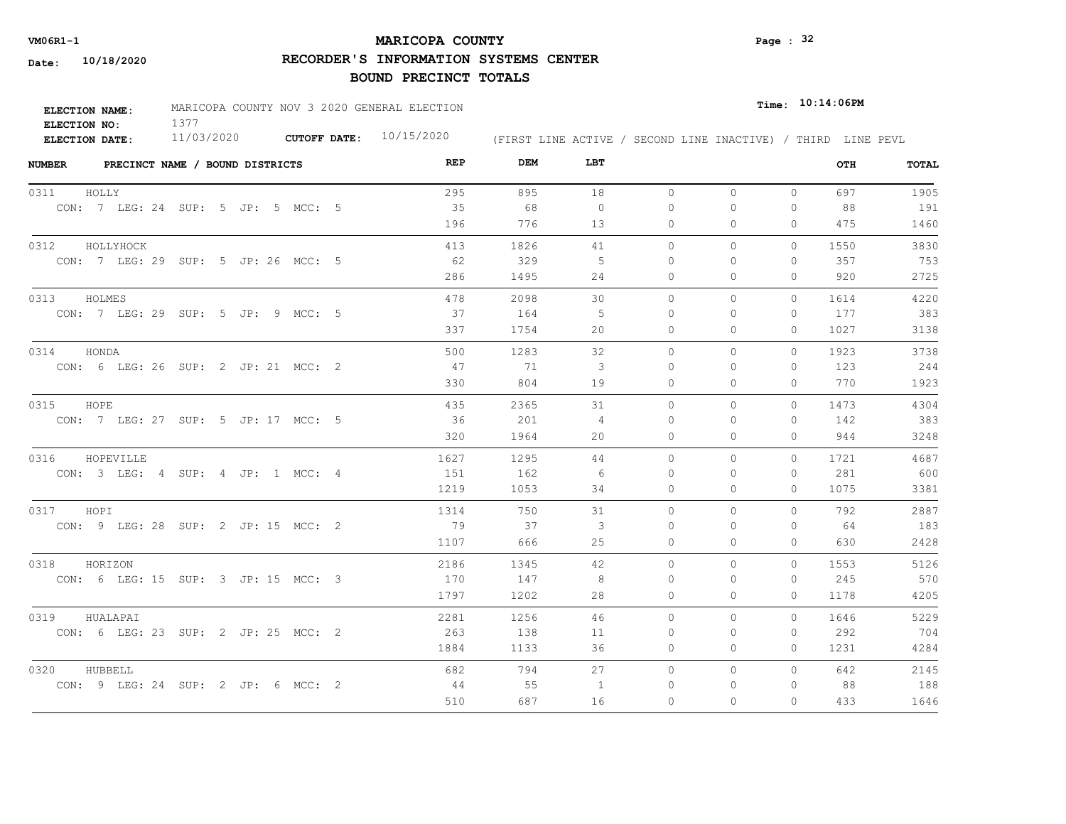## **MARICOPA COUNTY** Page : <sup>32</sup>

**RECORDER'S INFORMATION SYSTEMS CENTER**

| <b>ELECTION NAME:</b> | MARICOPA COUNTY NOV 3 2020 GENERAL ELECTION |                           |                                                              | $_{\texttt{Time:}}$ 10:14:06PM |
|-----------------------|---------------------------------------------|---------------------------|--------------------------------------------------------------|--------------------------------|
| ELECTION NO:          |                                             |                           |                                                              |                                |
| <b>ELECTION DATE:</b> | 11/03/2020                                  | CUTOFF DATE: $10/15/2020$ | (FIRST LINE ACTIVE / SECOND LINE INACTIVE) / THIRD LINE PEVL |                                |

| PRECINCT NAME / BOUND DISTRICTS<br><b>NUMBER</b> | REP  | DEM  | LBT            |          |              |          | OTH  | TOTAL |
|--------------------------------------------------|------|------|----------------|----------|--------------|----------|------|-------|
| 0311<br>HOLLY                                    | 295  | 895  | 18             | $\circ$  | $\mathbf{0}$ | $\circ$  | 697  | 1905  |
| CON: 7 LEG: 24 SUP: 5 JP: 5 MCC: 5               | 35   | 68   | $\overline{0}$ | 0        | $\circ$      | $\circ$  | 88   | 191   |
|                                                  | 196  | 776  | 13             | 0        | $\Omega$     | $\Omega$ | 475  | 1460  |
| 0312<br>HOLLYHOCK                                | 413  | 1826 | 41             | $\circ$  | $\circ$      | $\circ$  | 1550 | 3830  |
| CON: 7 LEG: 29 SUP: 5 JP: 26 MCC: 5              | 62   | 329  | -5             | $\Omega$ | $\Omega$     | $\circ$  | 357  | 753   |
|                                                  | 286  | 1495 | 24             | $\Omega$ | $\Omega$     | $\Omega$ | 920  | 2725  |
| 0313<br>HOLMES                                   | 478  | 2098 | 30             | $\circ$  | $\mathbf{0}$ | $\circ$  | 1614 | 4220  |
| CON: 7 LEG: 29 SUP: 5 JP: 9 MCC: 5               | 37   | 164  | -5             | 0        | $\Omega$     | $\Omega$ | 177  | 383   |
|                                                  | 337  | 1754 | 20             | $\Omega$ | $\Omega$     | $\Omega$ | 1027 | 3138  |
| 0314<br>HONDA                                    | 500  | 1283 | 32             | $\Omega$ | $\Omega$     | $\Omega$ | 1923 | 3738  |
| CON: 6 LEG: 26 SUP: 2 JP: 21 MCC: 2              | 47   | 71   | -3             | 0        | $\Omega$     | $\Omega$ | 123  | 244   |
|                                                  | 330  | 804  | 19             | $\circ$  | $\mathbf{0}$ | 0        | 770  | 1923  |
| 0315 HOPE                                        | 435  | 2365 | 31             | $\circ$  | $\mathbf{0}$ | $\circ$  | 1473 | 4304  |
| CON: 7 LEG: 27 SUP: 5 JP: 17 MCC: 5              | 36   | 201  | $\overline{4}$ | $\Omega$ | $\Omega$     | $\Omega$ | 142  | 383   |
|                                                  | 320  | 1964 | 20             | $\circ$  | $\mathbf{0}$ | 0        | 944  | 3248  |
| 0316<br>HOPEVILLE                                | 1627 | 1295 | 44             | $\Omega$ | $\Omega$     | $\Omega$ | 1721 | 4687  |
| CON: 3 LEG: 4 SUP: 4 JP: 1 MCC: 4                | 151  | 162  | - 6            | 0        | $\Omega$     | $\Omega$ | 281  | 600   |
|                                                  | 1219 | 1053 | 34             | $\circ$  | $\mathbf{0}$ | $\circ$  | 1075 | 3381  |
| 0317 HOPI                                        | 1314 | 750  | 31             | $\Omega$ | $\Omega$     | $\Omega$ | 792  | 2887  |
| CON: 9 LEG: 28 SUP: 2 JP: 15 MCC: 2              | 79   | 37   | 3              | $\Omega$ | $\Omega$     | $\Omega$ | - 64 | 183   |
|                                                  | 1107 | 666  | 25             | $\circ$  | $\circ$      | 0        | 630  | 2428  |
| 0318<br>HORIZON                                  | 2186 | 1345 | 42             | $\Omega$ | $\Omega$     | $\Omega$ | 1553 | 5126  |
| CON: 6 LEG: 15 SUP: 3 JP: 15 MCC: 3              | 170  | 147  | 8              | 0        | 0            | 0        | 245  | 570   |
|                                                  | 1797 | 1202 | 28             | 0        | $\circ$      | 0        | 1178 | 4205  |
| 0319<br>HUALAPAI                                 | 2281 | 1256 | 46             | $\circ$  | $\circ$      | $\Omega$ | 1646 | 5229  |
| CON: 6 LEG: 23 SUP: 2 JP: 25 MCC: 2              | 263  | 138  | 11             | 0        | 0            | 0        | 292  | 704   |
|                                                  | 1884 | 1133 | 36             | 0        | $\mathbf{0}$ | 0        | 1231 | 4284  |
| 0320<br>HUBBELL                                  | 682  | 794  | 27             | 0        | $\mathbf{0}$ | $\Omega$ | 642  | 2145  |
| CON: 9 LEG: 24 SUP: 2 JP: 6 MCC: 2               | -44  | 55   | 1              | 0        | 0            | 0        | 88   | 188   |
|                                                  | 510  | 687  | 16             | $\Omega$ | $\Omega$     | $\Omega$ | 433  | 1646  |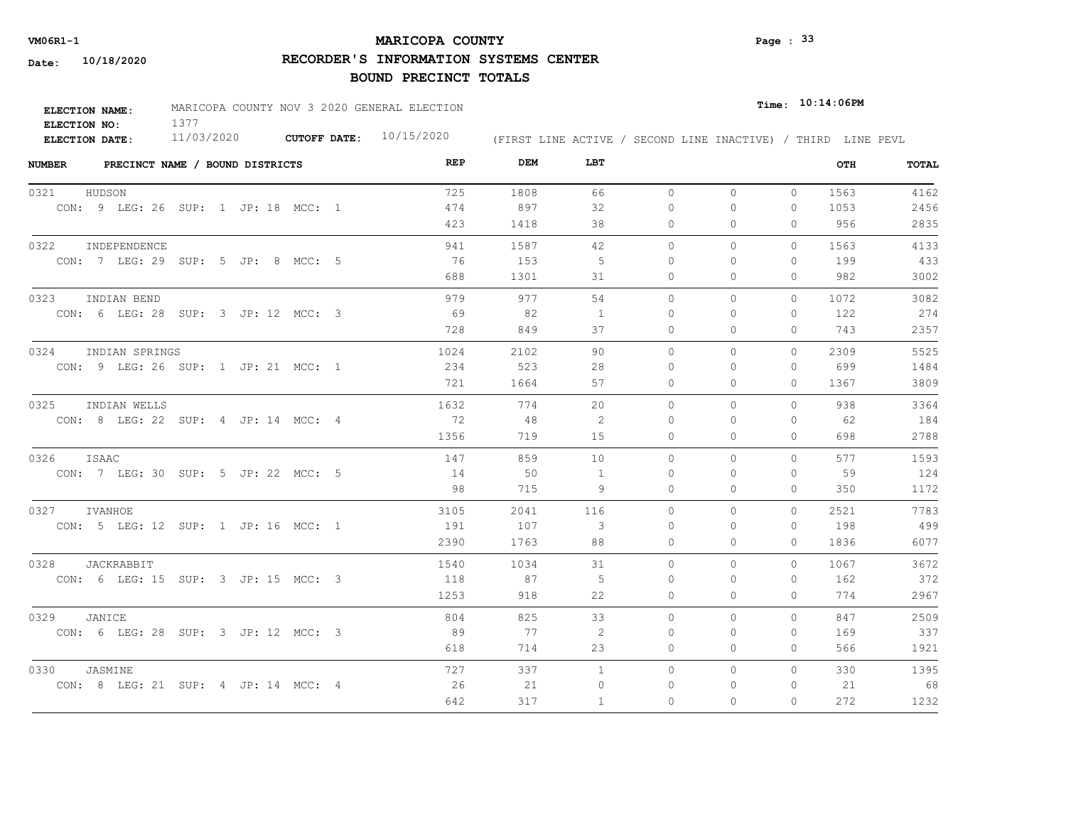## **MARICOPA COUNTY** Page : <sup>33</sup>

**RECORDER'S INFORMATION SYSTEMS CENTER**

| <b>ELECTION NAME:</b> | MARICOPA COUNTY NOV 3 2020 GENERAL ELECTION |                           |                                                              | $_{\texttt{Time:}}$ 10:14:06PM |
|-----------------------|---------------------------------------------|---------------------------|--------------------------------------------------------------|--------------------------------|
| ELECTION NO:          |                                             |                           |                                                              |                                |
| <b>ELECTION DATE:</b> | 11/03/2020                                  | CUTOFF DATE: $10/15/2020$ | (FIRST LINE ACTIVE / SECOND LINE INACTIVE) / THIRD LINE PEVL |                                |

| <b>NUMBER</b> | PRECINCT NAME / BOUND DISTRICTS     |  |  | REP  | DEM  | LBT          |           |          |              | OTH  | TOTAL |
|---------------|-------------------------------------|--|--|------|------|--------------|-----------|----------|--------------|------|-------|
| 0321          | HUDSON                              |  |  | 725  | 1808 | 66           | $\circ$   | $\Omega$ | $\circ$      | 1563 | 4162  |
|               | CON: 9 LEG: 26 SUP: 1 JP: 18 MCC: 1 |  |  | 474  | 897  | 32           | $\Omega$  | $\Omega$ | $\Omega$     | 1053 | 2456  |
|               |                                     |  |  | 423  | 1418 | 38           | $\circ$   | $\Omega$ | $\Omega$     | 956  | 2835  |
| 0322          | INDEPENDENCE                        |  |  | 941  | 1587 | 42           | $\Omega$  | $\Omega$ | $\Omega$     | 1563 | 4133  |
|               | CON: 7 LEG: 29 SUP: 5 JP: 8 MCC: 5  |  |  | 76   | 153  | 5            | $\Omega$  | $\Omega$ | $\mathbf{0}$ | 199  | 433   |
|               |                                     |  |  | 688  | 1301 | 31           | $\circ$   | 0        | $\Omega$     | 982  | 3002  |
| 0323          | INDIAN BEND                         |  |  | 979  | 977  | 54           | $\circ$   | $\circ$  | 0            | 1072 | 3082  |
|               | CON: 6 LEG: 28 SUP: 3 JP: 12 MCC: 3 |  |  | 69   | 82   | -1           | $\bigcap$ | $\Omega$ | $\Omega$     | 122  | 274   |
|               |                                     |  |  | 728  | 849  | 37           | 0         | 0        | $\mathbf{0}$ | 743  | 2357  |
| 0324          | INDIAN SPRINGS                      |  |  | 1024 | 2102 | 90           | $\Omega$  | $\Omega$ | $\Omega$     | 2309 | 5525  |
|               | CON: 9 LEG: 26 SUP: 1 JP: 21 MCC: 1 |  |  | 234  | 523  | 28           | 0         | $\Omega$ | $\mathbf{0}$ | 699  | 1484  |
|               |                                     |  |  | 721  | 1664 | 57           | 0         | 0        | $\mathbf{0}$ | 1367 | 3809  |
| 0325          | INDIAN WELLS                        |  |  | 1632 | 774  | 20           | $\circ$   | 0        | $\Omega$     | 938  | 3364  |
|               | CON: 8 LEG: 22 SUP: 4 JP: 14 MCC: 4 |  |  | 72   | 48   | 2            | $\Omega$  | $\Omega$ | $\Omega$     | 62   | 184   |
|               |                                     |  |  | 1356 | 719  | 15           | $\Omega$  | $\Omega$ | $\Omega$     | 698  | 2788  |
| 0326          | ISAAC                               |  |  | 147  | 859  | 10           | $\Omega$  | $\Omega$ | $\Omega$     | 577  | 1593  |
|               | CON: 7 LEG: 30 SUP: 5 JP: 22 MCC: 5 |  |  | 14   | 50   | -1           | $\Omega$  | $\Omega$ | $\Omega$     | 59   | 124   |
|               |                                     |  |  | 98   | 715  | 9            | 0         | $\Omega$ | $\mathbf{0}$ | 350  | 1172  |
| 0327          | IVANHOE                             |  |  | 3105 | 2041 | 116          | $\Omega$  | $\Omega$ | $\Omega$     | 2521 | 7783  |
|               | CON: 5 LEG: 12 SUP: 1 JP: 16 MCC: 1 |  |  | 191  | 107  | 3            | $\Omega$  | $\Omega$ | $\Omega$     | 198  | 499   |
|               |                                     |  |  | 2390 | 1763 | 88           | $\Omega$  | $\Omega$ | $\Omega$     | 1836 | 6077  |
| 0328          | JACKRABBIT                          |  |  | 1540 | 1034 | 31           | $\Omega$  | $\Omega$ | $\Omega$     | 1067 | 3672  |
|               | CON: 6 LEG: 15 SUP: 3 JP: 15 MCC: 3 |  |  | 118  | 87   | 5            | $\Omega$  | $\Omega$ | 0            | 162  | 372   |
|               |                                     |  |  | 1253 | 918  | 22           | $\circ$   | $\Omega$ | $\mathbf{0}$ | 774  | 2967  |
| 0329          | JANICE                              |  |  | 804  | 825  | 33           | $\Omega$  | $\Omega$ | $\Omega$     | 847  | 2509  |
|               | CON: 6 LEG: 28 SUP: 3 JP: 12 MCC: 3 |  |  | 89   | 77   | 2            | $\Omega$  | $\Omega$ | $\Omega$     | 169  | 337   |
|               |                                     |  |  | 618  | 714  | 23           | 0         | 0        | $\mathbf{0}$ | 566  | 1921  |
| 0330          | JASMINE                             |  |  | 727  | 337  | $\mathbf{1}$ | $\circ$   | 0        | $\circ$      | 330  | 1395  |
|               | CON: 8 LEG: 21 SUP: 4 JP: 14 MCC: 4 |  |  | 26   | 21   | $\mathbf{0}$ | 0         | $\Omega$ | $\mathbf{0}$ | 21   | 68    |
|               |                                     |  |  | 642  | 317  | 1            | $\Omega$  | $\Omega$ | $\Omega$     | 272  | 1232  |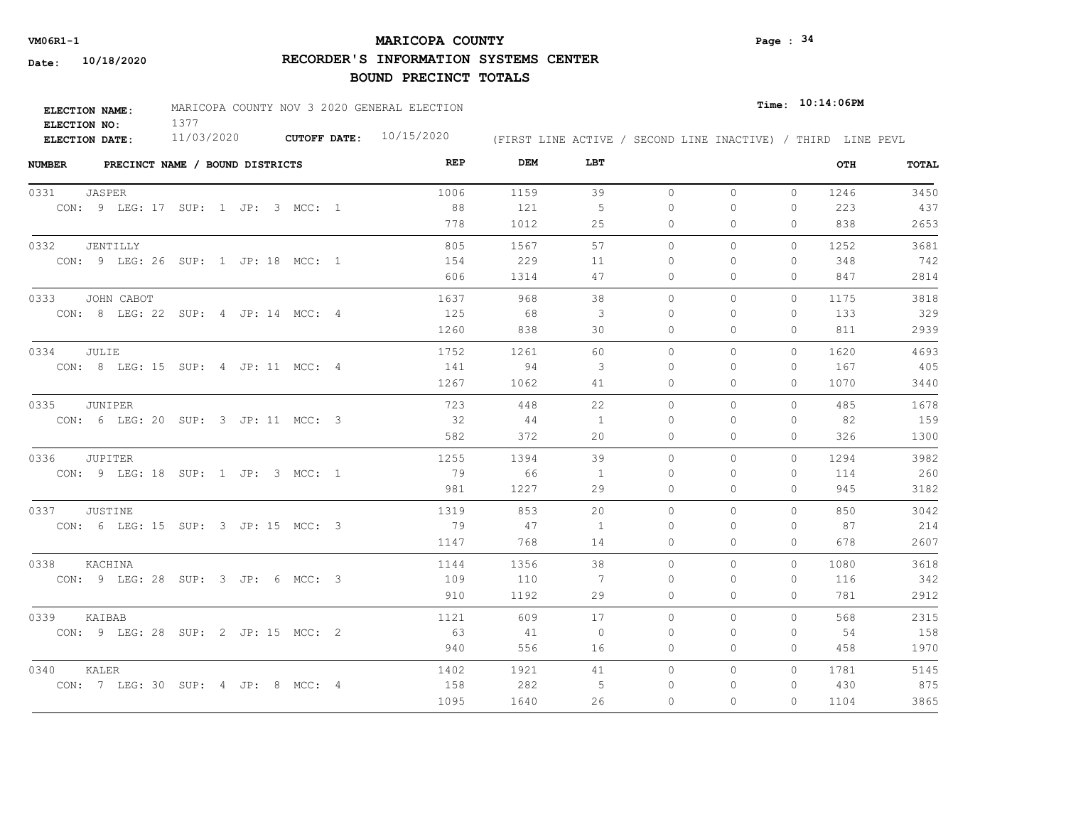## **MARICOPA COUNTY VM06R1-1 Page : 34**

**RECORDER'S INFORMATION SYSTEMS CENTER**

| <b>ELECTION NAME:</b> | MARICOPA COUNTY NOV 3 2020 GENERAL ELECTION |                           |                                                              | $_{\texttt{Time:}}$ 10:14:06PM |
|-----------------------|---------------------------------------------|---------------------------|--------------------------------------------------------------|--------------------------------|
| ELECTION NO:          |                                             |                           |                                                              |                                |
| <b>ELECTION DATE:</b> | 11/03/2020                                  | CUTOFF DATE: $10/15/2020$ | (FIRST LINE ACTIVE / SECOND LINE INACTIVE) / THIRD LINE PEVL |                                |

| <b>NUMBER</b><br>PRECINCT NAME / BOUND DISTRICTS | REP  | DEM  | LBT            |          |              |              | OTH  | TOTAL |
|--------------------------------------------------|------|------|----------------|----------|--------------|--------------|------|-------|
| 0331<br>JASPER                                   | 1006 | 1159 | 39             | $\circ$  | $\circ$      | $\circ$      | 1246 | 3450  |
| CON: 9 LEG: 17 SUP: 1 JP: 3 MCC: 1               | 88   | 121  | 5              | $\circ$  | 0            | $\mathbf{0}$ | 223  | 437   |
|                                                  | 778  | 1012 | 25             | 0        | $\Omega$     | $\Omega$     | 838  | 2653  |
| 0332<br>JENTILLY                                 | 805  | 1567 | 57             | $\circ$  | 0            | 0            | 1252 | 3681  |
| CON: 9 LEG: 26 SUP: 1 JP: 18 MCC: 1              | 154  | 229  | 11             | $\Omega$ | $\Omega$     | $\mathbf{0}$ | 348  | 742   |
|                                                  | 606  | 1314 | 47             | 0        | 0            | $\mathbf{0}$ | 847  | 2814  |
| 0333<br>JOHN CABOT                               | 1637 | 968  | 38             | $\circ$  | $\mathbf{0}$ | $\circ$      | 1175 | 3818  |
| CON: 8 LEG: 22 SUP: 4 JP: 14 MCC: 4              | 125  | 68   | 3              | $\Omega$ | 0            | 0            | 133  | 329   |
|                                                  | 1260 | 838  | 30             | $\Omega$ | $\Omega$     | $\Omega$     | 811  | 2939  |
| 0334<br>JULIE                                    | 1752 | 1261 | 60             | $\Omega$ | $\Omega$     | $\Omega$     | 1620 | 4693  |
| CON: 8 LEG: 15 SUP: 4 JP: 11 MCC: 4              | 141  | 94   | 3              | $\Omega$ | $\Omega$     | $\mathbf{0}$ | 167  | 405   |
|                                                  | 1267 | 1062 | 41             | 0        | 0            | $\mathbf{0}$ | 1070 | 3440  |
| 0335<br>JUNIPER                                  | 723  | 448  | 22             | $\Omega$ | $\Omega$     | $\Omega$     | 485  | 1678  |
| CON: 6 LEG: 20 SUP: 3 JP: 11 MCC: 3              | 32   | 44   | 1              | $\Omega$ | $\Omega$     | $\Omega$     | 82   | 159   |
|                                                  | 582  | 372  | 20             | $\Omega$ | $\Omega$     | $\Omega$     | 326  | 1300  |
| 0336<br><b>JUPITER</b>                           | 1255 | 1394 | 39             | $\circ$  | 0            | $\circ$      | 1294 | 3982  |
| CON: 9 LEG: 18 SUP: 1 JP: 3 MCC: 1               | 79   | 66   | $\overline{1}$ | $\Omega$ | $\Omega$     | $\Omega$     | 114  | 260   |
|                                                  | 981  | 1227 | 29             | $\Omega$ | $\Omega$     | $\Omega$     | 945  | 3182  |
| JUSTINE<br>0337                                  | 1319 | 853  | 20             | $\circ$  | $\Omega$     | $\Omega$     | 850  | 3042  |
| CON: 6 LEG: 15 SUP: 3 JP: 15 MCC: 3              | 79   | 47   | -1             | $\Omega$ | $\Omega$     | 0            | 87   | 214   |
|                                                  | 1147 | 768  | 14             | $\Omega$ | $\Omega$     | $\Omega$     | 678  | 2607  |
| 0338<br>KACHINA                                  | 1144 | 1356 | 38             | $\circ$  | 0            | $\circ$      | 1080 | 3618  |
| CON: 9 LEG: 28 SUP: 3 JP: 6 MCC: 3               | 109  | 110  | 7              | $\Omega$ | $\Omega$     | $\mathbf{0}$ | 116  | 342   |
|                                                  | 910  | 1192 | 29             | 0        | 0            | $\mathbf{0}$ | 781  | 2912  |
| 0339<br>KAIBAB                                   | 1121 | 609  | 17             | $\circ$  | $\Omega$     | $\Omega$     | 568  | 2315  |
| CON: 9 LEG: 28 SUP: 2 JP: 15 MCC: 2              | 63   | 41   | $\overline{0}$ | 0        | 0            | $\mathbf{0}$ | 54   | 158   |
|                                                  | 940  | 556  | 16             | 0        | 0            | $\mathbf{0}$ | 458  | 1970  |
| 0340<br>KALER                                    | 1402 | 1921 | 41             | $\circ$  | $\circ$      | $\circ$      | 1781 | 5145  |
| CON: 7 LEG: 30 SUP: 4 JP: 8 MCC: 4               | 158  | 282  | -5             | $\Omega$ | 0            | $\mathbf{0}$ | 430  | 875   |
|                                                  | 1095 | 1640 | 26             | $\Omega$ | $\Omega$     | $\Omega$     | 1104 | 3865  |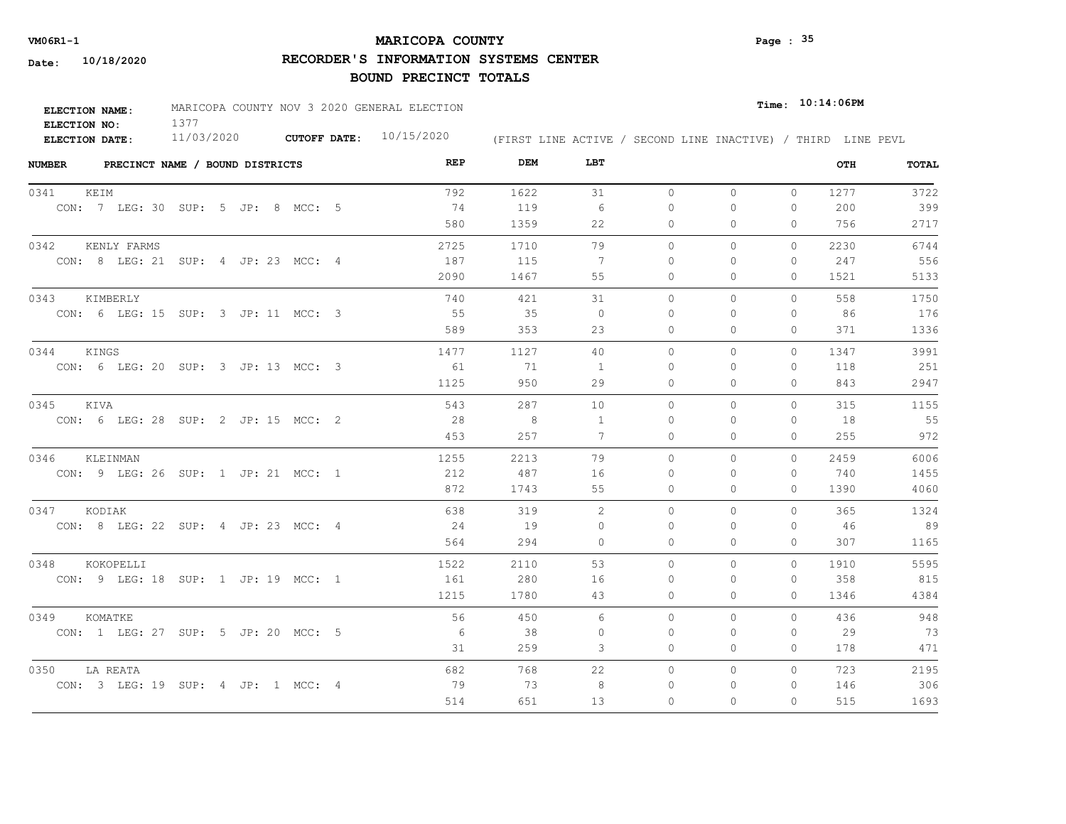## **MARICOPA COUNTY VM06R1-1 Page : 35**

**RECORDER'S INFORMATION SYSTEMS CENTER**

| <b>ELECTION NAME:</b> | MARICOPA COUNTY NOV 3 2020 GENERAL ELECTION |                           |                                                              | Time: 10:14:06PM |  |
|-----------------------|---------------------------------------------|---------------------------|--------------------------------------------------------------|------------------|--|
| ELECTION NO:          |                                             |                           |                                                              |                  |  |
| <b>ELECTION DATE:</b> | 11/03/2020                                  | CUTOFF DATE: $10/15/2020$ | (FIRST LINE ACTIVE / SECOND LINE INACTIVE) / THIRD LINE PEVL |                  |  |

| <b>NUMBER</b><br>PRECINCT NAME / BOUND DISTRICTS | REP  | DEM  | LBT      |          |              |              | OTH  | TOTAL |
|--------------------------------------------------|------|------|----------|----------|--------------|--------------|------|-------|
| 0341<br>KEIM                                     | 792  | 1622 | 31       | $\circ$  | $\circ$      | $\circ$      | 1277 | 3722  |
| CON: 7 LEG: 30 SUP: 5 JP: 8 MCC: 5               | 74   | 119  | - 6      | $\Omega$ | $\circ$      | 0            | 200  | 399   |
|                                                  | 580  | 1359 | 22       | 0        | $\Omega$     | 0            | 756  | 2717  |
| 0342<br>KENLY FARMS                              | 2725 | 1710 | 79       | $\circ$  | $\circ$      | $\Omega$     | 2230 | 6744  |
| CON: 8 LEG: 21 SUP: 4 JP: 23 MCC: 4              | 187  | 115  | 7        | $\Omega$ | $\Omega$     | $\Omega$     | 247  | 556   |
|                                                  | 2090 | 1467 | 55       | 0        | $\mathbf{0}$ | 0            | 1521 | 5133  |
| 0343<br>KIMBERLY                                 | 740  | 421  | 31       | $\circ$  | $\circ$      | $\Omega$     | 558  | 1750  |
| CON: 6 LEG: 15 SUP: 3 JP: 11 MCC: 3              | 55   | 35   | $\Omega$ | 0        | $\Omega$     | 0            | 86   | 176   |
|                                                  | 589  | 353  | 23       | $\Omega$ | $\Omega$     | $\Omega$     | 371  | 1336  |
| 0344<br>KINGS                                    | 1477 | 1127 | 40       | $\Omega$ | $\Omega$     | $\Omega$     | 1347 | 3991  |
| CON: 6 LEG: 20 SUP: 3 JP: 13 MCC: 3              | 61   | 71   | 1        | $\Omega$ | $\Omega$     | 0            | 118  | 251   |
|                                                  | 1125 | 950  | 29       | 0        | $\circ$      | 0            | 843  | 2947  |
| 0345 KIVA                                        | 543  | 287  | 10       | $\Omega$ | $\Omega$     | $\Omega$     | 315  | 1155  |
| CON: 6 LEG: 28 SUP: 2 JP: 15 MCC: 2              | 28   | 8    | -1       | $\Omega$ | $\Omega$     | 0            | 18   | 55    |
|                                                  | 453  | 257  | 7        | $\Omega$ | $\Omega$     | $\Omega$     | 255  | 972   |
| 0346<br>KLEINMAN                                 | 1255 | 2213 | 79       | 0        | 0            | $\circ$      | 2459 | 6006  |
| CON: 9 LEG: 26 SUP: 1 JP: 21 MCC: 1              | 212  | 487  | 16       | $\Omega$ | $\Omega$     | $\Omega$     | 740  | 1455  |
|                                                  | 872  | 1743 | 55       | 0        | $\Omega$     | $\Omega$     | 1390 | 4060  |
| 0347 KODIAK                                      | 638  | 319  | 2        | $\Omega$ | $\circ$      | $\Omega$     | 365  | 1324  |
| CON: 8 LEG: 22 SUP: 4 JP: 23 MCC: 4              | 24   | 19   | $\Omega$ | $\Omega$ | $\Omega$     | $\Omega$     | -46  | 89    |
|                                                  | 564  | 294  | $\Omega$ | $\Omega$ | $\Omega$     | $\Omega$     | 307  | 1165  |
| 0348<br>KOKOPELLI                                | 1522 | 2110 | 53       | $\circ$  | $\circ$      | $\mathbf{0}$ | 1910 | 5595  |
| CON: 9 LEG: 18 SUP: 1 JP: 19 MCC: 1              | 161  | 280  | 16       | $\Omega$ | $\Omega$     | $\Omega$     | 358  | 815   |
|                                                  | 1215 | 1780 | 43       | 0        | $\circ$      | 0            | 1346 | 4384  |
| 0349<br>KOMATKE                                  | 56   | 450  | 6        | $\circ$  | $\circ$      | $\Omega$     | 436  | 948   |
| CON: 1 LEG: 27 SUP: 5 JP: 20 MCC: 5              | - 6  | 38   | 0        | 0        | 0            | 0            | 29   | 73    |
|                                                  | 31   | 259  | 3        | 0        | $\circ$      | 0            | 178  | 471   |
| 0350<br>LA REATA                                 | 682  | 768  | 22       | 0        | $\mathbf{0}$ | $\Omega$     | 723  | 2195  |
| CON: 3 LEG: 19 SUP: 4 JP: 1 MCC: 4               | 79   | 73   | 8        | 0        | 0            | 0            | 146  | 306   |
|                                                  | 514  | 651  | 13       | $\Omega$ | $\Omega$     | $\Omega$     | 515  | 1693  |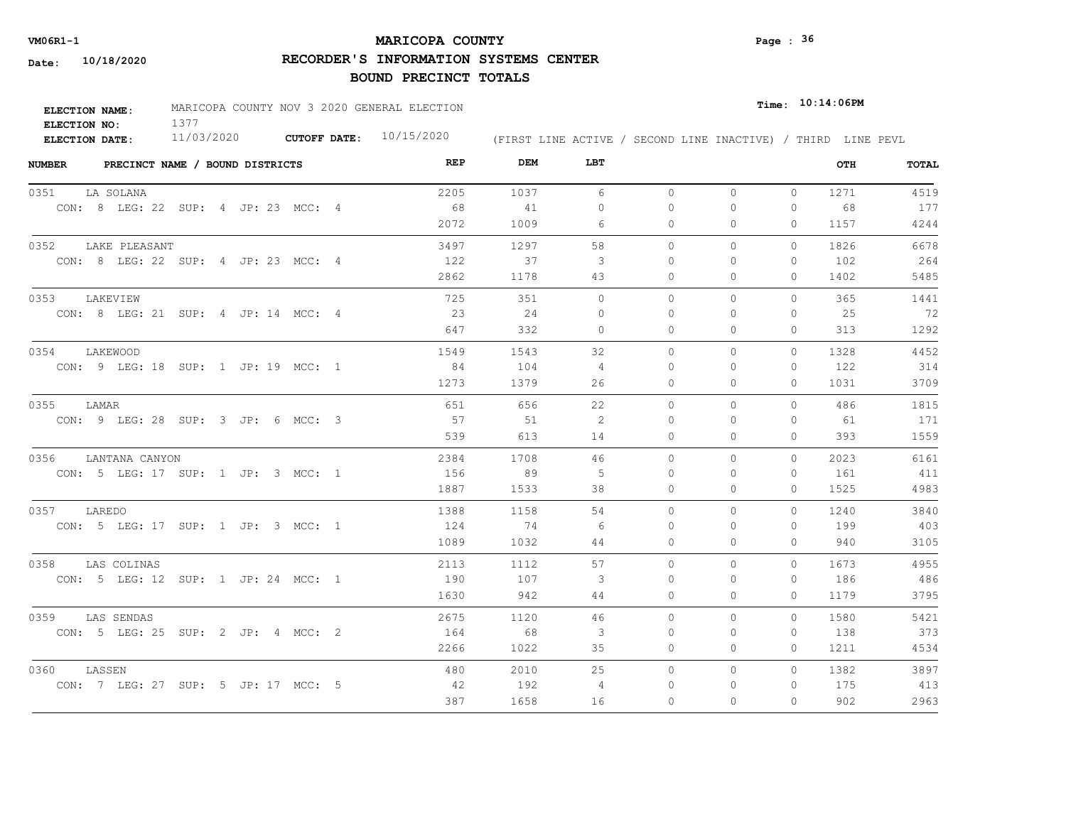## **MARICOPA COUNTY VM06R1-1 Page : 36**

**RECORDER'S INFORMATION SYSTEMS CENTER**

| ELECTION NAME: | MARICOPA COUNTY NOV 3 2020 GENERAL ELECTION |                           |                                                              | $Time:$ 10:14:06PM |
|----------------|---------------------------------------------|---------------------------|--------------------------------------------------------------|--------------------|
| ELECTION NO:   |                                             |                           |                                                              |                    |
| ELECTION DATE: | 11/03/2020                                  | CUTOFF DATE: $10/15/2020$ | (FIRST LINE ACTIVE / SECOND LINE INACTIVE) / THIRD LINE PEVL |                    |

| <b>NUMBER</b> | PRECINCT NAME / BOUND DISTRICTS     | REP  | DEM  | LBT          |          |          |              | OTH  | TOTAL |
|---------------|-------------------------------------|------|------|--------------|----------|----------|--------------|------|-------|
| 0351          | LA SOLANA                           | 2205 | 1037 | 6            | $\circ$  | $\circ$  | $\circ$      | 1271 | 4519  |
|               | CON: 8 LEG: 22 SUP: 4 JP: 23 MCC: 4 | 68   | 41   | $\mathbf{0}$ | $\circ$  | 0        | $\circ$      | 68   | 177   |
|               |                                     | 2072 | 1009 | 6            | 0        | $\Omega$ | 0            | 1157 | 4244  |
| 0352          | LAKE PLEASANT                       | 3497 | 1297 | 58           | $\circ$  | 0        | $\mathbf{0}$ | 1826 | 6678  |
|               | CON: 8 LEG: 22 SUP: 4 JP: 23 MCC: 4 | 122  | 37   | -3           | $\Omega$ | $\Omega$ | $\mathbf{0}$ | 102  | 264   |
|               |                                     | 2862 | 1178 | 43           | 0        | 0        | $\mathbf{0}$ | 1402 | 5485  |
| 0353          | LAKEVIEW                            | 725  | 351  | $\circ$      | $\circ$  | 0        | 0            | 365  | 1441  |
|               | CON: 8 LEG: 21 SUP: 4 JP: 14 MCC: 4 | 23   | 24   | $\Omega$     | 0        | 0        | $\mathbf{0}$ | 25   | 72    |
|               |                                     | 647  | 332  | $\Omega$     | 0        | $\Omega$ | $\Omega$     | 313  | 1292  |
| 0354          | LAKEWOOD                            | 1549 | 1543 | 32           | $\Omega$ | $\Omega$ | $\Omega$     | 1328 | 4452  |
|               | CON: 9 LEG: 18 SUP: 1 JP: 19 MCC: 1 | 84   | 104  | 4            | $\Omega$ | $\Omega$ | $\mathbf{0}$ | 122  | 314   |
|               |                                     | 1273 | 1379 | 26           | 0        | 0        | $\mathbf{0}$ | 1031 | 3709  |
| 0355          | LAMAR                               | 651  | 656  | 22           | $\Omega$ | $\Omega$ | $\Omega$     | 486  | 1815  |
|               | CON: 9 LEG: 28 SUP: 3 JP: 6 MCC: 3  | 57   | 51   | 2            | $\Omega$ | $\Omega$ | $\Omega$     | 61   | 171   |
|               |                                     | 539  | 613  | 14           | $\Omega$ | $\Omega$ | $\Omega$     | 393  | 1559  |
| 0356          | LANTANA CANYON                      | 2384 | 1708 | 46           | $\circ$  | 0        | $\circ$      | 2023 | 6161  |
|               | CON: 5 LEG: 17 SUP: 1 JP: 3 MCC: 1  | 156  | 89   | 5            | $\Omega$ | $\Omega$ | 0            | 161  | 411   |
|               |                                     | 1887 | 1533 | 38           | $\Omega$ | $\Omega$ | $\Omega$     | 1525 | 4983  |
| 0357 LAREDO   |                                     | 1388 | 1158 | 54           | $\circ$  | $\Omega$ | $\Omega$     | 1240 | 3840  |
|               | CON: 5 LEG: 17 SUP: 1 JP: 3 MCC: 1  | 124  | 74   | -6           | $\Omega$ | $\Omega$ | $\Omega$     | 199  | 403   |
|               |                                     | 1089 | 1032 | 44           | $\Omega$ | $\Omega$ | $\Omega$     | 940  | 3105  |
| 0358          | LAS COLINAS                         | 2113 | 1112 | 57           | $\circ$  | 0        | $\circ$      | 1673 | 4955  |
|               | CON: 5 LEG: 12 SUP: 1 JP: 24 MCC: 1 | 190  | 107  | 3            | $\Omega$ | $\Omega$ | $\mathbf{0}$ | 186  | 486   |
|               |                                     | 1630 | 942  | 44           | 0        | 0        | $\mathbf{0}$ | 1179 | 3795  |
| 0359          | LAS SENDAS                          | 2675 | 1120 | 46           | $\circ$  | 0        | 0            | 1580 | 5421  |
|               | CON: 5 LEG: 25 SUP: 2 JP: 4 MCC: 2  | 164  | 68   | 3            | 0        | 0        | $\mathbf{0}$ | 138  | 373   |
|               |                                     | 2266 | 1022 | 35           | 0        | 0        | 0            | 1211 | 4534  |
| 0360          | LASSEN                              | 480  | 2010 | 25           | $\circ$  | 0        | $\Omega$     | 1382 | 3897  |
|               | CON: 7 LEG: 27 SUP: 5 JP: 17 MCC: 5 | 42   | 192  | 4            | 0        | 0        | $\mathbf{0}$ | 175  | 413   |
|               |                                     | 387  | 1658 | 16           | $\Omega$ | $\Omega$ | $\Omega$     | 902  | 2963  |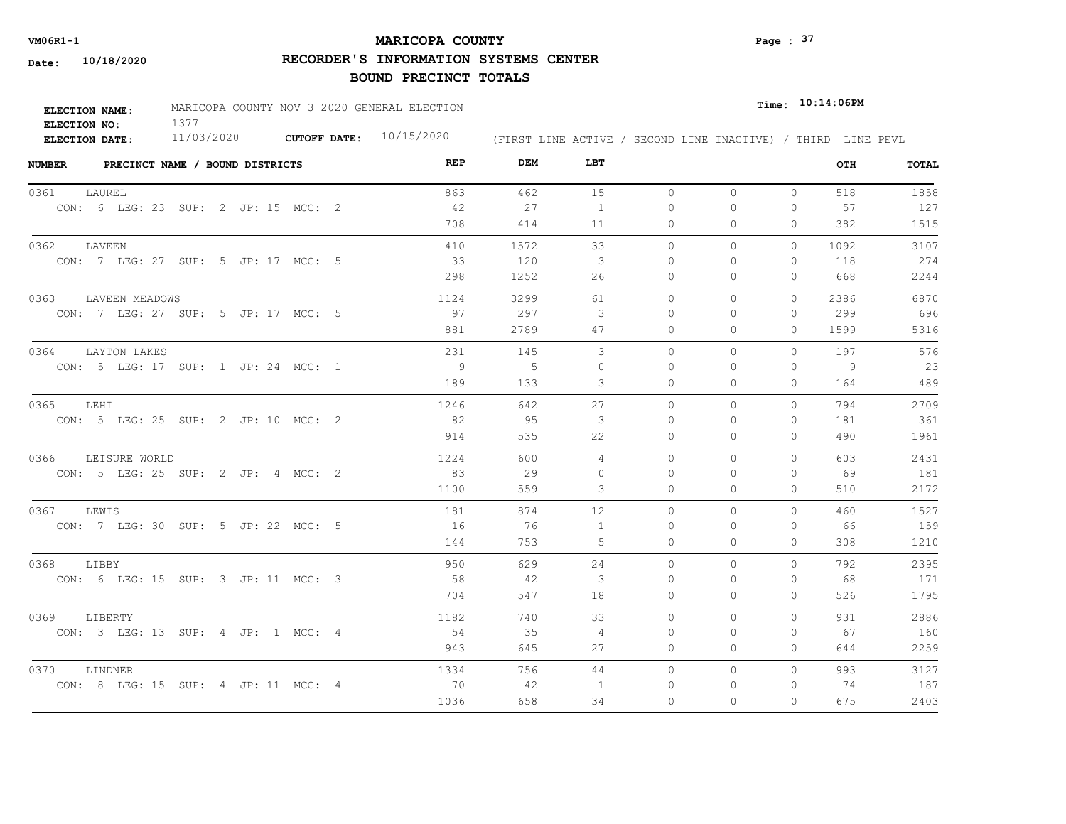# **MARICOPA COUNTY** Page : <sup>37</sup>

**RECORDER'S INFORMATION SYSTEMS CENTER**

| <b>ELECTION NAME:</b> | MARICOPA COUNTY NOV 3 2020 GENERAL ELECTION |                     |            |                                                              | $Time:$ 10:14:06PM |
|-----------------------|---------------------------------------------|---------------------|------------|--------------------------------------------------------------|--------------------|
| ELECTION NO:          |                                             |                     |            |                                                              |                    |
| <b>ELECTION DATE:</b> | 11/03/2020                                  | <b>CUTOFF DATE:</b> | 10/15/2020 | (FIRST LINE ACTIVE / SECOND LINE INACTIVE) / THIRD LINE PEVL |                    |

| <b>NUMBER</b> | PRECINCT NAME / BOUND DISTRICTS     | REP  | DEM  | LBT            |           |          |              | OTH  | TOTAL |
|---------------|-------------------------------------|------|------|----------------|-----------|----------|--------------|------|-------|
| 0361          | LAUREL                              | 863  | 462  | 15             | $\circ$   | $\Omega$ | $\circ$      | 518  | 1858  |
|               | CON: 6 LEG: 23 SUP: 2 JP: 15 MCC: 2 | 42   | 27   | $\overline{1}$ | $\bigcap$ | $\Omega$ | $\Omega$     | 57   | 127   |
|               |                                     | 708  | 414  | 11             | $\Omega$  | $\Omega$ | $\Omega$     | 382  | 1515  |
|               | 0362 LAVEEN                         | 410  | 1572 | 33             | $\circ$   | 0        | $\Omega$     | 1092 | 3107  |
|               | CON: 7 LEG: 27 SUP: 5 JP: 17 MCC: 5 | 33   | 120  | 3              | $\bigcap$ | $\Omega$ | $\Omega$     | 118  | 274   |
|               |                                     | 298  | 1252 | 26             | $\Omega$  | $\Omega$ | $\Omega$     | 668  | 2244  |
| 0363          | LAVEEN MEADOWS                      | 1124 | 3299 | 61             | $\Omega$  | $\Omega$ | $\Omega$     | 2386 | 6870  |
|               | CON: 7 LEG: 27 SUP: 5 JP: 17 MCC: 5 | 97   | 297  | 3              | 0         | $\Omega$ | 0            | 299  | 696   |
|               |                                     | 881  | 2789 | 47             | 0         | 0        | $\mathbf{0}$ | 1599 | 5316  |
| 0364          | LAYTON LAKES                        | 231  | 145  | 3              | $\Omega$  | $\Omega$ | $\Omega$     | 197  | 576   |
|               | CON: 5 LEG: 17 SUP: 1 JP: 24 MCC: 1 | - 9  | $-5$ | $\circ$        | 0         | $\Omega$ | $\mathbf{0}$ | -9   | 23    |
|               |                                     | 189  | 133  | 3              | 0         | 0        | $\mathbf{0}$ | 164  | 489   |
| 0365          | LEHI                                | 1246 | 642  | 27             | $\circ$   | $\circ$  | $\Omega$     | 794  | 2709  |
|               | CON: 5 LEG: 25 SUP: 2 JP: 10 MCC: 2 | 82   | 95   | 3              | $\Omega$  | $\Omega$ | $\mathbf{0}$ | 181  | 361   |
|               |                                     | 914  | 535  | 22             | $\Omega$  | $\Omega$ | $\Omega$     | 490  | 1961  |
| 0366          | LEISURE WORLD                       | 1224 | 600  | 4              | $\Omega$  | $\Omega$ | $\Omega$     | 603  | 2431  |
|               | CON: 5 LEG: 25 SUP: 2 JP: 4 MCC: 2  | 83   | 29   | $\Omega$       | $\Omega$  | $\Omega$ | $\Omega$     | 69   | 181   |
|               |                                     | 1100 | 559  | 3              | $\circ$   | $\Omega$ | $\mathbf{0}$ | 510  | 2172  |
| 0367          | LEWIS                               | 181  | 874  | 12             | $\Omega$  | $\Omega$ | $\Omega$     | 460  | 1527  |
|               | CON: 7 LEG: 30 SUP: 5 JP: 22 MCC: 5 | 16   | 76   | -1             | $\Omega$  | $\Omega$ | $\Omega$     | 66   | 159   |
|               |                                     | 144  | 753  | 5              | $\Omega$  | $\Omega$ | $\Omega$     | 308  | 1210  |
| 0368          | LIBBY                               | 950  | 629  | 24             | $\Omega$  | $\Omega$ | $\Omega$     | 792  | 2395  |
|               | CON: 6 LEG: 15 SUP: 3 JP: 11 MCC: 3 | 58   | 42   | 3              | $\Omega$  | $\Omega$ | $\mathbf{0}$ | 68   | 171   |
|               |                                     | 704  | 547  | 18             | $\circ$   | $\Omega$ | $\circ$      | 526  | 1795  |
| 0369          | LIBERTY                             | 1182 | 740  | 33             | $\Omega$  | $\Omega$ | $\Omega$     | 931  | 2886  |
|               | CON: 3 LEG: 13 SUP: 4 JP: 1 MCC: 4  | - 54 | -35  | -4             | $\Omega$  | $\Omega$ | $\Omega$     | 67   | 160   |
|               |                                     | 943  | 645  | 27             | $\Omega$  | $\Omega$ | $\Omega$     | 644  | 2259  |
| 0370          | LINDNER                             | 1334 | 756  | 44             | $\circ$   | 0        | $\circ$      | 993  | 3127  |
|               | CON: 8 LEG: 15 SUP: 4 JP: 11 MCC: 4 | 70   | 42   | $\overline{1}$ | $\Omega$  | 0        | 0            | 74   | 187   |
|               |                                     | 1036 | 658  | 34             | $\Omega$  | $\Omega$ | $\Omega$     | 675  | 2403  |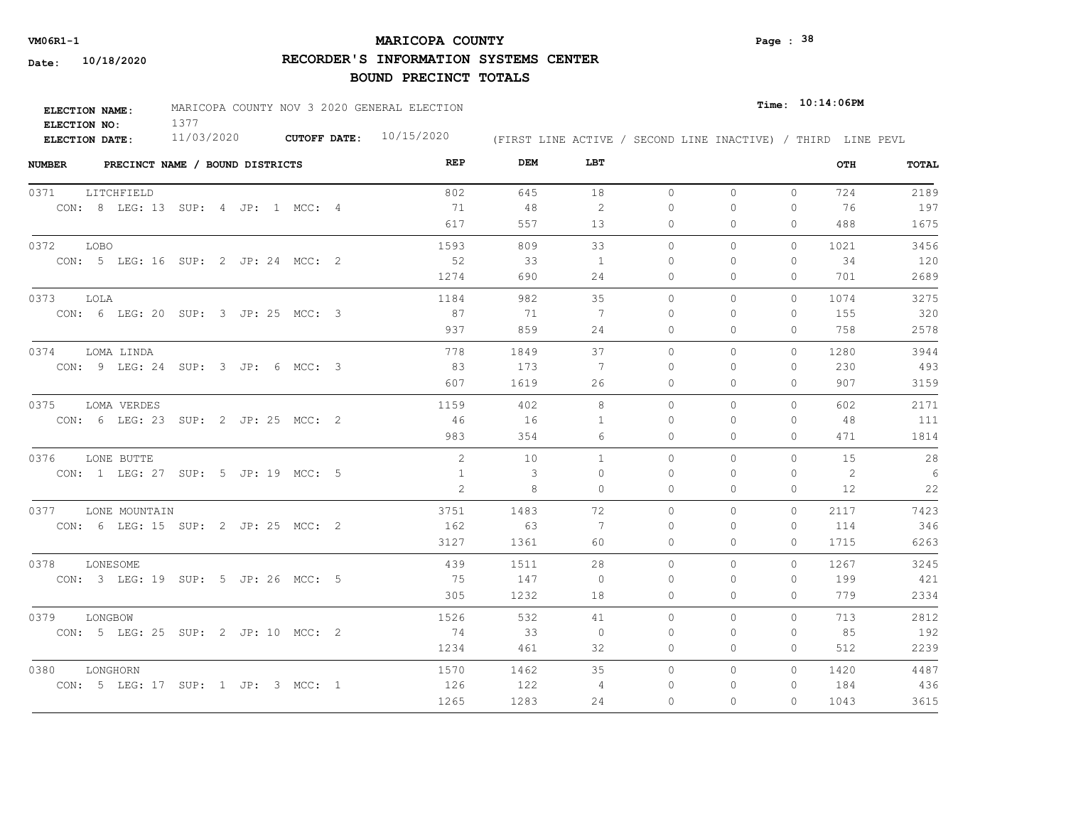# **MARICOPA COUNTY VM06R1-1 Page : 38**

**RECORDER'S INFORMATION SYSTEMS CENTER**

| <b>ELECTION NAME:</b> | MARICOPA COUNTY NOV 3 2020 GENERAL ELECTION |                           |                                                              | $_{\texttt{Time:}}$ 10:14:06PM |
|-----------------------|---------------------------------------------|---------------------------|--------------------------------------------------------------|--------------------------------|
| ELECTION NO:          |                                             |                           |                                                              |                                |
| <b>ELECTION DATE:</b> | 11/03/2020                                  | CUTOFF DATE: $10/15/2020$ | (FIRST LINE ACTIVE / SECOND LINE INACTIVE) / THIRD LINE PEVL |                                |

| <b>NUMBER</b> | PRECINCT NAME / BOUND DISTRICTS |                                     | REP          | DEM  | LBT          |          |          |              | OTH  | TOTAL           |
|---------------|---------------------------------|-------------------------------------|--------------|------|--------------|----------|----------|--------------|------|-----------------|
| 0371          | LITCHFIELD                      |                                     | 802          | 645  | 18           | $\circ$  | 0        | $\circ$      | 724  | 2189            |
|               |                                 | CON: 8 LEG: 13 SUP: 4 JP: 1 MCC: 4  | 71           | 48   | 2            | $\Omega$ | $\Omega$ | $\Omega$     | -76  | 197             |
|               |                                 |                                     | 617          | 557  | 13           | $\circ$  | $\Omega$ | 0            | 488  | 1675            |
| 0372 LOBO     |                                 |                                     | 1593         | 809  | 33           | $\Omega$ | $\Omega$ | $\Omega$     | 1021 | 3456            |
|               |                                 | CON: 5 LEG: 16 SUP: 2 JP: 24 MCC: 2 | 52           | 33   | 1            | $\Omega$ | $\Omega$ | $\mathbf{0}$ | 34   | 120             |
|               |                                 |                                     | 1274         | 690  | 24           | $\circ$  | 0        | $\mathbf{0}$ | 701  | 2689            |
| 0373          | LOLA                            |                                     | 1184         | 982  | 35           | $\circ$  | 0        | $\circ$      | 1074 | 3275            |
|               |                                 | CON: 6 LEG: 20 SUP: 3 JP: 25 MCC: 3 | 87           | 71   | 7            | $\Omega$ | $\Omega$ | $\mathbf{0}$ | 155  | 320             |
|               |                                 |                                     | 937          | 859  | 24           | 0        | 0        | $\mathbf{0}$ | 758  | 2578            |
| 0374          | LOMA LINDA                      |                                     | 778          | 1849 | 37           | $\Omega$ | $\Omega$ | $\Omega$     | 1280 | 3944            |
|               |                                 | CON: 9 LEG: 24 SUP: 3 JP: 6 MCC: 3  | 83           | 173  | -7           | $\Omega$ | 0        | $\mathbf{0}$ | 230  | 493             |
|               |                                 |                                     | 607          | 1619 | 26           | 0        | 0        | $\mathbf{0}$ | 907  | 3159            |
| 0375          | LOMA VERDES                     |                                     | 1159         | 402  | 8            | $\circ$  | 0        | 0            | 602  | 2171            |
|               |                                 | CON: 6 LEG: 23 SUP: 2 JP: 25 MCC: 2 | 46           | 16   | $\mathbf{1}$ | $\Omega$ | $\Omega$ | $\Omega$     | 48   | 111             |
|               |                                 |                                     | 983          | 354  | 6            | $\Omega$ | $\Omega$ | $\Omega$     | 471  | 1814            |
| 0376          | LONE BUTTE                      |                                     | 2            | 10   | $\mathbf{1}$ | $\Omega$ | $\Omega$ | $\Omega$     | 1.5  | 28              |
|               |                                 | CON: 1 LEG: 27 SUP: 5 JP: 19 MCC: 5 | $\mathbf{1}$ | 3    | $\Omega$     | $\Omega$ | $\Omega$ | $\Omega$     | 2    | $6\overline{6}$ |
|               |                                 |                                     | 2            | 8    | 0            | $\circ$  | $\Omega$ | $\mathbf{0}$ | 12   | 22              |
|               | 0377 LONE MOUNTAIN              |                                     | 3751         | 1483 | 72           | $\Omega$ | $\Omega$ | $\Omega$     | 2117 | 7423            |
|               |                                 | CON: 6 LEG: 15 SUP: 2 JP: 25 MCC: 2 | 162          | 63   | 7            | $\Omega$ | $\Omega$ | $\Omega$     | 114  | 346             |
|               |                                 |                                     | 3127         | 1361 | 60           | $\Omega$ | $\Omega$ | $\Omega$     | 1715 | 6263            |
| 0378          | LONESOME                        |                                     | 439          | 1511 | 28           | $\Omega$ | $\Omega$ | $\Omega$     | 1267 | 3245            |
|               |                                 | CON: 3 LEG: 19 SUP: 5 JP: 26 MCC: 5 | 75           | 147  | $\Omega$     | $\Omega$ | $\Omega$ | 0            | 199  | 421             |
|               |                                 |                                     | 305          | 1232 | 18           | $\circ$  | $\Omega$ | 0            | 779  | 2334            |
| 0379          | LONGBOW                         |                                     | 1526         | 532  | 41           | $\Omega$ | $\Omega$ | $\Omega$     | 713  | 2812            |
|               |                                 | CON: 5 LEG: 25 SUP: 2 JP: 10 MCC: 2 | 74           | 33   | $\Omega$     | $\Omega$ | $\Omega$ | $\Omega$     | 85   | 192             |
|               |                                 |                                     | 1234         | 461  | 32           | 0        | 0        | $\mathbf{0}$ | 512  | 2239            |
| 0380          | LONGHORN                        |                                     | 1570         | 1462 | 35           | $\circ$  | 0        | $\circ$      | 1420 | 4487            |
|               |                                 | CON: 5 LEG: 17 SUP: 1 JP: 3 MCC: 1  | 126          | 122  | 4            | $\Omega$ | 0        | $\mathbf{0}$ | 184  | 436             |
|               |                                 |                                     | 1265         | 1283 | 24           | $\Omega$ | $\Omega$ | $\Omega$     | 1043 | 3615            |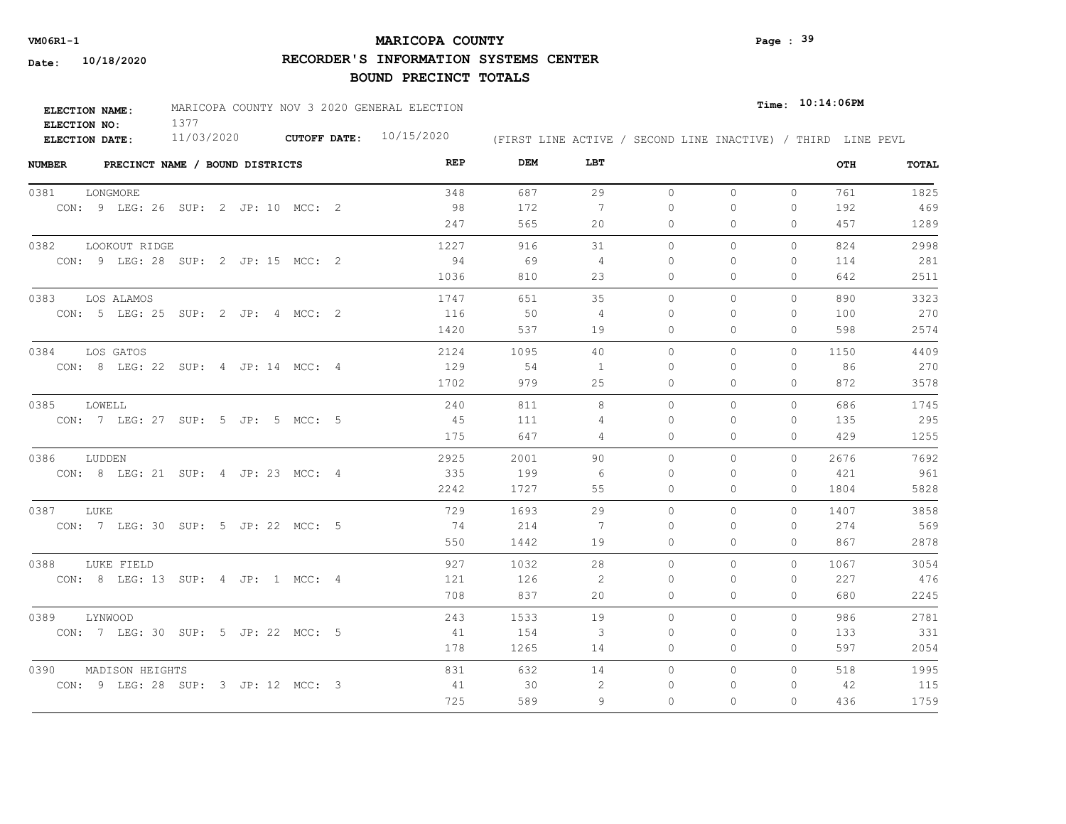# **MARICOPA COUNTY** Page : <sup>39</sup>

**RECORDER'S INFORMATION SYSTEMS CENTER**

| <b>ELECTION NAME:</b> | MARICOPA COUNTY NOV 3 2020 GENERAL ELECTION |                           |                                                              | $Time:$ $10:14:06$ PM |  |  |
|-----------------------|---------------------------------------------|---------------------------|--------------------------------------------------------------|-----------------------|--|--|
| ELECTION NO:          |                                             |                           |                                                              |                       |  |  |
| ELECTION DATE:        | 11/03/2020                                  | CUTOFF DATE: $10/15/2020$ | (FIRST LINE ACTIVE / SECOND LINE INACTIVE) / THIRD LINE PEVL |                       |  |  |

| <b>NUMBER</b> | PRECINCT NAME / BOUND DISTRICTS     |  | REP         | DEM<br>LBT           |           |          |              | OTH  | TOTAL |
|---------------|-------------------------------------|--|-------------|----------------------|-----------|----------|--------------|------|-------|
| 0381          | LONGMORE                            |  | 348         | 687<br>29            | $\circ$   | $\circ$  | $\mathbf{0}$ | 761  | 1825  |
|               | CON: 9 LEG: 26 SUP: 2 JP: 10 MCC: 2 |  | -98         | 172<br>7             | $\Omega$  | $\Omega$ | $\mathbf{0}$ | 192  | 469   |
|               |                                     |  | 247         | 565<br>20            | 0         | 0        | 0            | 457  | 1289  |
| 0382          | LOOKOUT RIDGE                       |  | 1227        | 31<br>916            | $\circ$   | 0        | 0            | 824  | 2998  |
|               | CON: 9 LEG: 28 SUP: 2 JP: 15 MCC: 2 |  | 94          | 69<br>-4             | 0         | 0        | $\mathbf{0}$ | 114  | 281   |
|               |                                     |  | 1036        | 810<br>23            | 0         | 0        | $\mathbf{0}$ | 642  | 2511  |
| 0383          | LOS ALAMOS                          |  | 1747        | 35<br>651            | $\circ$   | 0        | 0            | 890  | 3323  |
|               | CON: 5 LEG: 25 SUP: 2 JP: 4 MCC: 2  |  | 116         | 50<br>4              | $\Omega$  | $\Omega$ | 0            | 100  | 270   |
|               |                                     |  | 1420        | 537<br>19            | $\Omega$  | $\Omega$ | $\Omega$     | 598  | 2574  |
| 0384          | LOS GATOS                           |  | 2124        | 1095<br>40           | $\Omega$  | 0        | $\circ$      | 1150 | 4409  |
|               | CON: 8 LEG: 22 SUP: 4 JP: 14 MCC: 4 |  | 129         | 54<br>$\overline{1}$ | $\Omega$  | $\Omega$ | $\mathbf{0}$ | 86   | 270   |
|               |                                     |  | 1702        | 25<br>979            | 0         | $\Omega$ | $\mathbf{0}$ | 872  | 3578  |
| 0385          | LOWELL                              |  | 240         | 811<br>8             | $\Omega$  | $\Omega$ | $\Omega$     | 686  | 1745  |
|               | CON: 7 LEG: 27 SUP: 5 JP: 5 MCC: 5  |  | 45          | 111<br>4             | $\bigcap$ | $\Omega$ | $\Omega$     | 135  | 295   |
|               |                                     |  | 175         | 647<br>4             | 0         | 0        | $\mathbf{0}$ | 429  | 1255  |
| 0386          | LUDDEN                              |  | 2925        | 2001<br>90           | $\Omega$  | $\Omega$ | $\Omega$     | 2676 | 7692  |
|               | CON: 8 LEG: 21 SUP: 4 JP: 23 MCC: 4 |  | 335         | 199<br>-6            | $\Omega$  | $\Omega$ | $\mathbf{0}$ | 421  | 961   |
|               |                                     |  | 2242        | 1727<br>55           | $\circ$   | $\Omega$ | $\mathbf{0}$ | 1804 | 5828  |
| 0387          | LUKE                                |  | 729         | 29<br>1693           | $\Omega$  | $\Omega$ | $\Omega$     | 1407 | 3858  |
|               | CON: 7 LEG: 30 SUP: 5 JP: 22 MCC: 5 |  | 74          | 214<br>7             | $\bigcap$ | $\Omega$ | $\Omega$     | 274  | 569   |
|               |                                     |  | 550         | 1442<br>19           | $\Omega$  | $\Omega$ | $\Omega$     | 867  | 2878  |
| 0388          | LUKE FIELD                          |  | 927         | 1032<br>28           | $\circ$   | 0        | $\circ$      | 1067 | 3054  |
|               | CON: 8 LEG: 13 SUP: 4 JP: 1 MCC: 4  |  | 121         | 2<br>126             | $\Omega$  | $\Omega$ | 0            | 227  | 476   |
|               |                                     |  | 708         | 837<br>20            | $\circ$   | 0        | $\mathbf{0}$ | 680  | 2245  |
| 0389          | LYNWOOD                             |  | 1533<br>243 | 19                   | $\Omega$  | $\Omega$ | $\mathbf{0}$ | 986  | 2781  |
|               | CON: 7 LEG: 30 SUP: 5 JP: 22 MCC: 5 |  | 41          | 3<br>154             | $\Omega$  | $\Omega$ | $\mathbf{0}$ | 133  | 331   |
|               |                                     |  | 178         | 1265<br>14           | 0         | 0        | $\mathbf{0}$ | 597  | 2054  |
| 0390          | MADISON HEIGHTS                     |  | 831         | 632<br>14            | $\circ$   | 0        | $\circ$      | 518  | 1995  |
|               | CON: 9 LEG: 28 SUP: 3 JP: 12 MCC: 3 |  | 41          | 30<br>2              | 0         | 0        | $\mathbf{0}$ | 42   | 115   |
|               |                                     |  | 725         | 589<br>9             | $\Omega$  | $\Omega$ | $\Omega$     | 436  | 1759  |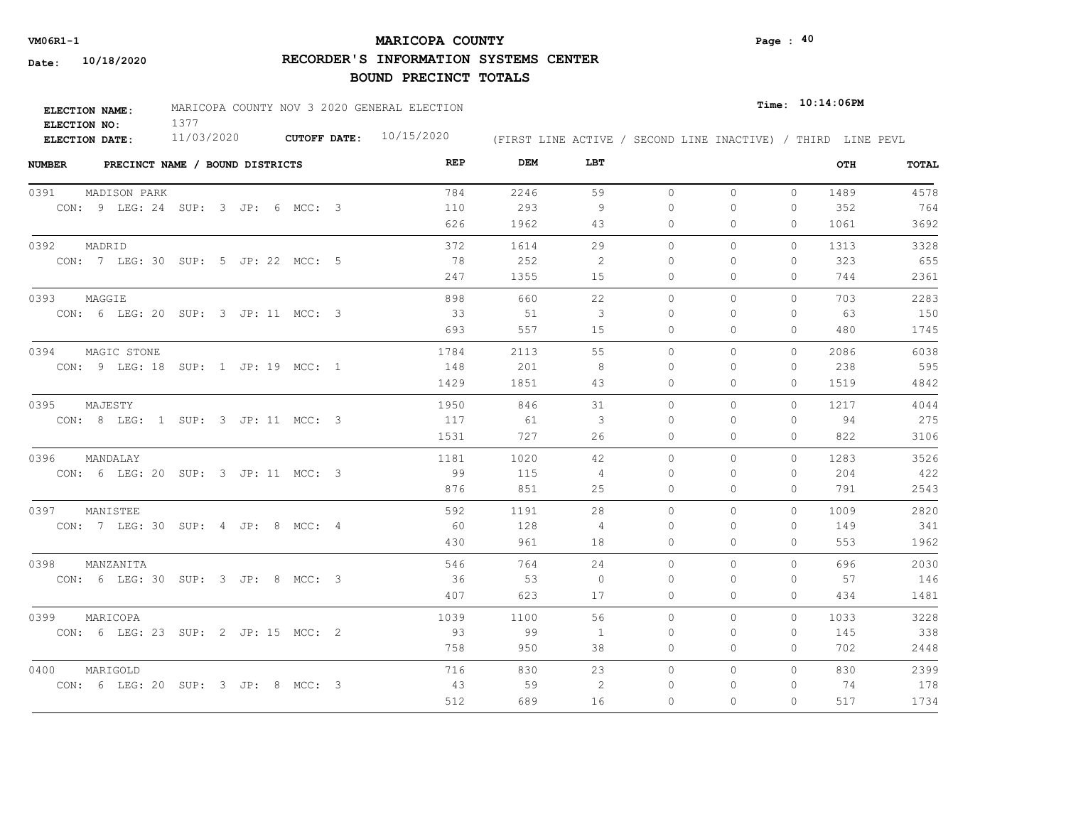# **MARICOPA COUNTY VM06R1-1 Page : 40**

**RECORDER'S INFORMATION SYSTEMS CENTER**

| <b>ELECTION NAME:</b> | MARICOPA COUNTY NOV 3 2020 GENERAL ELECTION |                     |            |  |  |  | $_{Time:}$ 10:14:06PM |                                                              |
|-----------------------|---------------------------------------------|---------------------|------------|--|--|--|-----------------------|--------------------------------------------------------------|
| ELECTION NO:          |                                             |                     |            |  |  |  |                       |                                                              |
| ELECTION DATE:        | 11/03/2020                                  | <b>CUTOFF DATE:</b> | 10/15/2020 |  |  |  |                       | (FIRST LINE ACTIVE / SECOND LINE INACTIVE) / THIRD LINE PEVL |

| <b>NUMBER</b><br>PRECINCT NAME / BOUND DISTRICTS | REP  | DEM  | LBT                     |              |              |              | OTH  | <b>TOTAL</b> |
|--------------------------------------------------|------|------|-------------------------|--------------|--------------|--------------|------|--------------|
| 0391<br>MADISON PARK                             | 784  | 2246 | 59                      | $\circ$      | $\circ$      | $\mathbf{0}$ | 1489 | 4578         |
| CON: 9 LEG: 24 SUP: 3 JP: 6 MCC: 3               | 110  | 293  | 9                       | 0            | $\mathbf{0}$ | 0            | 352  | 764          |
|                                                  | 626  | 1962 | 43                      | $\mathbf{0}$ | $\mathbf{0}$ | $\Omega$     | 1061 | 3692         |
| 0392<br>MADRID                                   | 372  | 1614 | 29                      | $\Omega$     | $\Omega$     | $\Omega$     | 1313 | 3328         |
| CON: 7 LEG: 30 SUP: 5 JP: 22 MCC: 5              | 78   | 252  | -2                      | $\Omega$     | $\Omega$     | 0            | 323  | 655          |
|                                                  | 247  | 1355 | 15                      | $\mathbf{0}$ | $\circ$      | 0            | 744  | 2361         |
| 0393<br>MAGGIE                                   | 898  | 660  | 22                      | $\Omega$     | $\Omega$     | $\Omega$     | 703  | 2283         |
| CON: 6 LEG: 20 SUP: 3 JP: 11 MCC: 3              | 33   | 51   | 3                       | 0            | $\Omega$     | 0            | 63   | 150          |
|                                                  | 693  | 557  | 15                      | $\Omega$     | $\Omega$     | $\Omega$     | 480  | 1745         |
| 0394<br>MAGIC STONE                              | 1784 | 2113 | 55                      | $\Omega$     | $\bigcap$    | $\Omega$     | 2086 | 6038         |
| CON: 9 LEG: 18 SUP: 1 JP: 19 MCC: 1              | 148  | 201  | -8                      | $\Omega$     | $\Omega$     | $\Omega$     | 238  | 595          |
|                                                  | 1429 | 1851 | 43                      | $\circ$      | $\circ$      | 0            | 1519 | 4842         |
| 0395<br>MAJESTY                                  | 1950 | 846  | 31                      | $\Omega$     | $\Omega$     | $\Omega$     | 1217 | 4044         |
| CON: 8 LEG: 1 SUP: 3 JP: 11 MCC: 3               | 117  | - 61 | $\overline{\mathbf{3}}$ | $\Omega$     | $\Omega$     | 0            | 94   | 275          |
|                                                  | 1531 | 727  | 26                      | $\circ$      | $\Omega$     | $\Omega$     | 822  | 3106         |
| 0396<br>MANDALAY                                 | 1181 | 1020 | 42                      | $\Omega$     | $\Omega$     | $\Omega$     | 1283 | 3526         |
| CON: 6 LEG: 20 SUP: 3 JP: 11 MCC: 3              | - 99 | 115  | 4                       | $\Omega$     | $\Omega$     | 0            | 204  | 422          |
|                                                  | 876  | 851  | 25                      | $\circ$      | $\circ$      | 0            | 791  | 2543         |
| 0397<br>MANISTEE                                 | 592  | 1191 | 28                      | $\Omega$     | $\Omega$     | $\Omega$     | 1009 | 2820         |
| CON: 7 LEG: 30 SUP: 4 JP: 8 MCC: 4               | - 60 | 128  | 4                       | $\Omega$     | $\Omega$     | 0            | 149  | 341          |
|                                                  | 430  | 961  | 18                      | $\circ$      | $\circ$      | 0            | 553  | 1962         |
| 0398<br>MANZANITA                                | 546  | 764  | 24                      | $\circ$      | $\circ$      | $\Omega$     | 696  | 2030         |
| CON: 6 LEG: 30 SUP: 3 JP: 8 MCC: 3               | 36   | 53   | $\circ$                 | 0            | $\Omega$     | 0            | 57   | 146          |
|                                                  | 407  | 623  | 17                      | $\circ$      | $\circ$      | 0            | 434  | 1481         |
| 0399<br>MARICOPA                                 | 1039 | 1100 | 56                      | $\Omega$     | $\Omega$     | $\Omega$     | 1033 | 3228         |
| CON: 6 LEG: 23 SUP: 2 JP: 15 MCC: 2              | 93   | 99   | 1                       | 0            | 0            | 0            | 145  | 338          |
|                                                  | 758  | 950  | 38                      | $\circ$      | $\mathbf{0}$ | 0            | 702  | 2448         |
| 0400<br>MARIGOLD                                 | 716  | 830  | 23                      | $\circ$      | $\circ$      | $\Omega$     | 830  | 2399         |
| CON: 6 LEG: 20 SUP: 3 JP: 8 MCC: 3               | 43   | 59   | -2                      | 0            | $\Omega$     | 0            | 74   | 178          |
|                                                  | 512  | 689  | 16                      | 0            | $\Omega$     | $\Omega$     | 517  | 1734         |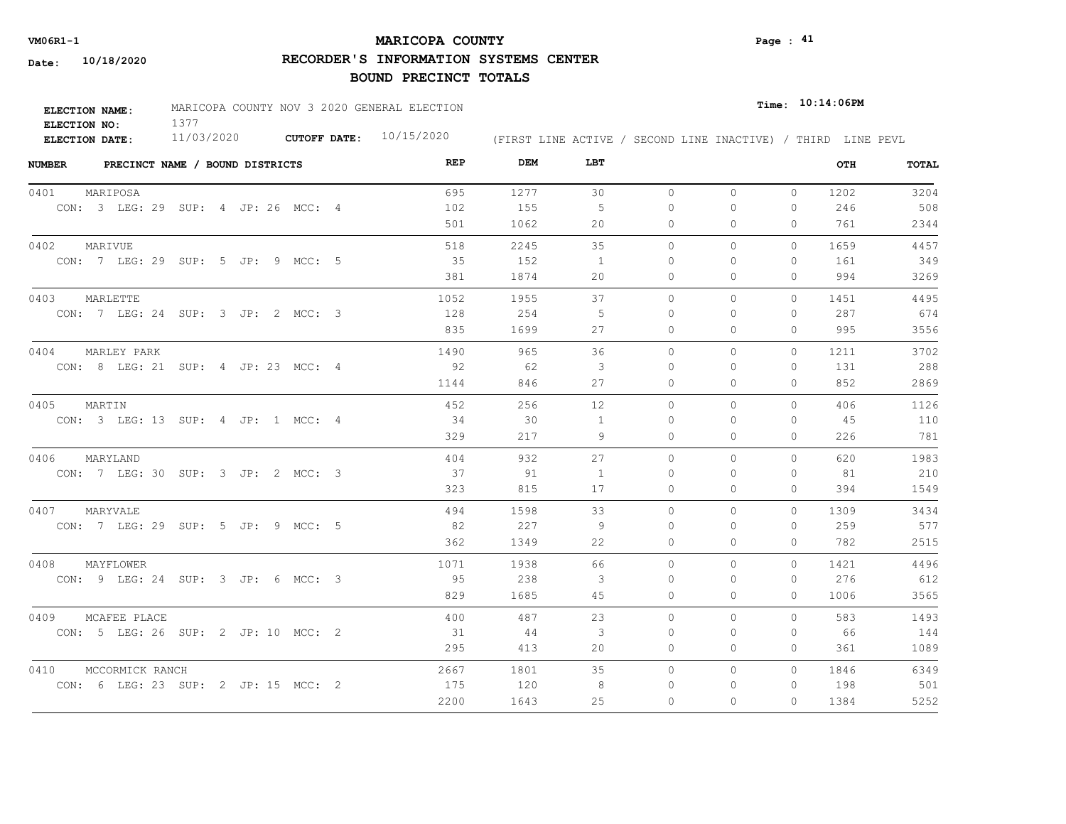# **MARICOPA COUNTY VM06R1-1 Page : 41**

**RECORDER'S INFORMATION SYSTEMS CENTER**

| <b>ELECTION NAME:</b> | MARICOPA COUNTY NOV 3 2020 GENERAL ELECTION |                           |                                                              | $_{Time:}$ 10:14:06PM |  |
|-----------------------|---------------------------------------------|---------------------------|--------------------------------------------------------------|-----------------------|--|
| ELECTION NO:          |                                             |                           |                                                              |                       |  |
| ELECTION DATE:        | 11/03/2020                                  | CUTOFF DATE: $10/15/2020$ | (FIRST LINE ACTIVE / SECOND LINE INACTIVE) / THIRD LINE PEVL |                       |  |

| <b>NUMBER</b><br>PRECINCT NAME / BOUND DISTRICTS | REP  | DEM  | LBT            |           |          |              | OTH  | TOTAL |
|--------------------------------------------------|------|------|----------------|-----------|----------|--------------|------|-------|
| 0401<br>MARIPOSA                                 | 695  | 1277 | 30             | $\circ$   | $\circ$  | $\circ$      | 1202 | 3204  |
| CON: 3 LEG: 29 SUP: 4 JP: 26 MCC: 4              | 102  | 155  | 5              | $\Omega$  | 0        | 0            | 246  | 508   |
|                                                  | 501  | 1062 | 20             | 0         | 0        | $\Omega$     | 761  | 2344  |
| 0402<br>MARIVUE                                  | 518  | 2245 | 35             | $\circ$   | 0        | $\mathbf{0}$ | 1659 | 4457  |
| CON: 7 LEG: 29 SUP: 5 JP: 9 MCC: 5               | 35   | 152  | $\overline{1}$ | $\Omega$  | $\Omega$ | $\mathbf{0}$ | 161  | 349   |
|                                                  | 381  | 1874 | 20             | $\Omega$  | 0        | $\Omega$     | 994  | 3269  |
| MARLETTE<br>0403                                 | 1052 | 1955 | 37             | $\circ$   | 0        | $\mathbf{0}$ | 1451 | 4495  |
| CON: 7 LEG: 24 SUP: 3 JP: 2 MCC: 3               | 128  | 254  | -5             | $\Omega$  | $\Omega$ | $\Omega$     | 287  | 674   |
|                                                  | 835  | 1699 | 27             | $\Omega$  | $\Omega$ | $\Omega$     | 995  | 3556  |
| 0404<br>MARLEY PARK                              | 1490 | 965  | 36             | $\Omega$  | $\Omega$ | $\Omega$     | 1211 | 3702  |
| CON: 8 LEG: 21 SUP: 4 JP: 23 MCC: 4              | 92   | 62   | 3              | $\Omega$  | $\Omega$ | $\Omega$     | 131  | 288   |
|                                                  | 1144 | 846  | 27             | 0         | 0        | $\mathbf{0}$ | 852  | 2869  |
| 0405<br>MARTIN                                   | 452  | 256  | 12             | $\Omega$  | $\Omega$ | $\Omega$     | 406  | 1126  |
| CON: 3 LEG: 13 SUP: 4 JP: 1 MCC: 4               | 34   | 30   | -1             | $\bigcap$ | $\Omega$ | $\Omega$     | 45   | 110   |
|                                                  | 329  | 217  | 9              | 0         | 0        | $\mathbf{0}$ | 226  | 781   |
| 0406<br>MARYLAND                                 | 404  | 932  | 27             | $\Omega$  | $\Omega$ | $\Omega$     | 620  | 1983  |
| CON: 7 LEG: 30 SUP: 3 JP: 2 MCC: 3               | 37   | 91   | $\overline{1}$ | $\Omega$  | $\Omega$ | $\Omega$     | 81   | 210   |
|                                                  | 323  | 815  | 17             | $\circ$   | $\Omega$ | 0            | 394  | 1549  |
| 0407<br>MARYVALE                                 | 494  | 1598 | 33             | $\Omega$  | $\Omega$ | $\Omega$     | 1309 | 3434  |
| CON: 7 LEG: 29 SUP: 5 JP: 9 MCC: 5               | 82   | 227  | -9             | $\Omega$  | $\Omega$ | $\Omega$     | 259  | 577   |
|                                                  | 362  | 1349 | 22             | $\circ$   | 0        | $\Omega$     | 782  | 2515  |
| 0408<br>MAYFLOWER                                | 1071 | 1938 | 66             | $\circ$   | $\Omega$ | 0            | 1421 | 4496  |
| CON: 9 LEG: 24 SUP: 3 JP: 6 MCC: 3               | 95   | 238  | 3              | 0         | 0        | $\mathbf{0}$ | 276  | 612   |
|                                                  | 829  | 1685 | 45             | 0         | 0        | $\mathbf{0}$ | 1006 | 3565  |
| 0409<br>MCAFEE PLACE                             | 400  | 487  | 23             | $\circ$   | $\Omega$ | 0            | 583  | 1493  |
| CON: 5 LEG: 26 SUP: 2 JP: 10 MCC: 2              | 31   | 44   | 3              | 0         | 0        | $\mathbf{0}$ | 66   | 144   |
|                                                  | 295  | 413  | 20             | 0         | 0        | $\mathbf{0}$ | 361  | 1089  |
| 0410<br>MCCORMICK RANCH                          | 2667 | 1801 | 35             | $\Omega$  | $\circ$  | $\Omega$     | 1846 | 6349  |
| CON: 6 LEG: 23 SUP: 2 JP: 15 MCC: 2              | 175  | 120  | 8              | $\Omega$  | 0        | 0            | 198  | 501   |
|                                                  | 2200 | 1643 | 25             | $\Omega$  | $\Omega$ | $\Omega$     | 1384 | 5252  |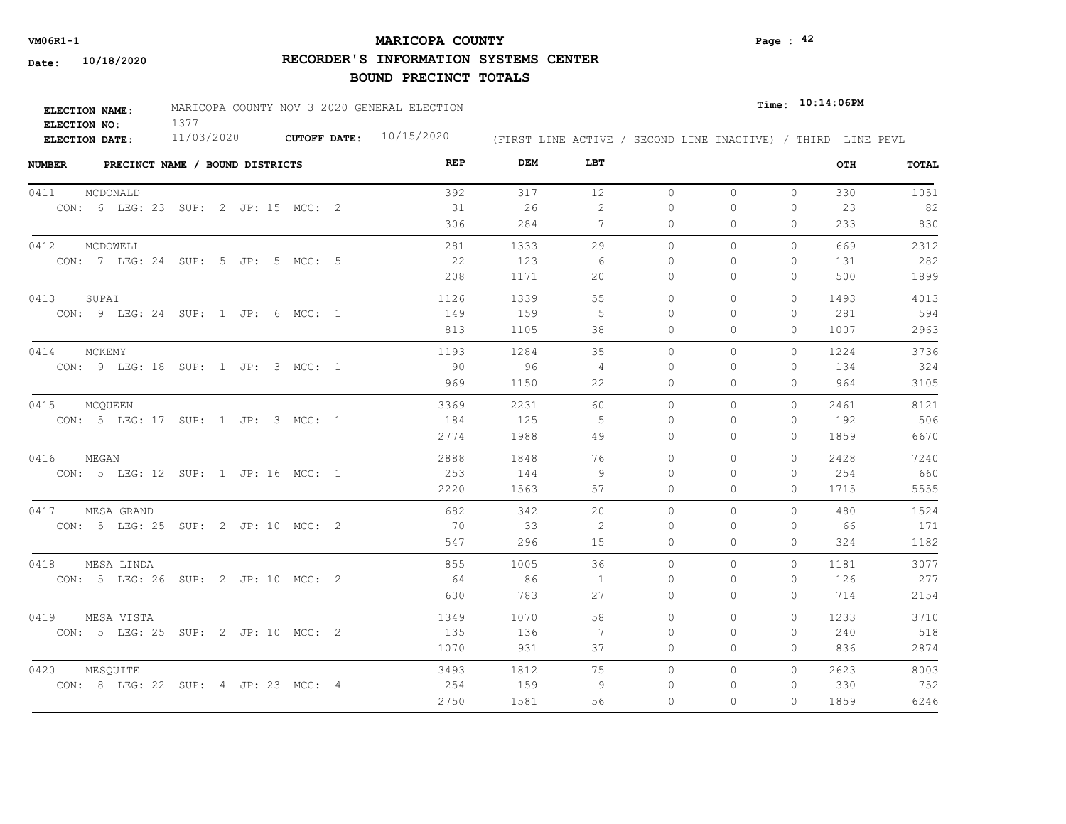# **MARICOPA COUNTY VM06R1-1 Page : 42**

**RECORDER'S INFORMATION SYSTEMS CENTER**

| <b>ELECTION NAME:</b> | MARICOPA COUNTY NOV 3 2020 GENERAL ELECTION |                           |                                                              | $_{\texttt{Time:}}$ 10:14:06PM |
|-----------------------|---------------------------------------------|---------------------------|--------------------------------------------------------------|--------------------------------|
| ELECTION NO:          |                                             |                           |                                                              |                                |
| <b>ELECTION DATE:</b> | 11/03/2020                                  | CUTOFF DATE: $10/15/2020$ | (FIRST LINE ACTIVE / SECOND LINE INACTIVE) / THIRD LINE PEVL |                                |

| <b>NUMBER</b> | PRECINCT NAME / BOUND DISTRICTS     |  |  |  | REP  | DEM  | LBT |          |              |              | OTH  | TOTAL |
|---------------|-------------------------------------|--|--|--|------|------|-----|----------|--------------|--------------|------|-------|
| 0411          | MCDONALD                            |  |  |  | 392  | 317  | 12  | $\circ$  | 0            | $\mathbf{0}$ | 330  | 1051  |
|               | CON: 6 LEG: 23 SUP: 2 JP: 15 MCC: 2 |  |  |  | 31   | 26   | 2   | $\Omega$ | $\Omega$     | $\Omega$     | 23   | 82    |
|               |                                     |  |  |  | 306  | 284  | 7   | $\circ$  | $\Omega$     | $\Omega$     | 233  | 830   |
| 0412          | MCDOWELL                            |  |  |  | 281  | 1333 | 29  | $\Omega$ | $\Omega$     | $\Omega$     | 669  | 2312  |
|               | CON: 7 LEG: 24 SUP: 5 JP: 5 MCC: 5  |  |  |  | 22   | 123  | 6   | $\Omega$ | 0            | 0            | 131  | 282   |
|               |                                     |  |  |  | 208  | 1171 | 20  | $\circ$  | $\circ$      | 0            | 500  | 1899  |
| 0413          | SUPAI                               |  |  |  | 1126 | 1339 | 55  | $\circ$  | $\circ$      | $\mathbf{0}$ | 1493 | 4013  |
|               | CON: 9 LEG: 24 SUP: 1 JP: 6 MCC: 1  |  |  |  | 149  | 159  | -5  | $\Omega$ | $\Omega$     | 0            | 281  | 594   |
|               |                                     |  |  |  | 813  | 1105 | 38  | 0        | $\mathbf{0}$ | 0            | 1007 | 2963  |
| 0414          | MCKEMY                              |  |  |  | 1193 | 1284 | 35  | $\Omega$ | $\Omega$     | $\Omega$     | 1224 | 3736  |
|               | CON: 9 LEG: 18 SUP: 1 JP: 3 MCC: 1  |  |  |  | 90   | 96   | 4   | 0        | 0            | 0            | 134  | 324   |
|               |                                     |  |  |  | 969  | 1150 | 22  | 0        | $\mathbf{0}$ | 0            | 964  | 3105  |
| 0415          | MCQUEEN                             |  |  |  | 3369 | 2231 | 60  | 0        | $\circ$      | 0            | 2461 | 8121  |
|               | CON: 5 LEG: 17 SUP: 1 JP: 3 MCC: 1  |  |  |  | 184  | 125  | -5  | $\Omega$ | $\Omega$     | $\Omega$     | 192  | 506   |
|               |                                     |  |  |  | 2774 | 1988 | 49  | $\Omega$ | $\Omega$     | 0            | 1859 | 6670  |
| 0416          | MEGAN                               |  |  |  | 2888 | 1848 | 76  | $\Omega$ | $\Omega$     | $\Omega$     | 2428 | 7240  |
|               | CON: 5 LEG: 12 SUP: 1 JP: 16 MCC: 1 |  |  |  | 253  | 144  | - 9 | $\Omega$ | $\Omega$     | 0            | 254  | 660   |
|               |                                     |  |  |  | 2220 | 1563 | 57  | $\circ$  | $\circ$      | 0            | 1715 | 5555  |
| 0417          | MESA GRAND                          |  |  |  | 682  | 342  | 20  | $\Omega$ | $\Omega$     | $\Omega$     | 480  | 1524  |
|               | CON: 5 LEG: 25 SUP: 2 JP: 10 MCC: 2 |  |  |  | - 70 | - 33 | -2  | $\Omega$ | $\Omega$     | 0            | 66   | 171   |
|               |                                     |  |  |  | 547  | 296  | 15  | $\Omega$ | $\Omega$     | $\Omega$     | 324  | 1182  |
| 0418          | MESA LINDA                          |  |  |  | 855  | 1005 | 36  | $\Omega$ | $\Omega$     | $\Omega$     | 1181 | 3077  |
|               | CON: 5 LEG: 26 SUP: 2 JP: 10 MCC: 2 |  |  |  | 64   | 86   | 1   | $\Omega$ | $\circ$      | 0            | 126  | 277   |
|               |                                     |  |  |  | 630  | 783  | 27  | $\circ$  | $\Omega$     | 0            | 714  | 2154  |
| 0419          | MESA VISTA                          |  |  |  | 1349 | 1070 | 58  | $\Omega$ | $\Omega$     | $\Omega$     | 1233 | 3710  |
|               | CON: 5 LEG: 25 SUP: 2 JP: 10 MCC: 2 |  |  |  | 135  | 136  | 7   | $\Omega$ | $\Omega$     | $\Omega$     | 240  | 518   |
|               |                                     |  |  |  | 1070 | 931  | 37  | $\circ$  | $\circ$      | 0            | 836  | 2874  |
| 0420          | MESQUITE                            |  |  |  | 3493 | 1812 | 75  | 0        | $\mathbf{0}$ | 0            | 2623 | 8003  |
|               | CON: 8 LEG: 22 SUP: 4 JP: 23 MCC: 4 |  |  |  | 254  | 159  | 9   | $\Omega$ | $\circ$      | $\mathbf{0}$ | 330  | 752   |
|               |                                     |  |  |  | 2750 | 1581 | 56  | $\Omega$ | $\Omega$     | $\Omega$     | 1859 | 6246  |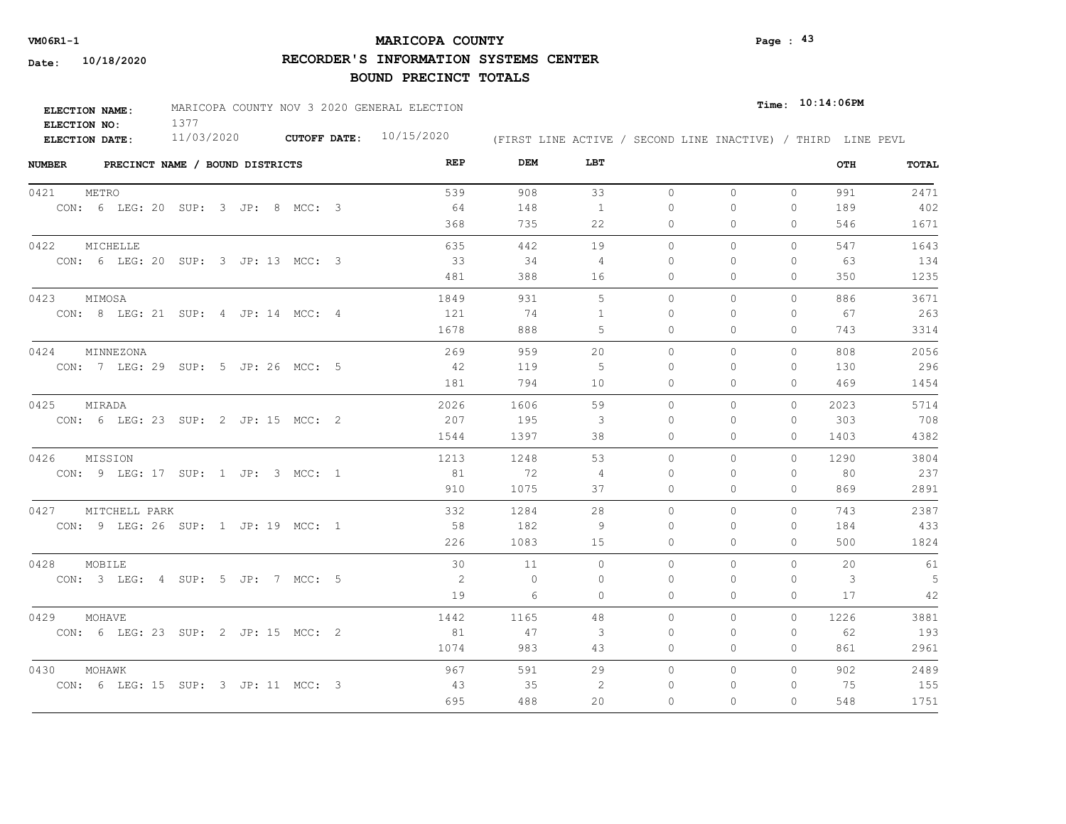# **MARICOPA COUNTY VM06R1-1 Page : 43**

**RECORDER'S INFORMATION SYSTEMS CENTER**

| <b>ELECTION NAME:</b> | MARICOPA COUNTY NOV 3 2020 GENERAL ELECTION |                     |            |                                                              | $Time:$ 10:14:06PM |
|-----------------------|---------------------------------------------|---------------------|------------|--------------------------------------------------------------|--------------------|
| ELECTION NO:          |                                             |                     |            |                                                              |                    |
| <b>ELECTION DATE:</b> | 11/03/2020                                  | <b>CUTOFF DATE:</b> | 10/15/2020 | (FIRST LINE ACTIVE / SECOND LINE INACTIVE) / THIRD LINE PEVL |                    |

| <b>NUMBER</b> |                                     | PRECINCT NAME / BOUND DISTRICTS |  |  | REP  | DEM     | LBT            |              |          |              | OTH  | TOTAL |
|---------------|-------------------------------------|---------------------------------|--|--|------|---------|----------------|--------------|----------|--------------|------|-------|
| 0421          | METRO                               |                                 |  |  | 539  | 908     | 33             | $\circ$      | 0        | $\circ$      | 991  | 2471  |
|               | CON: 6 LEG: 20 SUP: 3 JP: 8 MCC: 3  |                                 |  |  | 64   | 148     | $\mathbf{1}$   | $\Omega$     | $\Omega$ | $\Omega$     | 189  | 402   |
|               |                                     |                                 |  |  | 368  | 735     | 22             | $\circ$      | $\Omega$ | $\Omega$     | 546  | 1671  |
| 0422          | MICHELLE                            |                                 |  |  | 635  | 442     | 19             | $\Omega$     | $\Omega$ | $\Omega$     | 547  | 1643  |
|               | CON: 6 LEG: 20 SUP: 3 JP: 13 MCC: 3 |                                 |  |  | 33   | 34      | 4              | $\Omega$     | $\Omega$ | $\Omega$     | 63   | 134   |
|               |                                     |                                 |  |  | 481  | 388     | 16             | 0            | 0        | $\mathbf{0}$ | 350  | 1235  |
| 0423          | MIMOSA                              |                                 |  |  | 1849 | 931     | 5              | $\circ$      | 0        | $\Omega$     | 886  | 3671  |
|               | CON: 8 LEG: 21 SUP: 4 JP: 14 MCC: 4 |                                 |  |  | 121  | 74      | $\overline{1}$ | $\Omega$     | $\Omega$ | $\Omega$     | 67   | 263   |
|               |                                     |                                 |  |  | 1678 | 888     | 5              | 0            | 0        | $\Omega$     | 743  | 3314  |
| 0424          | MINNEZONA                           |                                 |  |  | 269  | 959     | $20^{\circ}$   | $\Omega$     | $\Omega$ | $\Omega$     | 808  | 2056  |
|               | CON: 7 LEG: 29 SUP: 5 JP: 26 MCC: 5 |                                 |  |  | 42   | 119     | -5             | 0            | $\Omega$ | $\mathbf{0}$ | 130  | 296   |
|               |                                     |                                 |  |  | 181  | 794     | 10             | 0            | 0        | $\mathbf{0}$ | 469  | 1454  |
| 0425          | MIRADA                              |                                 |  |  | 2026 | 1606    | 59             | $\circ$      | 0        | $\circ$      | 2023 | 5714  |
|               | CON: 6 LEG: 23 SUP: 2 JP: 15 MCC: 2 |                                 |  |  | 207  | 195     | 3              | $\Omega$     | 0        | $\Omega$     | 303  | 708   |
|               |                                     |                                 |  |  | 1544 | 1397    | 38             | 0            | $\Omega$ | $\Omega$     | 1403 | 4382  |
| 0426          | MISSION                             |                                 |  |  | 1213 | 1248    | 53             | $\Omega$     | $\Omega$ | $\Omega$     | 1290 | 3804  |
|               | CON: 9 LEG: 17 SUP: 1 JP: 3 MCC: 1  |                                 |  |  | 81   | 72      | 4              | $\Omega$     | 0        | $\Omega$     | 80   | 237   |
|               |                                     |                                 |  |  | 910  | 1075    | 37             | $\circ$      | $\Omega$ | $\circ$      | 869  | 2891  |
| 0427          | MITCHELL PARK                       |                                 |  |  | 332  | 1284    | 28             | $\Omega$     | $\Omega$ | $\Omega$     | 743  | 2387  |
|               | CON: 9 LEG: 26 SUP: 1 JP: 19 MCC: 1 |                                 |  |  | - 58 | 182     | -9             | $\Omega$     | 0        | $\Omega$     | 184  | 433   |
|               |                                     |                                 |  |  | 226  | 1083    | 15             | $\Omega$     | $\Omega$ | $\Omega$     | 500  | 1824  |
| 0428          | MOBILE                              |                                 |  |  | 30   | 11      | $\Omega$       | $\Omega$     | $\Omega$ | $\Omega$     | 20   | 61    |
|               | CON: 3 LEG: 4 SUP: 5 JP: 7 MCC: 5   |                                 |  |  | 2    | $\circ$ | $\Omega$       | $\mathbf{0}$ | $\Omega$ | $\mathbf{0}$ | 3    | 5     |
|               |                                     |                                 |  |  | 19   | 6       | $\circ$        | $\circ$      | $\Omega$ | $\mathbf{0}$ | 17   | 42    |
| 0429          | MOHAVE                              |                                 |  |  | 1442 | 1165    | 48             | $\Omega$     | $\Omega$ | $\Omega$     | 1226 | 3881  |
|               | CON: 6 LEG: 23 SUP: 2 JP: 15 MCC: 2 |                                 |  |  | 81   | 47      | $\mathbf{3}$   | $\Omega$     | $\Omega$ | $\Omega$     | 62   | 193   |
|               |                                     |                                 |  |  | 1074 | 983     | 43             | 0            | 0        | $\mathbf{0}$ | 861  | 2961  |
| 0430          | MOHAWK                              |                                 |  |  | 967  | 591     | 29             | $\circ$      | 0        | $\circ$      | 902  | 2489  |
|               | CON: 6 LEG: 15 SUP: 3 JP: 11 MCC: 3 |                                 |  |  | 43   | 35      | 2              | $\mathbf{0}$ | $\Omega$ | $\Omega$     | 75   | 155   |
|               |                                     |                                 |  |  | 695  | 488     | 20             | $\Omega$     | $\Omega$ | $\Omega$     | 548  | 1751  |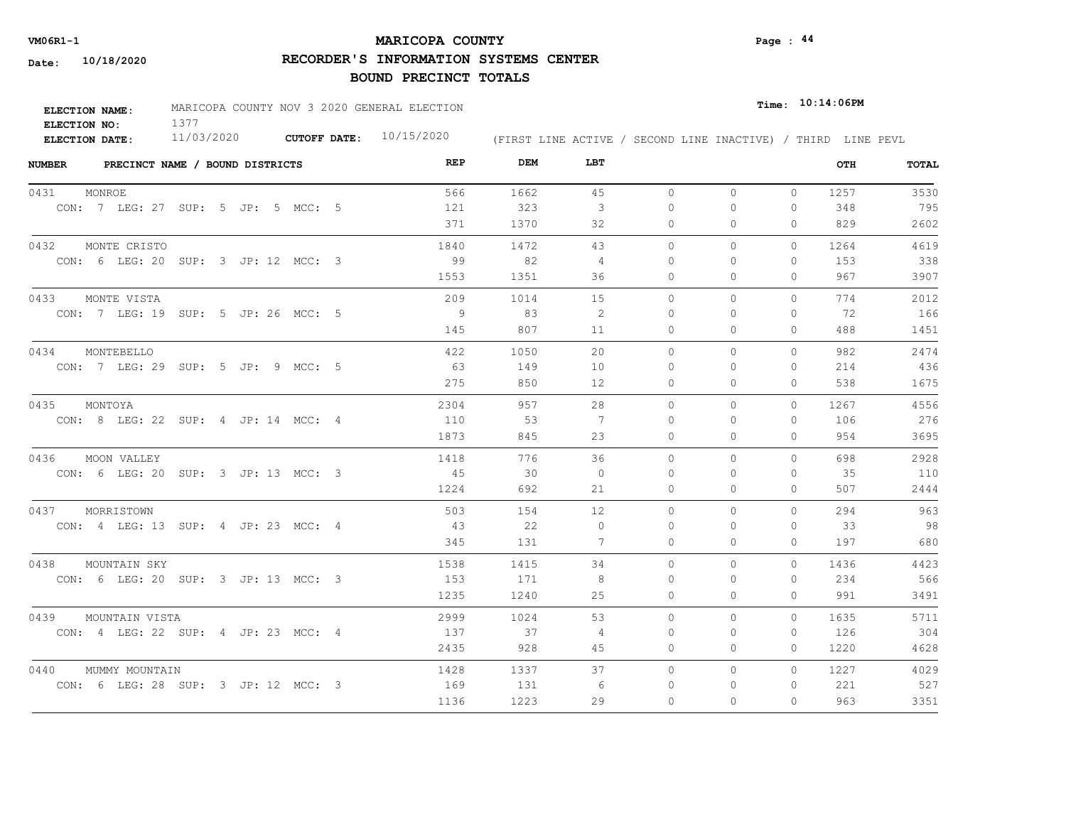# **MARICOPA COUNTY VM06R1-1 Page : 44**

**RECORDER'S INFORMATION SYSTEMS CENTER**

| <b>ELECTION NAME:</b> | MARICOPA COUNTY NOV 3 2020 GENERAL ELECTION |                     |            |                                                              | $Time:$ 10:14:06PM |
|-----------------------|---------------------------------------------|---------------------|------------|--------------------------------------------------------------|--------------------|
| ELECTION NO:          |                                             |                     |            |                                                              |                    |
| <b>ELECTION DATE:</b> | 11/03/2020                                  | <b>CUTOFF DATE:</b> | 10/15/2020 | (FIRST LINE ACTIVE / SECOND LINE INACTIVE) / THIRD LINE PEVL |                    |

| <b>NUMBER</b><br>PRECINCT NAME / BOUND DISTRICTS | REP  | DEM  | LBT      |           |              |              | OTH  | TOTAL |
|--------------------------------------------------|------|------|----------|-----------|--------------|--------------|------|-------|
| 0431<br>MONROE                                   | 566  | 1662 | 45       | $\circ$   | $\circ$      | $\circ$      | 1257 | 3530  |
| CON: 7 LEG: 27 SUP: 5 JP: 5 MCC: 5               | 121  | 323  | 3        | 0         | 0            | 0            | 348  | 795   |
|                                                  | 371  | 1370 | 32       | 0         | $\Omega$     | 0            | 829  | 2602  |
| 0432<br>MONTE CRISTO                             | 1840 | 1472 | 43       | $\circ$   | 0            | $\mathbf{0}$ | 1264 | 4619  |
| CON: 6 LEG: 20 SUP: 3 JP: 12 MCC: 3              | 99   | 82   | 4        | $\Omega$  | $\Omega$     | $\mathbf{0}$ | 153  | 338   |
|                                                  | 1553 | 1351 | 36       | 0         | $\Omega$     | $\Omega$     | 967  | 3907  |
| 0433<br>MONTE VISTA                              | 209  | 1014 | 15       | $\circ$   | $\mathbf{0}$ | $\mathbf{0}$ | 774  | 2012  |
| CON: 7 LEG: 19 SUP: 5 JP: 26 MCC: 5              | - 9  | 83   | 2        | $\Omega$  | $\Omega$     | $\Omega$     | 72   | 166   |
|                                                  | 145  | 807  | 11       | $\Omega$  | $\Omega$     | $\Omega$     | 488  | 1451  |
| 0434<br>MONTEBELLO                               | 422  | 1050 | 20       | $\Omega$  | $\Omega$     | $\Omega$     | 982  | 2474  |
| CON: 7 LEG: 29 SUP: 5 JP: 9 MCC: 5               | 63   | 149  | 10       | $\Omega$  | $\Omega$     | $\Omega$     | 214  | 436   |
|                                                  | 275  | 850  | 12       | 0         | 0            | $\mathbf{0}$ | 538  | 1675  |
| 0435<br>MONTOYA                                  | 2304 | 957  | 28       | $\circ$   | $\Omega$     | $\Omega$     | 1267 | 4556  |
| CON: 8 LEG: 22 SUP: 4 JP: 14 MCC: 4              | 110  | 53   | 7        | $\bigcap$ | $\Omega$     | $\Omega$     | 106  | 276   |
|                                                  | 1873 | 845  | 23       | $\circ$   | 0            | $\mathbf{0}$ | 954  | 3695  |
| 0436<br>MOON VALLEY                              | 1418 | 776  | 36       | $\Omega$  | $\Omega$     | $\Omega$     | 698  | 2928  |
| CON: 6 LEG: 20 SUP: 3 JP: 13 MCC: 3              | 45   | - 30 | $\Omega$ | $\Omega$  | $\Omega$     | $\Omega$     | 35   | 110   |
|                                                  | 1224 | 692  | 21       | $\circ$   | $\Omega$     | $\circ$      | 507  | 2444  |
| 0437<br>MORRISTOWN                               | 503  | 154  | 12       | $\Omega$  | $\Omega$     | $\Omega$     | 294  | 963   |
| CON: 4 LEG: 13 SUP: 4 JP: 23 MCC: 4              | 43   | 22   | $\Omega$ | $\Omega$  | $\Omega$     | 0            | 33   | 98    |
|                                                  | 345  | 131  | 7        | $\circ$   | 0            | $\mathbf{0}$ | 197  | 680   |
| 0438<br>MOUNTAIN SKY                             | 1538 | 1415 | 34       | $\circ$   | $\Omega$     | $\circ$      | 1436 | 4423  |
| CON: 6 LEG: 20 SUP: 3 JP: 13 MCC: 3              | 153  | 171  | 8        | 0         | 0            | $\mathbf{0}$ | 234  | 566   |
|                                                  | 1235 | 1240 | 25       | 0         | 0            | $\mathbf{0}$ | 991  | 3491  |
| 0439<br>MOUNTAIN VISTA                           | 2999 | 1024 | 53       | $\circ$   | 0            | $\circ$      | 1635 | 5711  |
| CON: 4 LEG: 22 SUP: 4 JP: 23 MCC: 4              | 137  | 37   | 4        | 0         | 0            | 0            | 126  | 304   |
|                                                  | 2435 | 928  | 45       | 0         | 0            | $\Omega$     | 1220 | 4628  |
| 0440<br>MUMMY MOUNTAIN                           | 1428 | 1337 | 37       | $\Omega$  | $\circ$      | $\Omega$     | 1227 | 4029  |
| CON: 6 LEG: 28 SUP: 3 JP: 12 MCC: 3              | 169  | 131  | -6       | 0         | 0            | 0            | 221  | 527   |
|                                                  | 1136 | 1223 | 29       | $\Omega$  | $\Omega$     | $\Omega$     | 963  | 3351  |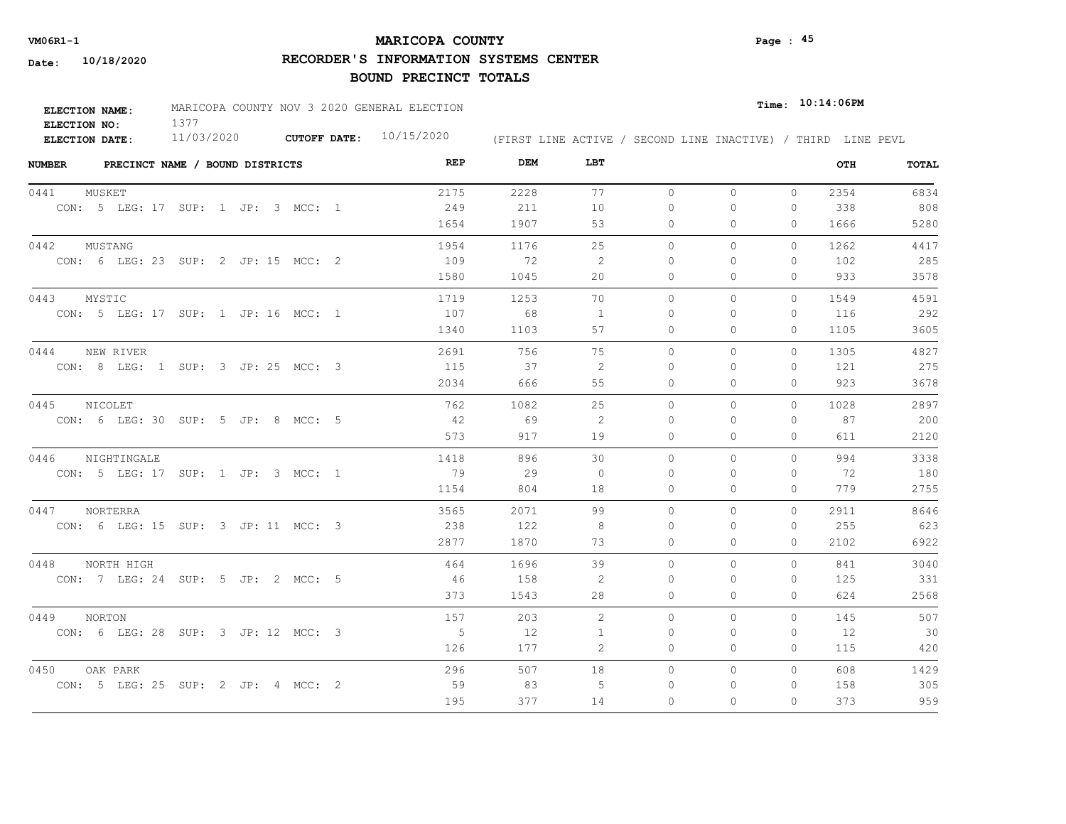# **MARICOPA COUNTY VM06R1-1 Page : 45**

**RECORDER'S INFORMATION SYSTEMS CENTER**

| <b>ELECTION NAME:</b> | MARICOPA COUNTY NOV 3 2020 GENERAL ELECTION |                           |                                                              | $_{\texttt{Time:}}$ 10:14:06PM |
|-----------------------|---------------------------------------------|---------------------------|--------------------------------------------------------------|--------------------------------|
| ELECTION NO:          |                                             |                           |                                                              |                                |
| <b>ELECTION DATE:</b> | 11/03/2020                                  | CUTOFF DATE: $10/15/2020$ | (FIRST LINE ACTIVE / SECOND LINE INACTIVE) / THIRD LINE PEVL |                                |

| <b>NUMBER</b> |           | PRECINCT NAME / BOUND DISTRICTS     |  |  |  | REP         | DEM  | LBT            |              |              |              | OTH  | <b>TOTAL</b> |
|---------------|-----------|-------------------------------------|--|--|--|-------------|------|----------------|--------------|--------------|--------------|------|--------------|
| 0441          | MUSKET    |                                     |  |  |  | 2175        | 2228 | 77             | $\circ$      | $\circ$      | $\circ$      | 2354 | 6834         |
|               |           | CON: 5 LEG: 17 SUP: 1 JP: 3 MCC: 1  |  |  |  | 249         | 211  | 10             | $\Omega$     | $\Omega$     | $\Omega$     | 338  | 808          |
|               |           |                                     |  |  |  | 1654        | 1907 | 53             | $\circ$      | $\Omega$     | $\mathbf{0}$ | 1666 | 5280         |
| 0442          | MUSTANG   |                                     |  |  |  | 1954        | 1176 | 25             | $\Omega$     | $\Omega$     | $\Omega$     | 1262 | 4417         |
|               |           | CON: 6 LEG: 23 SUP: 2 JP: 15 MCC: 2 |  |  |  | 109         | 72   | -2             | $\Omega$     | $\Omega$     | $\Omega$     | 102  | 285          |
|               |           |                                     |  |  |  | 1580        | 1045 | 20             | $\mathbf{0}$ | $\circ$      | 0            | 933  | 3578         |
| 0443          | MYSTIC    |                                     |  |  |  | 1719        | 1253 | 70             | $\circ$      | $\circ$      | $\mathbf{0}$ | 1549 | 4591         |
|               |           | CON: 5 LEG: 17 SUP: 1 JP: 16 MCC: 1 |  |  |  | 107         | 68   | $\overline{1}$ | $\Omega$     | $\Omega$     | 0            | 116  | 292          |
|               |           |                                     |  |  |  | 1340        | 1103 | 57             | $\circ$      | $\mathbf{0}$ | 0            | 1105 | 3605         |
| 0444          | NEW RIVER |                                     |  |  |  | 2691        | 756  | 75             | $\circ$      | $\circ$      | $\Omega$     | 1305 | 4827         |
|               |           | CON: 8 LEG: 1 SUP: 3 JP: 25 MCC: 3  |  |  |  | 115         | 37   | -2             | $\mathbf{0}$ | $\Omega$     | 0            | 121  | 275          |
|               |           |                                     |  |  |  | 2034        | 666  | 55             | 0            | $\Omega$     | 0            | 923  | 3678         |
| 0445          | NICOLET   |                                     |  |  |  | 762         | 1082 | 25             | $\circ$      | $\Omega$     | $\Omega$     | 1028 | 2897         |
|               |           | CON: 6 LEG: 30 SUP: 5 JP: 8 MCC: 5  |  |  |  | 42          | 69   | 2              | 0            | $\Omega$     | 0            | 87   | 200          |
|               |           |                                     |  |  |  | 573         | 917  | 19             | $\circ$      | $\mathbf{0}$ | 0            | 611  | 2120         |
| 0446          |           | NIGHTINGALE                         |  |  |  | 1418        | 896  | 30             | $\Omega$     | $\Omega$     | $\Omega$     | 994  | 3338         |
|               |           | CON: 5 LEG: 17 SUP: 1 JP: 3 MCC: 1  |  |  |  | 79          | 29   | $\bigcirc$     | $\Omega$     | $\Omega$     | 0            | 72   | 180          |
|               |           |                                     |  |  |  | 1154        | 804  | 18             | $\circ$      | $\Omega$     | $\Omega$     | 779  | 2755         |
| 0447          | NORTERRA  |                                     |  |  |  | 3565        | 2071 | 99             | $\Omega$     | $\Omega$     | $\Omega$     | 2911 | 8646         |
|               |           | CON: 6 LEG: 15 SUP: 3 JP: 11 MCC: 3 |  |  |  | 238         | 122  | -8             | $\Omega$     | $\Omega$     | 0            | 255  | 623          |
|               |           |                                     |  |  |  | 2877        | 1870 | 73             | $\circ$      | $\Omega$     | $\Omega$     | 2102 | 6922         |
| 0448          |           | NORTH HIGH                          |  |  |  | 464         | 1696 | 39             | $\circ$      | $\circ$      | $\Omega$     | 841  | 3040         |
|               |           | CON: 7 LEG: 24 SUP: 5 JP: 2 MCC: 5  |  |  |  | 46          | 158  | 2              | $\Omega$     | $\Omega$     | $\Omega$     | 125  | 331          |
|               |           |                                     |  |  |  | 373         | 1543 | 28             | $\circ$      | $\circ$      | 0            | 624  | 2568         |
| 0449          | NORTON    |                                     |  |  |  | 157         | 203  | $\overline{2}$ | $\circ$      | $\circ$      | $\mathbf{0}$ | 145  | 507          |
|               |           | CON: 6 LEG: 28 SUP: 3 JP: 12 MCC: 3 |  |  |  | $5^{\circ}$ | 12   | 1              | $\mathbf{0}$ | $\Omega$     | 0            | 12   | 30           |
|               |           |                                     |  |  |  | 126         | 177  | 2              | 0            | $\mathbf{0}$ | 0            | 115  | 420          |
| 0450          | OAK PARK  |                                     |  |  |  | 296         | 507  | 18             | $\circ$      | $\circ$      | $\mathbf{0}$ | 608  | 1429         |
|               |           | CON: 5 LEG: 25 SUP: 2 JP: 4 MCC: 2  |  |  |  | 59          | 83   | 5              | 0            | 0            | 0            | 158  | 305          |
|               |           |                                     |  |  |  | 195         | 377  | 14             | $\Omega$     | $\Omega$     | $\Omega$     | 373  | 959          |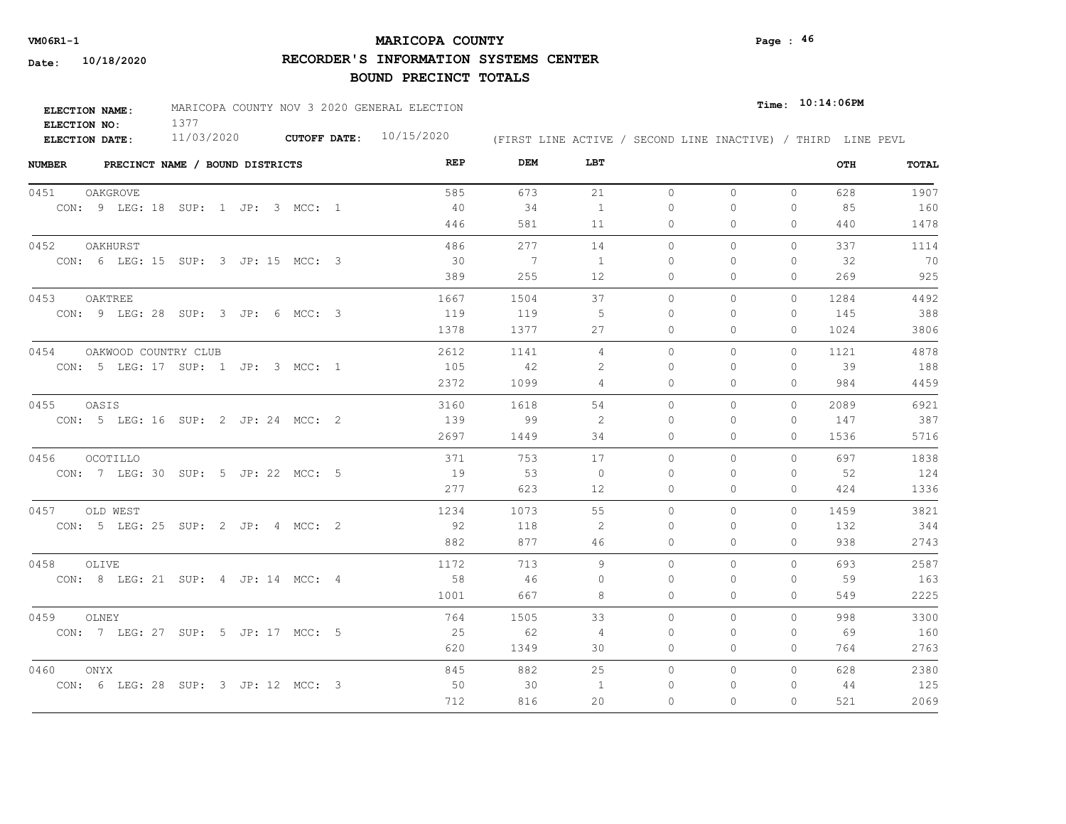# **MARICOPA COUNTY VM06R1-1 Page : 46**

**RECORDER'S INFORMATION SYSTEMS CENTER**

| <b>ELECTION NAME:</b> | MARICOPA COUNTY NOV 3 2020 GENERAL ELECTION |  |                           |  |  | Time: 10:14:06PM                                             |  |  |
|-----------------------|---------------------------------------------|--|---------------------------|--|--|--------------------------------------------------------------|--|--|
| ELECTION NO:          |                                             |  |                           |  |  |                                                              |  |  |
| ELECTION DATE:        | 11/03/2020                                  |  | CUTOFF DATE: $10/15/2020$ |  |  | (FIRST LINE ACTIVE / SECOND LINE INACTIVE) / THIRD LINE PEVL |  |  |

| <b>NUMBER</b>   | PRECINCT NAME / BOUND DISTRICTS     | REP  | DEM            | LBT          |           |              |              | OTH  | TOTAL |
|-----------------|-------------------------------------|------|----------------|--------------|-----------|--------------|--------------|------|-------|
| 0451            | OAKGROVE                            | 585  | 673            | 21           | $\circ$   | $\circ$      | $\mathbf{0}$ | 628  | 1907  |
|                 | CON: 9 LEG: 18 SUP: 1 JP: 3 MCC: 1  | 40   | 34             | 1            | 0         | 0            | 0            | 85   | 160   |
|                 |                                     | 446  | 581            | 11           | 0         | 0            | $\Omega$     | 440  | 1478  |
| 0452            | OAKHURST                            | 486  | 277            | 14           | $\circ$   | 0            | $\mathbf{0}$ | 337  | 1114  |
|                 | CON: 6 LEG: 15 SUP: 3 JP: 15 MCC: 3 | - 30 | $\overline{7}$ | <sup>1</sup> | $\Omega$  | $\Omega$     | $\mathbf{0}$ | 32   | 70    |
|                 |                                     | 389  | 255            | 12           | 0         | 0            | $\Omega$     | 269  | 925   |
| 0453<br>OAKTREE |                                     | 1667 | 1504           | 37           | $\circ$   | $\mathbf{0}$ | $\circ$      | 1284 | 4492  |
|                 | CON: 9 LEG: 28 SUP: 3 JP: 6 MCC: 3  | 119  | 119            | -5           | $\Omega$  | $\Omega$     | $\mathbf{0}$ | 145  | 388   |
|                 |                                     | 1378 | 1377           | 27           | $\Omega$  | $\Omega$     | $\Omega$     | 1024 | 3806  |
| 0454            | OAKWOOD COUNTRY CLUB                | 2612 | 1141           | 4            | $\Omega$  | $\Omega$     | $\Omega$     | 1121 | 4878  |
|                 | CON: 5 LEG: 17 SUP: 1 JP: 3 MCC: 1  | 105  | 42             | 2            | $\bigcap$ | $\Omega$     | $\Omega$     | 39   | 188   |
|                 |                                     | 2372 | 1099           | 4            | 0         | 0            | $\mathbf{0}$ | 984  | 4459  |
| 0455<br>OASIS   |                                     | 3160 | 1618           | 54           | $\circ$   | $\Omega$     | $\Omega$     | 2089 | 6921  |
|                 | CON: 5 LEG: 16 SUP: 2 JP: 24 MCC: 2 | 139  | - 99           | 2            | $\bigcap$ | $\Omega$     | $\Omega$     | 147  | 387   |
|                 |                                     | 2697 | 1449           | 34           | 0         | 0            | $\mathbf{0}$ | 1536 | 5716  |
| 0456            | OCOTILLO                            | 371  | 753            | 17           | $\Omega$  | $\Omega$     | $\Omega$     | 697  | 1838  |
|                 | CON: 7 LEG: 30 SUP: 5 JP: 22 MCC: 5 | 19   | 53             | $\Omega$     | $\bigcap$ | $\Omega$     | $\Omega$     | 52   | 124   |
|                 |                                     | 277  | 623            | 12           | $\circ$   | $\mathbf{0}$ | $\circ$      | 424  | 1336  |
| 0457            | OLD WEST                            | 1234 | 1073           | 55           | $\Omega$  | $\Omega$     | $\Omega$     | 1459 | 3821  |
|                 | CON: 5 LEG: 25 SUP: 2 JP: 4 MCC: 2  | - 92 | 118            | -2           | $\Omega$  | $\Omega$     | $\Omega$     | 132  | 344   |
|                 |                                     | 882  | 877            | 46           | $\circ$   | 0            | $\Omega$     | 938  | 2743  |
| 0458<br>OLIVE   |                                     | 1172 | 713            | 9            | $\circ$   | $\Omega$     | 0            | 693  | 2587  |
|                 | CON: 8 LEG: 21 SUP: 4 JP: 14 MCC: 4 | 58   | 46             | 0            | 0         | 0            | $\mathbf{0}$ | 59   | 163   |
|                 |                                     | 1001 | 667            | 8            | 0         | 0            | $\mathbf{0}$ | 549  | 2225  |
| 0459<br>OLNEY   |                                     | 764  | 1505           | 33           | $\circ$   | 0            | 0            | 998  | 3300  |
|                 | CON: 7 LEG: 27 SUP: 5 JP: 17 MCC: 5 | 25   | 62             | 4            | 0         | 0            | 0            | 69   | 160   |
|                 |                                     | 620  | 1349           | 30           | 0         | 0            | $\mathbf{0}$ | 764  | 2763  |
| 0460<br>ONYX    |                                     | 845  | 882            | 25           | $\circ$   | 0            | $\Omega$     | 628  | 2380  |
|                 | CON: 6 LEG: 28 SUP: 3 JP: 12 MCC: 3 | 50   | 30             | 1            | 0         | 0            | 0            | 44   | 125   |
|                 |                                     | 712  | 816            | 20           | $\Omega$  | $\Omega$     | $\Omega$     | 521  | 2069  |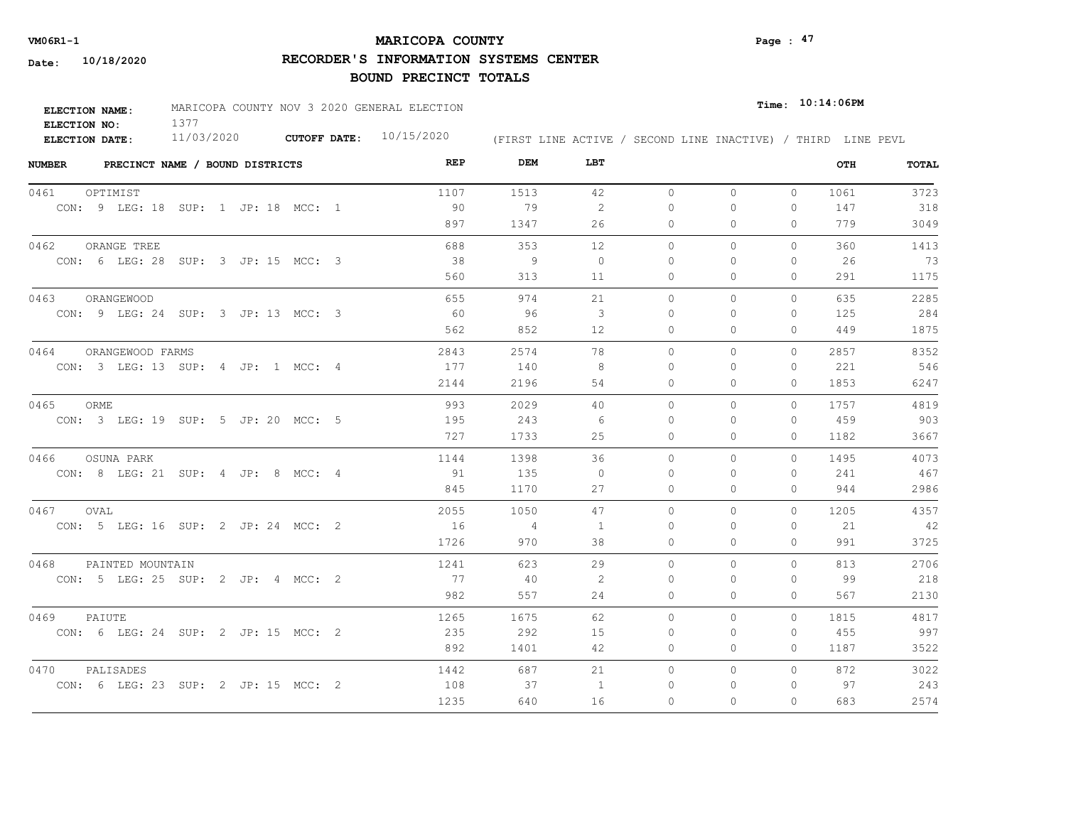# **MARICOPA COUNTY VM06R1-1 Page : 47**

**RECORDER'S INFORMATION SYSTEMS CENTER**

| <b>ELECTION NAME:</b> | MARICOPA COUNTY NOV 3 2020 GENERAL ELECTION |                           |                                                              |  | $_{Time:}$ 10:14:06PM |  |
|-----------------------|---------------------------------------------|---------------------------|--------------------------------------------------------------|--|-----------------------|--|
| ELECTION NO:          |                                             |                           |                                                              |  |                       |  |
| ELECTION DATE:        | 11/03/2020                                  | CUTOFF DATE: $10/15/2020$ | (FIRST LINE ACTIVE / SECOND LINE INACTIVE) / THIRD LINE PEVL |  |                       |  |

| <b>NUMBER</b> | PRECINCT NAME / BOUND DISTRICTS     | REP  | DEM            | LBT            |              |              |              | OTH  | TOTAL |
|---------------|-------------------------------------|------|----------------|----------------|--------------|--------------|--------------|------|-------|
| 0461          | OPTIMIST                            | 1107 | 1513           | 42             | $\circ$      | $\mathbf{0}$ | $\circ$      | 1061 | 3723  |
|               | CON: 9 LEG: 18 SUP: 1 JP: 18 MCC: 1 | 90   | 79             | 2              | $\Omega$     | $\Omega$     | $\Omega$     | 147  | 318   |
|               |                                     | 897  | 1347           | 26             | $\circ$      | $\Omega$     | $\Omega$     | 779  | 3049  |
| 0462          | ORANGE TREE                         | 688  | 353            | 12             | $\Omega$     | $\Omega$     | $\Omega$     | 360  | 1413  |
|               | CON: 6 LEG: 28 SUP: 3 JP: 15 MCC: 3 | 38   | - 9            | $\circ$        | $\Omega$     | $\Omega$     | $\mathbf{0}$ | 26   | 73    |
|               |                                     | 560  | 313            | 11             | $\circ$      | 0            | $\mathbf{0}$ | 291  | 1175  |
| 0463          | ORANGEWOOD                          | 655  | 974            | 21             | $\circ$      | 0            | $\mathbf{0}$ | 635  | 2285  |
|               | CON: 9 LEG: 24 SUP: 3 JP: 13 MCC: 3 | 60   | 96             | 3              | $\bigcap$    | $\Omega$     | $\mathbf{0}$ | 125  | 284   |
|               |                                     | 562  | 852            | 12             | 0            | 0            | $\Omega$     | 449  | 1875  |
| 0464          | ORANGEWOOD FARMS                    | 2843 | 2574           | 78             | $\Omega$     | $\Omega$     | $\Omega$     | 2857 | 8352  |
|               | CON: 3 LEG: 13 SUP: 4 JP: 1 MCC: 4  | 177  | 140            | 8              | $\mathbf{0}$ | $\Omega$     | $\mathbf{0}$ | 221  | 546   |
|               |                                     | 2144 | 2196           | 54             | 0            | 0            | 0            | 1853 | 6247  |
| 0465          | ORME                                | 993  | 2029           | 40             | $\circ$      | 0            | 0            | 1757 | 4819  |
|               | CON: 3 LEG: 19 SUP: 5 JP: 20 MCC: 5 | 195  | 243            | 6              | $\Omega$     | $\Omega$     | $\Omega$     | 459  | 903   |
|               |                                     | 727  | 1733           | 25             | $\Omega$     | $\Omega$     | $\Omega$     | 1182 | 3667  |
| 0466          | OSUNA PARK                          | 1144 | 1398           | 36             | $\Omega$     | $\Omega$     | $\Omega$     | 1495 | 4073  |
|               | CON: 8 LEG: 21 SUP: 4 JP: 8 MCC: 4  | 91   | 135            | $\Omega$       | $\Omega$     | $\Omega$     | $\mathbf{0}$ | 241  | 467   |
|               |                                     | 845  | 1170           | 27             | 0            | $\Omega$     | $\mathbf{0}$ | 944  | 2986  |
| 0467          | OVAL                                | 2055 | 1050           | 47             | $\Omega$     | $\Omega$     | $\Omega$     | 1205 | 4357  |
|               | CON: 5 LEG: 16 SUP: 2 JP: 24 MCC: 2 | 16   | $\overline{4}$ | $\overline{1}$ | $\Omega$     | $\Omega$     | $\Omega$     | 21   | 42    |
|               |                                     | 1726 | 970            | 38             | $\Omega$     | $\Omega$     | $\Omega$     | 991  | 3725  |
| 0468          | PAINTED MOUNTAIN                    | 1241 | 623            | 29             | $\Omega$     | $\Omega$     | $\Omega$     | 813  | 2706  |
|               | CON: 5 LEG: 25 SUP: 2 JP: 4 MCC: 2  | 77   | 40             | 2              | $\Omega$     | $\Omega$     | 0            | 99   | 218   |
|               |                                     | 982  | 557            | 24             | $\circ$      | $\Omega$     | $\mathbf{0}$ | 567  | 2130  |
| 0469          | PAIUTE                              | 1265 | 1675           | 62             | $\Omega$     | $\Omega$     | $\Omega$     | 1815 | 4817  |
|               | CON: 6 LEG: 24 SUP: 2 JP: 15 MCC: 2 | 235  | 292            | 15             | $\Omega$     | $\Omega$     | $\Omega$     | 455  | 997   |
|               |                                     | 892  | 1401           | 42             | 0            | 0            | $\mathbf{0}$ | 1187 | 3522  |
| 0470          | PALISADES                           | 1442 | 687            | 21             | $\circ$      | 0            | $\circ$      | 872  | 3022  |
|               | CON: 6 LEG: 23 SUP: 2 JP: 15 MCC: 2 | 108  | 37             | -1             | 0            | $\Omega$     | $\mathbf{0}$ | 97   | 243   |
|               |                                     | 1235 | 640            | 16             | $\Omega$     | $\Omega$     | $\Omega$     | 683  | 2574  |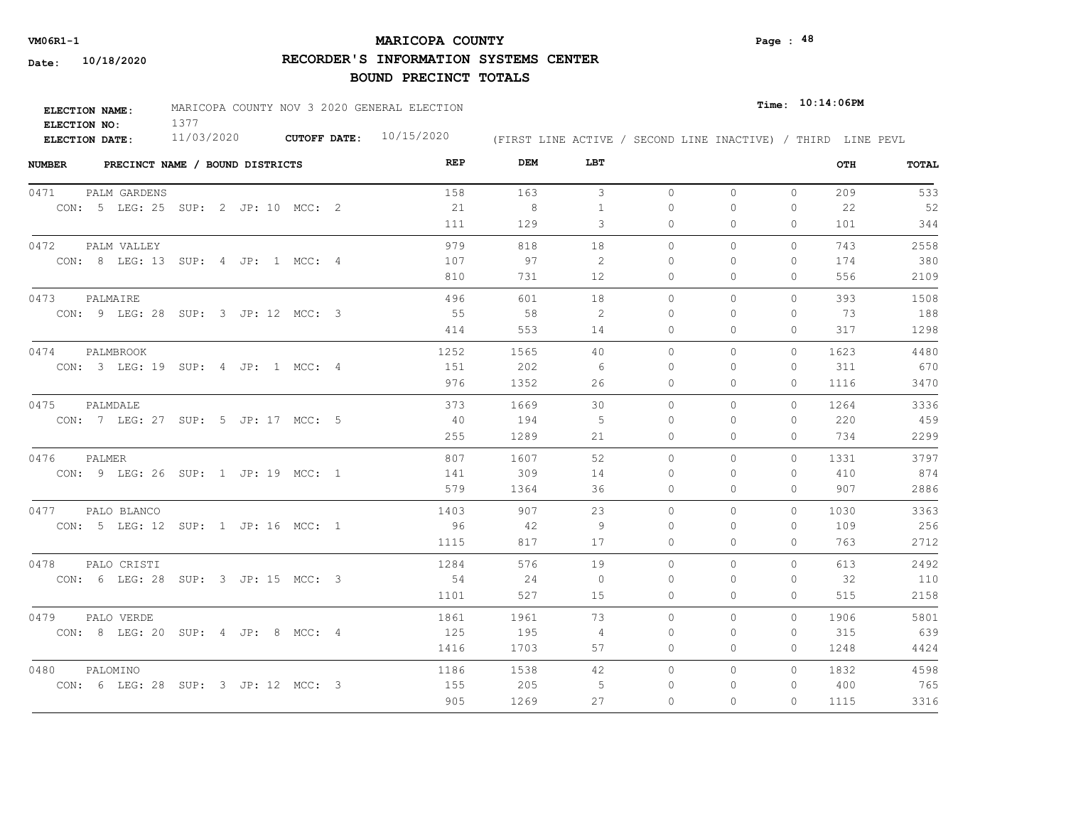# **MARICOPA COUNTY VM06R1-1 Page : 48**

**RECORDER'S INFORMATION SYSTEMS CENTER**

| <b>ELECTION NAME:</b> | MARICOPA COUNTY NOV 3 2020 GENERAL ELECTION |                           | $_{\texttt{Time:}}$ 10:14:06PM                               |  |
|-----------------------|---------------------------------------------|---------------------------|--------------------------------------------------------------|--|
| ELECTION NO:          |                                             |                           |                                                              |  |
| ELECTION DATE:        | 11/03/2020                                  | CUTOFF DATE: $10/15/2020$ | (FIRST LINE ACTIVE / SECOND LINE INACTIVE) / THIRD LINE PEVL |  |

| <b>NUMBER</b><br>PRECINCT NAME / BOUND DISTRICTS | REP  | DEM  | LBT          |           |              |              | OTH  | TOTAL |
|--------------------------------------------------|------|------|--------------|-----------|--------------|--------------|------|-------|
| 0471<br>PALM GARDENS                             | 158  | 163  | $\mathbf{3}$ | $\circ$   | $\circ$      | $\mathbf{0}$ | 209  | 533   |
| CON: 5 LEG: 25 SUP: 2 JP: 10 MCC: 2              | 21   | 8    | $\mathbf{1}$ | 0         | 0            | 0            | 22   | 52    |
|                                                  | 111  | 129  | 3            | 0         | 0            | $\Omega$     | 101  | 344   |
| 0472<br>PALM VALLEY                              | 979  | 818  | 18           | $\circ$   | 0            | $\mathbf{0}$ | 743  | 2558  |
| CON: 8 LEG: 13 SUP: 4 JP: 1 MCC: 4               | 107  | 97   | -2           | $\Omega$  | $\Omega$     | $\mathbf{0}$ | 174  | 380   |
|                                                  | 810  | 731  | 12           | 0         | 0            | $\Omega$     | 556  | 2109  |
| 0473<br>PALMAIRE                                 | 496  | 601  | 18           | $\circ$   | $\mathbf{0}$ | $\mathbf{0}$ | 393  | 1508  |
| CON: 9 LEG: 28 SUP: 3 JP: 12 MCC: 3              | 55   | 58   | 2            | $\Omega$  | $\Omega$     | $\Omega$     | 73   | 188   |
|                                                  | 414  | 553  | 14           | $\Omega$  | $\Omega$     | $\Omega$     | 317  | 1298  |
| 0474<br>PALMBROOK                                | 1252 | 1565 | 40           | $\Omega$  | $\Omega$     | $\Omega$     | 1623 | 4480  |
| CON: 3 LEG: 19 SUP: 4 JP: 1 MCC: 4               | 151  | 202  | - 6          | 0         | $\Omega$     | $\Omega$     | 311  | 670   |
|                                                  | 976  | 1352 | 26           | 0         | 0            | $\mathbf{0}$ | 1116 | 3470  |
| 0475<br>PALMDALE                                 | 373  | 1669 | 30           | $\Omega$  | $\Omega$     | $\Omega$     | 1264 | 3336  |
| CON: 7 LEG: 27 SUP: 5 JP: 17 MCC: 5              | 40   | 194  | -5           | $\bigcap$ | $\Omega$     | $\Omega$     | 220  | 459   |
|                                                  | 255  | 1289 | 21           | 0         | 0            | $\Omega$     | 734  | 2299  |
| 0476<br>PALMER                                   | 807  | 1607 | 52           | $\Omega$  | $\Omega$     | $\Omega$     | 1331 | 3797  |
| CON: 9 LEG: 26 SUP: 1 JP: 19 MCC: 1              | 141  | 309  | 14           | $\Omega$  | $\Omega$     | $\Omega$     | 410  | 874   |
|                                                  | 579  | 1364 | 36           | $\circ$   | $\Omega$     | $\circ$      | 907  | 2886  |
| 0477<br>PALO BLANCO                              | 1403 | 907  | 23           | $\Omega$  | $\Omega$     | $\Omega$     | 1030 | 3363  |
| CON: 5 LEG: 12 SUP: 1 JP: 16 MCC: 1              | 96   | - 42 | -9           | $\Omega$  | $\Omega$     | $\Omega$     | 109  | 256   |
|                                                  | 1115 | 817  | 17           | $\circ$   | 0            | $\Omega$     | 763  | 2712  |
| 0478<br>PALO CRISTI                              | 1284 | 576  | 19           | $\circ$   | $\Omega$     | 0            | 613  | 2492  |
| CON: 6 LEG: 28 SUP: 3 JP: 15 MCC: 3              | 54   | 24   | $\circ$      | 0         | 0            | $\mathbf{0}$ | 32   | 110   |
|                                                  | 1101 | 527  | 15           | 0         | 0            | $\mathbf{0}$ | 515  | 2158  |
| 0479<br>PALO VERDE                               | 1861 | 1961 | 73           | $\circ$   | 0            | $\circ$      | 1906 | 5801  |
| CON: 8 LEG: 20 SUP: 4 JP: 8 MCC: 4               | 125  | 195  | 4            | 0         | 0            | 0            | 315  | 639   |
|                                                  | 1416 | 1703 | 57           | 0         | 0            | $\Omega$     | 1248 | 4424  |
| 0480<br>PALOMINO                                 | 1186 | 1538 | 42           | $\circ$   | 0            | $\Omega$     | 1832 | 4598  |
| CON: 6 LEG: 28 SUP: 3 JP: 12 MCC: 3              | 155  | 205  | -5           | 0         | 0            | 0            | 400  | 765   |
|                                                  | 905  | 1269 | 27           | $\Omega$  | $\Omega$     | $\Omega$     | 1115 | 3316  |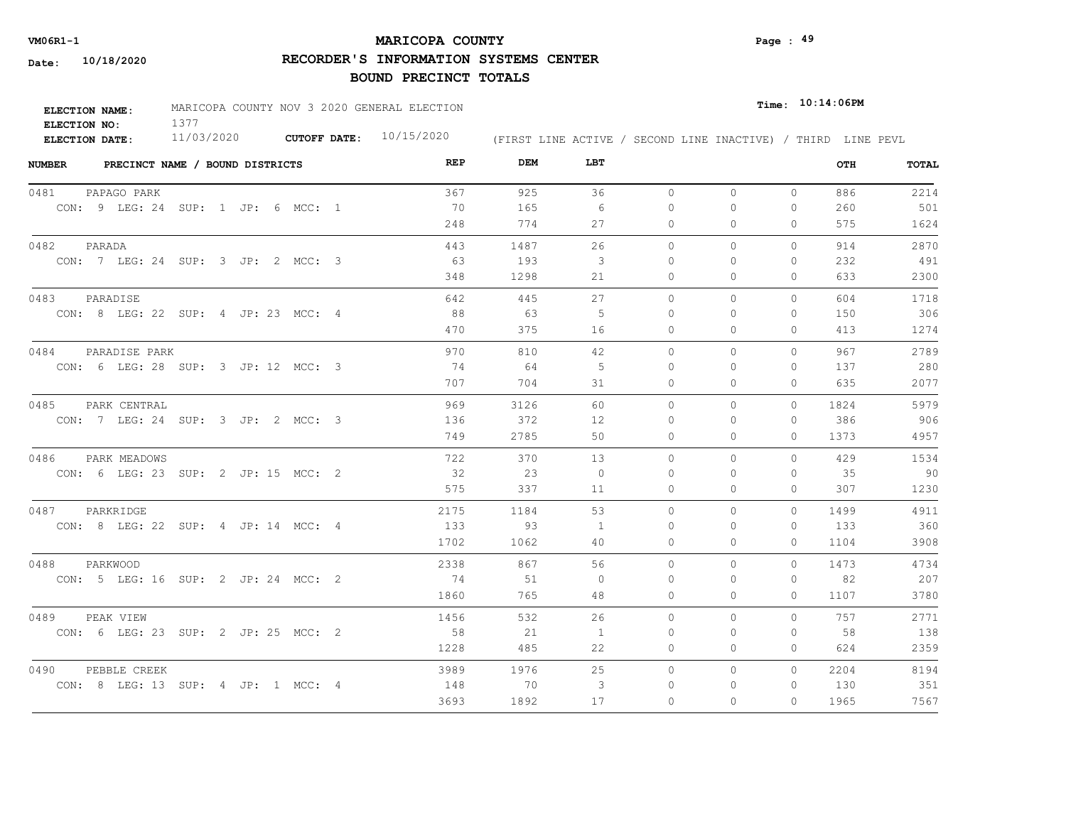# **MARICOPA COUNTY VM06R1-1 Page : 49**

**RECORDER'S INFORMATION SYSTEMS CENTER**

| <b>ELECTION NAME:</b> | MARICOPA COUNTY NOV 3 2020 GENERAL ELECTION |  | $_{\texttt{Time:}}$ 10:14:06PM |                                                              |  |
|-----------------------|---------------------------------------------|--|--------------------------------|--------------------------------------------------------------|--|
| ELECTION NO:          |                                             |  |                                |                                                              |  |
| <b>ELECTION DATE:</b> | 11/03/2020                                  |  | CUTOFF DATE: $10/15/2020$      | (FIRST LINE ACTIVE / SECOND LINE INACTIVE) / THIRD LINE PEVL |  |

| <b>NUMBER</b><br>PRECINCT NAME / BOUND DISTRICTS | REP  | DEM  | LBT            |           |              |              | OTH  | <b>TOTAL</b> |
|--------------------------------------------------|------|------|----------------|-----------|--------------|--------------|------|--------------|
| 0481<br>PAPAGO PARK                              | 367  | 925  | 36             | $\circ$   | $\circ$      | $\circ$      | 886  | 2214         |
| CON: 9 LEG: 24 SUP: 1 JP: 6 MCC: 1               | 70   | 165  | 6              | 0         | $\Omega$     | $\mathbf{0}$ | 260  | 501          |
|                                                  | 248  | 774  | 27             | 0         | $\Omega$     | $\Omega$     | 575  | 1624         |
| 0482<br>PARADA                                   | 443  | 1487 | 26             | $\circ$   | $\Omega$     | 0            | 914  | 2870         |
| CON: 7 LEG: 24 SUP: 3 JP: 2 MCC: 3               | - 63 | 193  | -3             | $\Omega$  | $\Omega$     | $\mathbf{0}$ | 232  | 491          |
|                                                  | 348  | 1298 | 21             | 0         | 0            | $\mathbf{0}$ | 633  | 2300         |
| 0483<br>PARADISE                                 | 642  | 445  | 27             | $\circ$   | $\mathbf{0}$ | 0            | 604  | 1718         |
| CON: 8 LEG: 22 SUP: 4 JP: 23 MCC: 4              | 88   | 63   | -5             | $\Omega$  | 0            | 0            | 150  | 306          |
|                                                  | 470  | 375  | 16             | 0         | $\Omega$     | $\Omega$     | 413  | 1274         |
| PARADISE PARK<br>0484                            | 970  | 810  | 42             | $\bigcap$ | $\Omega$     | $\Omega$     | 967  | 2789         |
| CON: 6 LEG: 28 SUP: 3 JP: 12 MCC: 3              | 74   | 64   | -5             | $\Omega$  | $\Omega$     | $\mathbf{0}$ | 137  | 280          |
|                                                  | 707  | 704  | 31             | 0         | 0            | $\mathbf{0}$ | 635  | 2077         |
| 0485<br>PARK CENTRAL                             | 969  | 3126 | 60             | $\Omega$  | $\Omega$     | $\Omega$     | 1824 | 5979         |
| CON: 7 LEG: 24 SUP: 3 JP: 2 MCC: 3               | 136  | 372  | 12             | $\Omega$  | $\Omega$     | $\Omega$     | 386  | 906          |
|                                                  | 749  | 2785 | 50             | $\Omega$  | $\Omega$     | $\Omega$     | 1373 | 4957         |
| 0486<br>PARK MEADOWS                             | 722  | 370  | 13             | $\circ$   | 0            | $\Omega$     | 429  | 1534         |
| CON: 6 LEG: 23 SUP: 2 JP: 15 MCC: 2              | 32   | 23   | $\overline{0}$ | $\Omega$  | $\Omega$     | $\Omega$     | 35   | 90           |
|                                                  | 575  | 337  | 11             | $\Omega$  | $\Omega$     | $\Omega$     | 307  | 1230         |
| PARKRIDGE<br>0487                                | 2175 | 1184 | 53             | $\Omega$  | $\Omega$     | $\Omega$     | 1499 | 4911         |
| CON: 8 LEG: 22 SUP: 4 JP: 14 MCC: 4              | 133  | 93   | -1             | $\Omega$  | $\Omega$     | $\Omega$     | 133  | 360          |
|                                                  | 1702 | 1062 | 40             | $\Omega$  | $\Omega$     | $\Omega$     | 1104 | 3908         |
| 0488<br>PARKWOOD                                 | 2338 | 867  | 56             | $\circ$   | $\Omega$     | $\Omega$     | 1473 | 4734         |
| CON: 5 LEG: 16 SUP: 2 JP: 24 MCC: 2              | 74   | 51   | $\Omega$       | $\Omega$  | $\Omega$     | $\Omega$     | 82   | 207          |
|                                                  | 1860 | 765  | 48             | 0         | 0            | $\mathbf{0}$ | 1107 | 3780         |
| 0489<br>PEAK VIEW                                | 1456 | 532  | 26             | $\circ$   | $\Omega$     | $\Omega$     | 757  | 2771         |
| CON: 6 LEG: 23 SUP: 2 JP: 25 MCC: 2              | 58   | 21   | 1              | 0         | $\Omega$     | 0            | 58   | 138          |
|                                                  | 1228 | 485  | 22             | 0         | 0            | $\Omega$     | 624  | 2359         |
| PEBBLE CREEK<br>0490                             | 3989 | 1976 | 25             | $\circ$   | 0            | $\Omega$     | 2204 | 8194         |
| CON: 8 LEG: 13 SUP: 4 JP: 1 MCC: 4               | 148  | 70   | 3              | $\Omega$  | $\Omega$     | 0            | 130  | 351          |
|                                                  | 3693 | 1892 | 17             | $\Omega$  | $\Omega$     | $\Omega$     | 1965 | 7567         |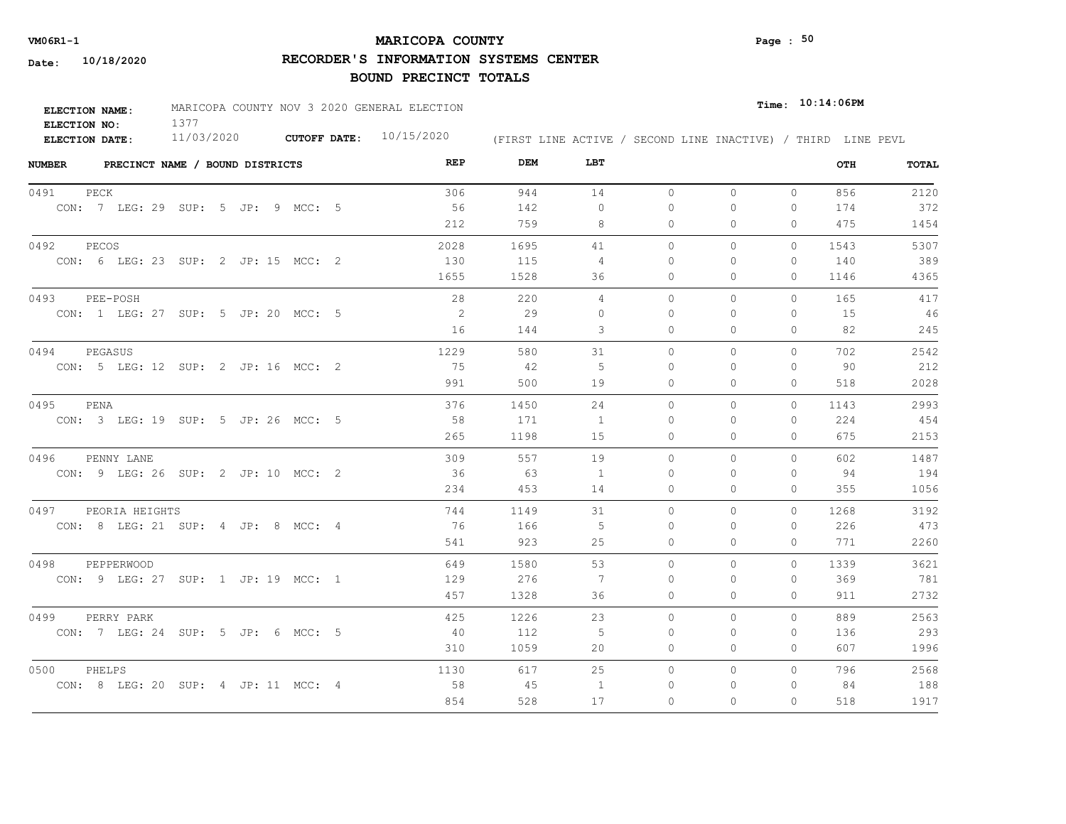# **MARICOPA COUNTY VM06R1-1 Page : 50**

**RECORDER'S INFORMATION SYSTEMS CENTER**

| <b>ELECTION NAME:</b> | MARICOPA COUNTY NOV 3 2020 GENERAL ELECTION |                     |            |                                                              | $_{\texttt{Time:}}$ 10:14:06PM |
|-----------------------|---------------------------------------------|---------------------|------------|--------------------------------------------------------------|--------------------------------|
| ELECTION NO:          |                                             |                     |            |                                                              |                                |
| <b>ELECTION DATE:</b> | 11/03/2020                                  | <b>CUTOFF DATE:</b> | 10/15/2020 | (FIRST LINE ACTIVE / SECOND LINE INACTIVE) / THIRD LINE PEVL |                                |

| <b>NUMBER</b><br>PRECINCT NAME / BOUND DISTRICTS | REP  | DEM  | LBT            |          |              |              | OTH  | TOTAL |
|--------------------------------------------------|------|------|----------------|----------|--------------|--------------|------|-------|
| 0491<br>PECK                                     | 306  | 944  | 14             | $\circ$  | $\circ$      | $\circ$      | 856  | 2120  |
| CON: 7 LEG: 29 SUP: 5 JP: 9 MCC: 5               | 56   | 142  | $\circ$        | 0        | 0            | $\mathbf{0}$ | 174  | 372   |
|                                                  | 212  | 759  | 8              | 0        | 0            | $\Omega$     | 475  | 1454  |
| 0492<br>PECOS                                    | 2028 | 1695 | 41             | $\circ$  | 0            | $\circ$      | 1543 | 5307  |
| CON: 6 LEG: 23 SUP: 2 JP: 15 MCC: 2              | 130  | 115  | 4              | $\Omega$ | $\Omega$     | $\mathbf{0}$ | 140  | 389   |
|                                                  | 1655 | 1528 | 36             | 0        | 0            | $\mathbf{0}$ | 1146 | 4365  |
| 0493<br>PEE-POSH                                 | 28   | 220  | 4              | $\circ$  | $\mathbf{0}$ | 0            | 165  | 417   |
| CON: 1 LEG: 27 SUP: 5 JP: 20 MCC: 5              | -2   | 29   | $\Omega$       | $\Omega$ | 0            | $\mathbf{0}$ | 15   | 46    |
|                                                  | 16   | 144  | 3              | $\Omega$ | $\Omega$     | $\Omega$     | 82   | 245   |
| 0494<br>PEGASUS                                  | 1229 | 580  | 31             | $\Omega$ | $\Omega$     | $\Omega$     | 702  | 2542  |
| CON: 5 LEG: 12 SUP: 2 JP: 16 MCC: 2              | 75   | 42   | -5             | $\Omega$ | $\Omega$     | $\mathbf{0}$ | 90   | 212   |
|                                                  | 991  | 500  | 19             | 0        | 0            | $\mathbf{0}$ | 518  | 2028  |
| 0495<br>PENA                                     | 376  | 1450 | 24             | $\Omega$ | $\Omega$     | $\Omega$     | 1143 | 2993  |
| CON: 3 LEG: 19 SUP: 5 JP: 26 MCC: 5              | 58   | 171  | - 1            | $\Omega$ | $\Omega$     | $\mathbf{0}$ | 224  | 454   |
|                                                  | 265  | 1198 | 15             | $\Omega$ | $\Omega$     | $\Omega$     | 675  | 2153  |
| 0496<br>PENNY LANE                               | 309  | 557  | 19             | $\circ$  | 0            | $\circ$      | 602  | 1487  |
| CON: 9 LEG: 26 SUP: 2 JP: 10 MCC: 2              | 36   | 63   | $\overline{1}$ | $\Omega$ | $\Omega$     | $\Omega$     | 94   | 194   |
|                                                  | 234  | 453  | 14             | $\circ$  | $\Omega$     | $\Omega$     | 355  | 1056  |
| PEORIA HEIGHTS<br>0497                           | 744  | 1149 | 31             | $\circ$  | $\Omega$     | $\Omega$     | 1268 | 3192  |
| CON: 8 LEG: 21 SUP: 4 JP: 8 MCC: 4               | 76   | 166  | 5              | $\Omega$ | $\Omega$     | $\Omega$     | 226  | 473   |
|                                                  | 541  | 923  | 25             | $\Omega$ | $\Omega$     | $\Omega$     | 771  | 2260  |
| 0498<br>PEPPERWOOD                               | 649  | 1580 | 53             | $\circ$  | 0            | $\circ$      | 1339 | 3621  |
| CON: 9 LEG: 27 SUP: 1 JP: 19 MCC: 1              | 129  | 276  | 7              | $\Omega$ | $\Omega$     | $\Omega$     | 369  | 781   |
|                                                  | 457  | 1328 | 36             | 0        | 0            | 0            | 911  | 2732  |
| 0499<br>PERRY PARK                               | 425  | 1226 | 23             | $\circ$  | $\Omega$     | $\circ$      | 889  | 2563  |
| CON: 7 LEG: 24 SUP: 5 JP: 6 MCC: 5               | -40  | 112  | -5             | 0        | $\Omega$     | $\mathbf{0}$ | 136  | 293   |
|                                                  | 310  | 1059 | 20             | 0        | 0            | $\mathbf{0}$ | 607  | 1996  |
| 0500<br>PHELPS                                   | 1130 | 617  | 25             | $\circ$  | 0            | $\circ$      | 796  | 2568  |
| CON: 8 LEG: 20 SUP: 4 JP: 11 MCC: 4              | 58   | 45   | -1             | 0        | $\Omega$     | 0            | 84   | 188   |
|                                                  | 854  | 528  | 17             | $\Omega$ | $\Omega$     | $\Omega$     | 518  | 1917  |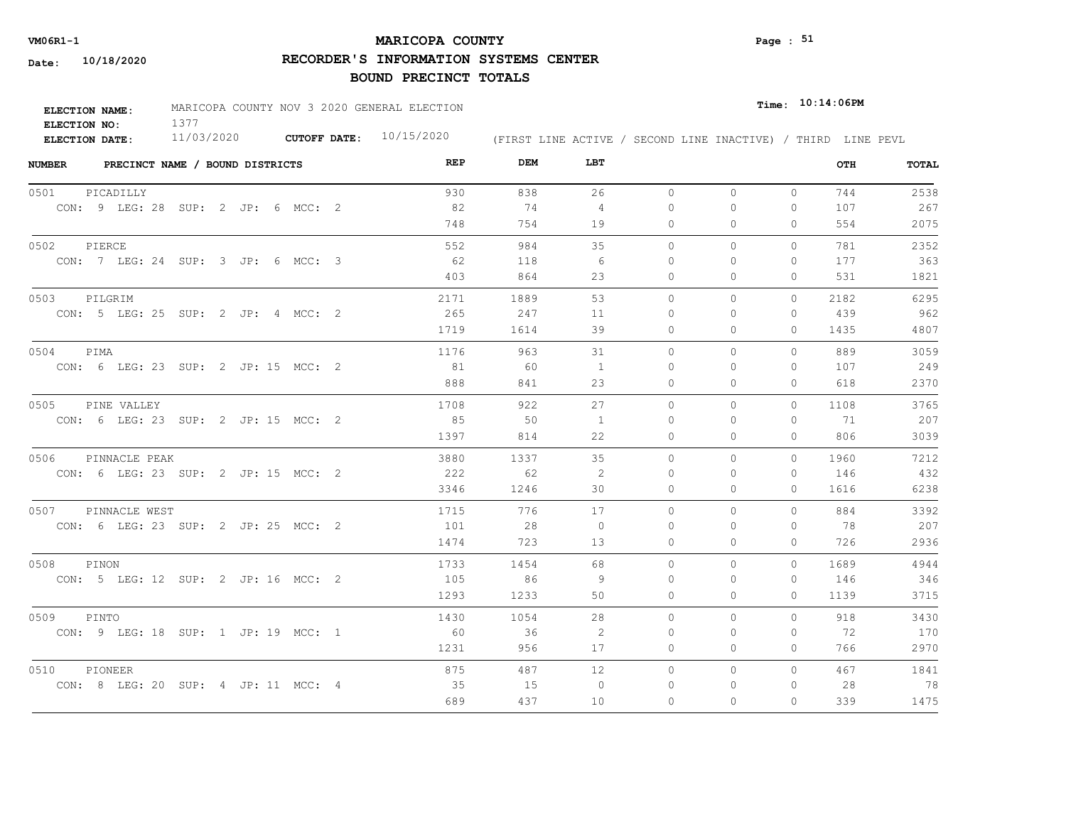# **MARICOPA COUNTY VM06R1-1 Page : 51**

**RECORDER'S INFORMATION SYSTEMS CENTER**

| <b>ELECTION NAME:</b> | MARICOPA COUNTY NOV 3 2020 GENERAL ELECTION |  | $_{\texttt{Time:}}$ 10:14:06PM |                                                              |  |
|-----------------------|---------------------------------------------|--|--------------------------------|--------------------------------------------------------------|--|
| ELECTION NO:          |                                             |  |                                |                                                              |  |
| <b>ELECTION DATE:</b> | 11/03/2020                                  |  | CUTOFF DATE: $10/15/2020$      | (FIRST LINE ACTIVE / SECOND LINE INACTIVE) / THIRD LINE PEVL |  |

| <b>NUMBER</b> |                                     | PRECINCT NAME / BOUND DISTRICTS |  |  | REP  | DEM  | LBT            |          |          |              | OTH  | <b>TOTAL</b> |
|---------------|-------------------------------------|---------------------------------|--|--|------|------|----------------|----------|----------|--------------|------|--------------|
| 0501          | PICADILLY                           |                                 |  |  | 930  | 838  | 26             | $\circ$  | $\circ$  | $\circ$      | 744  | 2538         |
|               | CON: 9 LEG: 28 SUP: 2 JP: 6 MCC: 2  |                                 |  |  | 82   | 74   | 4              | $\Omega$ | $\Omega$ | $\mathbf{0}$ | 107  | 267          |
|               |                                     |                                 |  |  | 748  | 754  | 19             | 0        | 0        | 0            | 554  | 2075         |
| 0502          | PIERCE                              |                                 |  |  | 552  | 984  | 35             | $\Omega$ | $\Omega$ | $\Omega$     | 781  | 2352         |
|               | CON: 7 LEG: 24 SUP: 3 JP: 6 MCC: 3  |                                 |  |  | - 62 | 118  | -6             | 0        | $\Omega$ | $\mathbf{0}$ | 177  | 363          |
|               |                                     |                                 |  |  | 403  | 864  | 23             | 0        | $\Omega$ | $\mathbf{0}$ | 531  | 1821         |
| 0503          | PILGRIM                             |                                 |  |  | 2171 | 1889 | 53             | $\circ$  | 0        | $\circ$      | 2182 | 6295         |
|               | CON: 5 LEG: 25 SUP: 2 JP: 4 MCC: 2  |                                 |  |  | 265  | 247  | 11             | $\Omega$ | $\Omega$ | $\mathbf{0}$ | 439  | 962          |
|               |                                     |                                 |  |  | 1719 | 1614 | 39             | 0        | 0        | $\mathbf{0}$ | 1435 | 4807         |
| 0504          | PIMA                                |                                 |  |  | 1176 | 963  | 31             | $\Omega$ | $\Omega$ | $\Omega$     | 889  | 3059         |
|               | CON: 6 LEG: 23 SUP: 2 JP: 15 MCC: 2 |                                 |  |  | 81   | - 60 | 1              | $\Omega$ | $\Omega$ | $\mathbf{0}$ | 107  | 249          |
|               |                                     |                                 |  |  | 888  | 841  | 23             | 0        | $\Omega$ | $\mathbf{0}$ | 618  | 2370         |
| 0505          | PINE VALLEY                         |                                 |  |  | 1708 | 922  | 27             | $\Omega$ | $\Omega$ | $\Omega$     | 1108 | 3765         |
|               | CON: 6 LEG: 23 SUP: 2 JP: 15 MCC: 2 |                                 |  |  | 85   | 50   | 1              | $\Omega$ | $\Omega$ | $\Omega$     | 71   | 207          |
|               |                                     |                                 |  |  | 1397 | 814  | 22             | $\Omega$ | $\Omega$ | $\Omega$     | 806  | 3039         |
| 0506          | PINNACLE PEAK                       |                                 |  |  | 3880 | 1337 | 35             | $\circ$  | 0        | $\circ$      | 1960 | 7212         |
|               | CON: 6 LEG: 23 SUP: 2 JP: 15 MCC: 2 |                                 |  |  | 222  | 62   | 2              | $\Omega$ | $\Omega$ | $\circ$      | 146  | 432          |
|               |                                     |                                 |  |  | 3346 | 1246 | 30             | 0        | 0        | $\circ$      | 1616 | 6238         |
| 0507          | PINNACLE WEST                       |                                 |  |  | 1715 | 776  | 17             | $\Omega$ | $\Omega$ | $\Omega$     | 884  | 3392         |
|               | CON: 6 LEG: 23 SUP: 2 JP: 25 MCC: 2 |                                 |  |  | 101  | 28   | $\overline{0}$ | $\Omega$ | $\Omega$ | $\Omega$     | - 78 | 207          |
|               |                                     |                                 |  |  | 1474 | 723  | 13             | $\Omega$ | $\Omega$ | $\Omega$     | 726  | 2936         |
| 0508          | PINON                               |                                 |  |  | 1733 | 1454 | 68             | $\Omega$ | $\Omega$ | $\Omega$     | 1689 | 4944         |
|               | CON: 5 LEG: 12 SUP: 2 JP: 16 MCC: 2 |                                 |  |  | 105  | 86   | -9             | $\Omega$ | $\Omega$ | $\mathbf{0}$ | 146  | 346          |
|               |                                     |                                 |  |  | 1293 | 1233 | 50             | $\Omega$ | $\Omega$ | $\Omega$     | 1139 | 3715         |
| 0509          | PINTO                               |                                 |  |  | 1430 | 1054 | 28             | $\Omega$ | $\Omega$ | $\Omega$     | 918  | 3430         |
|               | CON: 9 LEG: 18 SUP: 1 JP: 19 MCC: 1 |                                 |  |  | 60   | 36   | 2              | $\Omega$ | $\Omega$ | $\Omega$     | 72   | 170          |
|               |                                     |                                 |  |  | 1231 | 956  | 17             | 0        | 0        | $\mathbf{0}$ | 766  | 2970         |
| 0510          | PIONEER                             |                                 |  |  | 875  | 487  | 12             | $\circ$  | 0        | $\circ$      | 467  | 1841         |
|               | CON: 8 LEG: 20 SUP: 4 JP: 11 MCC: 4 |                                 |  |  | 35   | 15   | $\circ$        | 0        | 0        | $\mathbf{0}$ | 28   | 78           |
|               |                                     |                                 |  |  | 689  | 437  | 10             | $\Omega$ | $\Omega$ | 0            | 339  | 1475         |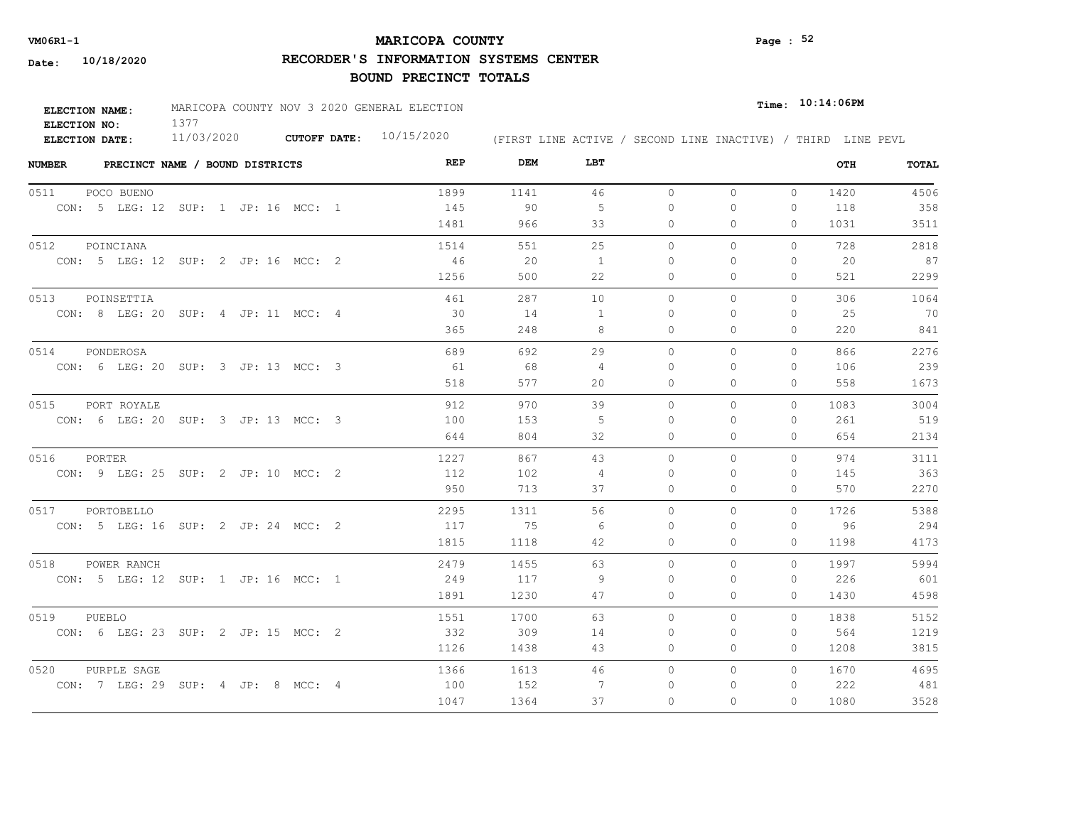# **MARICOPA COUNTY** Page : 52

**RECORDER'S INFORMATION SYSTEMS CENTER**

| ELECTION NAME: | MARICOPA COUNTY NOV 3 2020 GENERAL ELECTION |                     |            |                                                              | $_{Time:}$ 10:14:06PM |
|----------------|---------------------------------------------|---------------------|------------|--------------------------------------------------------------|-----------------------|
| ELECTION NO:   |                                             |                     |            |                                                              |                       |
| ELECTION DATE: | 11/03/2020                                  | <b>CUTOFF DATE:</b> | 10/15/2020 | (FIRST LINE ACTIVE / SECOND LINE INACTIVE) / THIRD LINE PEVL |                       |

| <b>NUMBER</b>  | PRECINCT NAME / BOUND DISTRICTS |                                     | REP  | DEM  | LBT            |           |          |              | OTH  | TOTAL |
|----------------|---------------------------------|-------------------------------------|------|------|----------------|-----------|----------|--------------|------|-------|
| 0511           | POCO BUENO                      |                                     | 1899 | 1141 | 46             | $\circ$   | $\circ$  | $\circ$      | 1420 | 4506  |
|                |                                 | CON: 5 LEG: 12 SUP: 1 JP: 16 MCC: 1 | 145  | 90   | 5              | $\Omega$  | 0        | 0            | 118  | 358   |
|                |                                 |                                     | 1481 | 966  | 33             | 0         | 0        | $\Omega$     | 1031 | 3511  |
| 0512           | POINCIANA                       |                                     | 1514 | 551  | 25             | $\circ$   | 0        | $\mathbf{0}$ | 728  | 2818  |
|                |                                 | CON: 5 LEG: 12 SUP: 2 JP: 16 MCC: 2 | 46   | 20   | $\overline{1}$ | $\Omega$  | $\Omega$ | $\mathbf{0}$ | 20   | 87    |
|                |                                 |                                     | 1256 | 500  | 22             | 0         | 0        | $\Omega$     | 521  | 2299  |
| 0513           | POINSETTIA                      |                                     | 461  | 287  | 10             | $\circ$   | 0        | $\mathbf{0}$ | 306  | 1064  |
|                |                                 | CON: 8 LEG: 20 SUP: 4 JP: 11 MCC: 4 | 30   | 14   | -1             | $\Omega$  | $\Omega$ | $\Omega$     | 25   | 70    |
|                |                                 |                                     | 365  | 248  | 8              | $\Omega$  | $\Omega$ | $\Omega$     | 220  | 841   |
| 0514           | PONDEROSA                       |                                     | 689  | 692  | 29             | $\Omega$  | $\Omega$ | $\Omega$     | 866  | 2276  |
|                |                                 | CON: 6 LEG: 20 SUP: 3 JP: 13 MCC: 3 | 61   | 68   | $\overline{4}$ | 0         | $\Omega$ | $\Omega$     | 106  | 239   |
|                |                                 |                                     | 518  | 577  | 20             | 0         | 0        | $\mathbf{0}$ | 558  | 1673  |
| 0515           | PORT ROYALE                     |                                     | 912  | 970  | 39             | $\Omega$  | $\Omega$ | $\Omega$     | 1083 | 3004  |
|                |                                 | CON: 6 LEG: 20 SUP: 3 JP: 13 MCC: 3 | 100  | 153  | -5             | $\bigcap$ | $\Omega$ | $\Omega$     | 261  | 519   |
|                |                                 |                                     | 644  | 804  | 32             | 0         | 0        | $\mathbf{0}$ | 654  | 2134  |
| 0516<br>PORTER |                                 |                                     | 1227 | 867  | 43             | $\Omega$  | $\Omega$ | $\Omega$     | 974  | 3111  |
|                |                                 | CON: 9 LEG: 25 SUP: 2 JP: 10 MCC: 2 | 112  | 102  | $\overline{4}$ | $\Omega$  | $\Omega$ | $\Omega$     | 145  | 363   |
|                |                                 |                                     | 950  | 713  | 37             | $\circ$   | $\Omega$ | $\circ$      | 570  | 2270  |
| 0517           | PORTOBELLO                      |                                     | 2295 | 1311 | 56             | $\Omega$  | $\Omega$ | $\Omega$     | 1726 | 5388  |
|                |                                 | CON: 5 LEG: 16 SUP: 2 JP: 24 MCC: 2 | 117  | 75   | 6              | $\Omega$  | $\Omega$ | $\Omega$     | 96   | 294   |
|                |                                 |                                     | 1815 | 1118 | 42             | $\circ$   | 0        | $\Omega$     | 1198 | 4173  |
| 0518           | POWER RANCH                     |                                     | 2479 | 1455 | 63             | $\circ$   | $\Omega$ | $\Omega$     | 1997 | 5994  |
|                |                                 | CON: 5 LEG: 12 SUP: 1 JP: 16 MCC: 1 | 249  | 117  | 9              | $\Omega$  | 0        | 0            | 226  | 601   |
|                |                                 |                                     | 1891 | 1230 | 47             | 0         | 0        | 0            | 1430 | 4598  |
| 0519<br>PUEBLO |                                 |                                     | 1551 | 1700 | 63             | $\circ$   | $\circ$  | $\Omega$     | 1838 | 5152  |
|                |                                 | CON: 6 LEG: 23 SUP: 2 JP: 15 MCC: 2 | 332  | 309  | 14             | 0         | 0        | 0            | 564  | 1219  |
|                |                                 |                                     | 1126 | 1438 | 43             | 0         | 0        | $\Omega$     | 1208 | 3815  |
| 0520           | PURPLE SAGE                     |                                     | 1366 | 1613 | 46             | $\circ$   | $\circ$  | $\Omega$     | 1670 | 4695  |
|                |                                 | CON: 7 LEG: 29 SUP: 4 JP: 8 MCC: 4  | 100  | 152  | -7             | 0         | 0        | 0            | 222  | 481   |
|                |                                 |                                     | 1047 | 1364 | 37             | $\Omega$  | $\Omega$ | $\Omega$     | 1080 | 3528  |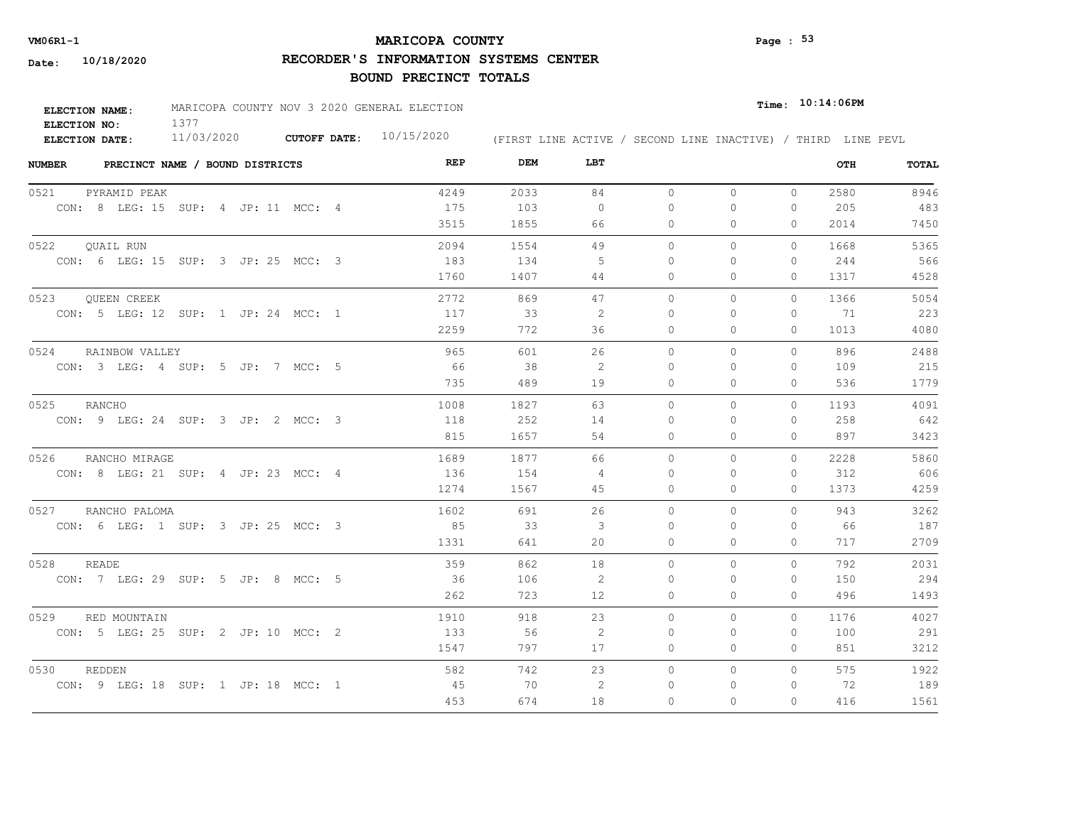# **MARICOPA COUNTY VM06R1-1 Page : 53**

**RECORDER'S INFORMATION SYSTEMS CENTER**

| <b>ELECTION NAME:</b> | MARICOPA COUNTY NOV 3 2020 GENERAL ELECTION |              | $_{Time:}$ 10:14:06PM |                                                              |  |
|-----------------------|---------------------------------------------|--------------|-----------------------|--------------------------------------------------------------|--|
| ELECTION NO:          |                                             |              |                       |                                                              |  |
| ELECTION DATE:        | 11/03/2020                                  | CUTOFF DATE: | 10/15/2020            | (FIRST LINE ACTIVE / SECOND LINE INACTIVE) / THIRD LINE PEVL |  |

| <b>NUMBER</b> | PRECINCT NAME / BOUND DISTRICTS     |      | REP<br>DEM | LBT            |          |              |              | OTH  | TOTAL |
|---------------|-------------------------------------|------|------------|----------------|----------|--------------|--------------|------|-------|
| 0521          | PYRAMID PEAK                        | 4249 | 2033       | 84             | $\circ$  | $\circ$      | $\circ$      | 2580 | 8946  |
|               | CON: 8 LEG: 15 SUP: 4 JP: 11 MCC: 4 | 175  | 103        | $\circ$        | 0        | 0            | $\mathbf{0}$ | 205  | 483   |
|               |                                     | 3515 | 1855       | 66             | 0        | $\Omega$     | 0            | 2014 | 7450  |
| 0522          | QUAIL RUN                           | 2094 | 1554       | 49             | $\circ$  | 0            | $\mathbf{0}$ | 1668 | 5365  |
|               | CON: 6 LEG: 15 SUP: 3 JP: 25 MCC: 3 | 183  | 134        | -5             | $\Omega$ | $\Omega$     | $\mathbf{0}$ | 244  | 566   |
|               |                                     | 1760 | 1407       | 44             | 0        | 0            | 0            | 1317 | 4528  |
| 0523          | QUEEN CREEK                         | 2772 | 869        | 47             | $\circ$  | $\mathbf{0}$ | 0            | 1366 | 5054  |
|               | CON: 5 LEG: 12 SUP: 1 JP: 24 MCC: 1 | 117  | 33         | -2             | 0        | 0            | $\mathbf{0}$ | 71   | 223   |
|               |                                     | 2259 | 772        | 36             | 0        | $\Omega$     | $\Omega$     | 1013 | 4080  |
| 0524          | RAINBOW VALLEY                      |      | 965<br>601 | 26             | $\Omega$ | $\Omega$     | $\Omega$     | 896  | 2488  |
|               | CON: 3 LEG: 4 SUP: 5 JP: 7 MCC: 5   | 66   | 38         | 2              | $\Omega$ | $\Omega$     | $\mathbf{0}$ | 109  | 215   |
|               |                                     |      | 735<br>489 | 19             | 0        | 0            | $\mathbf{0}$ | 536  | 1779  |
| 0525          | RANCHO                              | 1008 | 1827       | 63             | $\Omega$ | $\Omega$     | $\Omega$     | 1193 | 4091  |
|               | CON: 9 LEG: 24 SUP: 3 JP: 2 MCC: 3  | 118  | 252        | 14             | $\Omega$ | $\Omega$     | $\mathbf{0}$ | 258  | 642   |
|               |                                     | 815  | 1657       | 54             | $\Omega$ | $\Omega$     | $\Omega$     | 897  | 3423  |
| 0526          | RANCHO MIRAGE                       | 1689 | 1877       | 66             | $\circ$  | 0            | $\circ$      | 2228 | 5860  |
|               | CON: 8 LEG: 21 SUP: 4 JP: 23 MCC: 4 | 136  | 154        | $\overline{4}$ | $\Omega$ | $\Omega$     | $\mathbf{0}$ | 312  | 606   |
|               |                                     | 1274 | 1567       | 45             | $\Omega$ | $\Omega$     | $\Omega$     | 1373 | 4259  |
|               | 0527 RANCHO PALOMA                  | 1602 | 691        | 26             | $\circ$  | $\Omega$     | $\Omega$     | 943  | 3262  |
|               | CON: 6 LEG: 1 SUP: 3 JP: 25 MCC: 3  | 85   | 33         | 3              | $\Omega$ | $\Omega$     | 0            | 66   | 187   |
|               |                                     | 1331 | 641        | 20             | $\Omega$ | $\Omega$     | $\Omega$     | 717  | 2709  |
| 0528          | <b>READE</b>                        |      | 359<br>862 | 18             | $\circ$  | 0            | 0            | 792  | 2031  |
|               | CON: 7 LEG: 29 SUP: 5 JP: 8 MCC: 5  |      | 36<br>106  | 2              | $\Omega$ | $\Omega$     | $\mathbf{0}$ | 150  | 294   |
|               |                                     |      | 723<br>262 | 12             | 0        | 0            | 0            | 496  | 1493  |
| 0529          | RED MOUNTAIN                        | 1910 | 918        | 23             | $\circ$  | $\Omega$     | $\circ$      | 1176 | 4027  |
|               | CON: 5 LEG: 25 SUP: 2 JP: 10 MCC: 2 | 133  | 56         | -2             | 0        | 0            | $\mathbf{0}$ | 100  | 291   |
|               |                                     | 1547 | 797        | 17             | 0        | 0            | $\mathbf{0}$ | 851  | 3212  |
| 0530          | REDDEN                              |      | 582<br>742 | 23             | $\circ$  | 0            | $\circ$      | 575  | 1922  |
|               | CON: 9 LEG: 18 SUP: 1 JP: 18 MCC: 1 |      | 45<br>70   | 2              | 0        | 0            | $\mathbf{0}$ | 72   | 189   |
|               |                                     |      | 453<br>674 | 18             | $\Omega$ | $\Omega$     | $\Omega$     | 416  | 1561  |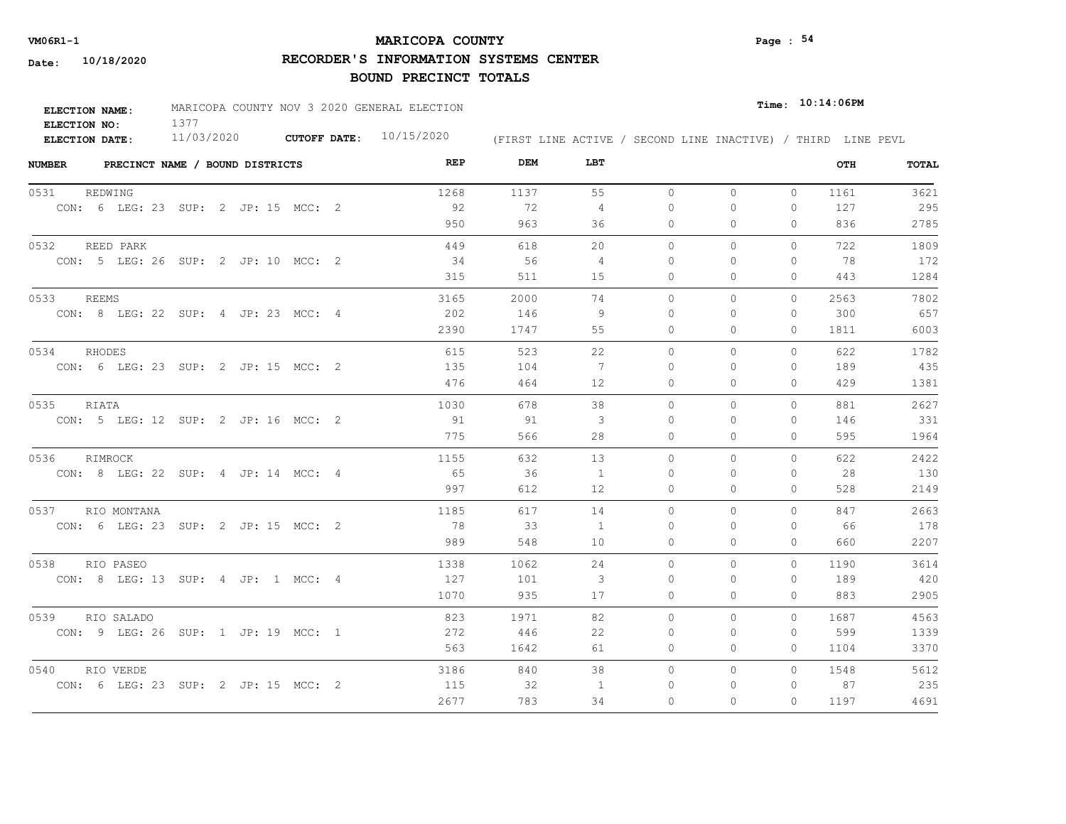# **MARICOPA COUNTY VM06R1-1 Page : 54**

**RECORDER'S INFORMATION SYSTEMS CENTER**

| <b>ELECTION NAME:</b> | MARICOPA COUNTY NOV 3 2020 GENERAL ELECTION |                     |            |                                                              | $Time:$ 10:14:06PM |
|-----------------------|---------------------------------------------|---------------------|------------|--------------------------------------------------------------|--------------------|
| ELECTION NO:          |                                             |                     |            |                                                              |                    |
| <b>ELECTION DATE:</b> | 11/03/2020                                  | <b>CUTOFF DATE:</b> | 10/15/2020 | (FIRST LINE ACTIVE / SECOND LINE INACTIVE) / THIRD LINE PEVL |                    |

| <b>NUMBER</b> | PRECINCT NAME / BOUND DISTRICTS     |  |  |  | REP  | DEM  | LBT            |           |          |              | OTH  | TOTAL |
|---------------|-------------------------------------|--|--|--|------|------|----------------|-----------|----------|--------------|------|-------|
| 0531          | REDWING                             |  |  |  | 1268 | 1137 | 55             | $\circ$   | 0        | $\circ$      | 1161 | 3621  |
|               | CON: 6 LEG: 23 SUP: 2 JP: 15 MCC: 2 |  |  |  | 92   | 72   | $\overline{4}$ | $\bigcap$ | $\Omega$ | $\Omega$     | 127  | 295   |
|               |                                     |  |  |  | 950  | 963  | 36             | $\Omega$  | $\Omega$ | $\Omega$     | 836  | 2785  |
| 0532          | REED PARK                           |  |  |  | 449  | 618  | 20             | $\Omega$  | $\Omega$ | $\Omega$     | 722  | 1809  |
|               | CON: 5 LEG: 26 SUP: 2 JP: 10 MCC: 2 |  |  |  | 34   | 56   | 4              | $\Omega$  | $\Omega$ | $\Omega$     | 78   | 172   |
|               |                                     |  |  |  | 315  | 511  | 15             | $\circ$   | $\Omega$ | $\Omega$     | 443  | 1284  |
| 0533          | REEMS                               |  |  |  | 3165 | 2000 | 74             | $\circ$   | $\Omega$ | $\circ$      | 2563 | 7802  |
|               | CON: 8 LEG: 22 SUP: 4 JP: 23 MCC: 4 |  |  |  | 202  | 146  | -9             | 0         | $\Omega$ | $\mathbf{0}$ | 300  | 657   |
|               |                                     |  |  |  | 2390 | 1747 | 55             | 0         | 0        | 0            | 1811 | 6003  |
| 0534          | RHODES                              |  |  |  | 615  | 523  | 22             | $\circ$   | 0        | 0            | 622  | 1782  |
|               | CON: 6 LEG: 23 SUP: 2 JP: 15 MCC: 2 |  |  |  | 135  | 104  | 7              | $\Omega$  | $\Omega$ | 0            | 189  | 435   |
|               |                                     |  |  |  | 476  | 464  | 12             | 0         | 0        | $\mathbf{0}$ | 429  | 1381  |
| 0535          | RIATA                               |  |  |  | 1030 | 678  | 38             | $\Omega$  | $\Omega$ | $\Omega$     | 881  | 2627  |
|               | CON: 5 LEG: 12 SUP: 2 JP: 16 MCC: 2 |  |  |  | 91   | 91   | 3              | $\Omega$  | $\Omega$ | $\mathbf{0}$ | 146  | 331   |
|               |                                     |  |  |  | 775  | 566  | 28             | $\circ$   | $\Omega$ | $\mathbf{0}$ | 595  | 1964  |
| 0536          | RIMROCK                             |  |  |  | 1155 | 632  | 13             | $\Omega$  | $\Omega$ | $\Omega$     | 622  | 2422  |
|               | CON: 8 LEG: 22 SUP: 4 JP: 14 MCC: 4 |  |  |  | 65   | 36   | $\overline{1}$ | $\bigcap$ | $\Omega$ | $\Omega$     | 28   | 130   |
|               |                                     |  |  |  | 997  | 612  | 12             | 0         | 0        | $\mathbf{0}$ | 528  | 2149  |
| 0537          | RIO MONTANA                         |  |  |  | 1185 | 617  | 14             | $\circ$   | $\Omega$ | 0            | 847  | 2663  |
|               | CON: 6 LEG: 23 SUP: 2 JP: 15 MCC: 2 |  |  |  | 78   | 33   | $\overline{1}$ | $\Omega$  | $\Omega$ | $\Omega$     | 66   | 178   |
|               |                                     |  |  |  | 989  | 548  | 10             | $\circ$   | $\Omega$ | $\Omega$     | 660  | 2207  |
| 0538          | RIO PASEO                           |  |  |  | 1338 | 1062 | 24             | $\Omega$  | $\Omega$ | $\Omega$     | 1190 | 3614  |
|               | CON: 8 LEG: 13 SUP: 4 JP: 1 MCC: 4  |  |  |  | 127  | 101  | 3              | $\Omega$  | $\Omega$ | 0            | 189  | 420   |
|               |                                     |  |  |  | 1070 | 935  | 17             | $\circ$   | $\Omega$ | 0            | 883  | 2905  |
| 0539          | RIO SALADO                          |  |  |  | 823  | 1971 | 82             | $\Omega$  | $\Omega$ | $\Omega$     | 1687 | 4563  |
|               | CON: 9 LEG: 26 SUP: 1 JP: 19 MCC: 1 |  |  |  | 272  | -446 | 22             | $\Omega$  | $\Omega$ | $\Omega$     | 599  | 1339  |
|               |                                     |  |  |  | 563  | 1642 | 61             | 0         | 0        | 0            | 1104 | 3370  |
| 0540          | RIO VERDE                           |  |  |  | 3186 | 840  | 38             | $\circ$   | 0        | $\circ$      | 1548 | 5612  |
|               | CON: 6 LEG: 23 SUP: 2 JP: 15 MCC: 2 |  |  |  | 115  | -32  | 1              | 0         | 0        | $\mathbf{0}$ | 87   | 235   |
|               |                                     |  |  |  | 2677 | 783  | 34             | $\Omega$  | $\Omega$ | $\Omega$     | 1197 | 4691  |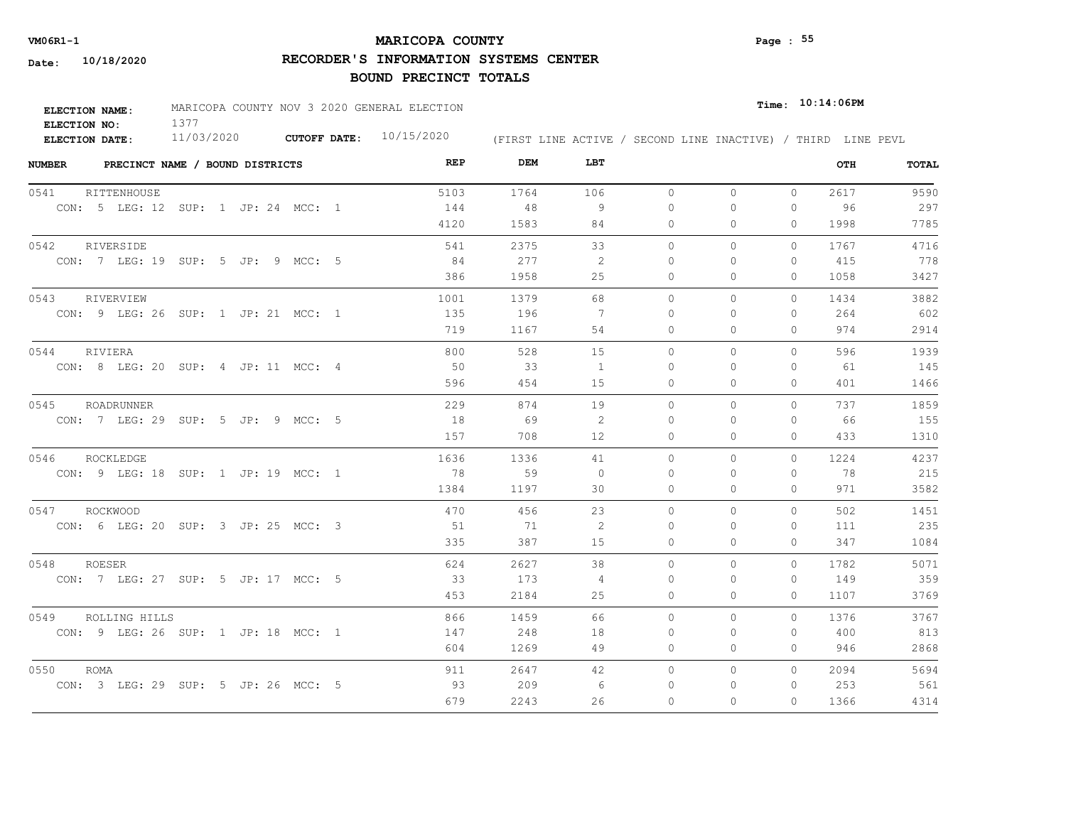# **MARICOPA COUNTY VM06R1-1 Page : 55**

**RECORDER'S INFORMATION SYSTEMS CENTER**

| <b>ELECTION NAME:</b> | MARICOPA COUNTY NOV 3 2020 GENERAL ELECTION |                           |                                                              | $Time:$ $10:14:06$ PM |
|-----------------------|---------------------------------------------|---------------------------|--------------------------------------------------------------|-----------------------|
| ELECTION NO:          |                                             |                           |                                                              |                       |
| ELECTION DATE:        | 11/03/2020                                  | CUTOFF DATE: $10/15/2020$ | (FIRST LINE ACTIVE / SECOND LINE INACTIVE) / THIRD LINE PEVL |                       |

| <b>NUMBER</b><br>PRECINCT NAME / BOUND DISTRICTS | REP  | DEM  | LBT               |          |              |              | OTH  | TOTAL |
|--------------------------------------------------|------|------|-------------------|----------|--------------|--------------|------|-------|
| 0541<br>RITTENHOUSE                              | 5103 | 1764 | 106               | $\circ$  | $\circ$      | $\circ$      | 2617 | 9590  |
| CON: 5 LEG: 12 SUP: 1 JP: 24 MCC: 1              | 144  | 48   | 9                 | $\Omega$ | 0            | $\mathbf{0}$ | 96   | 297   |
|                                                  | 4120 | 1583 | 84                | 0        | $\Omega$     | $\Omega$     | 1998 | 7785  |
| 0542<br>RIVERSIDE                                | 541  | 2375 | 33                | $\circ$  | 0            | $\Omega$     | 1767 | 4716  |
| CON: 7 LEG: 19 SUP: 5 JP: 9 MCC: 5               | 84   | 277  | 2                 | $\Omega$ | $\Omega$     | $\Omega$     | 415  | 778   |
|                                                  | 386  | 1958 | 25                | 0        | 0            | 0            | 1058 | 3427  |
| 0543<br>RIVERVIEW                                | 1001 | 1379 | 68                | $\circ$  | $\mathbf{0}$ | $\circ$      | 1434 | 3882  |
| CON: 9 LEG: 26 SUP: 1 JP: 21 MCC: 1              | 135  | 196  | - 7               | $\Omega$ | 0            | 0            | 264  | 602   |
|                                                  | 719  | 1167 | 54                | 0        | $\Omega$     | $\Omega$     | 974  | 2914  |
| 0544<br>RIVIERA                                  | 800  | 528  | 15                | $\Omega$ | $\Omega$     | $\Omega$     | 596  | 1939  |
| CON: 8 LEG: 20 SUP: 4 JP: 11 MCC: 4              | 50   | 33   | $\mathbf{1}$      | $\Omega$ | $\Omega$     | $\mathbf{0}$ | 61   | 145   |
|                                                  | 596  | 454  | 15                | 0        | 0            | $\mathbf{0}$ | 401  | 1466  |
| 0545<br>ROADRUNNER                               | 229  | 874  | 19                | $\Omega$ | $\Omega$     | $\Omega$     | 737  | 1859  |
| CON: 7 LEG: 29 SUP: 5 JP: 9 MCC: 5               | 18   | 69   | 2                 | $\Omega$ | $\Omega$     | $\Omega$     | 66   | 155   |
|                                                  | 157  | 708  | $12 \overline{ }$ | $\Omega$ | $\Omega$     | $\Omega$     | 433  | 1310  |
| 0546<br>ROCKLEDGE                                | 1636 | 1336 | 41                | $\circ$  | 0            | $\circ$      | 1224 | 4237  |
| CON: 9 LEG: 18 SUP: 1 JP: 19 MCC: 1              | 78   | 59   | $\Omega$          | $\Omega$ | $\Omega$     | $\Omega$     | 78   | 215   |
|                                                  | 1384 | 1197 | 30                | $\Omega$ | $\Omega$     | $\Omega$     | 971  | 3582  |
| 0547 ROCKWOOD                                    | 470  | 456  | 23                | $\circ$  | $\Omega$     | $\Omega$     | 502  | 1451  |
| CON: 6 LEG: 20 SUP: 3 JP: 25 MCC: 3              | 51   | 71   | 2                 | $\Omega$ | $\Omega$     | $\Omega$     | 111  | 235   |
|                                                  | 335  | 387  | 15                | $\Omega$ | $\Omega$     | $\Omega$     | 347  | 1084  |
| 0548<br>ROESER                                   | 624  | 2627 | 38                | $\circ$  | 0            | $\circ$      | 1782 | 5071  |
| CON: 7 LEG: 27 SUP: 5 JP: 17 MCC: 5              | 33   | 173  | 4                 | $\Omega$ | $\Omega$     | $\mathbf{0}$ | 149  | 359   |
|                                                  | 453  | 2184 | 25                | 0        | 0            | $\mathbf{0}$ | 1107 | 3769  |
| 0549<br>ROLLING HILLS                            | 866  | 1459 | 66                | $\circ$  | $\Omega$     | $\Omega$     | 1376 | 3767  |
| CON: 9 LEG: 26 SUP: 1 JP: 18 MCC: 1              | 147  | 248  | 18                | 0        | $\Omega$     | $\mathbf{0}$ | 400  | 813   |
|                                                  | 604  | 1269 | 49                | 0        | 0            | $\Omega$     | 946  | 2868  |
| 0550<br><b>ROMA</b>                              | 911  | 2647 | 42                | $\circ$  | 0            | $\Omega$     | 2094 | 5694  |
| CON: 3 LEG: 29 SUP: 5 JP: 26 MCC: 5              | 93   | 209  | 6                 | $\Omega$ | $\Omega$     | 0            | 253  | 561   |
|                                                  | 679  | 2243 | 26                | $\Omega$ | $\Omega$     | $\Omega$     | 1366 | 4314  |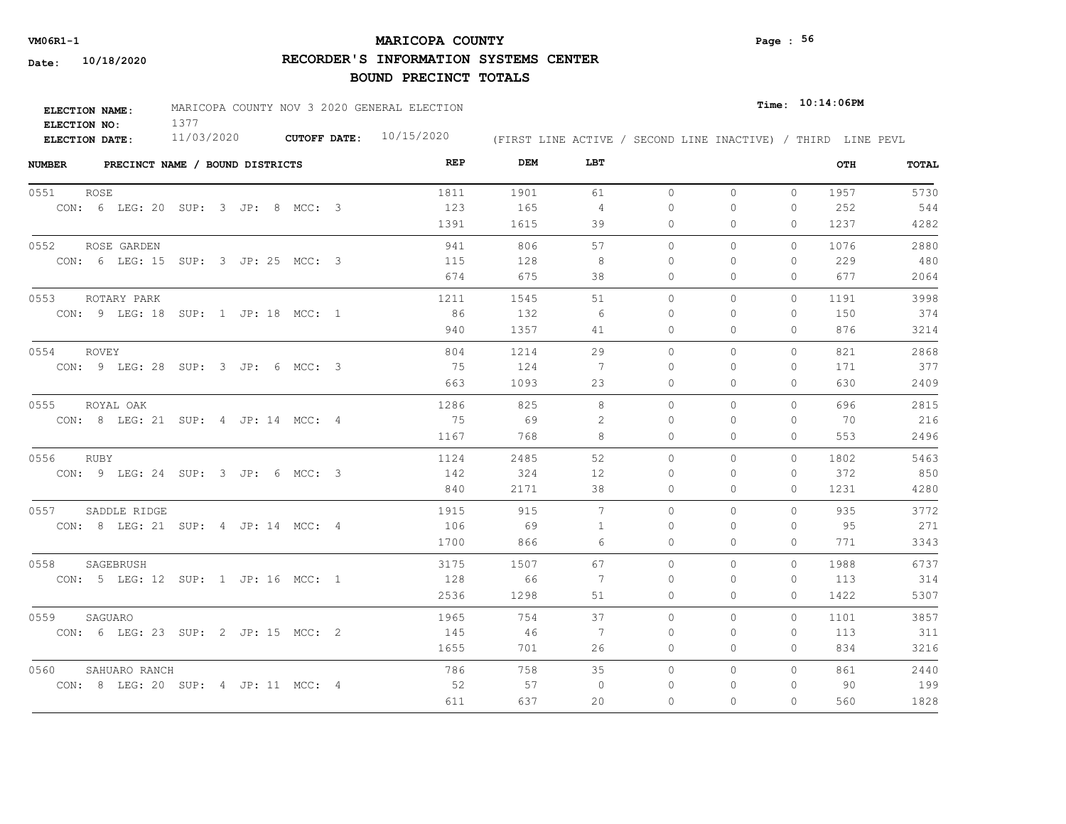# **MARICOPA COUNTY VM06R1-1 Page : 56**

**RECORDER'S INFORMATION SYSTEMS CENTER**

| <b>ELECTION NAME:</b> | MARICOPA COUNTY NOV 3 2020 GENERAL ELECTION |                           |                                                              | $_{Time:}$ 10:14:06PM |  |
|-----------------------|---------------------------------------------|---------------------------|--------------------------------------------------------------|-----------------------|--|
| ELECTION NO:          |                                             |                           |                                                              |                       |  |
| ELECTION DATE:        | 11/03/2020                                  | CUTOFF DATE: $10/15/2020$ | (FIRST LINE ACTIVE / SECOND LINE INACTIVE) / THIRD LINE PEVL |                       |  |

| <b>NUMBER</b><br>PRECINCT NAME / BOUND DISTRICTS | REP  | DEM  | LBT          |           |          |              | OTH  | TOTAL |
|--------------------------------------------------|------|------|--------------|-----------|----------|--------------|------|-------|
| 0551<br><b>ROSE</b>                              | 1811 | 1901 | 61           | $\circ$   | $\circ$  | $\Omega$     | 1957 | 5730  |
| CON: 6 LEG: 20 SUP: 3 JP: 8 MCC: 3               | 123  | 165  | 4            | 0         | 0        | $\mathbf{0}$ | 252  | 544   |
|                                                  | 1391 | 1615 | 39           | 0         | 0        | 0            | 1237 | 4282  |
| 0552<br>ROSE GARDEN                              | 941  | 806  | 57           | $\Omega$  | $\Omega$ | $\Omega$     | 1076 | 2880  |
| CON: 6 LEG: 15 SUP: 3 JP: 25 MCC: 3              | 115  | 128  | 8            | 0         | $\Omega$ | $\mathbf{0}$ | 229  | 480   |
|                                                  | 674  | 675  | 38           | 0         | 0        | $\mathbf{0}$ | 677  | 2064  |
| 0553<br>ROTARY PARK                              | 1211 | 1545 | 51           | $\Omega$  | $\Omega$ | $\Omega$     | 1191 | 3998  |
| CON: 9 LEG: 18 SUP: 1 JP: 18 MCC: 1              | 86   | 132  | -6           | $\Omega$  | 0        | $\mathbf{0}$ | 150  | 374   |
|                                                  | 940  | 1357 | 41           | 0         | $\Omega$ | $\Omega$     | 876  | 3214  |
| 0554<br><b>ROVEY</b>                             | 804  | 1214 | 29           | $\bigcap$ | $\Omega$ | $\Omega$     | 821  | 2868  |
| CON: 9 LEG: 28 SUP: 3 JP: 6 MCC: 3               | 75   | 124  | 7            | $\Omega$  | $\Omega$ | $\Omega$     | 171  | 377   |
|                                                  | 663  | 1093 | 23           | 0         | 0        | $\circ$      | 630  | 2409  |
| 0555<br>ROYAL OAK                                | 1286 | 825  | 8            | $\Omega$  | $\Omega$ | $\Omega$     | 696  | 2815  |
| CON: 8 LEG: 21 SUP: 4 JP: 14 MCC: 4              | 75   | 69   | 2            | $\bigcap$ | $\Omega$ | $\Omega$     | 70   | 216   |
|                                                  | 1167 | 768  | 8            | $\Omega$  | $\Omega$ | $\Omega$     | 553  | 2496  |
| 0556<br>RUBY                                     | 1124 | 2485 | 52           | $\circ$   | $\Omega$ | $\Omega$     | 1802 | 5463  |
| CON: 9 LEG: 24 SUP: 3 JP: 6 MCC: 3               | 142  | 324  | 12           | $\Omega$  | $\Omega$ | 0            | 372  | 850   |
|                                                  | 840  | 2171 | 38           | $\Omega$  | $\Omega$ | $\Omega$     | 1231 | 4280  |
| 0557<br>SADDLE RIDGE                             | 1915 | 915  | 7            | $\Omega$  | $\Omega$ | $\Omega$     | 935  | 3772  |
| CON: 8 LEG: 21 SUP: 4 JP: 14 MCC: 4              | 106  | 69   | $\mathbf{1}$ | $\Omega$  | $\Omega$ | $\Omega$     | 95   | 271   |
|                                                  | 1700 | 866  | 6            | $\circ$   | $\Omega$ | $\Omega$     | 771  | 3343  |
| 0558<br>SAGEBRUSH                                | 3175 | 1507 | 67           | $\circ$   | 0        | $\circ$      | 1988 | 6737  |
| CON: 5 LEG: 12 SUP: 1 JP: 16 MCC: 1              | 128  | 66   | 7            | 0         | $\Omega$ | 0            | 113  | 314   |
|                                                  | 2536 | 1298 | 51           | 0         | $\Omega$ | $\Omega$     | 1422 | 5307  |
| 0559<br>SAGUARO                                  | 1965 | 754  | 37           | $\Omega$  | $\Omega$ | $\Omega$     | 1101 | 3857  |
| CON: 6 LEG: 23 SUP: 2 JP: 15 MCC: 2              | 145  | - 46 | -7           | 0         | $\Omega$ | $\mathbf{0}$ | 113  | 311   |
|                                                  | 1655 | 701  | 26           | 0         | 0        | $\Omega$     | 834  | 3216  |
| 0560<br>SAHUARO RANCH                            | 786  | 758  | 35           | $\Omega$  | $\Omega$ | $\Omega$     | 861  | 2440  |
| CON: 8 LEG: 20 SUP: 4 JP: 11 MCC: 4              | 52   | 57   | $\circ$      | $\Omega$  | $\Omega$ | 0            | 90   | 199   |
|                                                  | 611  | 637  | 20           | $\circ$   | $\Omega$ | $\Omega$     | 560  | 1828  |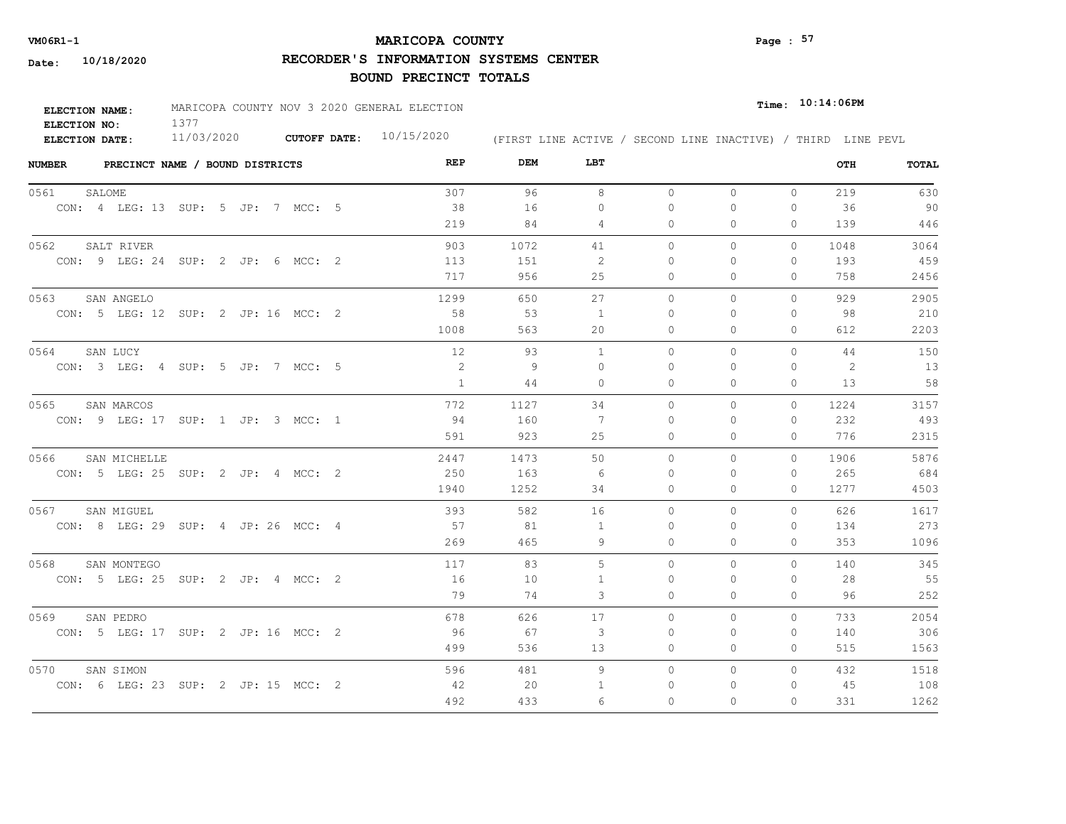# **MARICOPA COUNTY** Page : 57

**RECORDER'S INFORMATION SYSTEMS CENTER**

| ELECTION NAME:        | MARICOPA COUNTY NOV 3 2020 GENERAL ELECTION |                     |            |                                                              | $Time:$ $10:14:06$ PM |
|-----------------------|---------------------------------------------|---------------------|------------|--------------------------------------------------------------|-----------------------|
| ELECTION NO:          |                                             |                     |            |                                                              |                       |
| <b>ELECTION DATE:</b> | 11/03/2020                                  | <b>CUTOFF DATE:</b> | 10/15/2020 | (FIRST LINE ACTIVE / SECOND LINE INACTIVE) / THIRD LINE PEVL |                       |

| <b>NUMBER</b><br>PRECINCT NAME / BOUND DISTRICTS | REP  | DEM  | LBT            |          |              |              | OTH  | TOTAL |
|--------------------------------------------------|------|------|----------------|----------|--------------|--------------|------|-------|
| 0561<br>SALOME                                   | 307  | 96   | 8              | $\circ$  | $\circ$      | $\circ$      | 219  | 630   |
| CON: 4 LEG: 13 SUP: 5 JP: 7 MCC: 5               | 38   | 16   | $\mathbf{0}$   | $\Omega$ | $\Omega$     | 0            | 36   | 90    |
|                                                  | 219  | 84   | 4              | 0        | 0            | $\Omega$     | 139  | 446   |
| SALT RIVER<br>0562                               | 903  | 1072 | 41             | $\circ$  | 0            | 0            | 1048 | 3064  |
| CON: 9 LEG: 24 SUP: 2 JP: 6 MCC: 2               | 113  | 151  | -2             | $\Omega$ | $\Omega$     | $\mathbf{0}$ | 193  | 459   |
|                                                  | 717  | 956  | 25             | 0        | 0            | $\mathbf{0}$ | 758  | 2456  |
| 0563<br>SAN ANGELO                               | 1299 | 650  | 27             | $\circ$  | $\circ$      | 0            | 929  | 2905  |
| CON: 5 LEG: 12 SUP: 2 JP: 16 MCC: 2              | 58   | 53   | -1             | $\Omega$ | 0            | $\mathbf{0}$ | 98   | 210   |
|                                                  | 1008 | 563  | 20             | 0        | $\Omega$     | $\Omega$     | 612  | 2203  |
| 0564<br>SAN LUCY                                 | 12   | 93   | $\overline{1}$ | $\Omega$ | $\Omega$     | $\Omega$     | 44   | 150   |
| CON: 3 LEG: 4 SUP: 5 JP: 7 MCC: 5                | 2    | -9   | $\Omega$       | $\Omega$ | $\Omega$     | 0            | 2    | 13    |
|                                                  | 1    | 44   | $\circ$        | 0        | 0            | $\mathbf{0}$ | 13   | 58    |
| 0565<br>SAN MARCOS                               | 772  | 1127 | 34             | $\Omega$ | $\Omega$     | $\Omega$     | 1224 | 3157  |
| CON: 9 LEG: 17 SUP: 1 JP: 3 MCC: 1               | -94  | 160  | 7              | $\Omega$ | $\Omega$     | $\Omega$     | 232  | 493   |
|                                                  | 591  | 923  | 25             | $\circ$  | $\Omega$     | $\Omega$     | 776  | 2315  |
| 0566<br>SAN MICHELLE                             | 2447 | 1473 | 50             | $\circ$  | 0            | $\circ$      | 1906 | 5876  |
| CON: 5 LEG: 25 SUP: 2 JP: 4 MCC: 2               | 250  | 163  | -6             | $\Omega$ | $\Omega$     | $\mathbf{0}$ | 265  | 684   |
|                                                  | 1940 | 1252 | 34             | $\Omega$ | $\Omega$     | $\Omega$     | 1277 | 4503  |
| 0567<br>SAN MIGUEL                               | 393  | 582  | 16             | $\circ$  | $\Omega$     | $\Omega$     | 626  | 1617  |
| CON: 8 LEG: 29 SUP: 4 JP: 26 MCC: 4              | 57   | 81   | -1             | $\Omega$ | $\Omega$     | $\Omega$     | 134  | 273   |
|                                                  | 269  | 465  | 9              | $\Omega$ | $\Omega$     | $\Omega$     | 353  | 1096  |
| 0568<br>SAN MONTEGO                              | 117  | 83   | 5              | $\circ$  | $\mathbf{0}$ | $\circ$      | 140  | 345   |
| CON: 5 LEG: 25 SUP: 2 JP: 4 MCC: 2               | 16   | 10   | 1              | $\Omega$ | $\Omega$     | $\Omega$     | 28   | 55    |
|                                                  | 79   | 74   | 3              | 0        | 0            | 0            | 96   | 252   |
| 0569<br>SAN PEDRO                                | 678  | 626  | 17             | $\circ$  | $\Omega$     | 0            | 733  | 2054  |
| CON: 5 LEG: 17 SUP: 2 JP: 16 MCC: 2              | 96   | 67   | 3              | 0        | 0            | $\mathbf{0}$ | 140  | 306   |
|                                                  | 499  | 536  | 13             | 0        | 0            | $\mathbf{0}$ | 515  | 1563  |
| 0570<br>SAN SIMON                                | 596  | 481  | 9              | $\circ$  | 0            | $\circ$      | 432  | 1518  |
| CON: 6 LEG: 23 SUP: 2 JP: 15 MCC: 2              | 42   | 20   | -1             | $\Omega$ | 0            | $\mathbf{0}$ | 45   | 108   |
|                                                  | 492  | 433  | 6              | $\Omega$ | $\Omega$     | $\Omega$     | 331  | 1262  |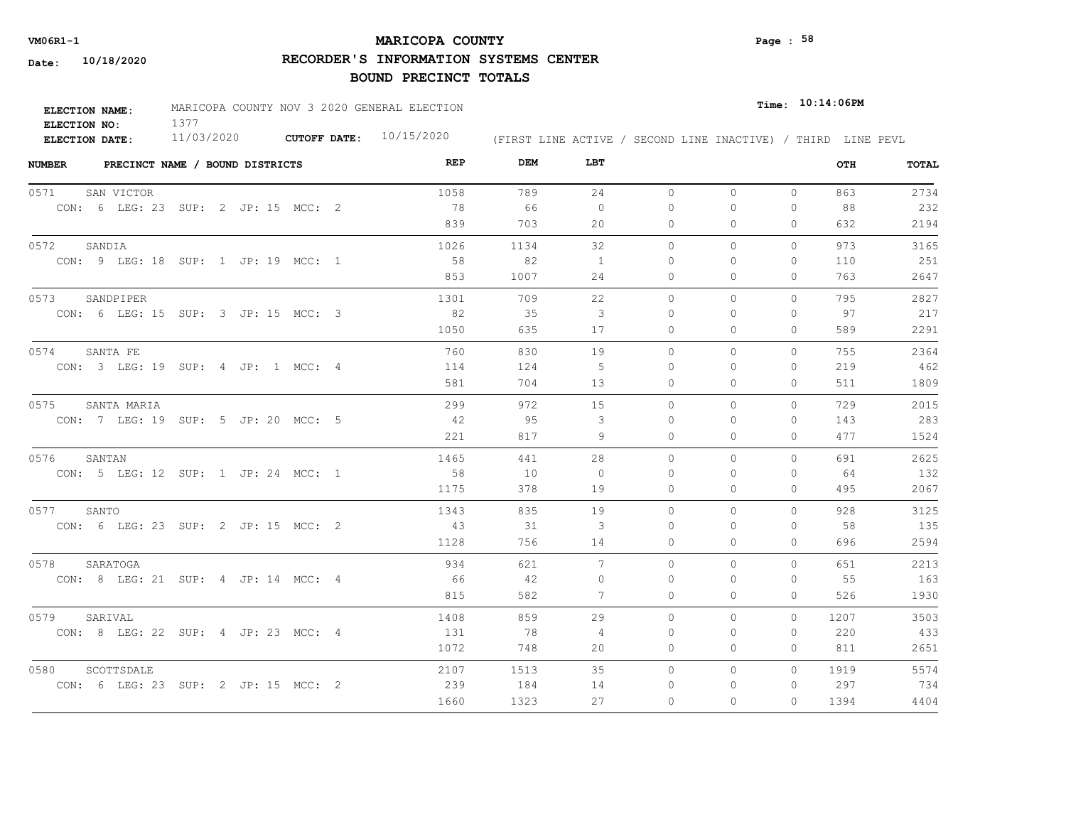# **MARICOPA COUNTY VM06R1-1 Page : 58**

**RECORDER'S INFORMATION SYSTEMS CENTER**

| <b>ELECTION NAME:</b> | MARICOPA COUNTY NOV 3 2020 GENERAL ELECTION |                           |                                                              |  | $_{Time:}$ 10:14:06PM |  |
|-----------------------|---------------------------------------------|---------------------------|--------------------------------------------------------------|--|-----------------------|--|
| ELECTION NO:          |                                             |                           |                                                              |  |                       |  |
| ELECTION DATE:        | 11/03/2020                                  | CUTOFF DATE: $10/15/2020$ | (FIRST LINE ACTIVE / SECOND LINE INACTIVE) / THIRD LINE PEVL |  |                       |  |

| <b>NUMBER</b><br>PRECINCT NAME / BOUND DISTRICTS | REP  | DEM  | LBT      |          |          |              | OTH  | <b>TOTAL</b> |
|--------------------------------------------------|------|------|----------|----------|----------|--------------|------|--------------|
| 0571<br>SAN VICTOR                               | 1058 | 789  | 24       | $\circ$  | $\circ$  | $\circ$      | 863  | 2734         |
| CON: 6 LEG: 23 SUP: 2 JP: 15 MCC: 2              | - 78 | 66   | $\circ$  | $\Omega$ | $\Omega$ | 0            | 88   | 232          |
|                                                  | 839  | 703  | 20       | 0        | 0        | 0            | 632  | 2194         |
| 0572<br>SANDIA                                   | 1026 | 1134 | 32       | $\circ$  | $\Omega$ | $\Omega$     | 973  | 3165         |
| CON: 9 LEG: 18 SUP: 1 JP: 19 MCC: 1              | 58   | 82   | -1       | 0        | $\Omega$ | $\mathbf{0}$ | 110  | 251          |
|                                                  | 853  | 1007 | 24       | 0        | $\Omega$ | $\mathbf{0}$ | 763  | 2647         |
| 0573<br>SANDPIPER                                | 1301 | 709  | 22       | $\circ$  | 0        | $\mathbf{0}$ | 795  | 2827         |
| CON: 6 LEG: 15 SUP: 3 JP: 15 MCC: 3              | 82   | 35   | 3        | $\Omega$ | $\Omega$ | $\Omega$     | 97   | 217          |
|                                                  | 1050 | 635  | 17       | 0        | 0        | $\mathbf{0}$ | 589  | 2291         |
| 0574<br>SANTA FE                                 | 760  | 830  | 19       | $\Omega$ | $\Omega$ | $\Omega$     | 755  | 2364         |
| CON: 3 LEG: 19 SUP: 4 JP: 1 MCC: 4               | 114  | 124  | -5       | $\Omega$ | $\Omega$ | $\mathbf{0}$ | 219  | 462          |
|                                                  | 581  | 704  | 13       | 0        | 0        | $\mathbf{0}$ | 511  | 1809         |
| 0575<br>SANTA MARIA                              | 299  | 972  | 15       | $\Omega$ | $\Omega$ | $\Omega$     | 729  | 2015         |
| CON: 7 LEG: 19 SUP: 5 JP: 20 MCC: 5              | 42   | 95   | 3        | $\Omega$ | $\Omega$ | $\Omega$     | 143  | 283          |
|                                                  | 221  | 817  | 9        | $\Omega$ | $\Omega$ | $\Omega$     | 477  | 1524         |
| 0576<br>SANTAN                                   | 1465 | 441  | 28       | $\circ$  | 0        | $\circ$      | 691  | 2625         |
| CON: 5 LEG: 12 SUP: 1 JP: 24 MCC: 1              | 58   | 10   | $\Omega$ | $\Omega$ | $\Omega$ | $\Omega$     | 64   | 132          |
|                                                  | 1175 | 378  | 19       | 0        | 0        | $\circ$      | 495  | 2067         |
| SANTO<br>0577                                    | 1343 | 835  | 19       | $\Omega$ | $\Omega$ | $\Omega$     | 928  | 3125         |
| CON: 6 LEG: 23 SUP: 2 JP: 15 MCC: 2              | 43   | 31   | 3        | $\Omega$ | $\Omega$ | 0            | 58   | 135          |
|                                                  | 1128 | 756  | 14       | $\Omega$ | $\Omega$ | $\Omega$     | 696  | 2594         |
| 0578<br>SARATOGA                                 | 934  | 621  | 7        | $\Omega$ | $\Omega$ | $\Omega$     | 651  | 2213         |
| CON: 8 LEG: 21 SUP: 4 JP: 14 MCC: 4              | 66   | 42   | $\Omega$ | $\Omega$ | $\Omega$ | 0            | 55   | 163          |
|                                                  | 815  | 582  | 7        | $\Omega$ | $\Omega$ | $\Omega$     | 526  | 1930         |
| 0579<br>SARIVAL                                  | 1408 | 859  | 29       | $\Omega$ | $\Omega$ | $\Omega$     | 1207 | 3503         |
| CON: 8 LEG: 22 SUP: 4 JP: 23 MCC: 4              | 131  | - 78 | 4        | $\Omega$ | $\Omega$ | $\Omega$     | 220  | 433          |
|                                                  | 1072 | 748  | 20       | 0        | 0        | $\mathbf{0}$ | 811  | 2651         |
| 0580<br>SCOTTSDALE                               | 2107 | 1513 | 35       | $\circ$  | 0        | $\circ$      | 1919 | 5574         |
| CON: 6 LEG: 23 SUP: 2 JP: 15 MCC: 2              | 239  | 184  | 14       | 0        | 0        | $\mathbf{0}$ | 297  | 734          |
|                                                  | 1660 | 1323 | 27       | $\Omega$ | $\Omega$ | 0            | 1394 | 4404         |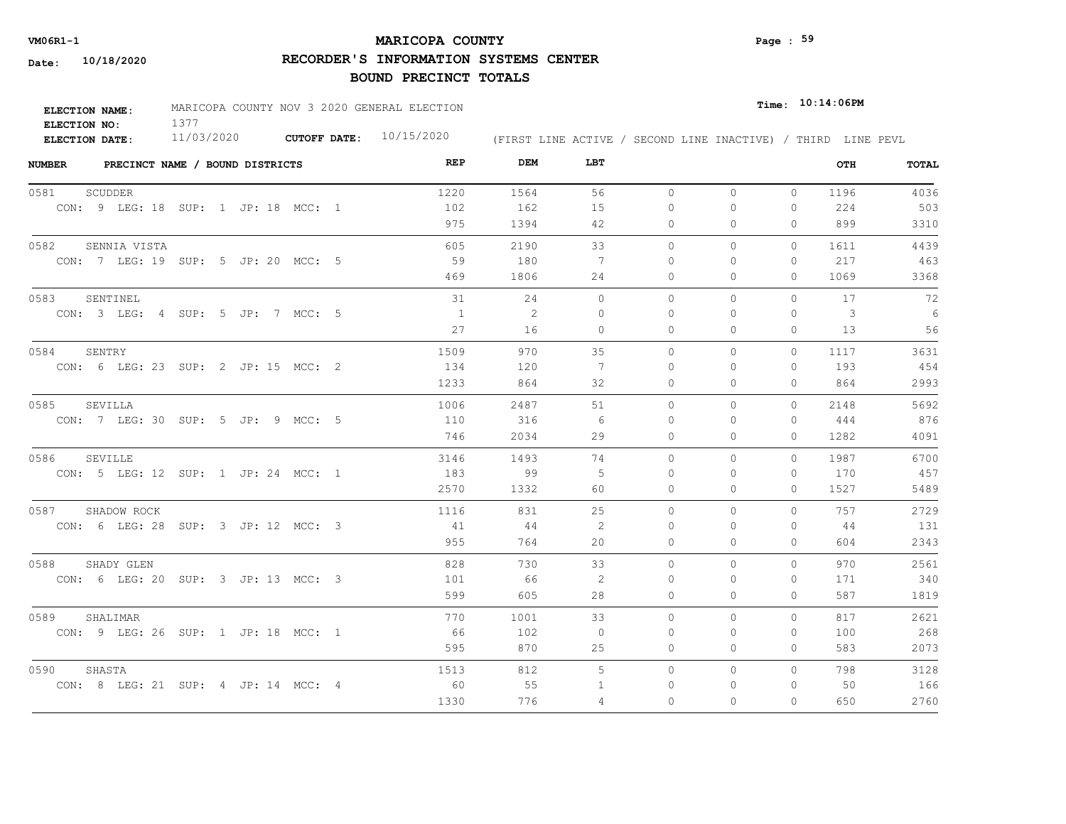# **MARICOPA COUNTY VM06R1-1 Page : 59**

**RECORDER'S INFORMATION SYSTEMS CENTER**

| <b>ELECTION NAME:</b> | MARICOPA COUNTY NOV 3 2020 GENERAL ELECTION |                           |                                                              | $Time:$ $10:14:06$ PM |
|-----------------------|---------------------------------------------|---------------------------|--------------------------------------------------------------|-----------------------|
| ELECTION NO:          |                                             |                           |                                                              |                       |
| ELECTION DATE:        | 11/03/2020                                  | CUTOFF DATE: $10/15/2020$ | (FIRST LINE ACTIVE / SECOND LINE INACTIVE) / THIRD LINE PEVL |                       |

| <b>NUMBER</b><br>PRECINCT NAME / BOUND DISTRICTS | REP  | DEM  | LBT            |          |          |              | OTH  | TOTAL |
|--------------------------------------------------|------|------|----------------|----------|----------|--------------|------|-------|
| 0581<br>SCUDDER                                  | 1220 | 1564 | 56             | $\circ$  | $\circ$  | $\circ$      | 1196 | 4036  |
| CON: 9 LEG: 18 SUP: 1 JP: 18 MCC: 1              | 102  | 162  | 15             | $\Omega$ | 0        | 0            | 224  | 503   |
|                                                  | 975  | 1394 | 42             | 0        | 0        | $\Omega$     | 899  | 3310  |
| 0582<br>SENNIA VISTA                             | 605  | 2190 | 33             | $\circ$  | 0        | 0            | 1611 | 4439  |
| CON: 7 LEG: 19 SUP: 5 JP: 20 MCC: 5              | 59   | 180  | 7              | $\Omega$ | $\Omega$ | $\mathbf{0}$ | 217  | 463   |
|                                                  | 469  | 1806 | 24             | 0        | 0        | $\mathbf{0}$ | 1069 | 3368  |
| 0583<br>SENTINEL                                 | 31   | 24   | $\circ$        | $\circ$  | 0        | $\Omega$     | 17   | 72    |
| CON: 3 LEG: 4 SUP: 5 JP: 7 MCC: 5                | 1    | -2   | $\Omega$       | $\Omega$ | 0        | 0            | 3    | - 6   |
|                                                  | 27   | 16   | $\circ$        | 0        | $\Omega$ | 0            | 13   | 56    |
| 0584<br>SENTRY                                   | 1509 | 970  | 35             | $\Omega$ | $\Omega$ | $\Omega$     | 1117 | 3631  |
| CON: 6 LEG: 23 SUP: 2 JP: 15 MCC: 2              | 134  | 120  | 7              | $\Omega$ | $\Omega$ | $\mathbf{0}$ | 193  | 454   |
|                                                  | 1233 | 864  | 32             | 0        | 0        | $\mathbf{0}$ | 864  | 2993  |
| 0585<br>SEVILLA                                  | 1006 | 2487 | 51             | $\Omega$ | $\Omega$ | $\Omega$     | 2148 | 5692  |
| CON: 7 LEG: 30 SUP: 5 JP: 9 MCC: 5               | 110  | 316  | - 6            | $\Omega$ | $\Omega$ | $\mathbf{0}$ | 444  | 876   |
|                                                  | 746  | 2034 | 29             | 0        | $\Omega$ | $\Omega$     | 1282 | 4091  |
| 0586<br>SEVILLE                                  | 3146 | 1493 | 74             | $\circ$  | 0        | $\circ$      | 1987 | 6700  |
| CON: 5 LEG: 12 SUP: 1 JP: 24 MCC: 1              | 183  | 99   | $\overline{5}$ | $\Omega$ | $\Omega$ | $\Omega$     | 170  | 457   |
|                                                  | 2570 | 1332 | 60             | $\Omega$ | $\Omega$ | $\Omega$     | 1527 | 5489  |
| 0587<br>SHADOW ROCK                              | 1116 | 831  | 25             | $\Omega$ | $\Omega$ | $\Omega$     | 757  | 2729  |
| CON: 6 LEG: 28 SUP: 3 JP: 12 MCC: 3              | 41   | 44   | 2              | $\Omega$ | $\Omega$ | $\Omega$     | 44   | 131   |
|                                                  | 955  | 764  | 20             | $\Omega$ | $\Omega$ | $\Omega$     | 604  | 2343  |
| 0588<br>SHADY GLEN                               | 828  | 730  | 33             | $\Omega$ | $\Omega$ | $\Omega$     | 970  | 2561  |
| CON: 6 LEG: 20 SUP: 3 JP: 13 MCC: 3              | 101  | 66   | 2              | $\Omega$ | $\Omega$ | $\Omega$     | 171  | 340   |
|                                                  | 599  | 605  | 28             | 0        | 0        | $\mathbf{0}$ | 587  | 1819  |
| 0589<br>SHALIMAR                                 | 770  | 1001 | 33             | $\Omega$ | $\Omega$ | $\circ$      | 817  | 2621  |
| CON: 9 LEG: 26 SUP: 1 JP: 18 MCC: 1              | - 66 | 102  | $\overline{0}$ | 0        | 0        | $\mathbf{0}$ | 100  | 268   |
|                                                  | 595  | 870  | 25             | 0        | 0        | $\mathbf{0}$ | 583  | 2073  |
| 0590<br>SHASTA                                   | 1513 | 812  | $\overline{5}$ | $\circ$  | 0        | $\circ$      | 798  | 3128  |
| CON: 8 LEG: 21 SUP: 4 JP: 14 MCC: 4              | 60   | 55   | 1              | 0        | 0        | 0            | 50   | 166   |
|                                                  | 1330 | 776  | 4              | $\Omega$ | $\Omega$ | $\Omega$     | 650  | 2760  |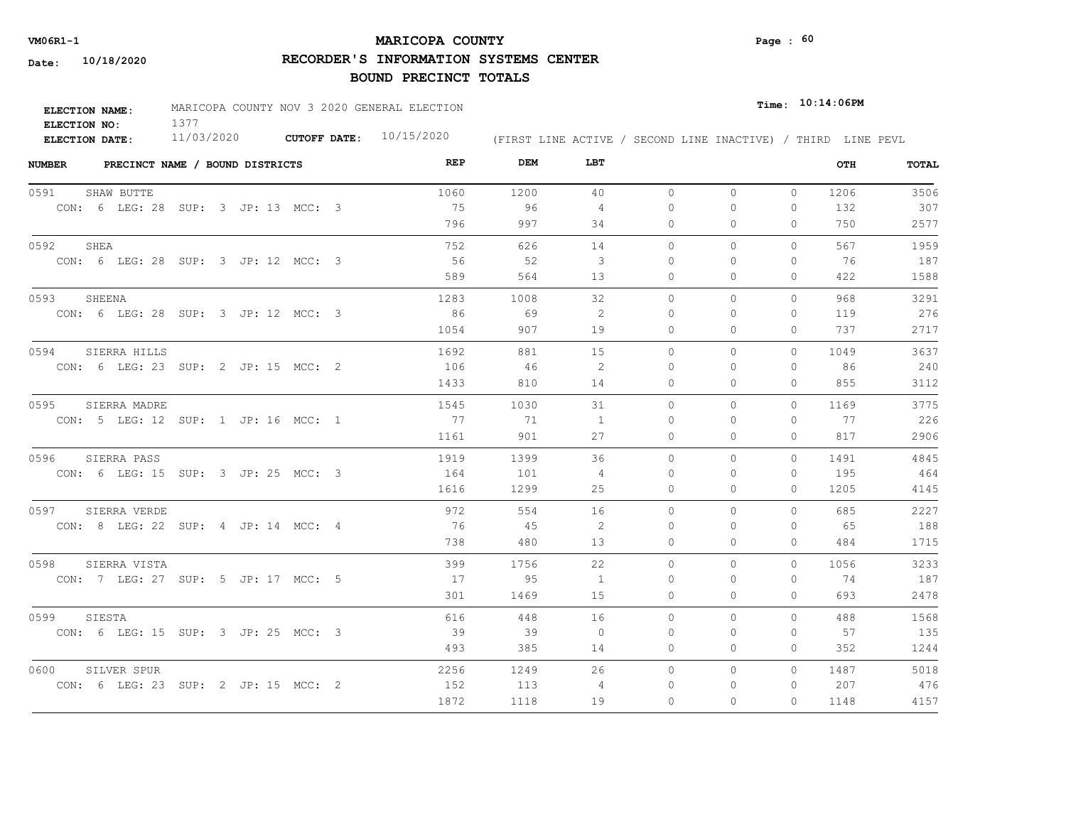# **MARICOPA COUNTY VM06R1-1 Page : 60**

**RECORDER'S INFORMATION SYSTEMS CENTER**

| <b>ELECTION NAME:</b> | MARICOPA COUNTY NOV 3 2020 GENERAL ELECTION |                           |                                                              | $_{\texttt{Time:}}$ 10:14:06PM |
|-----------------------|---------------------------------------------|---------------------------|--------------------------------------------------------------|--------------------------------|
| ELECTION NO:          |                                             |                           |                                                              |                                |
| <b>ELECTION DATE:</b> | 11/03/2020                                  | CUTOFF DATE: $10/15/2020$ | (FIRST LINE ACTIVE / SECOND LINE INACTIVE) / THIRD LINE PEVL |                                |

| <b>NUMBER</b><br>PRECINCT NAME / BOUND DISTRICTS | REP  | DEM  | LBT            |              |              |              | OTH  | <b>TOTAL</b> |
|--------------------------------------------------|------|------|----------------|--------------|--------------|--------------|------|--------------|
| 0591<br>SHAW BUTTE                               | 1060 | 1200 | 40             | $\circ$      | $\circ$      | $\mathbf{0}$ | 1206 | 3506         |
| CON: 6 LEG: 28 SUP: 3 JP: 13 MCC: 3              | 75   | 96   | $\overline{4}$ | 0            | $\Omega$     | 0            | 132  | 307          |
|                                                  | 796  | 997  | 34             | 0            | $\Omega$     | $\Omega$     | 750  | 2577         |
| 0592<br>SHEA                                     | 752  | 626  | 14             | $\circ$      | $\mathbf{0}$ | $\Omega$     | 567  | 1959         |
| CON: 6 LEG: 28 SUP: 3 JP: 12 MCC: 3              | 56   | 52   | -3             | $\Omega$     | $\Omega$     | $\Omega$     | 76   | 187          |
|                                                  | 589  | 564  | 13             | $\mathbf{0}$ | $\Omega$     | $\Omega$     | 422  | 1588         |
| 0593<br>SHEENA                                   | 1283 | 1008 | 32             | $\circ$      | $\mathbf{0}$ | $\mathbf{0}$ | 968  | 3291         |
| CON: 6 LEG: 28 SUP: 3 JP: 12 MCC: 3              | 86   | 69   | 2              | 0            | ∩            | $\Omega$     | 119  | 276          |
|                                                  | 1054 | 907  | 19             | $\Omega$     | $\Omega$     | $\Omega$     | 737  | 2717         |
| 0594<br>SIERRA HILLS                             | 1692 | 881  | 15             | $\Omega$     | $\Omega$     | $\Omega$     | 1049 | 3637         |
| CON: 6 LEG: 23 SUP: 2 JP: 15 MCC: 2              | 106  | 46   | 2              | 0            | ∩            | $\Omega$     | 86   | 240          |
|                                                  | 1433 | 810  | 14             | 0            | 0            | 0            | 855  | 3112         |
| 0595<br>SIERRA MADRE                             | 1545 | 1030 | 31             | 0            | $\mathbf{0}$ | $\Omega$     | 1169 | 3775         |
| CON: 5 LEG: 12 SUP: 1 JP: 16 MCC: 1              | 77   | 71   | $\overline{1}$ | $\Omega$     | $\Omega$     | $\Omega$     | 77   | 226          |
|                                                  | 1161 | 901  | 27             | 0            | $\Omega$     | $\Omega$     | 817  | 2906         |
| 0596<br>SIERRA PASS                              | 1919 | 1399 | 36             | $\Omega$     | $\Omega$     | $\Omega$     | 1491 | 4845         |
| CON: 6 LEG: 15 SUP: 3 JP: 25 MCC: 3              | 164  | 101  | -4             | $\Omega$     | $\Omega$     | $\Omega$     | 195  | 464          |
|                                                  | 1616 | 1299 | 25             | 0            | $\mathbf{0}$ | $\mathbf{0}$ | 1205 | 4145         |
| 0597<br>SIERRA VERDE                             | 972  | 554  | 16             | $\Omega$     | $\Omega$     | $\Omega$     | 685  | 2227         |
| CON: 8 LEG: 22 SUP: 4 JP: 14 MCC: 4              | 76   | 45   | -2             | $\Omega$     | $\Omega$     | $\Omega$     | - 65 | 188          |
|                                                  | 738  | 480  | 13             | 0            | $\mathbf{0}$ | 0            | 484  | 1715         |
| 0598<br>SIERRA VISTA                             | 399  | 1756 | 22             | $\circ$      | $\Omega$     | $\Omega$     | 1056 | 3233         |
| CON: 7 LEG: 27 SUP: 5 JP: 17 MCC: 5              | 17   | 95   | $\overline{1}$ | 0            | $\Omega$     | 0            | 74   | 187          |
|                                                  | 301  | 1469 | 15             | 0            | 0            | 0            | 693  | 2478         |
| 0599<br>SIESTA                                   | 616  | 448  | 16             | $\circ$      | $\mathbf{0}$ | $\Omega$     | 488  | 1568         |
| CON: 6 LEG: 15 SUP: 3 JP: 25 MCC: 3              | - 39 | 39   | $\overline{0}$ | 0            | $\Omega$     | 0            | 57   | 135          |
|                                                  | 493  | 385  | 14             | $\mathbf{0}$ | 0            | 0            | 352  | 1244         |
| 0600<br>SILVER SPUR                              | 2256 | 1249 | 26             | $\Omega$     | $\mathbf{0}$ | $\Omega$     | 1487 | 5018         |
| CON: 6 LEG: 23 SUP: 2 JP: 15 MCC: 2              | 152  | 113  | 4              | 0            | 0            | 0            | 207  | 476          |
|                                                  | 1872 | 1118 | 19             | $\Omega$     | $\Omega$     | $\Omega$     | 1148 | 4157         |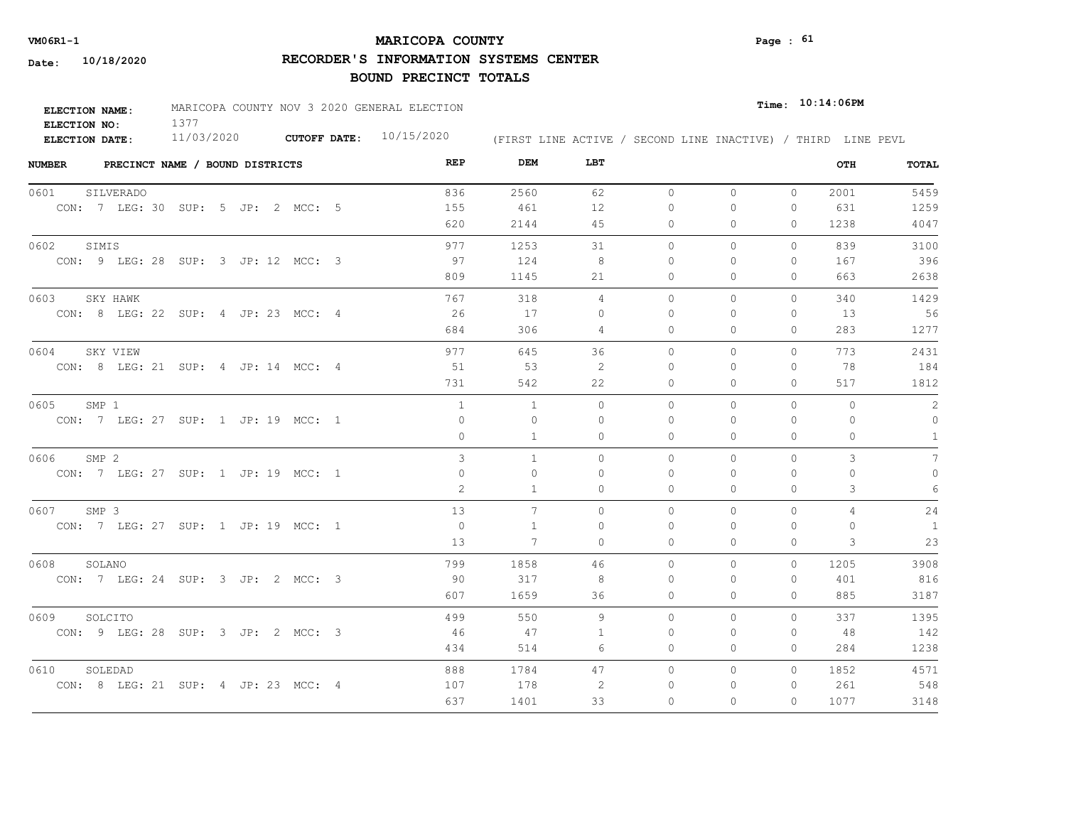# **MARICOPA COUNTY VM06R1-1 Page : 61**

**RECORDER'S INFORMATION SYSTEMS CENTER**

| ELECTION NAME: | MARICOPA COUNTY NOV 3 2020 GENERAL ELECTION |                     |            |                                                              | $_{Time:}$ 10:14:06PM |
|----------------|---------------------------------------------|---------------------|------------|--------------------------------------------------------------|-----------------------|
| ELECTION NO:   |                                             |                     |            |                                                              |                       |
| ELECTION DATE: | 11/03/2020                                  | <b>CUTOFF DATE:</b> | 10/15/2020 | (FIRST LINE ACTIVE / SECOND LINE INACTIVE) / THIRD LINE PEVL |                       |

| <b>NUMBER</b>     | PRECINCT NAME / BOUND DISTRICTS     | REP      | DEM             | LBT          |          |              |              | OTH          | TOTAL        |
|-------------------|-------------------------------------|----------|-----------------|--------------|----------|--------------|--------------|--------------|--------------|
| 0601<br>SILVERADO |                                     | 836      | 2560            | 62           | $\circ$  | $\circ$      | $\mathbf{0}$ | 2001         | 5459         |
|                   | CON: 7 LEG: 30 SUP: 5 JP: 2 MCC: 5  | 155      | 461             | 12           | $\Omega$ | $\circ$      | $\circ$      | 631          | 1259         |
|                   |                                     | 620      | 2144            | 45           | 0        | $\mathbf{0}$ | $\Omega$     | 1238         | 4047         |
| 0602<br>SIMIS     |                                     | 977      | 1253            | 31           | $\circ$  | $\circ$      | 0            | 839          | 3100         |
|                   | CON: 9 LEG: 28 SUP: 3 JP: 12 MCC: 3 | 97       | 124             | 8            | $\Omega$ | $\Omega$     | $\mathbf{0}$ | 167          | 396          |
|                   |                                     | 809      | 1145            | 21           | 0        | $\mathbf{0}$ | $\mathbf{0}$ | 663          | 2638         |
| SKY HAWK<br>0603  |                                     | 767      | 318             | 4            | 0        | $\circ$      | $\mathbf{0}$ | 340          | 1429         |
|                   | CON: 8 LEG: 22 SUP: 4 JP: 23 MCC: 4 | 26       | 17              | $\Omega$     | 0        | $\Omega$     | $\Omega$     | 13           | 56           |
|                   |                                     | 684      | 306             | 4            | $\Omega$ | $\Omega$     | $\Omega$     | 283          | 1277         |
| 0604<br>SKY VIEW  |                                     | 977      | 645             | 36           | $\Omega$ | $\circ$      | $\Omega$     | 773          | 2431         |
|                   | CON: 8 LEG: 21 SUP: 4 JP: 14 MCC: 4 | 51       | 53              | 2            | $\Omega$ | $\Omega$     | $\Omega$     | 78           | 184          |
|                   |                                     | 731      | 542             | 22           | $\circ$  | $\mathbf{0}$ | $\mathbf{0}$ | 517          | 1812         |
| 0605<br>SMP 1     |                                     | 1        | $\mathbf{1}$    | $\circ$      | 0        | $\circ$      | 0            | $\mathbf{0}$ | 2            |
|                   | CON: 7 LEG: 27 SUP: 1 JP: 19 MCC: 1 | $\Omega$ | $\Omega$        | $\Omega$     | $\Omega$ | $\Omega$     | $\Omega$     | $\Omega$     | $\circ$      |
|                   |                                     | 0        | 1               | $\mathbf{0}$ | 0        | $\mathbf{0}$ | $\mathbf{0}$ | 0            | 1            |
| 0606<br>SMP 2     |                                     | 3        | $\mathbf{1}$    | $\Omega$     | $\Omega$ | $\Omega$     | $\Omega$     | 3            | 7            |
|                   | CON: 7 LEG: 27 SUP: 1 JP: 19 MCC: 1 | $\Omega$ | $\Omega$        | $\Omega$     | $\Omega$ | $\Omega$     | $\Omega$     | $\Omega$     | 0            |
|                   |                                     | 2        | $\mathbf{1}$    | 0            | 0        | $\circ$      | $\mathbf{0}$ | 3            | 6            |
| 0607<br>SMP 3     |                                     | 13       | $7\overline{ }$ | $\Omega$     | $\Omega$ | $\Omega$     | $\Omega$     | 4            | 24           |
|                   | CON: 7 LEG: 27 SUP: 1 JP: 19 MCC: 1 | $\circ$  | 1               | $\Omega$     | $\Omega$ | $\Omega$     | $\Omega$     | $\Omega$     | $\mathbf{1}$ |
|                   |                                     | 13       | 7               | $\mathbf{0}$ | 0        | $\circ$      | $\circ$      | 3            | 23           |
| 0608<br>SOLANO    |                                     | 799      | 1858            | 46           | $\circ$  | $\circ$      | $\circ$      | 1205         | 3908         |
|                   | CON: 7 LEG: 24 SUP: 3 JP: 2 MCC: 3  | 90       | 317             | 8            | 0        | $\circ$      | $\circ$      | 401          | 816          |
|                   |                                     | 607      | 1659            | 36           | 0        | $\circ$      | $\mathbf{0}$ | 885          | 3187         |
| 0609<br>SOLCITO   |                                     | 499      | 550             | 9            | $\circ$  | $\circ$      | $\circ$      | 337          | 1395         |
|                   | CON: 9 LEG: 28 SUP: 3 JP: 2 MCC: 3  | - 46     | 47              | 1            | 0        | 0            | 0            | 48           | 142          |
|                   |                                     | 434      | 514             | 6            | 0        | $\circ$      | $\mathbf{0}$ | 284          | 1238         |
| 0610<br>SOLEDAD   |                                     | 888      | 1784            | 47           | $\circ$  | $\circ$      | $\Omega$     | 1852         | 4571         |
|                   | CON: 8 LEG: 21 SUP: 4 JP: 23 MCC: 4 | 107      | 178             | 2            | 0        | 0            | 0            | 261          | 548          |
|                   |                                     | 637      | 1401            | 33           | $\Omega$ | $\Omega$     | 0            | 1077         | 3148         |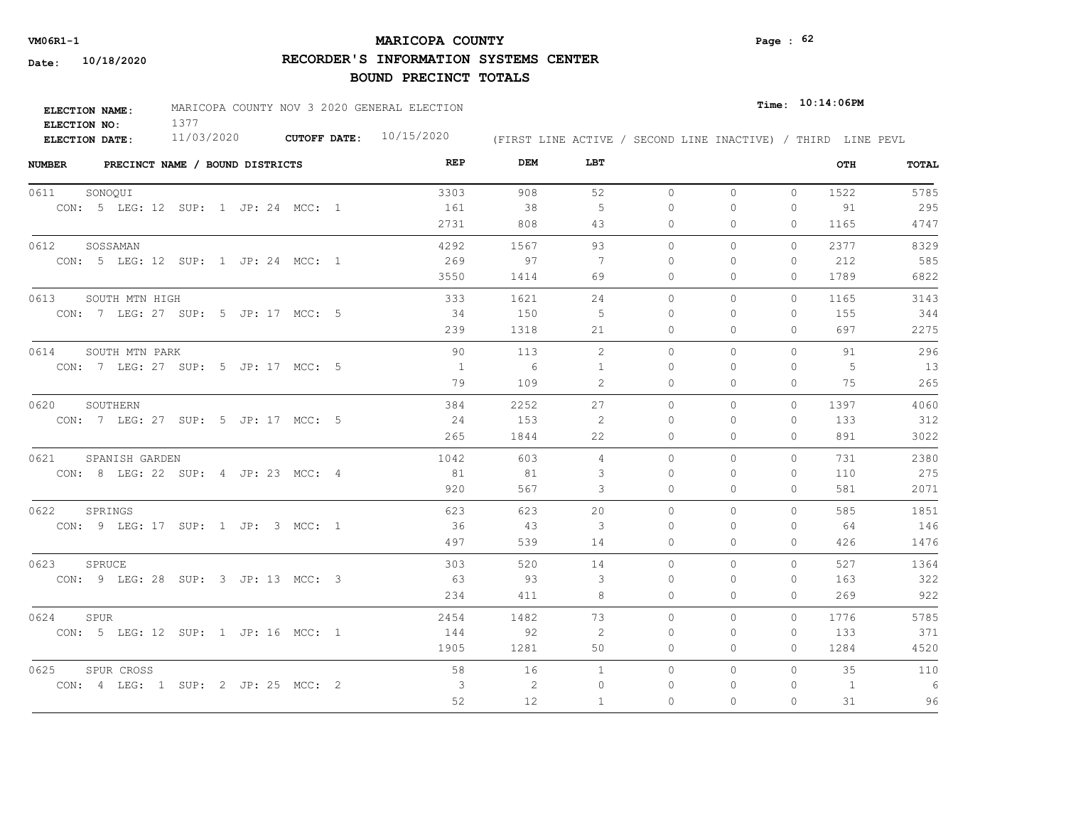# **MARICOPA COUNTY** Page : 62

**RECORDER'S INFORMATION SYSTEMS CENTER**

| ELECTION NAME: | MARICOPA COUNTY NOV 3 2020 GENERAL ELECTION |                           |  |  |  |  | $_{\texttt{Time:}}$ 10:14:06PM |                                                              |
|----------------|---------------------------------------------|---------------------------|--|--|--|--|--------------------------------|--------------------------------------------------------------|
| ELECTION NO:   |                                             |                           |  |  |  |  |                                |                                                              |
| ELECTION DATE: | 11/03/2020                                  | CUTOFF DATE: $10/15/2020$ |  |  |  |  |                                | (FIRST LINE ACTIVE / SECOND LINE INACTIVE) / THIRD LINE PEVL |

| <b>NUMBER</b><br>PRECINCT NAME / BOUND DISTRICTS | REP          | DEM  | LBT |           |          |              | OTH  | <b>TOTAL</b> |
|--------------------------------------------------|--------------|------|-----|-----------|----------|--------------|------|--------------|
| 0611<br>SONOQUI                                  | 3303         | 908  | 52  | $\circ$   | $\circ$  | $\mathbf{0}$ | 1522 | 5785         |
| CON: 5 LEG: 12 SUP: 1 JP: 24 MCC: 1              | 161          | 38   | - 5 | $\Omega$  | $\Omega$ | $\mathbf{0}$ | 91   | 295          |
|                                                  | 2731         | 808  | 43  | 0         | 0        | 0            | 1165 | 4747         |
| 0612<br>SOSSAMAN                                 | 4292         | 1567 | 93  | $\Omega$  | $\Omega$ | $\Omega$     | 2377 | 8329         |
| CON: 5 LEG: 12 SUP: 1 JP: 24 MCC: 1              | 269          | 97   | -7  | 0         | 0        | $\mathbf{0}$ | 212  | 585          |
|                                                  | 3550         | 1414 | 69  | 0         | $\Omega$ | $\Omega$     | 1789 | 6822         |
| 0613<br>SOUTH MTN HIGH                           | 333          | 1621 | 24  | $\circ$   | 0        | $\circ$      | 1165 | 3143         |
| CON: 7 LEG: 27 SUP: 5 JP: 17 MCC: 5              | 34           | 150  | -5  | $\Omega$  | $\Omega$ | $\mathbf{0}$ | 155  | 344          |
|                                                  | 239          | 1318 | 21  | 0         | 0        | $\mathbf{0}$ | 697  | 2275         |
| 0614<br>SOUTH MTN PARK                           | 90           | 113  | 2   | $\Omega$  | $\Omega$ | $\Omega$     | 91   | 296          |
| CON: 7 LEG: 27 SUP: 5 JP: 17 MCC: 5              | 1            | - 6  | 1   | 0         | $\Omega$ | $\mathbf{0}$ | 5    | 13           |
|                                                  | 79           | 109  | 2   | $\circ$   | $\Omega$ | $\mathbf{0}$ | 75   | 265          |
| 0620<br>SOUTHERN                                 | 384          | 2252 | 27  | $\Omega$  | $\Omega$ | $\Omega$     | 1397 | 4060         |
| CON: 7 LEG: 27 SUP: 5 JP: 17 MCC: 5              | 24           | 153  | 2   | $\bigcap$ | $\Omega$ | $\Omega$     | 133  | 312          |
|                                                  | 265          | 1844 | 22  | $\Omega$  | $\Omega$ | $\Omega$     | 891  | 3022         |
| 0621<br>SPANISH GARDEN                           | 1042         | 603  | 4   | $\circ$   | 0        | $\mathbf{0}$ | 731  | 2380         |
| CON: 8 LEG: 22 SUP: 4 JP: 23 MCC: 4              | 81           | 81   | 3   | $\bigcap$ | $\Omega$ | $\Omega$     | 110  | 275          |
|                                                  | 920          | 567  | 3   | 0         | $\Omega$ | $\circ$      | 581  | 2071         |
| 0622<br>SPRINGS                                  | 623          | 623  | 20  | $\Omega$  | $\Omega$ | $\Omega$     | 585  | 1851         |
| CON: 9 LEG: 17 SUP: 1 JP: 3 MCC: 1               | 36           | 43   | 3   | $\Omega$  | $\Omega$ | $\Omega$     | 64   | 146          |
|                                                  | 497          | 539  | 14  | $\Omega$  | $\Omega$ | $\Omega$     | 426  | 1476         |
| 0623<br>SPRUCE                                   | 303          | 520  | 14  | $\Omega$  | $\Omega$ | $\Omega$     | 527  | 1364         |
| CON: 9 LEG: 28 SUP: 3 JP: 13 MCC: 3              | 63           | - 93 | 3   | $\Omega$  | $\Omega$ | $\mathbf{0}$ | 163  | 322          |
|                                                  | 234          | 411  | 8   | $\Omega$  | $\Omega$ | $\Omega$     | 269  | 922          |
| 0624<br>SPUR                                     | 2454         | 1482 | 73  | $\Omega$  | $\Omega$ | $\Omega$     | 1776 | 5785         |
| CON: 5 LEG: 12 SUP: 1 JP: 16 MCC: 1              | 144          | 92   | 2   | $\Omega$  | $\Omega$ | $\Omega$     | 133  | 371          |
|                                                  | 1905         | 1281 | 50  | 0         | 0        | $\mathbf{0}$ | 1284 | 4520         |
| 0625<br>SPUR CROSS                               | 58           | 16   | 1   | $\circ$   | $\circ$  | $\circ$      | 35   | 110          |
| CON: 4 LEG: 1 SUP: 2 JP: 25 MCC: 2               | $\mathbf{3}$ | 2    | 0   | 0         | 0        | 0            | 1    | 6            |
|                                                  | 52           | 12   | -1  | $\Omega$  | $\Omega$ | $\Omega$     | 31   | 96           |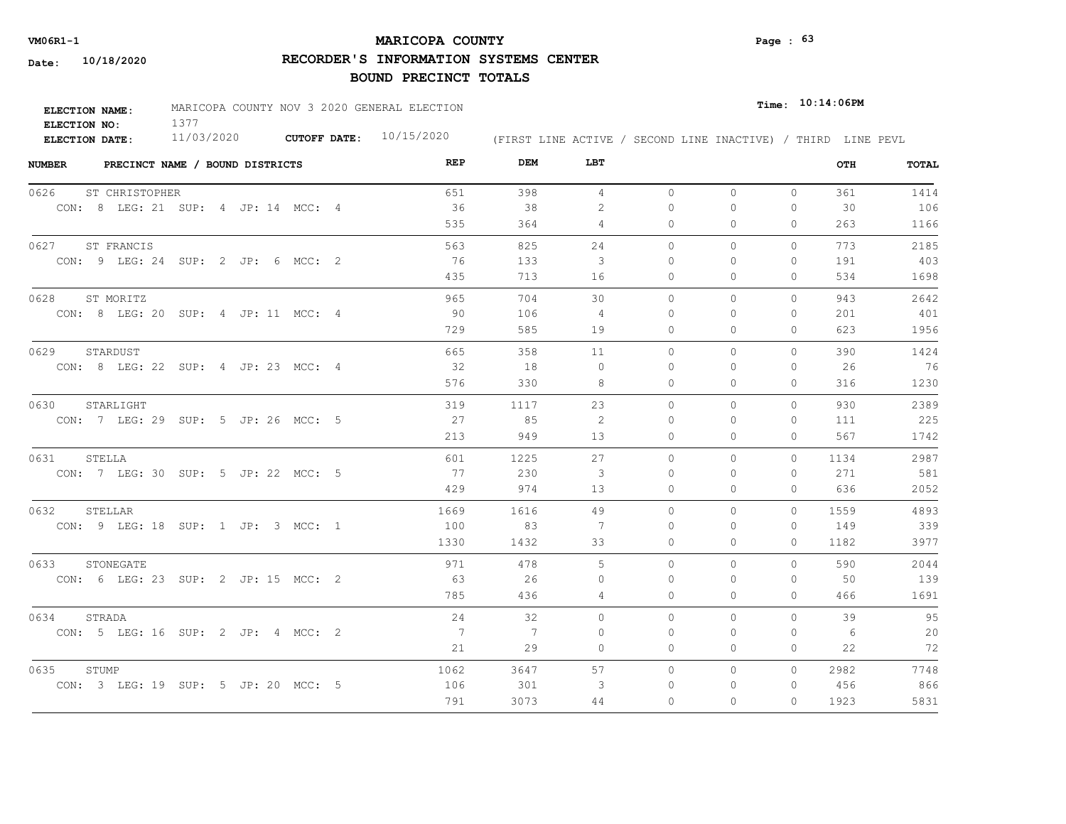# **MARICOPA COUNTY VM06R1-1 Page : 63**

**RECORDER'S INFORMATION SYSTEMS CENTER**

| ELECTION NAME: | MARICOPA COUNTY NOV 3 2020 GENERAL ELECTION |                           |                                                              | $Time:$ 10:14:06PM |
|----------------|---------------------------------------------|---------------------------|--------------------------------------------------------------|--------------------|
| ELECTION NO:   |                                             |                           |                                                              |                    |
| ELECTION DATE: | 11/03/2020                                  | CUTOFF DATE: $10/15/2020$ | (FIRST LINE ACTIVE / SECOND LINE INACTIVE) / THIRD LINE PEVL |                    |

| <b>NUMBER</b> | PRECINCT NAME / BOUND DISTRICTS     |  |  | REP  | DEM  | LBT            |           |              |              | OTH  | <b>TOTAL</b> |
|---------------|-------------------------------------|--|--|------|------|----------------|-----------|--------------|--------------|------|--------------|
| 0626          | ST CHRISTOPHER                      |  |  | 651  | 398  | $\overline{4}$ | $\circ$   | $\circ$      | $\mathbf{0}$ | 361  | 1414         |
|               | CON: 8 LEG: 21 SUP: 4 JP: 14 MCC: 4 |  |  | 36   | 38   | 2              | 0         | 0            | $\mathbf{0}$ | 30   | 106          |
|               |                                     |  |  | 535  | 364  | 4              | 0         | 0            | 0            | 263  | 1166         |
| 0627          | ST FRANCIS                          |  |  | 563  | 825  | 24             | $\Omega$  | $\Omega$     | $\Omega$     | 773  | 2185         |
|               | CON: 9 LEG: 24 SUP: 2 JP: 6 MCC: 2  |  |  | 76   | 133  | 3              | 0         | $\Omega$     | $\mathbf{0}$ | 191  | 403          |
|               |                                     |  |  | 435  | 713  | 16             | 0         | $\Omega$     | $\Omega$     | 534  | 1698         |
| 0628          | ST MORITZ                           |  |  | 965  | 704  | 30             | $\circ$   | 0            | 0            | 943  | 2642         |
|               | CON: 8 LEG: 20 SUP: 4 JP: 11 MCC: 4 |  |  | 90   | 106  | 4              | $\Omega$  | 0            | 0            | 201  | 401          |
|               |                                     |  |  | 729  | 585  | 19             | 0         | 0            | $\mathbf{0}$ | 623  | 1956         |
| 0629          | STARDUST                            |  |  | 665  | 358  | 11             | $\Omega$  | $\Omega$     | $\Omega$     | 390  | 1424         |
|               | CON: 8 LEG: 22 SUP: 4 JP: 23 MCC: 4 |  |  | 32   | 18   | $\Omega$       | $\Omega$  | $\Omega$     | $\mathbf{0}$ | 26   | 76           |
|               |                                     |  |  | 576  | 330  | 8              | $\Omega$  | $\Omega$     | $\mathbf{0}$ | 316  | 1230         |
| 0630          | STARLIGHT                           |  |  | 319  | 1117 | 23             | $\Omega$  | $\Omega$     | $\Omega$     | 930  | 2389         |
|               | CON: 7 LEG: 29 SUP: 5 JP: 26 MCC: 5 |  |  | 27   | 85   | 2              | 0         | $\Omega$     | $\Omega$     | 111  | 225          |
|               |                                     |  |  | 213  | 949  | 13             | 0         | 0            | $\mathbf{0}$ | 567  | 1742         |
| 0631          | STELLA                              |  |  | 601  | 1225 | 27             | $\Omega$  | $\Omega$     | $\Omega$     | 1134 | 2987         |
|               | CON: 7 LEG: 30 SUP: 5 JP: 22 MCC: 5 |  |  | 77   | 230  | 3              | $\Omega$  | $\Omega$     | $\mathbf{0}$ | 271  | 581          |
|               |                                     |  |  | 429  | 974  | 13             | $\circ$   | $\Omega$     | $\mathbf{0}$ | 636  | 2052         |
| 0632          | STELLAR                             |  |  | 1669 | 1616 | 49             | $\Omega$  | $\Omega$     | $\Omega$     | 1559 | 4893         |
|               | CON: 9 LEG: 18 SUP: 1 JP: 3 MCC: 1  |  |  | 100  | 83   | 7              | $\bigcap$ | $\Omega$     | $\Omega$     | 149  | 339          |
|               |                                     |  |  | 1330 | 1432 | 33             | $\circ$   | $\mathbf{0}$ | $\Omega$     | 1182 | 3977         |
| 0633          | STONEGATE                           |  |  | 971  | 478  | 5              | $\Omega$  | $\Omega$     | $\Omega$     | 590  | 2044         |
|               | CON: 6 LEG: 23 SUP: 2 JP: 15 MCC: 2 |  |  | 63   | 26   | $\Omega$       | $\Omega$  | $\Omega$     | $\Omega$     | 50   | 139          |
|               |                                     |  |  | 785  | 436  | 4              | $\Omega$  | $\Omega$     | $\Omega$     | 466  | 1691         |
| 0634          | STRADA                              |  |  | 24   | 32   | $\Omega$       | $\Omega$  | $\Omega$     | $\Omega$     | 39   | 95           |
|               | CON: 5 LEG: 16 SUP: 2 JP: 4 MCC: 2  |  |  | 7    | 7    | $\Omega$       | $\bigcap$ | $\Omega$     | $\Omega$     | 6    | 20           |
|               |                                     |  |  | 21   | 29   | $\circ$        | $\circ$   | 0            | $\mathbf{0}$ | 22   | 72           |
| 0635          | STUMP                               |  |  | 1062 | 3647 | 57             | $\Omega$  | $\Omega$     | $\Omega$     | 2982 | 7748         |
|               | CON: 3 LEG: 19 SUP: 5 JP: 20 MCC: 5 |  |  | 106  | 301  | 3              | 0         | $\Omega$     | $\mathbf{0}$ | 456  | 866          |
|               |                                     |  |  | 791  | 3073 | 44             | $\Omega$  | $\Omega$     | $\Omega$     | 1923 | 5831         |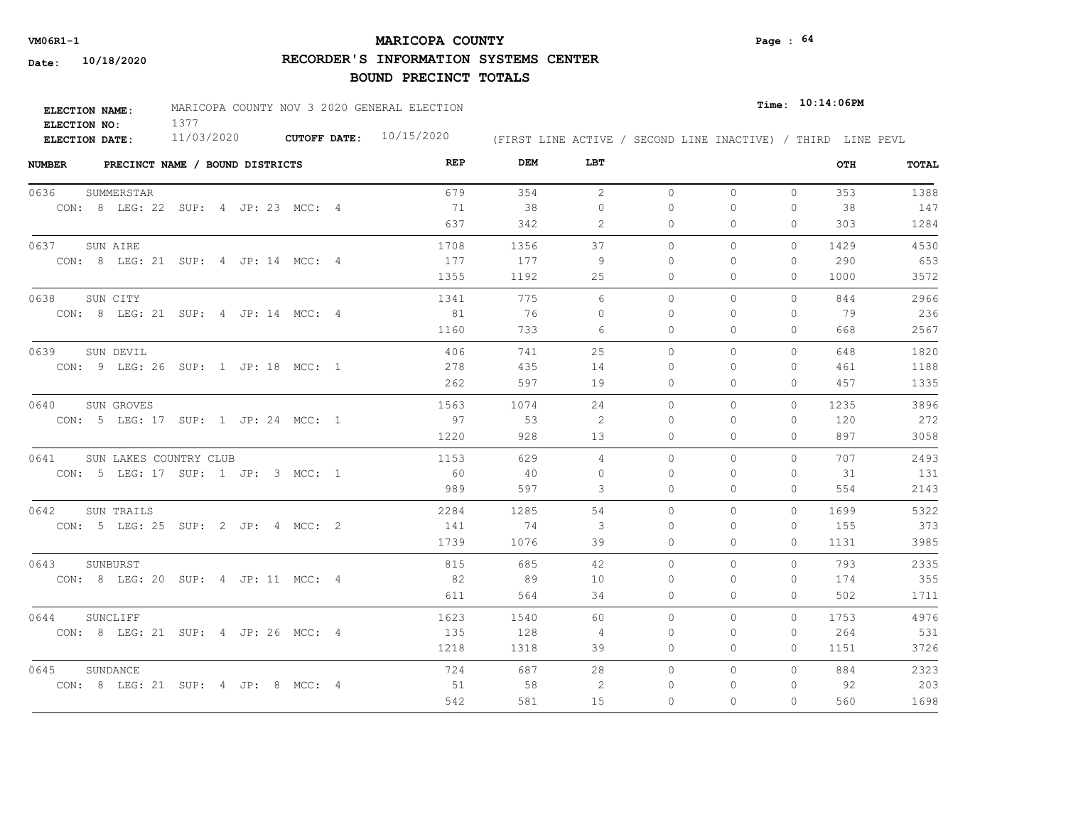# **MARICOPA COUNTY VM06R1-1 Page : 64**

**RECORDER'S INFORMATION SYSTEMS CENTER**

| <b>ELECTION NAME:</b> | MARICOPA COUNTY NOV 3 2020 GENERAL ELECTION |                           |                                                              | $_{\texttt{Time:}}$ 10:14:06PM |  |
|-----------------------|---------------------------------------------|---------------------------|--------------------------------------------------------------|--------------------------------|--|
| ELECTION NO:          |                                             |                           |                                                              |                                |  |
| ELECTION DATE:        | 11/03/2020                                  | CUTOFF DATE: $10/15/2020$ | (FIRST LINE ACTIVE / SECOND LINE INACTIVE) / THIRD LINE PEVL |                                |  |

| <b>NUMBER</b> |            | PRECINCT NAME / BOUND DISTRICTS |  |                                     | REP  | DEM  | LBT            |              |              |          | OTH  | TOTAL |
|---------------|------------|---------------------------------|--|-------------------------------------|------|------|----------------|--------------|--------------|----------|------|-------|
| 0636          | SUMMERSTAR |                                 |  |                                     | 679  | 354  | 2              | $\circ$      | $\circ$      | $\circ$  | 353  | 1388  |
|               |            |                                 |  | CON: 8 LEG: 22 SUP: 4 JP: 23 MCC: 4 | 71   | 38   | $\Omega$       | $\Omega$     | $\Omega$     | 0        | 38   | 147   |
|               |            |                                 |  |                                     | 637  | 342  | 2              | 0            | $\mathbf{0}$ | 0        | 303  | 1284  |
| 0637          | SUN AIRE   |                                 |  |                                     | 1708 | 1356 | 37             | $\Omega$     | $\circ$      | $\Omega$ | 1429 | 4530  |
|               |            |                                 |  | CON: 8 LEG: 21 SUP: 4 JP: 14 MCC: 4 | 177  | 177  | 9              | $\mathbf{0}$ | 0            | 0        | 290  | 653   |
|               |            |                                 |  |                                     | 1355 | 1192 | 25             | $\mathbf{0}$ | $\mathbf{0}$ | 0        | 1000 | 3572  |
| 0638          | SUN CITY   |                                 |  |                                     | 1341 | 775  | 6              | $\circ$      | $\circ$      | 0        | 844  | 2966  |
|               |            |                                 |  | CON: 8 LEG: 21 SUP: 4 JP: 14 MCC: 4 | 81   | 76   | $\Omega$       | 0            | ∩            | 0        | 79   | 236   |
|               |            |                                 |  |                                     | 1160 | 733  | 6              | $\mathbf{0}$ | $\mathbf{0}$ | 0        | 668  | 2567  |
| 0639          | SUN DEVIL  |                                 |  |                                     | 406  | 741  | 25             | $\Omega$     | $\Omega$     | $\Omega$ | 648  | 1820  |
|               |            |                                 |  | CON: 9 LEG: 26 SUP: 1 JP: 18 MCC: 1 | 278  | 435  | 14             | 0            | $\Omega$     | 0        | 461  | 1188  |
|               |            |                                 |  |                                     | 262  | 597  | 19             | $\mathbf{0}$ | $\Omega$     | 0        | 457  | 1335  |
| 0640          | SUN GROVES |                                 |  |                                     | 1563 | 1074 | 24             | $\Omega$     | $\Omega$     | $\Omega$ | 1235 | 3896  |
|               |            |                                 |  | CON: 5 LEG: 17 SUP: 1 JP: 24 MCC: 1 | 97   | 53   | 2              | $\Omega$     | $\Omega$     | $\Omega$ | 120  | 272   |
|               |            |                                 |  |                                     | 1220 | 928  | 13             | $\Omega$     | $\Omega$     | $\Omega$ | 897  | 3058  |
| 0641          |            | SUN LAKES COUNTRY CLUB          |  |                                     | 1153 | 629  | $\overline{4}$ | $\circ$      | $\circ$      | $\Omega$ | 707  | 2493  |
|               |            |                                 |  | CON: 5 LEG: 17 SUP: 1 JP: 3 MCC: 1  | 60   | 40   | $\Omega$       | $\Omega$     | $\Omega$     | $\Omega$ | 31   | 131   |
|               |            |                                 |  |                                     | 989  | 597  | 3              | $\circ$      | $\mathbf{0}$ | 0        | 554  | 2143  |
| 0642          | SUN TRAILS |                                 |  |                                     | 2284 | 1285 | 54             | $\Omega$     | $\Omega$     | $\Omega$ | 1699 | 5322  |
|               |            |                                 |  | CON: 5 LEG: 25 SUP: 2 JP: 4 MCC: 2  | 141  | 74   | 3              | $\Omega$     | $\Omega$     | $\Omega$ | 155  | 373   |
|               |            |                                 |  |                                     | 1739 | 1076 | 39             | $\circ$      | $\Omega$     | $\Omega$ | 1131 | 3985  |
| 0643          | SUNBURST   |                                 |  |                                     | 815  | 685  | 42             | $\Omega$     | $\Omega$     | $\Omega$ | 793  | 2335  |
|               |            |                                 |  | CON: 8 LEG: 20 SUP: 4 JP: 11 MCC: 4 | 82   | 89   | 10             | $\Omega$     | $\Omega$     | 0        | 174  | 355   |
|               |            |                                 |  |                                     | 611  | 564  | 34             | $\Omega$     | $\Omega$     | $\Omega$ | 502  | 1711  |
| 0644          | SUNCLIFF   |                                 |  |                                     | 1623 | 1540 | 60             | $\Omega$     | $\Omega$     | $\Omega$ | 1753 | 4976  |
|               |            |                                 |  | CON: 8 LEG: 21 SUP: 4 JP: 26 MCC: 4 | 135  | 128  | 4              | $\Omega$     | $\Omega$     | 0        | 264  | 531   |
|               |            |                                 |  |                                     | 1218 | 1318 | 39             | $\circ$      | $\circ$      | 0        | 1151 | 3726  |
| 0645          | SUNDANCE   |                                 |  |                                     | 724  | 687  | 28             | $\circ$      | $\circ$      | $\Omega$ | 884  | 2323  |
|               |            |                                 |  | CON: 8 LEG: 21 SUP: 4 JP: 8 MCC: 4  | 51   | 58   | 2              | 0            | 0            | 0        | 92   | 203   |
|               |            |                                 |  |                                     | 542  | 581  | 15             | 0            | $\Omega$     | $\Omega$ | 560  | 1698  |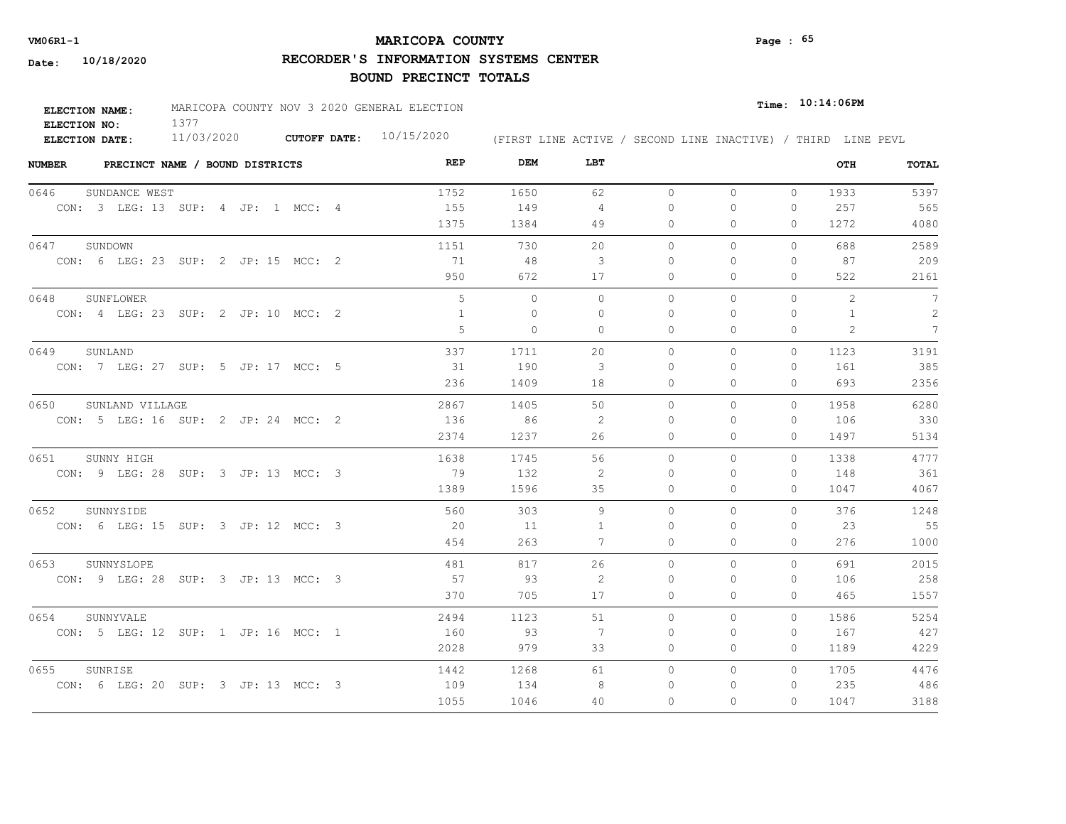# **MARICOPA COUNTY VM06R1-1 Page : 65**

**RECORDER'S INFORMATION SYSTEMS CENTER**

| <b>ELECTION NAME:</b> | MARICOPA COUNTY NOV 3 2020 GENERAL ELECTION |                     |            |                                                              | $Time:$ 10:14:06PM |
|-----------------------|---------------------------------------------|---------------------|------------|--------------------------------------------------------------|--------------------|
| ELECTION NO:          |                                             |                     |            |                                                              |                    |
| <b>ELECTION DATE:</b> | 11/03/2020                                  | <b>CUTOFF DATE:</b> | 10/15/2020 | (FIRST LINE ACTIVE / SECOND LINE INACTIVE) / THIRD LINE PEVL |                    |

| <b>NUMBER</b><br>PRECINCT NAME / BOUND DISTRICTS | REP  | DEM          | LBT            |           |          |              | OTH          | <b>TOTAL</b>    |
|--------------------------------------------------|------|--------------|----------------|-----------|----------|--------------|--------------|-----------------|
| 0646<br>SUNDANCE WEST                            | 1752 | 1650         | 62             | $\circ$   | $\circ$  | $\circ$      | 1933         | 5397            |
| CON: 3 LEG: 13 SUP: 4 JP: 1 MCC: 4               | 155  | 149          | $\overline{4}$ | 0         | 0        | $\mathbf{0}$ | 257          | 565             |
|                                                  | 1375 | 1384         | 49             | 0         | 0        | $\Omega$     | 1272         | 4080            |
| 0647<br>SUNDOWN                                  | 1151 | 730          | 20             | $\circ$   | 0        | 0            | 688          | 2589            |
| CON: 6 LEG: 23 SUP: 2 JP: 15 MCC: 2              | 71   | 48           | 3              | $\Omega$  | $\Omega$ | $\mathbf{0}$ | 87           | 209             |
|                                                  | 950  | 672          | 17             | 0         | 0        | $\Omega$     | 522          | 2161            |
| 0648<br>SUNFLOWER                                | 5    | $\mathbf{0}$ | $\circ$        | $\circ$   | 0        | 0            | 2            | 7               |
| CON: 4 LEG: 23 SUP: 2 JP: 10 MCC: 2              | 1    | $\Omega$     | $\Omega$       | $\Omega$  | $\Omega$ | $\Omega$     | $\mathbf{1}$ | 2               |
|                                                  | 5    | $\Omega$     | $\Omega$       | $\Omega$  | $\Omega$ | $\Omega$     | 2            | $7\overline{ }$ |
| 0649<br>SUNLAND                                  | 337  | 1711         | 20             | $\Omega$  | $\Omega$ | $\Omega$     | 1123         | 3191            |
| CON: 7 LEG: 27 SUP: 5 JP: 17 MCC: 5              | 31   | 190          | 3              | $\Omega$  | $\Omega$ | $\Omega$     | 161          | 385             |
|                                                  | 236  | 1409         | 18             | 0         | 0        | $\mathbf{0}$ | 693          | 2356            |
| 0650<br>SUNLAND VILLAGE                          | 2867 | 1405         | 50             | $\Omega$  | $\Omega$ | $\Omega$     | 1958         | 6280            |
| CON: 5 LEG: 16 SUP: 2 JP: 24 MCC: 2              | 136  | 86           | -2             | $\bigcap$ | $\Omega$ | $\Omega$     | 106          | 330             |
|                                                  | 2374 | 1237         | 26             | 0         | 0        | $\Omega$     | 1497         | 5134            |
| 0651<br>SUNNY HIGH                               | 1638 | 1745         | 56             | $\Omega$  | $\Omega$ | $\Omega$     | 1338         | 4777            |
| CON: 9 LEG: 28 SUP: 3 JP: 13 MCC: 3              | 79   | 132          | 2              | $\Omega$  | $\Omega$ | $\Omega$     | 148          | 361             |
|                                                  | 1389 | 1596         | 35             | $\circ$   | $\Omega$ | $\mathbf{0}$ | 1047         | 4067            |
| 0652<br>SUNNYSIDE                                | 560  | 303          | 9              | $\Omega$  | $\Omega$ | $\Omega$     | 376          | 1248            |
| CON: 6 LEG: 15 SUP: 3 JP: 12 MCC: 3              | 20   | - 11         | -1             | $\Omega$  | $\Omega$ | $\Omega$     | 23           | 55              |
|                                                  | 454  | 263          | 7              | $\circ$   | 0        | $\mathbf{0}$ | 276          | 1000            |
| 0653<br>SUNNYSLOPE                               | 481  | 817          | 26             | $\circ$   | $\Omega$ | 0            | 691          | 2015            |
| CON: 9 LEG: 28 SUP: 3 JP: 13 MCC: 3              | 57   | 93           | 2              | 0         | 0        | $\mathbf{0}$ | 106          | 258             |
|                                                  | 370  | 705          | 17             | 0         | 0        | $\mathbf{0}$ | 465          | 1557            |
| 0654<br>SUNNYVALE                                | 2494 | 1123         | 51             | $\circ$   | 0        | $\circ$      | 1586         | 5254            |
| CON: 5 LEG: 12 SUP: 1 JP: 16 MCC: 1              | 160  | - 93         | -7             | 0         | 0        | 0            | 167          | 427             |
|                                                  | 2028 | 979          | 33             | 0         | 0        | $\Omega$     | 1189         | 4229            |
| 0655<br>SUNRISE                                  | 1442 | 1268         | 61             | $\circ$   | $\circ$  | $\Omega$     | 1705         | 4476            |
| CON: 6 LEG: 20 SUP: 3 JP: 13 MCC: 3              | 109  | 134          | 8              | $\Omega$  | 0        | 0            | 235          | 486             |
|                                                  | 1055 | 1046         | 40             | $\Omega$  | $\Omega$ | $\Omega$     | 1047         | 3188            |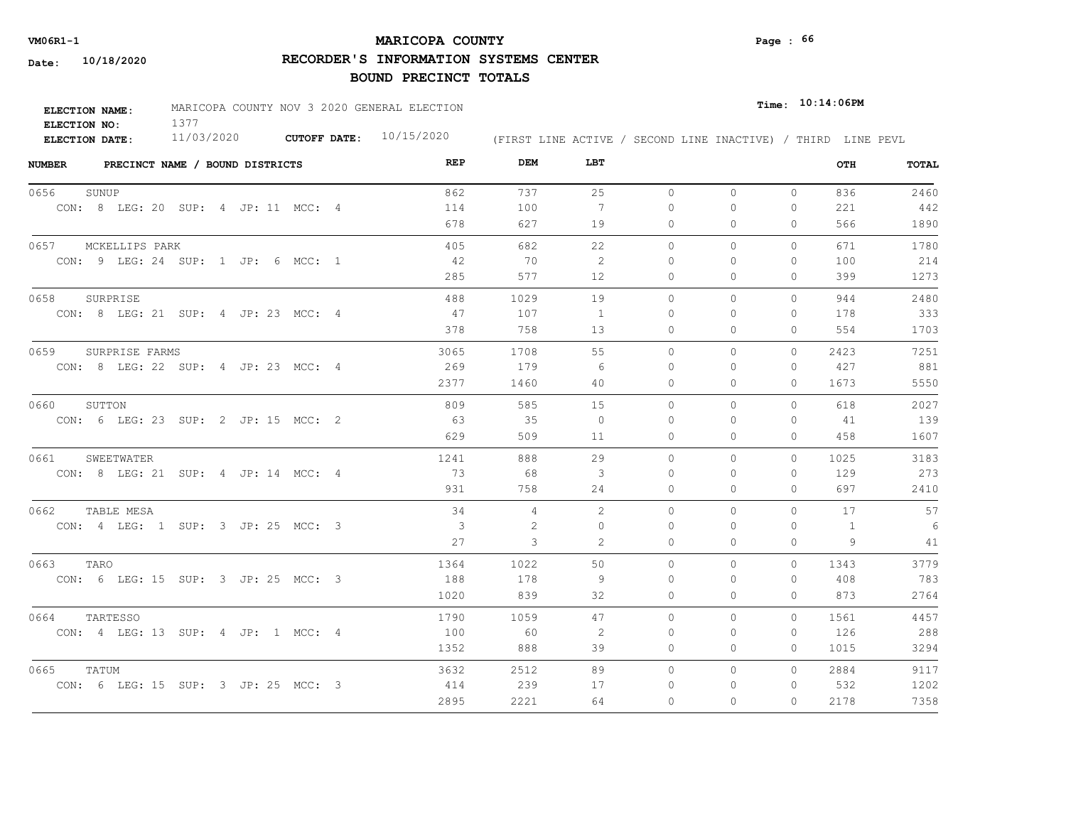# **MARICOPA COUNTY VM06R1-1 Page : 66**

**RECORDER'S INFORMATION SYSTEMS CENTER**

| <b>ELECTION NAME:</b> | MARICOPA COUNTY NOV 3 2020 GENERAL ELECTION |              |            |                                                              | $_{Time:}$ 10:14:06PM |
|-----------------------|---------------------------------------------|--------------|------------|--------------------------------------------------------------|-----------------------|
| ELECTION NO:          |                                             |              |            |                                                              |                       |
| ELECTION DATE:        | 11/03/2020                                  | CUTOFF DATE: | 10/15/2020 | (FIRST LINE ACTIVE / SECOND LINE INACTIVE) / THIRD LINE PEVL |                       |

| <b>NUMBER</b><br>PRECINCT NAME / BOUND DISTRICTS | REP  | DEM  | LBT            |           |              |              | OTH  | TOTAL |
|--------------------------------------------------|------|------|----------------|-----------|--------------|--------------|------|-------|
| 0656<br>SUNUP                                    | 862  | 737  | 25             | $\circ$   | $\circ$      | $\circ$      | 836  | 2460  |
| CON: 8 LEG: 20 SUP: 4 JP: 11 MCC: 4              | 114  | 100  | 7              | 0         | 0            | 0            | 221  | 442   |
|                                                  | 678  | 627  | 19             | 0         | $\Omega$     | $\Omega$     | 566  | 1890  |
| 0657 MCKELLIPS PARK                              | 405  | 682  | 22             | $\circ$   | 0            | 0            | 671  | 1780  |
| CON: 9 LEG: 24 SUP: 1 JP: 6 MCC: 1               | - 42 | 70   | 2              | $\Omega$  | $\Omega$     | $\mathbf{0}$ | 100  | 214   |
|                                                  | 285  | 577  | 12             | 0         | 0            | $\mathbf{0}$ | 399  | 1273  |
| 0658<br>SURPRISE                                 | 488  | 1029 | 19             | $\circ$   | $\mathbf{0}$ | 0            | 944  | 2480  |
| CON: 8 LEG: 21 SUP: 4 JP: 23 MCC: 4              | 47   | 107  | -1             | $\Omega$  | 0            | 0            | 178  | 333   |
|                                                  | 378  | 758  | 13             | 0         | $\Omega$     | $\Omega$     | 554  | 1703  |
| 0659<br>SURPRISE FARMS                           | 3065 | 1708 | 55             | $\bigcap$ | $\Omega$     | $\Omega$     | 2423 | 7251  |
| CON: 8 LEG: 22 SUP: 4 JP: 23 MCC: 4              | 269  | 179  | -6             | $\Omega$  | $\Omega$     | $\mathbf{0}$ | 427  | 881   |
|                                                  | 2377 | 1460 | 40             | 0         | 0            | $\mathbf{0}$ | 1673 | 5550  |
| SUTTON<br>0660                                   | 809  | 585  | 15             | $\Omega$  | $\Omega$     | $\Omega$     | 618  | 2027  |
| CON: 6 LEG: 23 SUP: 2 JP: 15 MCC: 2              | - 63 | 35   | $\overline{0}$ | $\Omega$  | $\Omega$     | $\Omega$     | 41   | 139   |
|                                                  | 629  | 509  | 11             | $\Omega$  | $\Omega$     | $\Omega$     | 458  | 1607  |
| 0661<br>SWEETWATER                               | 1241 | 888  | 29             | $\circ$   | 0            | $\circ$      | 1025 | 3183  |
| CON: 8 LEG: 21 SUP: 4 JP: 14 MCC: 4              | 73   | 68   | 3              | $\Omega$  | $\Omega$     | $\Omega$     | 129  | 273   |
|                                                  | 931  | 758  | 24             | $\Omega$  | $\Omega$     | $\Omega$     | 697  | 2410  |
| 0662<br>TABLE MESA                               | 34   | 4    | 2              | $\circ$   | $\Omega$     | $\Omega$     | 17   | 57    |
| CON: 4 LEG: 1 SUP: 3 JP: 25 MCC: 3               | 3    | 2    | $\Omega$       | $\Omega$  | $\Omega$     | 0            | 1    | 6     |
|                                                  | 27   | 3    | 2              | $\Omega$  | $\Omega$     | $\Omega$     | 9    | 41    |
| 0663<br>TARO                                     | 1364 | 1022 | 50             | $\circ$   | 0            | $\circ$      | 1343 | 3779  |
| CON: 6 LEG: 15 SUP: 3 JP: 25 MCC: 3              | 188  | 178  | -9             | $\Omega$  | $\Omega$     | $\Omega$     | 408  | 783   |
|                                                  | 1020 | 839  | 32             | 0         | 0            | $\mathbf{0}$ | 873  | 2764  |
| 0664<br>TARTESSO                                 | 1790 | 1059 | 47             | $\circ$   | $\Omega$     | 0            | 1561 | 4457  |
| CON: 4 LEG: 13 SUP: 4 JP: 1 MCC: 4               | 100  | 60   | 2              | 0         | 0            | $\mathbf{0}$ | 126  | 288   |
|                                                  | 1352 | 888  | 39             | 0         | 0            | $\Omega$     | 1015 | 3294  |
| 0665<br>TATUM                                    | 3632 | 2512 | 89             | $\Omega$  | 0            | $\Omega$     | 2884 | 9117  |
| CON: 6 LEG: 15 SUP: 3 JP: 25 MCC: 3              | 414  | 239  | 17             | $\Omega$  | 0            | 0            | 532  | 1202  |
|                                                  | 2895 | 2221 | 64             | $\Omega$  | $\Omega$     | $\Omega$     | 2178 | 7358  |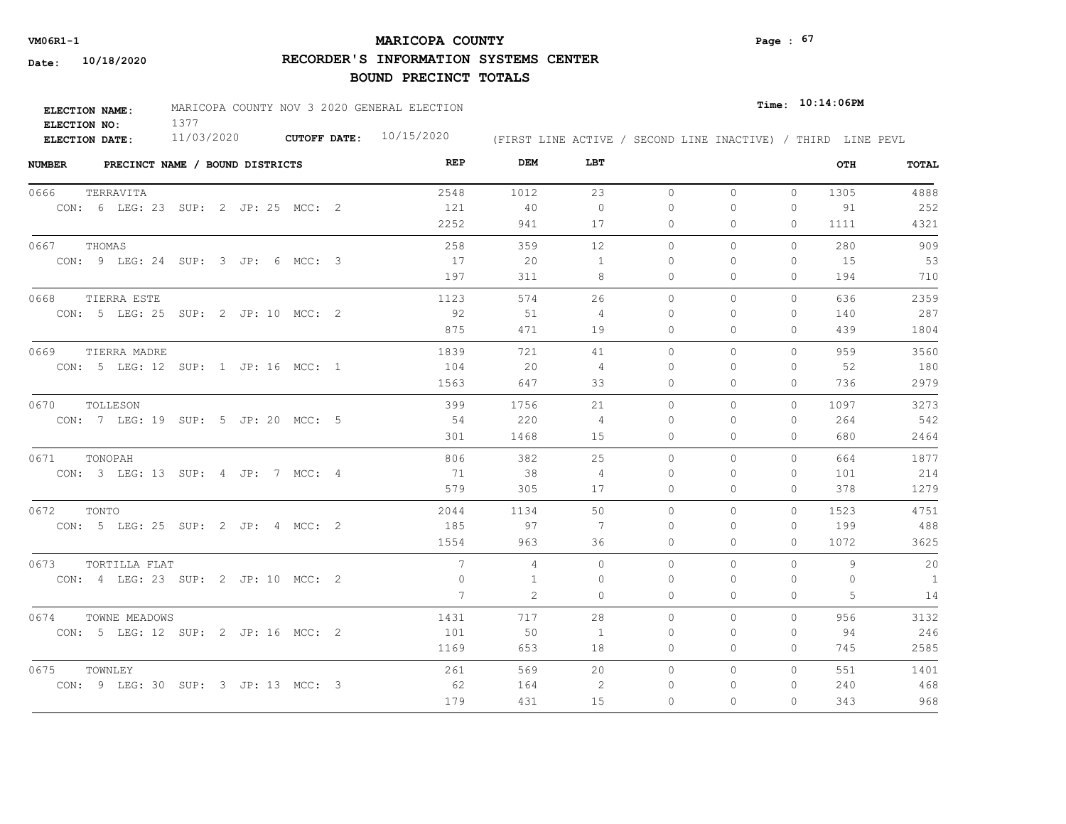# **MARICOPA COUNTY** Page :  $67$

**RECORDER'S INFORMATION SYSTEMS CENTER**

| <b>ELECTION NAME:</b> | MARICOPA COUNTY NOV 3 2020 GENERAL ELECTION |                           |                                                              | $_{\texttt{Time:}}$ 10:14:06PM |
|-----------------------|---------------------------------------------|---------------------------|--------------------------------------------------------------|--------------------------------|
| ELECTION NO:          |                                             |                           |                                                              |                                |
| <b>ELECTION DATE:</b> | 11/03/2020                                  | CUTOFF DATE: $10/15/2020$ | (FIRST LINE ACTIVE / SECOND LINE INACTIVE) / THIRD LINE PEVL |                                |

| <b>NUMBER</b> |          | PRECINCT NAME / BOUND DISTRICTS     |  |  |  | REP             | DEM  | LBT            |           |              |              | OTH      | TOTAL          |
|---------------|----------|-------------------------------------|--|--|--|-----------------|------|----------------|-----------|--------------|--------------|----------|----------------|
| 0666          |          | TERRAVITA                           |  |  |  | 2548            | 1012 | 23             | $\circ$   | $\mathbf{0}$ | $\circ$      | 1305     | 4888           |
|               |          | CON: 6 LEG: 23 SUP: 2 JP: 25 MCC: 2 |  |  |  | 121             | 40   | $\Omega$       | $\Omega$  | $\Omega$     | $\Omega$     | 91       | 252            |
|               |          |                                     |  |  |  | 2252            | 941  | 17             | $\circ$   | $\Omega$     | $\circ$      | 1111     | 4321           |
| 0667          | THOMAS   |                                     |  |  |  | 258             | 359  | 12             | $\Omega$  | $\Omega$     | $\Omega$     | 280      | 909            |
|               |          | CON: 9 LEG: 24 SUP: 3 JP: 6 MCC: 3  |  |  |  | 17              | 20   | 1              | $\Omega$  | $\Omega$     | $\mathbf{0}$ | 15       | 53             |
|               |          |                                     |  |  |  | 197             | 311  | 8              | $\circ$   | 0            | $\mathbf{0}$ | 194      | 710            |
| 0668          |          | TIERRA ESTE                         |  |  |  | 1123            | 574  | 26             | $\circ$   | 0            | 0            | 636      | 2359           |
|               |          | CON: 5 LEG: 25 SUP: 2 JP: 10 MCC: 2 |  |  |  | 92              | 51   | $\overline{4}$ | $\Omega$  | $\Omega$     | $\mathbf{0}$ | 140      | 287            |
|               |          |                                     |  |  |  | 875             | 471  | 19             | 0         | 0            | $\mathbf{0}$ | 439      | 1804           |
| 0669          |          | TIERRA MADRE                        |  |  |  | 1839            | 721  | 41             | $\Omega$  | $\Omega$     | $\Omega$     | 959      | 3560           |
|               |          | CON: 5 LEG: 12 SUP: 1 JP: 16 MCC: 1 |  |  |  | 104             | 20   | -4             | 0         | 0            | $\mathbf{0}$ | 52       | 180            |
|               |          |                                     |  |  |  | 1563            | 647  | 33             | 0         | 0            | $\mathbf{0}$ | 736      | 2979           |
| 0670          | TOLLESON |                                     |  |  |  | 399             | 1756 | 21             | $\circ$   | 0            | $\mathbf{0}$ | 1097     | 3273           |
|               |          | CON: 7 LEG: 19 SUP: 5 JP: 20 MCC: 5 |  |  |  | 54              | 220  | $\overline{4}$ | $\Omega$  | $\Omega$     | $\Omega$     | 264      | 542            |
|               |          |                                     |  |  |  | 301             | 1468 | 15             | $\Omega$  | $\Omega$     | $\Omega$     | 680      | 2464           |
| 0671          | TONOPAH  |                                     |  |  |  | 806             | 382  | 25             | $\Omega$  | $\Omega$     | $\Omega$     | 664      | 1877           |
|               |          | CON: 3 LEG: 13 SUP: 4 JP: 7 MCC: 4  |  |  |  | 71              | 38   | $\overline{4}$ | $\bigcap$ | $\Omega$     | $\mathbf{0}$ | 101      | 214            |
|               |          |                                     |  |  |  | 579             | 305  | 17             | 0         | $\Omega$     | $\mathbf{0}$ | 378      | 1279           |
| 0672          | TONTO    |                                     |  |  |  | 2044            | 1134 | 50             | $\Omega$  | $\Omega$     | $\Omega$     | 1523     | 4751           |
|               |          | CON: 5 LEG: 25 SUP: 2 JP: 4 MCC: 2  |  |  |  | 185             | 97   | 7              | $\Omega$  | $\Omega$     | $\Omega$     | 199      | 488            |
|               |          |                                     |  |  |  | 1554            | 963  | 36             | $\Omega$  | $\Omega$     | $\Omega$     | 1072     | 3625           |
| 0673          |          | TORTILLA FLAT                       |  |  |  | $7\phantom{.0}$ | 4    | $\Omega$       | $\Omega$  | $\Omega$     | $\Omega$     | 9        | 20             |
|               |          | CON: 4 LEG: 23 SUP: 2 JP: 10 MCC: 2 |  |  |  | $\mathbf{0}$    | 1    | $\Omega$       | $\Omega$  | $\Omega$     | 0            | $\Omega$ | $\overline{1}$ |
|               |          |                                     |  |  |  | $7\phantom{.0}$ | 2    | $\Omega$       | $\circ$   | $\Omega$     | $\mathbf{0}$ | 5        | 14             |
| 0674          |          | TOWNE MEADOWS                       |  |  |  | 1431            | 717  | 28             | $\Omega$  | $\Omega$     | $\Omega$     | 956      | 3132           |
|               |          | CON: 5 LEG: 12 SUP: 2 JP: 16 MCC: 2 |  |  |  | 101             | 50   | <sup>1</sup>   | $\Omega$  | $\Omega$     | $\Omega$     | 94       | 246            |
|               |          |                                     |  |  |  | 1169            | 653  | 18             | 0         | 0            | $\mathbf{0}$ | 745      | 2585           |
| 0675          | TOWNLEY  |                                     |  |  |  | 261             | 569  | 20             | $\circ$   | 0            | $\circ$      | 551      | 1401           |
|               |          | CON: 9 LEG: 30 SUP: 3 JP: 13 MCC: 3 |  |  |  | 62              | 164  | 2              | $\Omega$  | $\Omega$     | $\mathbf{0}$ | 240      | 468            |
|               |          |                                     |  |  |  | 179             | 431  | 15             | $\Omega$  | $\Omega$     | $\Omega$     | 343      | 968            |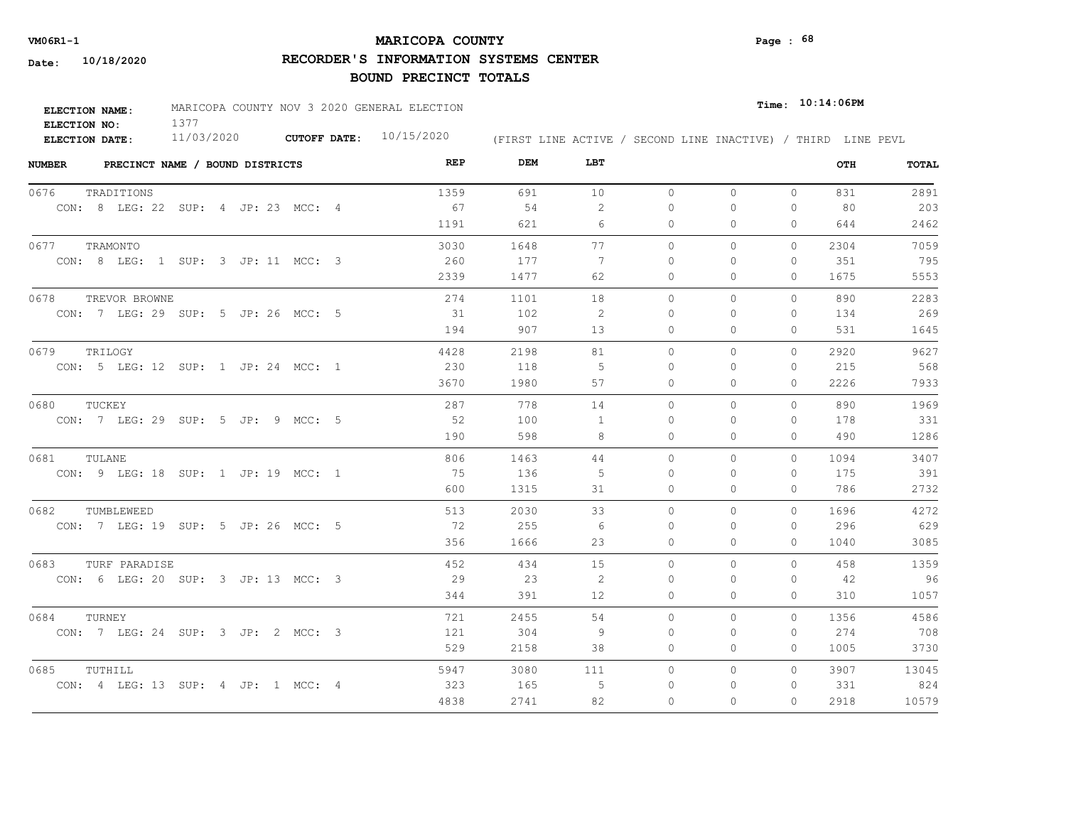# **MARICOPA COUNTY VM06R1-1 Page : 68**

**RECORDER'S INFORMATION SYSTEMS CENTER**

| ELECTION NAME: | MARICOPA COUNTY NOV 3 2020 GENERAL ELECTION |                           |  |  | $_{\texttt{Time:}}$ 10:14:06PM |                                                              |
|----------------|---------------------------------------------|---------------------------|--|--|--------------------------------|--------------------------------------------------------------|
| ELECTION NO:   |                                             |                           |  |  |                                |                                                              |
| ELECTION DATE: | 11/03/2020                                  | CUTOFF DATE: $10/15/2020$ |  |  |                                | (FIRST LINE ACTIVE / SECOND LINE INACTIVE) / THIRD LINE PEVL |

| <b>NUMBER</b> | PRECINCT NAME / BOUND DISTRICTS     | REP  | DEM  | LBT            |          |              |          | OTH  | TOTAL |
|---------------|-------------------------------------|------|------|----------------|----------|--------------|----------|------|-------|
| 0676          | TRADITIONS                          | 1359 | 691  | 10             | $\circ$  | $\circ$      | $\circ$  | 831  | 2891  |
|               | CON: 8 LEG: 22 SUP: 4 JP: 23 MCC: 4 | 67   | 54   | 2              | 0        | $\circ$      | $\Omega$ | 80   | 203   |
|               |                                     | 1191 | 621  | 6              | 0        | $\mathbf{0}$ | 0        | 644  | 2462  |
| 0677          | TRAMONTO                            | 3030 | 1648 | 77             | $\Omega$ | $\circ$      | $\Omega$ | 2304 | 7059  |
|               | CON: 8 LEG: 1 SUP: 3 JP: 11 MCC: 3  | 260  | 177  | -7             | 0        | $\Omega$     | 0        | 351  | 795   |
|               |                                     | 2339 | 1477 | 62             | 0        | $\Omega$     | 0        | 1675 | 5553  |
| 0678          | TREVOR BROWNE                       | 274  | 1101 | 18             | $\Omega$ | $\Omega$     | $\Omega$ | 890  | 2283  |
|               | CON: 7 LEG: 29 SUP: 5 JP: 26 MCC: 5 | 31   | 102  | 2              | $\Omega$ | $\Omega$     | 0        | 134  | 269   |
|               |                                     | 194  | 907  | 13             | $\Omega$ | $\Omega$     | 0        | 531  | 1645  |
| 0679          | TRILOGY                             | 4428 | 2198 | 81             | $\Omega$ | $\Omega$     | $\Omega$ | 2920 | 9627  |
|               | CON: 5 LEG: 12 SUP: 1 JP: 24 MCC: 1 | 230  | 118  | -5             | $\Omega$ | $\Omega$     | $\Omega$ | 215  | 568   |
|               |                                     | 3670 | 1980 | 57             | $\circ$  | $\circ$      | 0        | 2226 | 7933  |
| 0680          | TUCKEY                              | 287  | 778  | 14             | $\Omega$ | $\Omega$     | $\Omega$ | 890  | 1969  |
|               | CON: 7 LEG: 29 SUP: 5 JP: 9 MCC: 5  | 52   | 100  | -1             | $\Omega$ | $\Omega$     | 0        | 178  | 331   |
|               |                                     | 190  | 598  | 8              | 0        | $\Omega$     | $\Omega$ | 490  | 1286  |
| 0681          | TULANE                              | 806  | 1463 | 44             | $\Omega$ | $\Omega$     | $\Omega$ | 1094 | 3407  |
|               | CON: 9 LEG: 18 SUP: 1 JP: 19 MCC: 1 | 75   | 136  | $\overline{5}$ | $\Omega$ | $\Omega$     | $\Omega$ | 175  | 391   |
|               |                                     | 600  | 1315 | 31             | $\Omega$ | $\Omega$     | $\Omega$ | 786  | 2732  |
| 0682          | TUMBLEWEED                          | 513  | 2030 | 33             | $\Omega$ | $\Omega$     | $\Omega$ | 1696 | 4272  |
|               | CON: 7 LEG: 19 SUP: 5 JP: 26 MCC: 5 | 72   | 255  | 6              | 0        | $\Omega$     | $\Omega$ | 296  | 629   |
|               |                                     | 356  | 1666 | 23             | 0        | $\circ$      | 0        | 1040 | 3085  |
| 0683          | TURF PARADISE                       | 452  | 434  | 15             | $\circ$  | $\Omega$     | $\Omega$ | 458  | 1359  |
|               | CON: 6 LEG: 20 SUP: 3 JP: 13 MCC: 3 | 29   | 23   | 2              | $\Omega$ | $\circ$      | 0        | 42   | 96    |
|               |                                     | 344  | 391  | 12             | $\circ$  | $\circ$      | 0        | 310  | 1057  |
| 0684          | TURNEY                              | 721  | 2455 | 54             | $\circ$  | $\circ$      | 0        | 1356 | 4586  |
|               | CON: 7 LEG: 24 SUP: 3 JP: 2 MCC: 3  | 121  | 304  | 9              | $\Omega$ | $\Omega$     | 0        | 274  | 708   |
|               |                                     | 529  | 2158 | 38             | 0        | $\mathbf{0}$ | 0        | 1005 | 3730  |
| 0685          | TUTHILL                             | 5947 | 3080 | 111            | 0        | $\circ$      | $\Omega$ | 3907 | 13045 |
|               | CON: 4 LEG: 13 SUP: 4 JP: 1 MCC: 4  | 323  | 165  | -5             | 0        | 0            | 0        | 331  | 824   |
|               |                                     | 4838 | 2741 | 82             | $\Omega$ | $\Omega$     | 0        | 2918 | 10579 |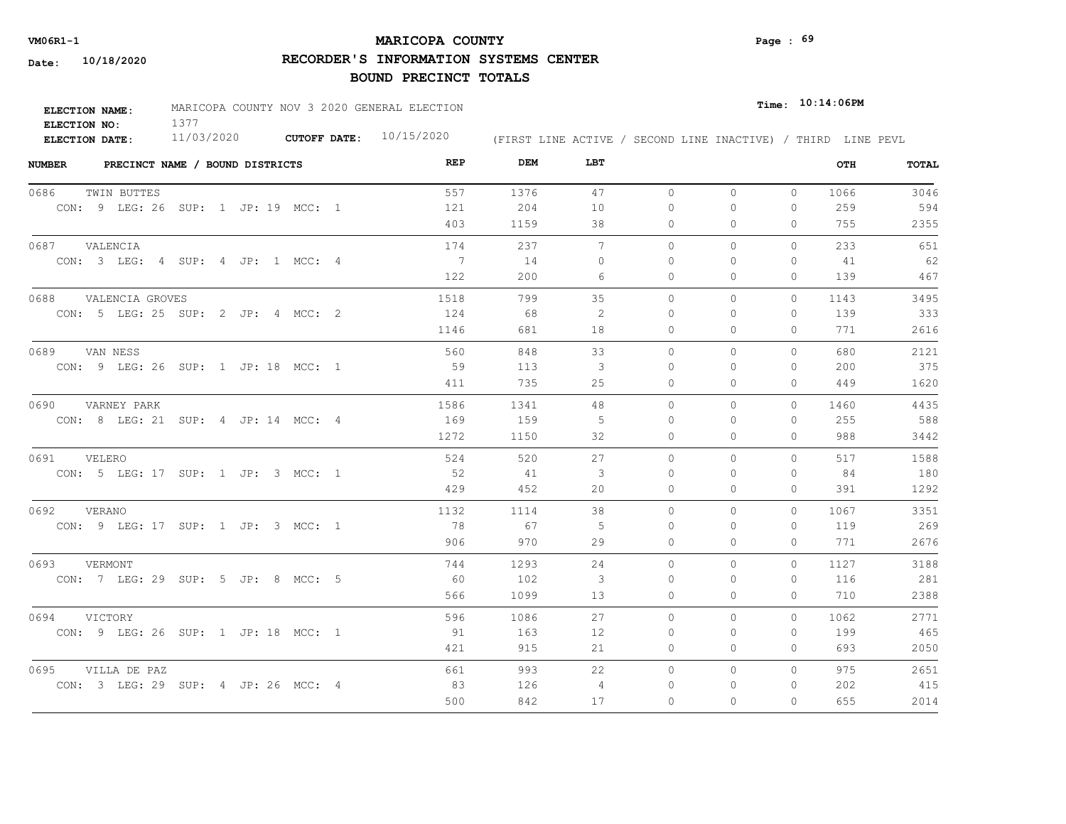# **MARICOPA COUNTY VM06R1-1 Page : 69**

**RECORDER'S INFORMATION SYSTEMS CENTER**

| <b>ELECTION NAME:</b> | MARICOPA COUNTY NOV 3 2020 GENERAL ELECTION |                     |            |  |  |  | $_{Time:}$ 10:14:06PM |                                                              |
|-----------------------|---------------------------------------------|---------------------|------------|--|--|--|-----------------------|--------------------------------------------------------------|
| ELECTION NO:          |                                             |                     |            |  |  |  |                       |                                                              |
| ELECTION DATE:        | 11/03/2020                                  | <b>CUTOFF DATE:</b> | 10/15/2020 |  |  |  |                       | (FIRST LINE ACTIVE / SECOND LINE INACTIVE) / THIRD LINE PEVL |

| <b>NUMBER</b><br>PRECINCT NAME / BOUND DISTRICTS | REP            | DEM  | LBT      |          |              |              | OTH  | TOTAL |
|--------------------------------------------------|----------------|------|----------|----------|--------------|--------------|------|-------|
| 0686<br>TWIN BUTTES                              | 557            | 1376 | 47       | $\circ$  | $\circ$      | $\circ$      | 1066 | 3046  |
| CON: 9 LEG: 26 SUP: 1 JP: 19 MCC: 1              | 121            | 204  | 10       | 0        | 0            | $\mathbf{0}$ | 259  | 594   |
|                                                  | 403            | 1159 | 38       | 0        | $\Omega$     | $\Omega$     | 755  | 2355  |
| 0687 VALENCIA                                    | 174            | 237  | 7        | $\circ$  | 0            | 0            | 233  | 651   |
| CON: 3 LEG: 4 SUP: 4 JP: 1 MCC: 4                | $\overline{7}$ | 14   | $\Omega$ | $\Omega$ | $\Omega$     | $\Omega$     | 41   | 62    |
|                                                  | 122            | 200  | 6        | 0        | 0            | $\mathbf{0}$ | 139  | 467   |
| 0688<br>VALENCIA GROVES                          | 1518           | 799  | 35       | $\circ$  | $\mathbf{0}$ | $\circ$      | 1143 | 3495  |
| CON: 5 LEG: 25 SUP: 2 JP: 4 MCC: 2               | 124            | 68   | -2       | $\Omega$ | 0            | 0            | 139  | 333   |
|                                                  | 1146           | 681  | 18       | 0        | $\Omega$     | $\Omega$     | 771  | 2616  |
| 0689<br>VAN NESS                                 | 560            | 848  | 33       | $\Omega$ | $\Omega$     | $\Omega$     | 680  | 2121  |
| CON: 9 LEG: 26 SUP: 1 JP: 18 MCC: 1              | 59             | 113  | 3        | $\Omega$ | $\Omega$     | $\mathbf{0}$ | 200  | 375   |
|                                                  | 411            | 735  | 25       | 0        | 0            | $\mathbf{0}$ | 449  | 1620  |
| 0690<br>VARNEY PARK                              | 1586           | 1341 | 48       | $\Omega$ | $\Omega$     | $\Omega$     | 1460 | 4435  |
| CON: 8 LEG: 21 SUP: 4 JP: 14 MCC: 4              | 169            | 159  | 5        | $\Omega$ | $\Omega$     | $\Omega$     | 255  | 588   |
|                                                  | 1272           | 1150 | 32       | $\Omega$ | $\Omega$     | $\Omega$     | 988  | 3442  |
| 0691<br>VELERO                                   | 524            | 520  | 27       | $\circ$  | 0            | $\circ$      | 517  | 1588  |
| CON: 5 LEG: 17 SUP: 1 JP: 3 MCC: 1               | 52             | 41   | 3        | $\Omega$ | $\Omega$     | $\Omega$     | 84   | 180   |
|                                                  | 429            | 452  | 20       | $\Omega$ | $\Omega$     | $\Omega$     | 391  | 1292  |
| 0692 VERANO                                      | 1132           | 1114 | 38       | $\Omega$ | $\Omega$     | $\Omega$     | 1067 | 3351  |
| CON: 9 LEG: 17 SUP: 1 JP: 3 MCC: 1               | - 78           | 67   | -5       | $\Omega$ | $\Omega$     | $\Omega$     | 119  | 269   |
|                                                  | 906            | 970  | 29       | $\Omega$ | $\Omega$     | $\Omega$     | 771  | 2676  |
| 0693<br>VERMONT                                  | 744            | 1293 | 24       | $\circ$  | 0            | $\circ$      | 1127 | 3188  |
| CON: 7 LEG: 29 SUP: 5 JP: 8 MCC: 5               | 60             | 102  | 3        | $\Omega$ | $\Omega$     | $\mathbf{0}$ | 116  | 281   |
|                                                  | 566            | 1099 | 13       | 0        | 0            | 0            | 710  | 2388  |
| 0694<br>VICTORY                                  | 596            | 1086 | 27       | $\circ$  | $\Omega$     | 0            | 1062 | 2771  |
| CON: 9 LEG: 26 SUP: 1 JP: 18 MCC: 1              | 91             | 163  | 12       | 0        | $\Omega$     | $\mathbf{0}$ | 199  | 465   |
|                                                  | 421            | 915  | 21       | 0        | 0            | $\mathbf{0}$ | 693  | 2050  |
| 0695<br>VILLA DE PAZ                             | 661            | 993  | 22       | $\circ$  | 0            | $\circ$      | 975  | 2651  |
| CON: 3 LEG: 29 SUP: 4 JP: 26 MCC: 4              | 83             | 126  | 4        | 0        | $\Omega$     | 0            | 202  | 415   |
|                                                  | 500            | 842  | 17       | $\Omega$ | $\Omega$     | $\Omega$     | 655  | 2014  |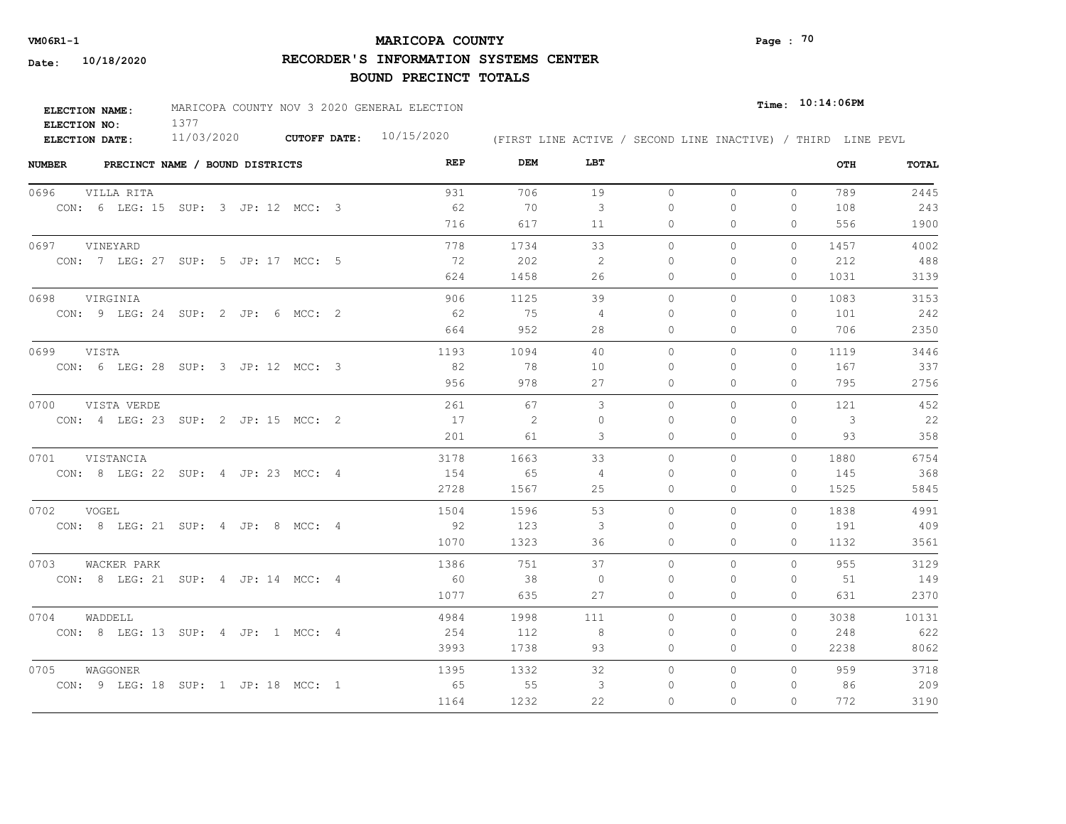# **MARICOPA COUNTY VM06R1-1 Page : 70**

**RECORDER'S INFORMATION SYSTEMS CENTER**

| <b>ELECTION NAME:</b> | MARICOPA COUNTY NOV 3 2020 GENERAL ELECTION |              |            |                                                              | $_{Time:}$ 10:14:06PM |
|-----------------------|---------------------------------------------|--------------|------------|--------------------------------------------------------------|-----------------------|
| ELECTION NO:          |                                             |              |            |                                                              |                       |
| ELECTION DATE:        | 11/03/2020                                  | CUTOFF DATE: | 10/15/2020 | (FIRST LINE ACTIVE / SECOND LINE INACTIVE) / THIRD LINE PEVL |                       |

| <b>NUMBER</b><br>PRECINCT NAME / BOUND DISTRICTS | REP  | DEM  | LBT            |           |          |              | OTH  | <b>TOTAL</b> |
|--------------------------------------------------|------|------|----------------|-----------|----------|--------------|------|--------------|
| 0696<br>VILLA RITA                               | 931  | 706  | 19             | $\circ$   | $\circ$  | $\mathbf{0}$ | 789  | 2445         |
| CON: 6 LEG: 15 SUP: 3 JP: 12 MCC: 3              | 62   | 70   | 3              | $\Omega$  | $\Omega$ | 0            | 108  | 243          |
|                                                  | 716  | 617  | 11             | 0         | 0        | $\Omega$     | 556  | 1900         |
| 0697<br>VINEYARD                                 | 778  | 1734 | 33             | $\circ$   | 0        | 0            | 1457 | 4002         |
| CON: 7 LEG: 27 SUP: 5 JP: 17 MCC: 5              | - 72 | 202  | -2             | $\Omega$  | $\Omega$ | $\mathbf{0}$ | 212  | 488          |
|                                                  | 624  | 1458 | 26             | 0         | 0        | 0            | 1031 | 3139         |
| 0698<br>VIRGINIA                                 | 906  | 1125 | 39             | $\circ$   | 0        | 0            | 1083 | 3153         |
| CON: 9 LEG: 24 SUP: 2 JP: 6 MCC: 2               | -62  | 75   | 4              | $\Omega$  | 0        | 0            | 101  | 242          |
|                                                  | 664  | 952  | 28             | 0         | $\Omega$ | $\Omega$     | 706  | 2350         |
| 0699<br>VISTA                                    | 1193 | 1094 | 40             | $\Omega$  | $\Omega$ | $\Omega$     | 1119 | 3446         |
| CON: 6 LEG: 28 SUP: 3 JP: 12 MCC: 3              | 82   | 78   | 10             | $\Omega$  | $\Omega$ | $\mathbf{0}$ | 167  | 337          |
|                                                  | 956  | 978  | 27             | $\circ$   | 0        | $\mathbf{0}$ | 795  | 2756         |
| 0700 VISTA VERDE                                 | 261  | 67   | 3              | $\Omega$  | $\Omega$ | $\Omega$     | 121  | 452          |
| CON: 4 LEG: 23 SUP: 2 JP: 15 MCC: 2              | 17   | 2    | $\Omega$       | $\Omega$  | $\Omega$ | $\Omega$     | 3    | 22           |
|                                                  | 201  | 61   | 3              | $\circ$   | $\Omega$ | $\Omega$     | 93   | 358          |
| 0701 VISTANCIA                                   | 3178 | 1663 | 33             | $\circ$   | 0        | $\circ$      | 1880 | 6754         |
| CON: 8 LEG: 22 SUP: 4 JP: 23 MCC: 4              | 154  | 65   | $\overline{4}$ | $\Omega$  | $\Omega$ | 0            | 145  | 368          |
|                                                  | 2728 | 1567 | 25             | $\Omega$  | $\Omega$ | $\Omega$     | 1525 | 5845         |
| 0702 VOGEL                                       | 1504 | 1596 | 53             | $\Omega$  | $\Omega$ | $\Omega$     | 1838 | 4991         |
| CON: 8 LEG: 21 SUP: 4 JP: 8 MCC: 4               | 92   | 123  | 3              | $\Omega$  | $\Omega$ | $\Omega$     | 191  | 409          |
|                                                  | 1070 | 1323 | 36             | $\Omega$  | $\Omega$ | $\Omega$     | 1132 | 3561         |
| 0703<br>WACKER PARK                              | 1386 | 751  | 37             | $\Omega$  | $\Omega$ | $\Omega$     | 955  | 3129         |
| CON: 8 LEG: 21 SUP: 4 JP: 14 MCC: 4              | 60   | 38   | $\Omega$       | $\bigcap$ | $\Omega$ | $\Omega$     | 51   | 149          |
|                                                  | 1077 | 635  | 27             | 0         | 0        | 0            | 631  | 2370         |
| 0704<br>WADDELL                                  | 4984 | 1998 | 111            | $\circ$   | $\Omega$ | 0            | 3038 | 10131        |
| CON: 8 LEG: 13 SUP: 4 JP: 1 MCC: 4               | 254  | 112  | -8             | 0         | 0        | $\mathbf{0}$ | 248  | 622          |
|                                                  | 3993 | 1738 | 93             | 0         | 0        | $\Omega$     | 2238 | 8062         |
| 0705<br>WAGGONER                                 | 1395 | 1332 | 32             | $\circ$   | 0        | $\Omega$     | 959  | 3718         |
| CON: 9 LEG: 18 SUP: 1 JP: 18 MCC: 1              | 65   | 55   | 3              | $\Omega$  | 0        | $\mathbf{0}$ | 86   | 209          |
|                                                  | 1164 | 1232 | 22             | $\Omega$  | $\Omega$ | $\Omega$     | 772  | 3190         |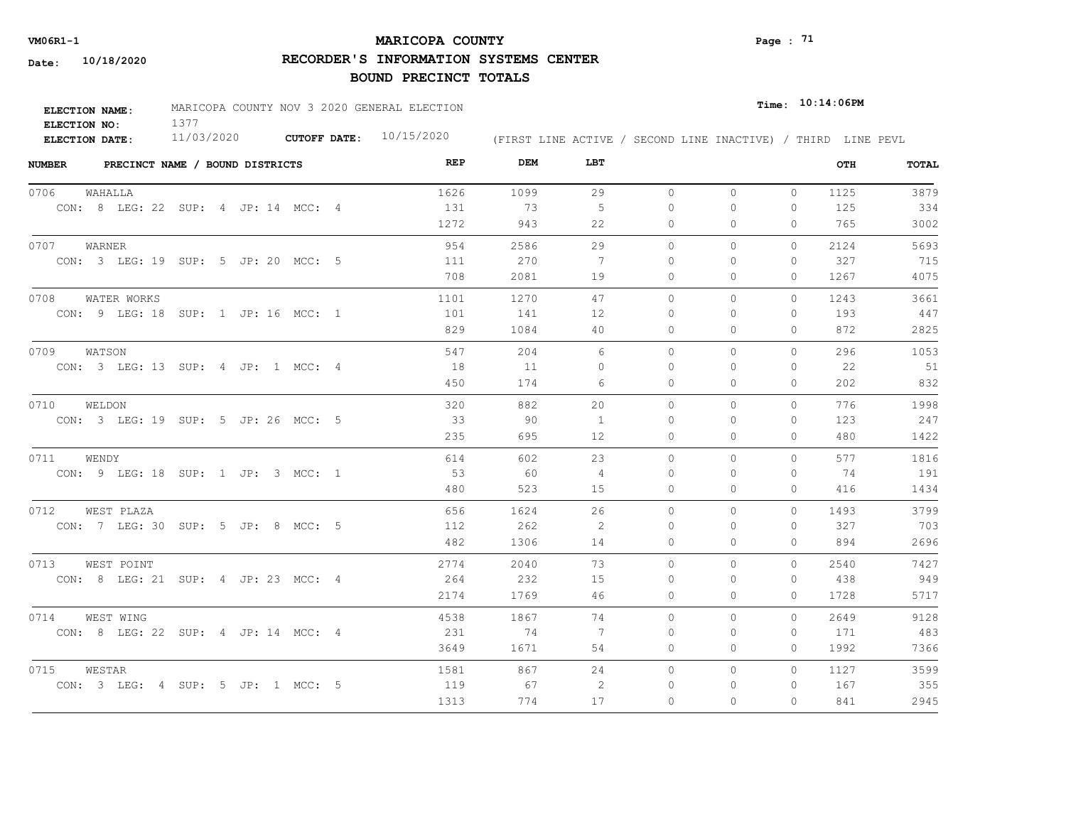# **MARICOPA COUNTY VM06R1-1 Page : 71**

**RECORDER'S INFORMATION SYSTEMS CENTER**

| <b>ELECTION NAME:</b> | MARICOPA COUNTY NOV 3 2020 GENERAL ELECTION |                     |            |                                                              | $Time:$ 10:14:06PM |
|-----------------------|---------------------------------------------|---------------------|------------|--------------------------------------------------------------|--------------------|
| ELECTION NO:          |                                             |                     |            |                                                              |                    |
| <b>ELECTION DATE:</b> | 11/03/2020                                  | <b>CUTOFF DATE:</b> | 10/15/2020 | (FIRST LINE ACTIVE / SECOND LINE INACTIVE) / THIRD LINE PEVL |                    |

| <b>NUMBER</b><br>PRECINCT NAME / BOUND DISTRICTS | REP  | DEM  | LBT            |              |              |              | OTH  | TOTAL |
|--------------------------------------------------|------|------|----------------|--------------|--------------|--------------|------|-------|
| 0706<br>WAHALLA                                  | 1626 | 1099 | 29             | $\circ$      | $\circ$      | $\circ$      | 1125 | 3879  |
| CON: 8 LEG: 22 SUP: 4 JP: 14 MCC: 4              | 131  | 73   | 5              | 0            | 0            | $\mathbf{0}$ | 125  | 334   |
|                                                  | 1272 | 943  | 22             | 0            | $\Omega$     | 0            | 765  | 3002  |
| 0707<br>WARNER                                   | 954  | 2586 | 29             | $\circ$      | 0            | $\mathbf{0}$ | 2124 | 5693  |
| CON: 3 LEG: 19 SUP: 5 JP: 20 MCC: 5              | 111  | 270  | 7              | $\Omega$     | $\Omega$     | $\mathbf{0}$ | 327  | 715   |
|                                                  | 708  | 2081 | 19             | 0            | $\Omega$     | 0            | 1267 | 4075  |
| WATER WORKS<br>0708                              | 1101 | 1270 | 47             | $\circ$      | $\mathbf{0}$ | $\mathbf{0}$ | 1243 | 3661  |
| CON: 9 LEG: 18 SUP: 1 JP: 16 MCC: 1              | 101  | 141  | 12             | $\Omega$     | $\Omega$     | $\Omega$     | 193  | 447   |
|                                                  | 829  | 1084 | 40             | $\Omega$     | $\Omega$     | $\Omega$     | 872  | 2825  |
| 0709<br>WATSON                                   | 547  | 204  | 6              | $\Omega$     | $\Omega$     | $\Omega$     | 296  | 1053  |
| CON: 3 LEG: 13 SUP: 4 JP: 1 MCC: 4               | 18   | 11   | $\Omega$       | $\Omega$     | $\Omega$     | $\Omega$     | 22   | 51    |
|                                                  | 450  | 174  | 6              | 0            | 0            | $\mathbf{0}$ | 202  | 832   |
| 0710<br>WELDON                                   | 320  | 882  | 20             | $\circ$      | $\Omega$     | 0            | 776  | 1998  |
| CON: 3 LEG: 19 SUP: 5 JP: 26 MCC: 5              | 33   | 90   | $\overline{1}$ | $\bigcap$    | $\Omega$     | $\Omega$     | 123  | 247   |
|                                                  | 235  | 695  | 12             | $\circ$      | 0            | $\mathbf{0}$ | 480  | 1422  |
| 0711<br>WENDY                                    | 614  | 602  | 23             | $\Omega$     | $\Omega$     | $\Omega$     | 577  | 1816  |
| CON: 9 LEG: 18 SUP: 1 JP: 3 MCC: 1               | 53   | 60   | 4              | $\Omega$     | $\Omega$     | $\Omega$     | 74   | 191   |
|                                                  | 480  | 523  | 15             | $\circ$      | $\mathbf{0}$ | $\circ$      | 416  | 1434  |
| 0712<br>WEST PLAZA                               | 656  | 1624 | 26             | $\Omega$     | $\Omega$     | $\Omega$     | 1493 | 3799  |
| CON: 7 LEG: 30 SUP: 5 JP: 8 MCC: 5               | 112  | 262  | -2             | $\Omega$     | $\Omega$     | $\Omega$     | 327  | 703   |
|                                                  | 482  | 1306 | 14             | $\circ$      | 0            | $\Omega$     | 894  | 2696  |
| 0713 WEST POINT                                  | 2774 | 2040 | 73             | $\Omega$     | $\Omega$     | 0            | 2540 | 7427  |
| CON: 8 LEG: 21 SUP: 4 JP: 23 MCC: 4              | 264  | 232  | 15             | 0            | 0            | $\mathbf{0}$ | 438  | 949   |
|                                                  | 2174 | 1769 | 46             | 0            | 0            | 0            | 1728 | 5717  |
| 0714<br>WEST WING                                | 4538 | 1867 | 74             | $\circ$      | 0            | 0            | 2649 | 9128  |
| CON: 8 LEG: 22 SUP: 4 JP: 14 MCC: 4              | 231  | 74   | -7             | $\mathbf{0}$ | 0            | 0            | 171  | 483   |
|                                                  | 3649 | 1671 | 54             | 0            | 0            | $\mathbf{0}$ | 1992 | 7366  |
| 0715<br>WESTAR                                   | 1581 | 867  | 24             | $\circ$      | $\circ$      | $\Omega$     | 1127 | 3599  |
| CON: 3 LEG: 4 SUP: 5 JP: 1 MCC: 5                | 119  | 67   | 2              | 0            | 0            | 0            | 167  | 355   |
|                                                  | 1313 | 774  | 17             | $\Omega$     | $\Omega$     | $\Omega$     | 841  | 2945  |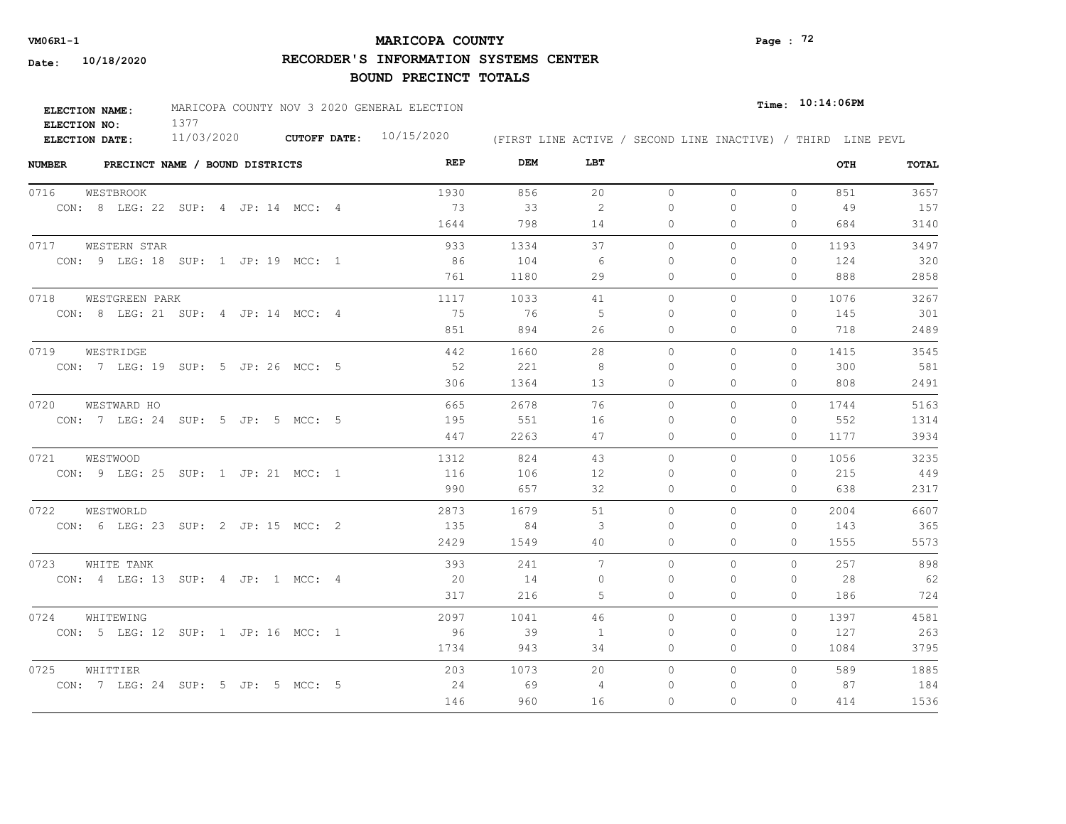# **MARICOPA COUNTY** Page : <sup>72</sup>

**RECORDER'S INFORMATION SYSTEMS CENTER**

| <b>ELECTION NAME:</b> | MARICOPA COUNTY NOV 3 2020 GENERAL ELECTION |                           |                                                              | $_{\texttt{Time:}}$ 10:14:06PM |
|-----------------------|---------------------------------------------|---------------------------|--------------------------------------------------------------|--------------------------------|
| ELECTION NO:          |                                             |                           |                                                              |                                |
| <b>ELECTION DATE:</b> | 11/03/2020                                  | CUTOFF DATE: $10/15/2020$ | (FIRST LINE ACTIVE / SECOND LINE INACTIVE) / THIRD LINE PEVL |                                |

| <b>NUMBER</b> | PRECINCT NAME / BOUND DISTRICTS     | REP  | DEM  | LBT      |           |          |              | OTH  | TOTAL |
|---------------|-------------------------------------|------|------|----------|-----------|----------|--------------|------|-------|
| 0716          | WESTBROOK                           | 1930 | 856  | 20       | $\circ$   | $\Omega$ | $\Omega$     | 851  | 3657  |
|               | CON: 8 LEG: 22 SUP: 4 JP: 14 MCC: 4 | 73   | 33   | 2        | $\bigcap$ | $\Omega$ | $\Omega$     | 49   | 157   |
|               |                                     | 1644 | 798  | 14       | $\Omega$  | $\Omega$ | $\Omega$     | 684  | 3140  |
|               | 0717 WESTERN STAR                   | 933  | 1334 | 37       | $\Omega$  | $\Omega$ | $\Omega$     | 1193 | 3497  |
|               | CON: 9 LEG: 18 SUP: 1 JP: 19 MCC: 1 | 86   | 104  | - 6      | $\Omega$  | $\Omega$ | $\Omega$     | 124  | 320   |
|               |                                     | 761  | 1180 | 29       | $\Omega$  | $\Omega$ | $\Omega$     | 888  | 2858  |
| 0718          | WESTGREEN PARK                      | 1117 | 1033 | 41       | $\circ$   | $\Omega$ | $\Omega$     | 1076 | 3267  |
|               | CON: 8 LEG: 21 SUP: 4 JP: 14 MCC: 4 | 75   | 76   | -5       | $\Omega$  | $\Omega$ | $\Omega$     | 145  | 301   |
|               |                                     | 851  | 894  | 26       | 0         | 0        | $\mathbf{0}$ | 718  | 2489  |
| 0719          | WESTRIDGE                           | 442  | 1660 | 28       | $\circ$   | 0        | $\Omega$     | 1415 | 3545  |
|               | CON: 7 LEG: 19 SUP: 5 JP: 26 MCC: 5 | -52  | 221  | 8        | $\Omega$  | $\Omega$ | $\mathbf{0}$ | 300  | 581   |
|               |                                     | 306  | 1364 | 13       | 0         | $\Omega$ | $\Omega$     | 808  | 2491  |
| 0720          | WESTWARD HO                         | 665  | 2678 | 76       | $\Omega$  | $\Omega$ | $\Omega$     | 1744 | 5163  |
|               | CON: 7 LEG: 24 SUP: 5 JP: 5 MCC: 5  | 195  | 551  | 16       | $\Omega$  | 0        | $\mathbf{0}$ | 552  | 1314  |
|               |                                     | 447  | 2263 | 47       | 0         | $\Omega$ | $\Omega$     | 1177 | 3934  |
| 0721          | WESTWOOD                            | 1312 | 824  | 43       | $\Omega$  | $\Omega$ | $\Omega$     | 1056 | 3235  |
|               | CON: 9 LEG: 25 SUP: 1 JP: 21 MCC: 1 | 116  | 106  | 12       | $\Omega$  | $\Omega$ | $\Omega$     | 215  | 449   |
|               |                                     | 990  | 657  | 32       | $\circ$   | 0        | $\mathbf{0}$ | 638  | 2317  |
| 0722          | WESTWORLD                           | 2873 | 1679 | 51       | $\circ$   | $\Omega$ | $\circ$      | 2004 | 6607  |
|               | CON: 6 LEG: 23 SUP: 2 JP: 15 MCC: 2 | 135  | 84   | 3        | $\bigcap$ | $\Omega$ | $\Omega$     | 143  | 365   |
|               |                                     | 2429 | 1549 | 40       | $\circ$   | $\Omega$ | $\Omega$     | 1555 | 5573  |
| 0723          | WHITE TANK                          | 393  | 241  | 7        | $\Omega$  | $\Omega$ | $\Omega$     | 257  | 898   |
|               | CON: 4 LEG: 13 SUP: 4 JP: 1 MCC: 4  | 20   | 14   | $\Omega$ | $\Omega$  | $\Omega$ | 0            | 28   | 62    |
|               |                                     | 317  | 216  | 5        | $\circ$   | $\Omega$ | $\Omega$     | 186  | 724   |
| 0724          | WHITEWING                           | 2097 | 1041 | 46       | $\Omega$  | $\Omega$ | $\Omega$     | 1397 | 4581  |
|               | CON: 5 LEG: 12 SUP: 1 JP: 16 MCC: 1 | 96   | 39   | 1        | $\Omega$  | $\Omega$ | $\Omega$     | 127  | 263   |
|               |                                     | 1734 | 943  | 34       | 0         | 0        | 0            | 1084 | 3795  |
| 0725          | WHITTIER                            | 203  | 1073 | 20       | 0         | 0        | $\circ$      | 589  | 1885  |
|               | CON: 7 LEG: 24 SUP: 5 JP: 5 MCC: 5  | 24   | 69   | 4        | $\Omega$  | $\Omega$ | $\mathbf{0}$ | 87   | 184   |
|               |                                     | 146  | 960  | 16       | $\Omega$  | $\Omega$ | $\Omega$     | 414  | 1536  |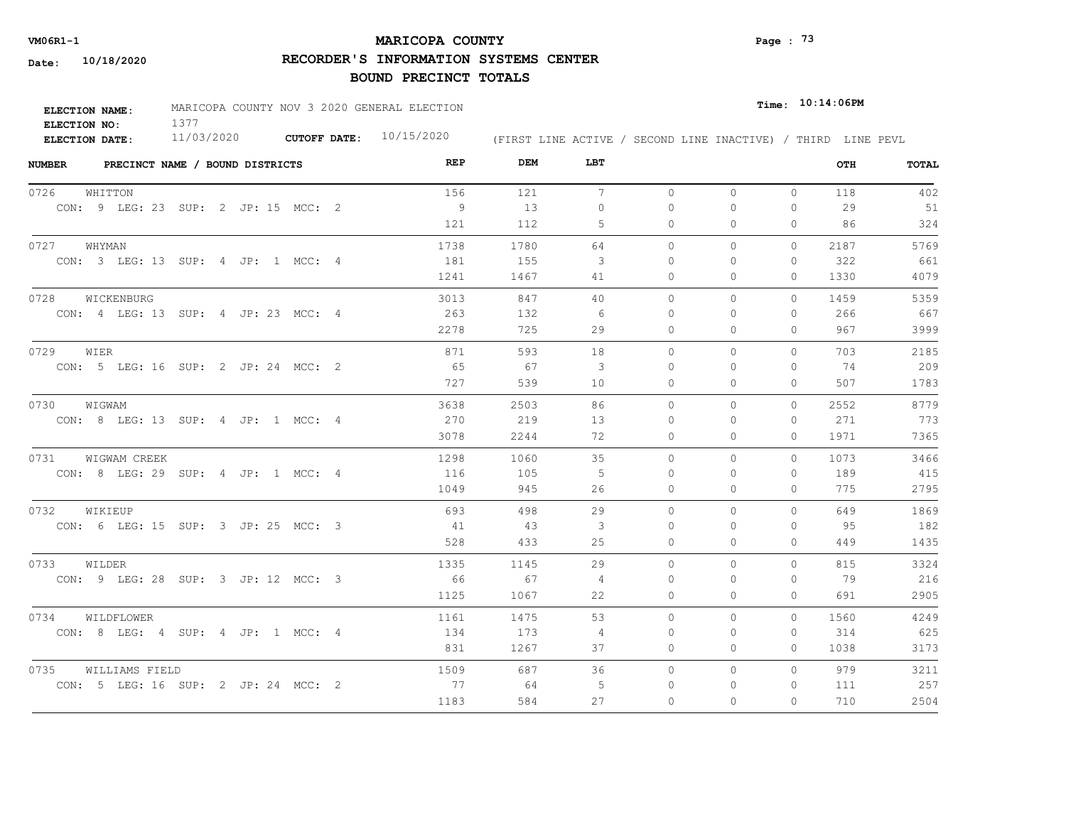# **MARICOPA COUNTY** Page : <sup>73</sup>

**RECORDER'S INFORMATION SYSTEMS CENTER**

| <b>ELECTION NAME:</b> | MARICOPA COUNTY NOV 3 2020 GENERAL ELECTION |                     |            |                                                              | $Time:$ 10:14:06PM |
|-----------------------|---------------------------------------------|---------------------|------------|--------------------------------------------------------------|--------------------|
| ELECTION NO:          |                                             |                     |            |                                                              |                    |
| <b>ELECTION DATE:</b> | 11/03/2020                                  | <b>CUTOFF DATE:</b> | 10/15/2020 | (FIRST LINE ACTIVE / SECOND LINE INACTIVE) / THIRD LINE PEVL |                    |

| <b>NUMBER</b> |                                     | PRECINCT NAME / BOUND DISTRICTS |  |  | REP  | DEM  | LBT             |           |              |              | OTH  | TOTAL |
|---------------|-------------------------------------|---------------------------------|--|--|------|------|-----------------|-----------|--------------|--------------|------|-------|
| 0726          | WHITTON                             |                                 |  |  | 156  | 121  | $7\phantom{.0}$ | $\circ$   | $\mathbf{0}$ | $\circ$      | 118  | 402   |
|               | CON: 9 LEG: 23 SUP: 2 JP: 15 MCC: 2 |                                 |  |  | 9    | 13   | $\Omega$        | $\Omega$  | $\Omega$     | $\Omega$     | 29   | 51    |
|               |                                     |                                 |  |  | 121  | 112  | 5               | $\Omega$  | $\Omega$     | $\Omega$     | 86   | 324   |
|               | 0727 WHYMAN                         |                                 |  |  | 1738 | 1780 | 64              | $\Omega$  | $\Omega$     | $\Omega$     | 2187 | 5769  |
|               | CON: 3 LEG: 13 SUP: 4 JP: 1 MCC: 4  |                                 |  |  | 181  | 155  | 3               | $\Omega$  | $\Omega$     | $\mathbf{0}$ | 322  | 661   |
|               |                                     |                                 |  |  | 1241 | 1467 | 41              | $\circ$   | 0            | $\Omega$     | 1330 | 4079  |
| 0728          | WICKENBURG                          |                                 |  |  | 3013 | 847  | 40              | $\circ$   | $\Omega$     | $\Omega$     | 1459 | 5359  |
|               | CON: 4 LEG: 13 SUP: 4 JP: 23 MCC: 4 |                                 |  |  | 263  | 132  | - 6             | $\Omega$  | $\Omega$     | $\Omega$     | 266  | 667   |
|               |                                     |                                 |  |  | 2278 | 725  | 29              | $\Omega$  | 0            | $\mathbf{0}$ | 967  | 3999  |
| 0729          | WIER                                |                                 |  |  | 871  | 593  | 18              | $\Omega$  | $\Omega$     | $\Omega$     | 703  | 2185  |
|               | CON: 5 LEG: 16 SUP: 2 JP: 24 MCC: 2 |                                 |  |  | 65   | 67   | 3               | 0         | $\Omega$     | $\mathbf{0}$ | 74   | 209   |
|               |                                     |                                 |  |  | 727  | 539  | 10              | 0         | 0            | $\mathbf{0}$ | 507  | 1783  |
| 0730          | WIGWAM                              |                                 |  |  | 3638 | 2503 | 86              | $\circ$   | $\circ$      | $\mathbf{0}$ | 2552 | 8779  |
|               | CON: 8 LEG: 13 SUP: 4 JP: 1 MCC: 4  |                                 |  |  | 270  | 219  | 13              | $\Omega$  | $\Omega$     | $\Omega$     | 271  | 773   |
|               |                                     |                                 |  |  | 3078 | 2244 | 72              | $\Omega$  | $\Omega$     | $\Omega$     | 1971 | 7365  |
| 0731          | WIGWAM CREEK                        |                                 |  |  | 1298 | 1060 | 35              | $\Omega$  | $\Omega$     | $\Omega$     | 1073 | 3466  |
|               | CON: 8 LEG: 29 SUP: 4 JP: 1 MCC: 4  |                                 |  |  | 116  | 105  | - 5             | $\bigcap$ | $\Omega$     | $\mathbf{0}$ | 189  | 415   |
|               |                                     |                                 |  |  | 1049 | 945  | 26              | 0         | $\Omega$     | $\mathbf{0}$ | 775  | 2795  |
| 0732          | WIKIEUP                             |                                 |  |  | 693  | 498  | 29              | $\Omega$  | $\Omega$     | $\Omega$     | 649  | 1869  |
|               | CON: 6 LEG: 15 SUP: 3 JP: 25 MCC: 3 |                                 |  |  | 41   | -43  | 3               | $\Omega$  | $\Omega$     | $\Omega$     | 95   | 182   |
|               |                                     |                                 |  |  | 528  | 433  | 25              | $\Omega$  | $\Omega$     | $\Omega$     | 449  | 1435  |
| 0733          | WILDER                              |                                 |  |  | 1335 | 1145 | 29              | $\Omega$  | $\Omega$     | $\Omega$     | 815  | 3324  |
|               | CON: 9 LEG: 28 SUP: 3 JP: 12 MCC: 3 |                                 |  |  | 66   | 67   | 4               | $\Omega$  | $\Omega$     | $\mathbf{0}$ | 79   | 216   |
|               |                                     |                                 |  |  | 1125 | 1067 | 22              | $\circ$   | $\Omega$     | $\mathbf{0}$ | 691  | 2905  |
| 0734          | WILDFLOWER                          |                                 |  |  | 1161 | 1475 | 53              | $\Omega$  | $\Omega$     | $\Omega$     | 1560 | 4249  |
|               | CON: 8 LEG: 4 SUP: 4 JP: 1 MCC: 4   |                                 |  |  | 134  | 173  | 4               | $\Omega$  | $\Omega$     | $\Omega$     | 314  | 625   |
|               |                                     |                                 |  |  | 831  | 1267 | 37              | 0         | 0            | $\mathbf{0}$ | 1038 | 3173  |
| 0735          | WILLIAMS FIELD                      |                                 |  |  | 1509 | 687  | 36              | $\circ$   | 0            | $\circ$      | 979  | 3211  |
|               | CON: 5 LEG: 16 SUP: 2 JP: 24 MCC: 2 |                                 |  |  | 77   | 64   | 5               | $\Omega$  | $\Omega$     | $\mathbf{0}$ | 111  | 257   |
|               |                                     |                                 |  |  | 1183 | 584  | 27              | $\Omega$  | $\Omega$     | $\Omega$     | 710  | 2504  |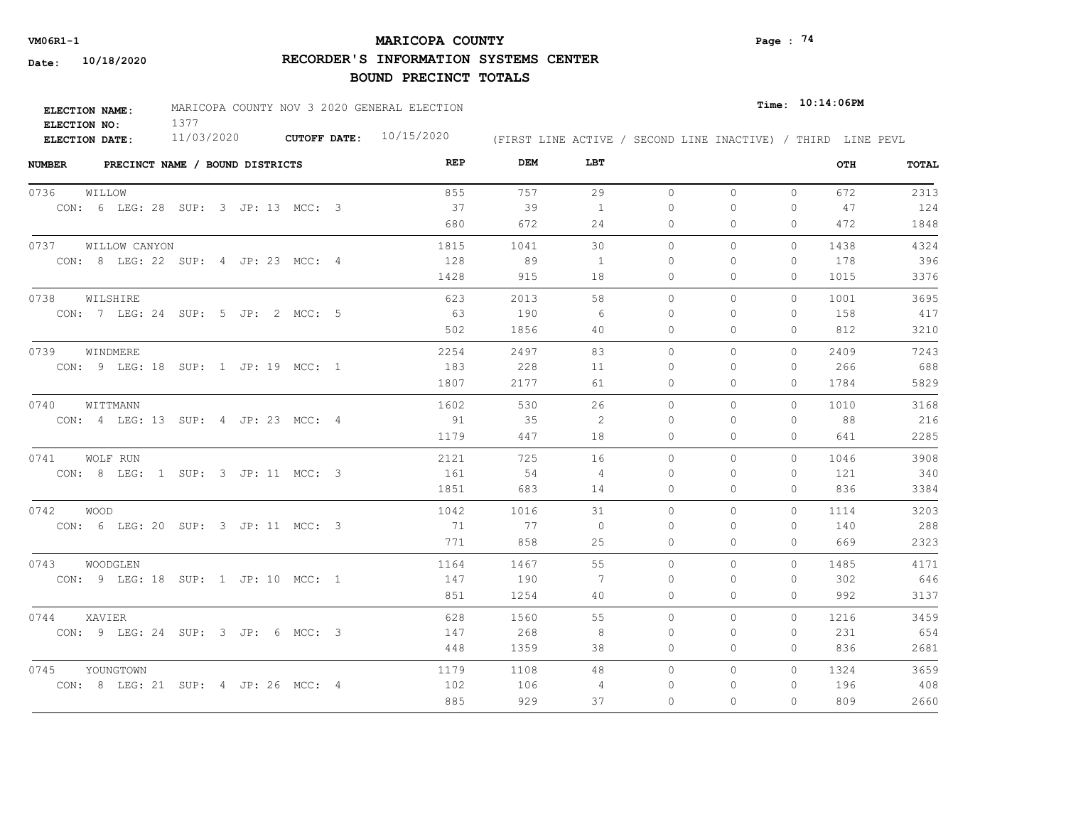# **MARICOPA COUNTY VM06R1-1 Page : 74**

**RECORDER'S INFORMATION SYSTEMS CENTER**

| <b>ELECTION NAME:</b> | MARICOPA COUNTY NOV 3 2020 GENERAL ELECTION |                     |            |  |  |  |  |  | $_{Time:}$ 10:14:06PM |                                                              |
|-----------------------|---------------------------------------------|---------------------|------------|--|--|--|--|--|-----------------------|--------------------------------------------------------------|
| ELECTION NO:          |                                             |                     |            |  |  |  |  |  |                       |                                                              |
| ELECTION DATE:        | 11/03/2020                                  | <b>CUTOFF DATE:</b> | 10/15/2020 |  |  |  |  |  |                       | (FIRST LINE ACTIVE / SECOND LINE INACTIVE) / THIRD LINE PEVL |

| <b>NUMBER</b><br>PRECINCT NAME / BOUND DISTRICTS | REP  | DEM  | LBT            |           |          |              | OTH  | TOTAL |
|--------------------------------------------------|------|------|----------------|-----------|----------|--------------|------|-------|
| 0736<br>WILLOW                                   | 855  | 757  | 29             | $\circ$   | $\circ$  | $\Omega$     | 672  | 2313  |
| CON: 6 LEG: 28 SUP: 3 JP: 13 MCC: 3              | 37   | 39   | 1              | 0         | 0        | 0            | 47   | 124   |
|                                                  | 680  | 672  | 24             | 0         | $\Omega$ | $\mathbf{0}$ | 472  | 1848  |
| 0737 WILLOW CANYON                               | 1815 | 1041 | 30             | $\Omega$  | $\Omega$ | $\Omega$     | 1438 | 4324  |
| CON: 8 LEG: 22 SUP: 4 JP: 23 MCC: 4              | 128  | 89   | 1              | 0         | $\Omega$ | $\mathbf{0}$ | 178  | 396   |
|                                                  | 1428 | 915  | 18             | 0         | 0        | $\mathbf{0}$ | 1015 | 3376  |
| 0738<br>WILSHIRE                                 | 623  | 2013 | 58             | $\Omega$  | $\Omega$ | $\Omega$     | 1001 | 3695  |
| CON: 7 LEG: 24 SUP: 5 JP: 2 MCC: 5               | - 63 | 190  | -6             | $\Omega$  | 0        | $\mathbf{0}$ | 158  | 417   |
|                                                  | 502  | 1856 | 40             | 0         | $\Omega$ | $\Omega$     | 812  | 3210  |
| 0739<br>WINDMERE                                 | 2254 | 2497 | 83             | $\bigcap$ | $\Omega$ | $\Omega$     | 2409 | 7243  |
| CON: 9 LEG: 18 SUP: 1 JP: 19 MCC: 1              | 183  | 228  | 11             | $\Omega$  | $\Omega$ | $\Omega$     | 266  | 688   |
|                                                  | 1807 | 2177 | 61             | 0         | 0        | $\mathbf{0}$ | 1784 | 5829  |
| 0740<br>WITTMANN                                 | 1602 | 530  | 26             | $\Omega$  | $\Omega$ | $\Omega$     | 1010 | 3168  |
| CON: 4 LEG: 13 SUP: 4 JP: 23 MCC: 4              | 91   | 35   | 2              | $\bigcap$ | $\Omega$ | $\Omega$     | 88   | 216   |
|                                                  | 1179 | 447  | 18             | $\Omega$  | $\Omega$ | $\Omega$     | 641  | 2285  |
| 0741<br>WOLF RUN                                 | 2121 | 725  | 16             | $\circ$   | $\Omega$ | $\Omega$     | 1046 | 3908  |
| CON: 8 LEG: 1 SUP: 3 JP: 11 MCC: 3               | 161  | 54   | $\overline{4}$ | $\Omega$  | $\Omega$ | 0            | 121  | 340   |
|                                                  | 1851 | 683  | 14             | $\Omega$  | $\Omega$ | $\Omega$     | 836  | 3384  |
| 0742 WOOD                                        | 1042 | 1016 | 31             | $\circ$   | $\Omega$ | $\Omega$     | 1114 | 3203  |
| CON: 6 LEG: 20 SUP: 3 JP: 11 MCC: 3              | 71   | 77   | $\circ$        | $\Omega$  | $\Omega$ | $\mathbf{0}$ | 140  | 288   |
|                                                  | 771  | 858  | 25             | 0         | $\Omega$ | $\Omega$     | 669  | 2323  |
| 0743<br>WOODGLEN                                 | 1164 | 1467 | 55             | $\circ$   | 0        | $\circ$      | 1485 | 4171  |
| CON: 9 LEG: 18 SUP: 1 JP: 10 MCC: 1              | 147  | 190  | 7              | 0         | $\Omega$ | $\mathbf{0}$ | 302  | 646   |
|                                                  | 851  | 1254 | 40             | 0         | $\Omega$ | $\Omega$     | 992  | 3137  |
| 0744<br>XAVIER                                   | 628  | 1560 | 55             | $\Omega$  | $\Omega$ | $\Omega$     | 1216 | 3459  |
| CON: 9 LEG: 24 SUP: 3 JP: 6 MCC: 3               | 147  | 268  | 8              | 0         | $\Omega$ | $\mathbf{0}$ | 231  | 654   |
|                                                  | 448  | 1359 | 38             | 0         | $\Omega$ | $\Omega$     | 836  | 2681  |
| 0745<br>YOUNGTOWN                                | 1179 | 1108 | 48             | $\Omega$  | $\Omega$ | $\Omega$     | 1324 | 3659  |
| CON: 8 LEG: 21 SUP: 4 JP: 26 MCC: 4              | 102  | 106  | 4              | $\Omega$  | $\Omega$ | $\Omega$     | 196  | 408   |
|                                                  | 885  | 929  | 37             | $\circ$   | $\Omega$ | $\Omega$     | 809  | 2660  |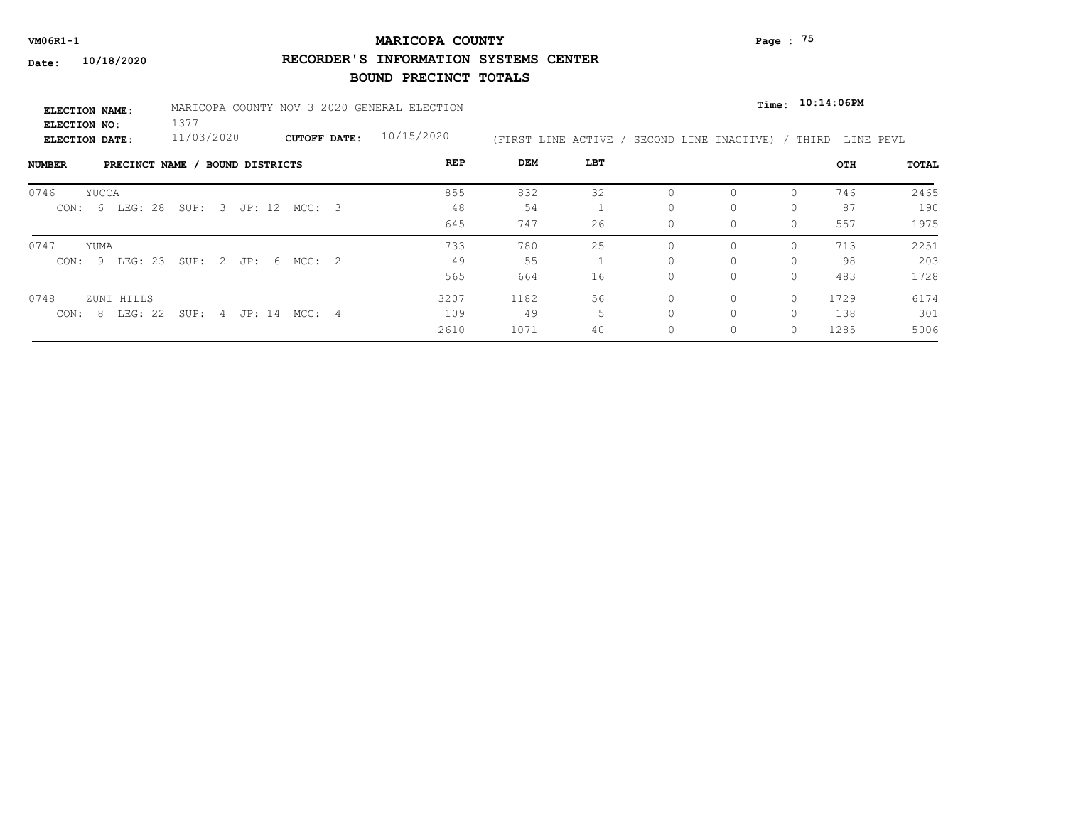# **MARICOPA COUNTY VM06R1-1 Page : 75**

**RECORDER'S INFORMATION SYSTEMS CENTER**

| <b>ELECTION NAME:</b>                 | MARICOPA COUNTY NOV 3 2020 GENERAL ELECTION |                      |                     |  |            |                      |     |                       | Time: 10:14:06PM |          |           |              |  |  |
|---------------------------------------|---------------------------------------------|----------------------|---------------------|--|------------|----------------------|-----|-----------------------|------------------|----------|-----------|--------------|--|--|
| ELECTION NO:<br><b>ELECTION DATE:</b> | 1377<br>11/03/2020                          |                      | <b>CUTOFF DATE:</b> |  | 10/15/2020 | (FIRST LINE ACTIVE / |     | SECOND LINE INACTIVE) |                  | THIRD    | LINE PEVL |              |  |  |
| PRECINCT NAME<br>NUMBER               |                                             | BOUND DISTRICTS      |                     |  | REP        | DEM                  | LBT |                       |                  |          | OTH       | <b>TOTAL</b> |  |  |
| 0746<br>YUCCA                         |                                             |                      |                     |  | 855        | 832                  | 32  | $\Omega$              |                  | $\Omega$ | 746       | 2465         |  |  |
| 6 LEG: 28<br>CON:                     | SUP: 3 JP: 12 MCC: 3                        |                      |                     |  | 48         | 54                   |     | $\Omega$              | 0                | $\Omega$ | 87        | 190          |  |  |
|                                       |                                             |                      |                     |  | 645        | 747                  | 26  | $\Omega$              | 0                | $\Omega$ | 557       | 1975         |  |  |
| 0747<br>YUMA                          |                                             |                      |                     |  | 733        | 780                  | 25  | $\bigcap$             | $\Omega$         | $\Omega$ | 713       | 2251         |  |  |
| CON: 9 LEG: 23 SUP: 2 JP: 6 MCC: 2    |                                             |                      |                     |  | 49         | 55                   |     | $\Omega$              | 0                | $\Omega$ | 98        | 203          |  |  |
|                                       |                                             |                      |                     |  | 565        | 664                  | 16  | $\Omega$              | 0                | $\Omega$ | 483       | 1728         |  |  |
| 0748<br>ZUNI HILLS                    |                                             |                      |                     |  | 3207       | 1182                 | 56  | $\bigcap$             | 0                | $\Omega$ | 1729      | 6174         |  |  |
| LEG: 22<br>-8<br>CON:                 |                                             | SUP: 4 JP: 14 MCC: 4 |                     |  | 109        | 49                   |     | $\Omega$              | 0                | $\Omega$ | 138       | 301          |  |  |
|                                       |                                             |                      |                     |  | 2610       | 1071                 | 40  | $\circ$               | 0                | $\Omega$ | 1285      | 5006         |  |  |